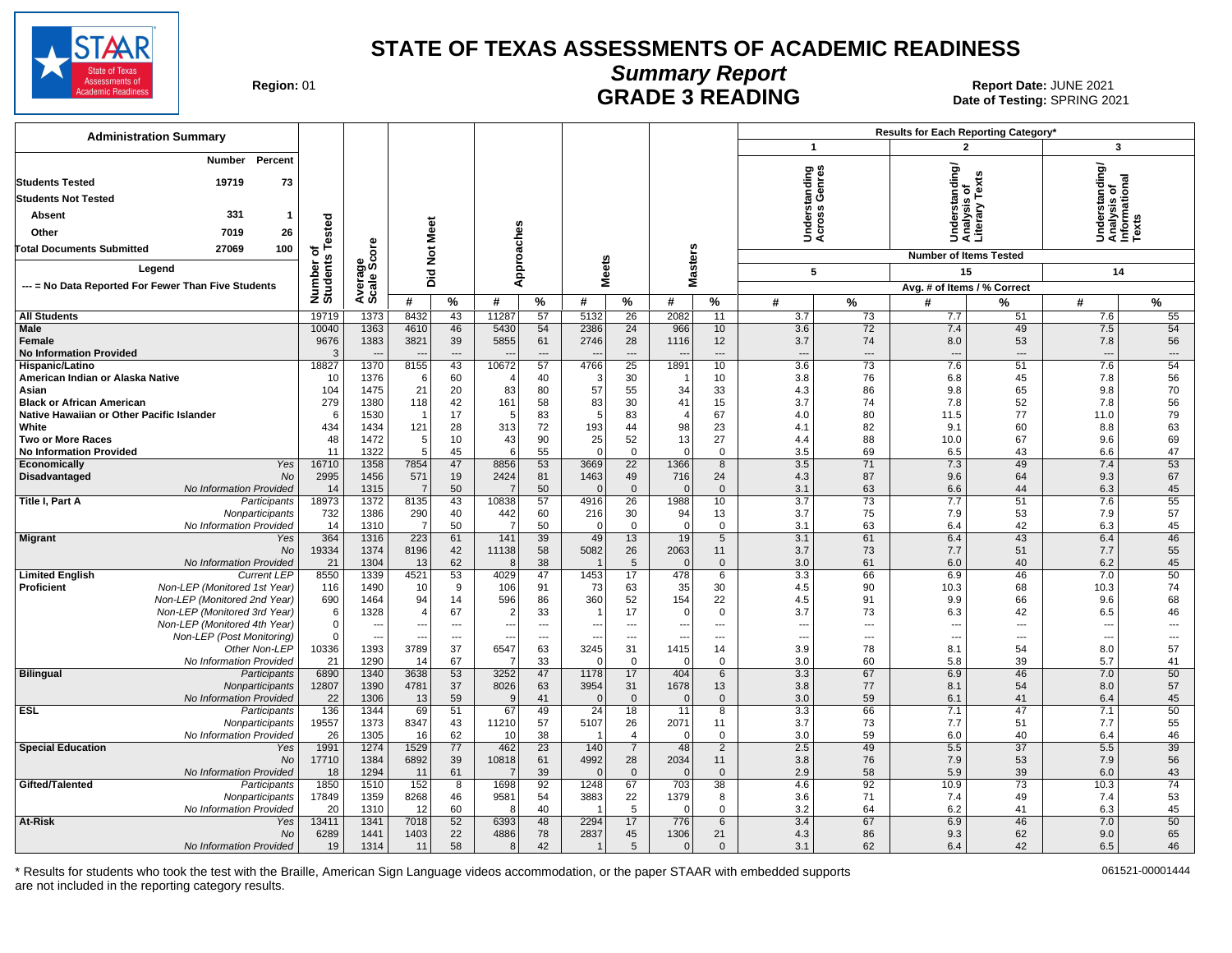

## **Summary Report**

Region: 01 **Region: 01 CALL CONSISTS AND CONTROLL SECUTE 3 READING Report Date: JUNE 2021**<br>Date of Testing: SPRING 20 Date of Testing: SPRING 2021

| <b>Administration Summary</b>                                     |                          |                                  |                       |                |                      |                          |                          |                                 |                          |                            |                                 |                | Results for Each Reporting Category* |                 |                                                     |                                |
|-------------------------------------------------------------------|--------------------------|----------------------------------|-----------------------|----------------|----------------------|--------------------------|--------------------------|---------------------------------|--------------------------|----------------------------|---------------------------------|----------------|--------------------------------------|-----------------|-----------------------------------------------------|--------------------------------|
|                                                                   |                          |                                  |                       |                |                      |                          |                          |                                 |                          |                            | $\mathbf{1}$                    |                | $\overline{2}$                       |                 | $\overline{\mathbf{3}}$                             |                                |
| Percent<br><b>Number</b><br><b>Students Tested</b><br>19719<br>73 |                          |                                  |                       |                |                      |                          |                          |                                 |                          |                            | tanding<br>Genres               |                | standing/                            |                 | nderstanding/<br>nalysis of<br>nformational<br>exts |                                |
| <b>Students Not Tested</b>                                        |                          |                                  |                       |                |                      |                          |                          |                                 |                          |                            |                                 |                |                                      | ě               |                                                     |                                |
| 331<br><b>Absent</b><br>$\mathbf{1}$                              |                          |                                  |                       |                |                      |                          |                          |                                 |                          |                            | ັທ ທ                            |                |                                      | sis<br>Δıε.     |                                                     |                                |
| 7019                                                              | ested                    |                                  |                       |                |                      |                          |                          |                                 |                          |                            | 흥                               |                | 용                                    | naly<br>tera    |                                                     |                                |
| 26<br>Other                                                       |                          |                                  |                       |                |                      |                          |                          |                                 |                          |                            | 52                              |                | そきき                                  |                 | sæž                                                 |                                |
| <b>Total Documents Submitted</b><br>27069<br>100                  |                          | ö                                | Not Meet              |                |                      |                          |                          |                                 |                          |                            |                                 |                | <b>Number of Items Tested</b>        |                 |                                                     |                                |
| Legend                                                            |                          |                                  |                       |                | Approaches           |                          |                          | <b>Meets</b>                    | <b>Masters</b>           |                            | 5                               |                | 15                                   |                 | 14                                                  |                                |
| --- = No Data Reported For Fewer Than Five Students               |                          |                                  | Did                   |                |                      |                          |                          |                                 |                          |                            |                                 |                | Avg. # of Items / % Correct          |                 |                                                     |                                |
|                                                                   | Number of<br>Students Te | Average<br>Scale Sco             | #                     | $\%$           | #                    | $\%$                     | #                        | %                               | #                        | %                          | #                               | $\%$           | #                                    | %               | #                                                   | $\%$                           |
| <b>All Students</b>                                               | 19719                    | 1373                             | 8432                  | 43             | 11287                | 57                       | 5132                     | 26                              | 2082                     | 11                         | 3.7                             | 73             | 7.7                                  | 51              | 7.6                                                 | 55                             |
| Male                                                              | 10040                    | 1363                             | 4610                  | 46             | 5430                 | 54                       | 2386                     | 24                              | 966                      | 10                         | 3.6                             | 72             | 7.4                                  | 49              | 7.5                                                 | 54                             |
| Female                                                            | 9676                     | 1383                             | 3821                  | 39             | 5855                 | 61                       | 2746                     | 28                              | 1116                     | 12                         | 3.7                             | 74             | 8.0                                  | 53              | 7.8                                                 | 56                             |
| <b>No Information Provided</b>                                    | 3                        |                                  |                       | $\overline{a}$ |                      | $\overline{a}$           |                          | $\overline{a}$                  |                          | $-$                        | $\overline{a}$                  | $\overline{a}$ | $\overline{a}$                       | $\sim$          | $\overline{\phantom{a}}$                            | $\overline{a}$                 |
| Hispanic/Latino                                                   | 18827                    | 1370                             | 8155                  | 43             | 10672                | 57                       | 4766                     | 25                              | 1891                     | 10                         | 3.6                             | 73<br>76       | 7.6                                  | 51              | 7.6                                                 | 54<br>56                       |
| American Indian or Alaska Native<br>Asian                         | 10<br>104                | 1376<br>1475                     | 6<br>21               | 60<br>20       | 83                   | 40<br>80                 | $\mathbf{3}$<br>57       | 30<br>55                        | 34                       | 10<br>33                   | 3.8<br>4.3                      | 86             | 6.8<br>9.8                           | 45<br>65        | 7.8<br>9.8                                          | 70                             |
| <b>Black or African American</b>                                  | 279                      | 1380                             | 118                   | 42             | 161                  | 58                       | 83                       | 30                              | 41                       | 15                         | 3.7                             | 74             | 7.8                                  | 52              | 7.8                                                 | 56                             |
| Native Hawaiian or Other Pacific Islander                         | 6                        | 1530                             |                       | 17             | -5                   | 83                       | -5                       | 83                              | $\overline{4}$           | 67                         | 4.0                             | 80             | 11.5                                 | 77              | 11.0                                                | 79                             |
| White                                                             | 434                      | 1434                             | 121                   | 28             | 313                  | 72                       | 193                      | 44                              | 98                       | 23                         | 4.1                             | 82             | 9.1                                  | 60              | 8.8                                                 | 63                             |
| <b>Two or More Races</b>                                          | 48                       | 1472                             | 5                     | 10             | 43                   | 90                       | 25                       | 52                              | 13                       | 27                         | 4.4                             | 88             | 10.0                                 | 67              | 9.6                                                 | 69                             |
| <b>No Information Provided</b><br>Economically<br>Yes             | 11<br>16710              | 1322<br>1358                     | 5<br>7854             | 45<br>47       | 6<br>8856            | 55<br>53                 | $\Omega$<br>3669         | $\mathbf{0}$<br>$\overline{22}$ | $\Omega$<br>1366         | $\Omega$<br>$\overline{8}$ | 3.5<br>3.5                      | 69<br>71       | 6.5<br>7.3                           | 43<br>49        | 6.6<br>7.4                                          | 47<br>53                       |
| Disadvantaged<br>No                                               | 2995                     | 1456                             | 571                   | 19             | 2424                 | 81                       | 1463                     | 49                              | 716                      | 24                         | 4.3                             | 87             | 9.6                                  | 64              | 9.3                                                 | 67                             |
| No Information Provided                                           | 14                       | 1315                             | $\overline{7}$        | 50             | $\overline{7}$       | 50                       | $\mathbf{0}$             | $\mathbf{0}$                    | $\mathbf{0}$             | $\mathbf{0}$               | 3.1                             | 63             | 6.6                                  | 44              | 6.3                                                 | 45                             |
| Title I, Part A<br>Participants                                   | 18973                    | 1372                             | 8135                  | 43             | 10838                | 57                       | 4916                     | 26                              | 1988                     | 10                         | 3.7                             | 73             | 7.7                                  | 51              | 7.6                                                 | 55                             |
| Nonparticipants                                                   | 732                      | 1386                             | 290                   | 40             | 442                  | 60                       | 216                      | 30                              | 94                       | 13                         | 3.7                             | 75             | 7.9                                  | 53              | 7.9                                                 | 57                             |
| No Information Provided                                           | 14                       | 1310                             | $\overline{7}$        | 50             | -7                   | 50                       | $\Omega$                 | $\mathbf{0}$                    | $\Omega$                 | $\mathbf 0$                | 3.1                             | 63             | 6.4                                  | 42              | 6.3                                                 | 45                             |
| <b>Migrant</b><br>Yes<br>No                                       | 364<br>19334             | 1316<br>1374                     | 223<br>8196           | 61<br>42       | 141<br>11138         | 39<br>58                 | 49<br>5082               | 13<br>26                        | 19<br>2063               | $5\overline{)}$<br>11      | 3.1<br>3.7                      | 61<br>73       | 6.4<br>7.7                           | 43<br>51        | 6.4<br>7.7                                          | 46<br>55                       |
| No Information Provided                                           | 21                       | 1304                             | 13                    | 62             | $\epsilon$           | 38                       |                          | $5\phantom{.0}$                 | $\mathbf{0}$             | $\mathbf{0}$               | 3.0                             | 61             | 6.0                                  | 40              | 6.2                                                 | 45                             |
| <b>Limited English</b><br><b>Current LEP</b>                      | 8550                     | 1339                             | 4521                  | 53             | 4029                 | 47                       | 1453                     | 17                              | 478                      | 6                          | 3.3                             | 66             | 6.9                                  | 46              | 7.0                                                 | 50                             |
| <b>Proficient</b><br>Non-LEP (Monitored 1st Year)                 | 116                      | 1490                             | 10                    | 9              | 106                  | 91                       | 73                       | 63                              | 35                       | 30                         | 4.5                             | 90             | 10.3                                 | 68              | 10.3                                                | 74                             |
| Non-LEP (Monitored 2nd Year)                                      | 690                      | 1464                             | 94                    | 14             | 596                  | 86                       | 360                      | 52                              | 154                      | 22                         | 4.5                             | 91             | 9.9                                  | 66              | 9.6                                                 | 68                             |
| Non-LEP (Monitored 3rd Year)<br>Non-LEP (Monitored 4th Year)      | 6<br>$\mathbf 0$         | 1328<br>$\overline{\phantom{a}}$ | $\overline{4}$<br>--- | 67<br>$---$    | -2<br>---            | 33<br>---                | $\overline{\phantom{a}}$ | 17<br>---                       | $\Omega$<br>---          | $\Omega$<br>$\overline{a}$ | 3.7<br>$\overline{\phantom{a}}$ | 73<br>---      | 6.3                                  | 42<br>---       | 6.5<br>---                                          | 46<br>$\overline{\phantom{a}}$ |
| Non-LEP (Post Monitoring)                                         | $\mathbf 0$              | $\overline{\phantom{a}}$         | ---                   | $---$          | ---                  | $\overline{\phantom{a}}$ | $\overline{\phantom{a}}$ | $\overline{\phantom{a}}$        | $\overline{\phantom{a}}$ | $\overline{a}$             | $\overline{\phantom{a}}$        | ---            | ---<br>---                           | ---             | ---                                                 | $\overline{a}$                 |
| Other Non-LEP                                                     | 10336                    | 1393                             | 3789                  | 37             | 6547                 | 63                       | 3245                     | 31                              | 1415                     | 14                         | 3.9                             | 78             | 8.1                                  | 54              | 8.0                                                 | 57                             |
| No Information Provided                                           | 21                       | 1290                             | 14                    | 67             |                      | 33                       |                          | $\Omega$                        | $\Omega$                 | $\Omega$                   | 3.0                             | 60             | 5.8                                  | 39              | 5.7                                                 | 41                             |
| <b>Bilingual</b><br>Participants                                  | 6890                     | 1340                             | 3638                  | 53             | 3252                 | 47                       | 1178                     | 17                              | 404                      | 6                          | 3.3                             | 67             | 6.9                                  | 46              | 7.0                                                 | 50                             |
| Nonparticipants<br>No Information Provided                        | 12807<br>22              | 1390<br>1306                     | 4781<br>13            | 37<br>59       | 8026<br>$\mathbf{c}$ | 63                       | 3954<br>$\mathbf{0}$     | 31<br>$\mathbf{0}$              | 1678<br>$\overline{0}$   | 13<br>$\mathbf{0}$         | 3.8                             | 77<br>59       | 8.1                                  | 54<br>41        | 8.0                                                 | 57<br>45                       |
| <b>ESL</b><br>Participants                                        | 136                      | 1344                             | 69                    | 51             | 67                   | 41<br>49                 | 24                       | 18                              | 11                       | 8                          | 3.0<br>3.3                      | 66             | 6.1<br>7.1                           | 47              | 6.4<br>7.1                                          | 50                             |
| Nonparticipants                                                   | 19557                    | 1373                             | 8347                  | 43             | 11210                | 57                       | 5107                     | 26                              | 2071                     | 11                         | 3.7                             | 73             | 7.7                                  | 51              | 7.7                                                 | 55                             |
| No Information Provided                                           | 26                       | 1305                             | 16                    | 62             | 10                   | 38                       | -1                       | $\overline{4}$                  | $\mathbf 0$              | $\mathbf 0$                | 3.0                             | 59             | 6.0                                  | 40              | 6.4                                                 | 46                             |
| <b>Special Education</b><br>Yes                                   | 1991                     | 1274                             | 1529                  | 77             | 462                  | $\overline{23}$          | 140                      | $\overline{7}$                  | 48                       | $\overline{2}$             | 2.5                             | 49             | 5.5                                  | $\overline{37}$ | 5.5                                                 | 39                             |
| <b>No</b>                                                         | 17710                    | 1384                             | 6892                  | 39             | 10818                | 61                       | 4992                     | 28                              | 2034                     | 11                         | 3.8                             | 76             | 7.9                                  | 53              | 7.9                                                 | 56                             |
| No Information Provided<br>Gifted/Talented<br>Participants        | 18<br>1850               | 1294<br>1510                     | 11<br>152             | 61<br>8        | 1698                 | 39<br>92                 | $\Omega$<br>1248         | $\mathbf{0}$<br>67              | $\Omega$<br>703          | $\Omega$<br>38             | 2.9<br>4.6                      | 58<br>92       | 5.9<br>10.9                          | 39<br>73        | 6.0<br>10.3                                         | 43<br>74                       |
| Nonparticipants                                                   | 17849                    | 1359                             | 8268                  | 46             | 9581                 | 54                       | 3883                     | 22                              | 1379                     | 8                          | 3.6                             | 71             | 7.4                                  | 49              | 7.4                                                 | 53                             |
| No Information Provided                                           | 20                       | 1310                             | 12                    | 60             | -8                   | 40                       |                          | 5                               | $\mathbf 0$              | $\Omega$                   | 3.2                             | 64             | 6.2                                  | 41              | 6.3                                                 | 45                             |
| At-Risk<br>Yes                                                    | 13411                    | 1341                             | 7018                  | 52             | 6393                 | 48                       | 2294                     | 17                              | 776                      | 6                          | 3.4                             | 67             | 6.9                                  | 46              | 7.0                                                 | 50                             |
| No                                                                | 6289                     | 1441                             | 1403                  | 22             | 4886                 | 78                       | 2837                     | 45                              | 1306                     | 21                         | 4.3                             | 86             | 9.3                                  | 62              | 9.0                                                 | 65                             |
| No Information Provided                                           | 19                       | 1314                             | 11                    | 58             | 8                    | 42                       | -1                       | 5                               | $\overline{0}$           | $\mathbf{0}$               | 3.1                             | 62             | 6.4                                  | 42              | 6.5                                                 | 46                             |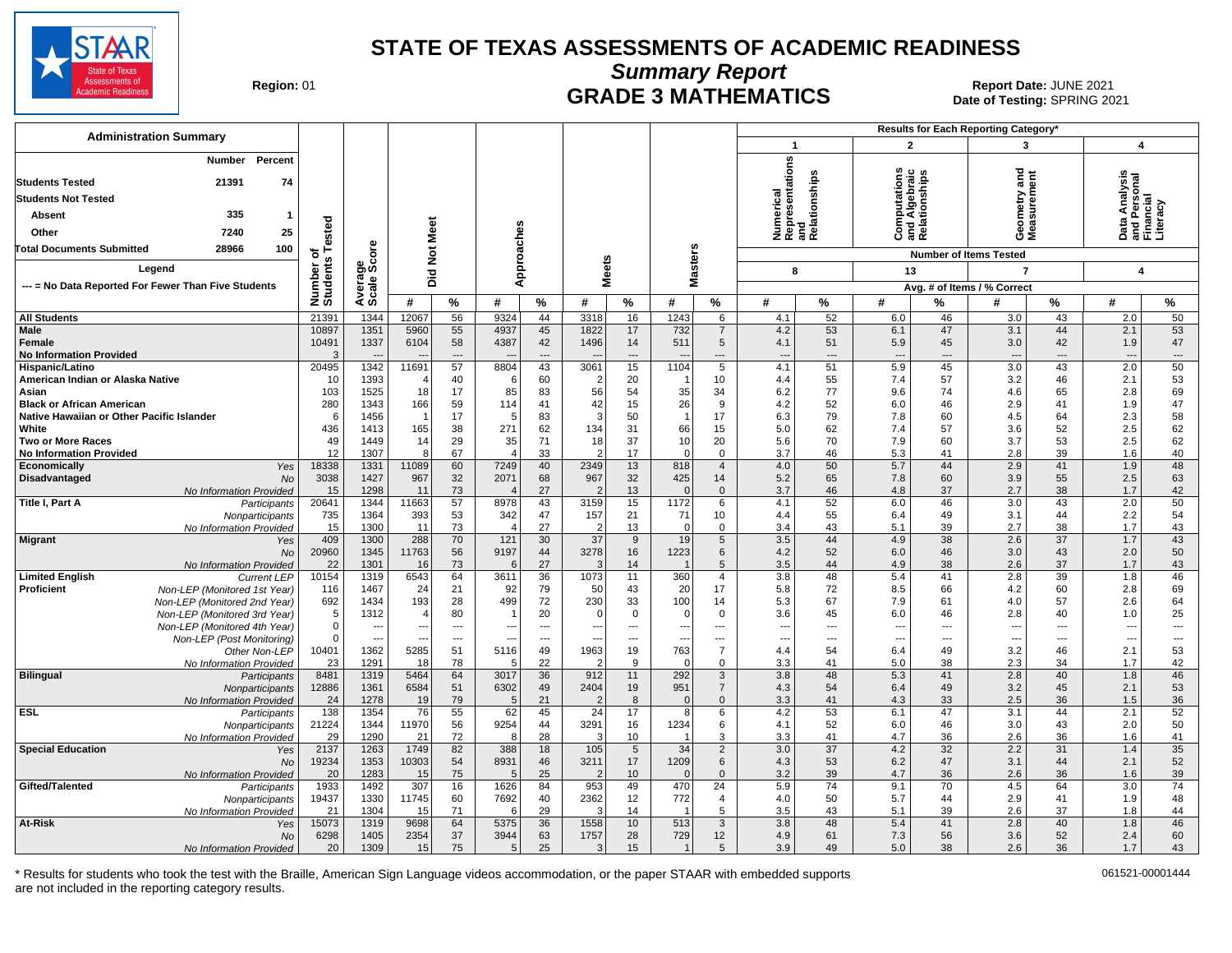

**Summary Report**

Region: 01 **Region: 01 CRADE 3 MATHEMATICS Date: JUNE 2021 Report Date: JUNE 2021** Date of Testing: SPRING 2021

| <b>Administration Summary</b>                                                                                                          |                       |                                          |                 |                      |                          |                 |                       |                                      |                        |                               |                                                                                   |                                      |                                 |                                                | <b>Results for Each Reporting Category</b>       |                   |                                                        |                                                      |
|----------------------------------------------------------------------------------------------------------------------------------------|-----------------------|------------------------------------------|-----------------|----------------------|--------------------------|-----------------|-----------------------|--------------------------------------|------------------------|-------------------------------|-----------------------------------------------------------------------------------|--------------------------------------|---------------------------------|------------------------------------------------|--------------------------------------------------|-------------------|--------------------------------------------------------|------------------------------------------------------|
|                                                                                                                                        |                       |                                          |                 |                      |                          |                 |                       |                                      |                        |                               | $\mathbf{1}$                                                                      |                                      | $\overline{2}$                  |                                                | 3                                                |                   | 4                                                      |                                                      |
| Percent<br>Number<br>21391<br>74<br><b>Students Tested</b><br><b>Students Not Tested</b><br>335<br>Absent<br>-1<br>25<br>Other<br>7240 | ested                 |                                          | <b>Not Meet</b> |                      | Approaches               |                 |                       |                                      |                        |                               | umerical<br>epresentations<br>Numerical<br>Representation<br>and<br>Relationships |                                      | w                               | Computations<br>and Algebraic<br>Relationships | <b>Seometry and</b><br><b>Aeasurement</b><br>פֿ⊙ |                   | Data Analysis<br>and Personal<br>Financial<br>Literacy |                                                      |
| 28966<br>100<br><b>Total Documents Submitted</b>                                                                                       | ৳                     | ö                                        |                 |                      |                          |                 |                       |                                      |                        |                               |                                                                                   |                                      |                                 |                                                | <b>Number of Items Tested</b>                    |                   |                                                        |                                                      |
| Legend                                                                                                                                 | Number of<br>Students | Average<br>Scale Scc                     | Did             |                      |                          |                 | <b>Meets</b>          |                                      | <b>Masters</b>         |                               | 8                                                                                 |                                      | 13                              |                                                | $\overline{7}$                                   |                   | 4                                                      |                                                      |
| --- = No Data Reported For Fewer Than Five Students                                                                                    |                       |                                          |                 |                      |                          |                 |                       |                                      |                        |                               |                                                                                   |                                      |                                 |                                                | Avg. # of Items / % Correct                      |                   |                                                        |                                                      |
|                                                                                                                                        |                       |                                          | #               | %                    | #                        | %               | #                     | %                                    | #                      | %                             | #                                                                                 | %                                    | #                               | %                                              | #                                                | $\%$              | #                                                      | %                                                    |
| <b>All Students</b>                                                                                                                    | 21391                 | 1344                                     | 12067           | 56                   | 9324                     | 44              | 3318                  | 16                                   | 1243                   | 6                             | 4.1                                                                               | 52                                   | 6.0                             | 46                                             | 3.0                                              | 43                | 2.0                                                    | 50                                                   |
| <b>Male</b><br>Female<br><b>No Information Provided</b>                                                                                | 10897<br>10491        | 1351<br>1337<br>$\overline{\phantom{a}}$ | 5960<br>6104    | 55<br>58<br>$\cdots$ | 4937<br>4387             | 45<br>42<br>--- | 1822<br>1496          | 17<br>14<br>$\overline{\phantom{a}}$ | 732<br>511             | $\overline{7}$<br>5<br>---    | 4.2<br>4.1<br>$\overline{\phantom{a}}$                                            | 53<br>51<br>$\overline{\phantom{a}}$ | 6.1<br>5.9<br>$---$             | 47<br>45<br>---                                | 3.1<br>3.0<br>$---$                              | 44<br>42<br>$---$ | 2.1<br>1.9<br>---                                      | 53<br>47<br>$\cdots$                                 |
| Hispanic/Latino                                                                                                                        | 20495                 | 1342                                     | 11691           | 57                   | 8804                     | 43              | 3061                  | 15                                   | 1104                   | 5                             | 4.1                                                                               | 51                                   | 5.9                             | 45                                             | 3.0                                              | 43                | 2.0                                                    | 50                                                   |
| American Indian or Alaska Native                                                                                                       | 10                    | 1393                                     |                 | 40                   | 6                        | 60              | $\overline{2}$        | 20                                   | -1                     | 10                            | 4.4                                                                               | 55                                   | 7.4                             | 57                                             | 3.2                                              | 46                | 2.1                                                    | 53                                                   |
| Asian                                                                                                                                  | 103                   | 1525                                     | 18              | 17                   | 85                       | 83<br>41        | 56                    | 54                                   | 35                     | 34<br>9                       | 6.2                                                                               | 77                                   | 9.6                             | 74<br>46                                       | 4.6                                              | 65                | 2.8                                                    | 69                                                   |
| <b>Black or African American</b><br>Native Hawaiian or Other Pacific Islander                                                          | 280<br>6              | 1343<br>1456                             | 166             | 59<br>17             | 114<br>.5                | 83              | 42<br>3               | 15<br>50                             | 26<br>$\mathbf{1}$     | 17                            | 4.2<br>6.3                                                                        | 52<br>79                             | 6.0<br>7.8                      | 60                                             | 2.9<br>4.5                                       | 41<br>64          | 1.9<br>2.3                                             | 47<br>58                                             |
| White                                                                                                                                  | 436                   | 1413                                     | 165             | 38                   | 271                      | 62              | 134                   | 31                                   | 66                     | 15                            | 5.0                                                                               | 62                                   | 7.4                             | 57                                             | 3.6                                              | 52                | 2.5                                                    | 62                                                   |
| <b>Two or More Races</b>                                                                                                               | 49                    | 1449                                     | 14              | 29                   | 35                       | 71              | 18                    | 37                                   | 10                     | 20                            | 5.6                                                                               | 70                                   | 7.9                             | 60                                             | 3.7                                              | 53                | 2.5                                                    | 62                                                   |
| <b>No Information Provided</b>                                                                                                         | 12                    | 1307                                     | 8               | 67                   | $\boldsymbol{\Delta}$    | 33              |                       | 17                                   | $\Omega$               | $\mathbf 0$                   | 3.7                                                                               | 46                                   | 5.3                             | 41                                             | 2.8                                              | 39                | 1.6                                                    | 40                                                   |
| Economically<br>Yes                                                                                                                    | 18338                 | 1331                                     | 11089           | 60                   | 7249                     | 40              | 2349                  | 13                                   | 818                    | $\overline{4}$                | 4.0                                                                               | 50                                   | 5.7                             | 44                                             | 2.9                                              | 41                | 1.9                                                    | 48                                                   |
| Disadvantaged<br><b>No</b><br>No Information Provided                                                                                  | 3038<br>15            | 1427<br>1298                             | 967<br>11       | 32<br>73             | 2071                     | 68<br>27        | 967<br>$\overline{2}$ | 32<br>13                             | 425<br>$\mathbf{0}$    | 14<br>$\mathbf{0}$            | 5.2<br>3.7                                                                        | 65<br>46                             | 7.8<br>4.8                      | 60<br>37                                       | 3.9<br>2.7                                       | 55<br>38          | 2.5<br>1.7                                             | 63<br>42                                             |
| Title I, Part A<br>Participants                                                                                                        | 20641                 | 1344                                     | 11663           | 57                   | 8978                     | 43              | 3159                  | 15                                   | 1172                   | 6                             | 4.1                                                                               | 52                                   | 6.0                             | 46                                             | 3.0                                              | 43                | 2.0                                                    | 50                                                   |
| Nonparticipants                                                                                                                        | 735                   | 1364                                     | 393             | 53                   | 342                      | 47              | 157                   | 21                                   | 71                     | 10                            | 4.4                                                                               | 55                                   | 6.4                             | 49                                             | 3.1                                              | 44                | 2.2                                                    | 54                                                   |
| No Information Provided                                                                                                                | 15                    | 1300                                     | -11             | 73                   | 4                        | 27              | $\overline{2}$        | 13                                   | $\mathbf 0$            | $\mathbf 0$                   | 3.4                                                                               | 43                                   | 5.1                             | 39                                             | 2.7                                              | 38                | 1.7                                                    | 43                                                   |
| <b>Migrant</b><br>Yes                                                                                                                  | 409                   | 1300                                     | 288             | 70                   | $\overline{121}$<br>9197 | 30              | $\overline{37}$       | $\overline{9}$                       | 19                     | 5                             | 3.5                                                                               | 44<br>52                             | 4.9                             | $\overline{38}$                                | 2.6                                              | $\overline{37}$   | 1.7                                                    | 43                                                   |
| <b>No</b><br>No Information Provided                                                                                                   | 20960<br>22           | 1345<br>1301                             | 11763<br>16     | 56<br>73             | 6                        | 44<br>27        | 3278                  | 16<br>14                             | 1223<br>$\overline{1}$ | 6<br>5                        | 4.2<br>3.5                                                                        | 44                                   | 6.0<br>4.9                      | 46<br>38                                       | 3.0<br>2.6                                       | 43<br>37          | 2.0<br>1.7                                             | 50<br>43                                             |
| <b>Limited English</b><br><b>Current LEP</b>                                                                                           | 10154                 | 1319                                     | 6543            | 64                   | 3611                     | 36              | 1073                  | 11                                   | 360                    | $\overline{4}$                | 3.8                                                                               | 48                                   | 5.4                             | 41                                             | 2.8                                              | 39                | 1.8                                                    | 46                                                   |
| Proficient<br>Non-LEP (Monitored 1st Year)                                                                                             | 116                   | 1467                                     | 24              | 21                   | 92                       | 79              | 50                    | 43                                   | 20                     | 17                            | 5.8                                                                               | 72                                   | 8.5                             | 66                                             | 4.2                                              | 60                | 2.8                                                    | 69                                                   |
| Non-LEP (Monitored 2nd Year)                                                                                                           | 692                   | 1434                                     | 193             | 28                   | 499                      | 72              | 230                   | 33                                   | 100                    | 14                            | 5.3                                                                               | 67                                   | 7.9                             | 61                                             | 4.0                                              | 57                | 2.6                                                    | 64                                                   |
| Non-LEP (Monitored 3rd Year)                                                                                                           | 5<br>$\mathbf 0$      | 1312                                     | $\overline{4}$  | 80                   | ---                      | 20<br>---       | $\Omega$              | $\mathbf 0$                          | 0                      | $\mathbf 0$                   | 3.6<br>---                                                                        | 45<br>$\overline{\phantom{a}}$       | 6.0                             | 46<br>---                                      | 2.8<br>---                                       | 40<br>---         | 1.0                                                    | 25                                                   |
| Non-LEP (Monitored 4th Year)<br>Non-LEP (Post Monitoring)                                                                              | $\Omega$              | ---<br>$\overline{\phantom{a}}$          | --              | ---<br>$---$         | $\overline{\phantom{a}}$ | ---             | $- -$                 | ---<br>$\overline{\phantom{a}}$      | ---<br>---             | ---<br>---                    | $\overline{\phantom{a}}$                                                          | $\hspace{0.05cm} \ldots$             | ---<br>$\overline{\phantom{a}}$ | ---                                            | $---$                                            | $---$             | --<br>---                                              | $\overline{\phantom{a}}$<br>$\hspace{0.05cm} \ldots$ |
| Other Non-LEP                                                                                                                          | 10401                 | 1362                                     | 5285            | 51                   | 5116                     | 49              | 1963                  | 19                                   | 763                    | $\overline{7}$                | 4.4                                                                               | 54                                   | 6.4                             | 49                                             | 3.2                                              | 46                | 2.1                                                    | 53                                                   |
| No Information Provided                                                                                                                | 23                    | 1291                                     | 18              | 78                   | .5                       | 22              |                       | 9                                    | $\mathbf 0$            | 0                             | 3.3                                                                               | 41                                   | 5.0                             | 38                                             | 2.3                                              | 34                | 1.7                                                    | 42                                                   |
| <b>Bilingual</b><br>Participants                                                                                                       | 8481                  | 1319                                     | 5464            | 64                   | 3017                     | 36              | 912                   | 11                                   | 292                    | 3                             | 3.8                                                                               | 48                                   | 5.3                             | 41                                             | 2.8                                              | 40                | 1.8                                                    | 46                                                   |
| Nonparticipants                                                                                                                        | 12886                 | 1361                                     | 6584            | 51                   | 6302                     | 49              | 2404                  | 19                                   | 951                    | $\overline{7}$<br>$\mathbf 0$ | 4.3                                                                               | 54<br>41                             | 6.4                             | 49                                             | 3.2                                              | 45                | 2.1                                                    | 53<br>36                                             |
| No Information Provided<br><b>ESL</b><br>Participants                                                                                  | 24<br>138             | 1278<br>1354                             | 19<br>76        | 79<br>55             | 5<br>62                  | 21<br>45        | $\overline{2}$<br>24  | 8<br>17                              | $\mathbf 0$<br>8       | 6                             | 3.3<br>4.2                                                                        | 53                                   | 4.3<br>6.1                      | 33<br>47                                       | 2.5<br>3.1                                       | 36<br>44          | 1.5<br>2.1                                             | 52                                                   |
| Nonparticipants                                                                                                                        | 21224                 | 1344                                     | 11970           | 56                   | 9254                     | 44              | 3291                  | 16                                   | 1234                   | 6                             | 4.1                                                                               | 52                                   | 6.0                             | 46                                             | 3.0                                              | 43                | 2.0                                                    | 50                                                   |
| No Information Provided                                                                                                                | 29                    | 1290                                     | 21              | 72                   | 8                        | 28              |                       | 10                                   | -1                     | 3                             | 3.3                                                                               | 41                                   | 4.7                             | 36                                             | 2.6                                              | 36                | 1.6                                                    | 41                                                   |
| <b>Special Education</b><br>Yes                                                                                                        | 2137                  | 1263                                     | 1749            | 82                   | 388                      | 18              | 105                   | 5                                    | 34                     | $\overline{2}$                | 3.0                                                                               | 37                                   | 4.2                             | 32                                             | 2.2                                              | 31                | 1.4                                                    | 35                                                   |
| <b>No</b>                                                                                                                              | 19234<br>20           | 1353<br>1283                             | 10303           | 54<br>75             | 8931<br>5                | 46<br>25        | 3211<br>$\mathcal{P}$ | 17<br>10                             | 1209<br>$\mathbf{0}$   | 6<br>$\mathbf{0}$             | 4.3<br>3.2                                                                        | 53<br>39                             | 6.2<br>4.7                      | 47<br>36                                       | 3.1<br>2.6                                       | 44<br>36          | 2.1<br>1.6                                             | 52<br>39                                             |
| No Information Provided<br>Gifted/Talented<br>Participants                                                                             | 1933                  | 1492                                     | 15<br>307       | 16                   | 1626                     | 84              | 953                   | 49                                   | 470                    | 24                            | 5.9                                                                               | 74                                   | 9.1                             | 70                                             | 4.5                                              | 64                | 3.0                                                    | 74                                                   |
| Nonparticipants                                                                                                                        | 19437                 | 1330                                     | 11745           | 60                   | 7692                     | 40              | 2362                  | 12                                   | 772                    | 4                             | 4.0                                                                               | 50                                   | 5.7                             | 44                                             | 2.9                                              | 41                | 1.9                                                    | 48                                                   |
| No Information Provided                                                                                                                | 21                    | 1304                                     | -15             | 71                   | 6                        | 29              | 3                     | 14                                   | -1                     | 5                             | 3.5                                                                               | 43                                   | 5.1                             | 39                                             | 2.6                                              | 37                | 1.8                                                    | 44                                                   |
| <b>At-Risk</b><br>Yes                                                                                                                  | 15073                 | 1319                                     | 9698            | 64                   | 5375                     | 36              | 1558                  | 10                                   | 513                    | 3                             | 3.8                                                                               | 48                                   | 5.4                             | 41                                             | 2.8                                              | 40                | 1.8                                                    | 46                                                   |
| No                                                                                                                                     | 6298                  | 1405<br>1309                             | 2354            | 37<br>75             | 3944<br>5                | 63<br>25        | 1757                  | 28<br>15                             | 729<br>$\overline{1}$  | 12<br>5                       | 4.9<br>3.9                                                                        | 61<br>49                             | 7.3<br>5.0                      | 56<br>38                                       | 3.6                                              | 52<br>36          | 2.4<br>1.7                                             | 60<br>43                                             |
| No Information Provided                                                                                                                | 20                    |                                          | 15              |                      |                          |                 | 3                     |                                      |                        |                               |                                                                                   |                                      |                                 |                                                | 2.6                                              |                   |                                                        |                                                      |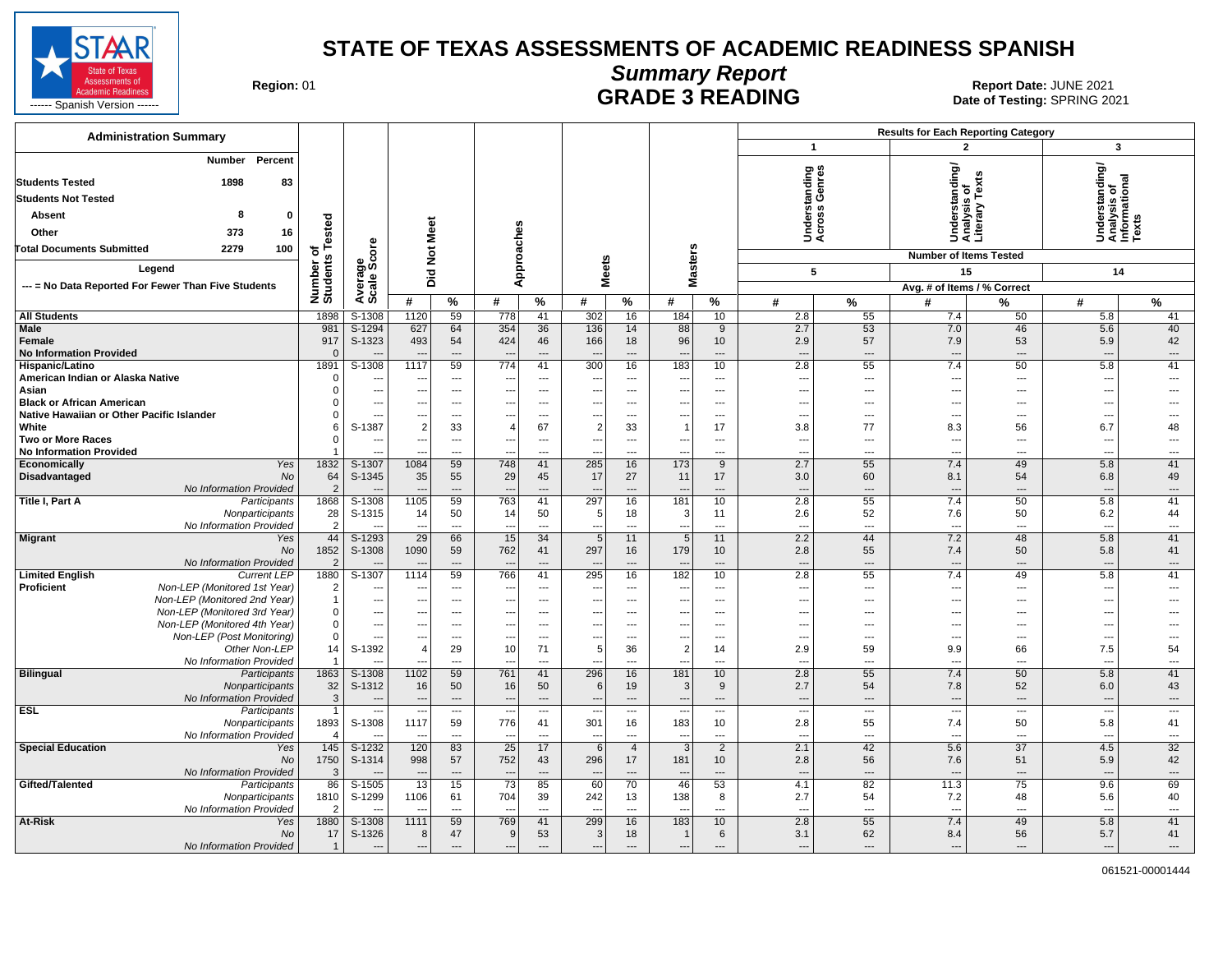

#### **Summary Report** Region: 01 **Region: 01 CALL CONSISTS AND CONTROLL SECUTE 3 READING Report Date: JUNE 2021**<br>Date of Testing: SPRING 20

| <b>Administration Summary</b>                                                 |                             |                                            |                          |                                   |                                |                                |                          |                          |                                          |                          |                                                      |                                   | <b>Results for Each Reporting Category</b> |                          |                                                         |                          |
|-------------------------------------------------------------------------------|-----------------------------|--------------------------------------------|--------------------------|-----------------------------------|--------------------------------|--------------------------------|--------------------------|--------------------------|------------------------------------------|--------------------------|------------------------------------------------------|-----------------------------------|--------------------------------------------|--------------------------|---------------------------------------------------------|--------------------------|
|                                                                               |                             |                                            |                          |                                   |                                |                                |                          |                          |                                          |                          | $\mathbf{1}$                                         |                                   | $\mathbf{2}$                               |                          | 3                                                       |                          |
| Number<br>Percent<br><b>Students Tested</b><br>1898<br>83                     |                             |                                            |                          |                                   |                                |                                |                          |                          |                                          |                          | tanding<br>Genres                                    |                                   | derstanding                                |                          | Understanding/<br>Analysis of<br>Informational<br>Texts |                          |
| <b>Students Not Tested</b>                                                    |                             |                                            |                          |                                   |                                |                                |                          |                          |                                          |                          |                                                      |                                   |                                            | Tex                      |                                                         |                          |
| 8<br>Absent<br>$\mathbf 0$                                                    |                             |                                            |                          |                                   |                                |                                |                          |                          |                                          |                          |                                                      | derst<br>ross                     | ŝË                                         | 5                        |                                                         |                          |
| 373<br>16<br>Other                                                            | of<br>s Tested              |                                            |                          |                                   |                                |                                |                          |                          |                                          |                          | šğ                                                   |                                   | Under<br>Analys<br>Literal                 |                          |                                                         |                          |
| 2279<br>100<br><b>Total Documents Submitted</b>                               |                             |                                            |                          |                                   |                                |                                |                          |                          |                                          |                          |                                                      |                                   |                                            |                          |                                                         |                          |
|                                                                               |                             |                                            |                          | Not Meet                          |                                |                                |                          |                          |                                          |                          |                                                      |                                   | <b>Number of Items Tested</b>              |                          |                                                         |                          |
| Legend                                                                        |                             |                                            |                          | Did                               | Approaches                     |                                | <b>Meets</b>             |                          | <b>Masters</b>                           |                          | 5                                                    |                                   | 15                                         |                          | 14                                                      |                          |
| --- = No Data Reported For Fewer Than Five Students                           | Number of<br>Students       | Average<br>Scale Score                     |                          |                                   |                                |                                |                          |                          |                                          |                          |                                                      |                                   | Avg. # of Items / % Correct                |                          |                                                         |                          |
|                                                                               |                             |                                            | #                        | %                                 | #                              | %                              | #                        | %                        | #                                        | %                        | #                                                    | $\%$                              | #                                          | %                        | #                                                       | $\%$                     |
| <b>All Students</b>                                                           | 1898                        | S-1308                                     | 1120                     | 59                                | 778                            | 41                             | 302                      | 16                       | 184                                      | 10 <sup>1</sup>          | 2.8                                                  | 55                                | 7.4                                        | 50                       | 5.8                                                     | 41                       |
| Male<br>Female                                                                | 981<br>917                  | $S-1294$<br>S-1323                         | 627<br>493               | 64<br>54                          | 354<br>424                     | 36<br>46                       | 136<br>166               | 14<br>18                 | 88<br>96                                 | 9<br>10 <sup>10</sup>    | 2.7<br>2.9                                           | 53<br>57                          | 7.0<br>7.9                                 | 46<br>53                 | 5.6<br>5.9                                              | 40<br>42                 |
| <b>No Information Provided</b>                                                | $\Omega$                    |                                            |                          | $\overline{a}$                    |                                | $\overline{\phantom{a}}$       |                          | $---$                    | $\overline{\phantom{a}}$                 | $\sim$                   | $\overline{a}$                                       | $\sim$                            | $\overline{\phantom{a}}$                   | $\sim$                   | $\overline{\phantom{a}}$                                | $\sim$                   |
| Hispanic/Latino                                                               | 1891                        | $S-1308$                                   | 1117                     | 59                                | 774                            | 41                             | 300                      | 16                       | 183                                      | 10                       | 2.8                                                  | 55                                | 7.4                                        | 50                       | 5.8                                                     | 41                       |
| American Indian or Alaska Native                                              | $\mathbf 0$                 | $\overline{\phantom{a}}$                   | ---                      | $\overline{\phantom{a}}$          | ---                            | $\overline{\phantom{a}}$       | $\overline{\phantom{a}}$ | ---                      | $\overline{\phantom{a}}$                 | ---                      | $\overline{\phantom{a}}$                             | $\overline{\phantom{a}}$          | $\overline{a}$                             | ---                      | $\overline{\phantom{a}}$                                | ---                      |
| Asian                                                                         | $\mathbf 0$                 | $\overline{a}$                             | ---                      | $\overline{\phantom{a}}$          | ÷.,                            | $\overline{\phantom{a}}$       | --                       | $\overline{a}$           | $\overline{\phantom{a}}$                 | ---                      | $---$                                                | $\overline{a}$                    | ---                                        | $\overline{a}$           | ---                                                     | ---                      |
| <b>Black or African American</b><br>Native Hawaiian or Other Pacific Islander | $\Omega$<br>$\Omega$        | $\overline{\phantom{a}}$<br>$\overline{a}$ | ---<br>---               | $\overline{\phantom{a}}$<br>---   | ---<br>÷.,                     | ---<br>---                     | $\overline{a}$<br>--     | ---<br>---               | $\overline{\phantom{a}}$<br>---          | ---<br>---               | $\overline{\phantom{a}}$<br>$\overline{\phantom{a}}$ | ---<br>---                        | ---<br>---                                 | ---<br>---               | ---<br>---                                              |                          |
| White                                                                         | 6                           | S-1387                                     | $\overline{2}$           | 33                                | $\sqrt{2}$                     | 67                             | $\overline{2}$           | 33                       | $\overline{1}$                           | 17                       | 3.8                                                  | 77                                | 8.3                                        | 56                       | 6.7                                                     | 48                       |
| <b>Two or More Races</b>                                                      | $\mathbf 0$                 | $\sim$                                     | ---                      | $\overline{\phantom{a}}$          | $\overline{\phantom{a}}$       | $\overline{\phantom{a}}$       | ---                      | ---                      | $\overline{\phantom{a}}$                 | ---                      | $\overline{\phantom{a}}$                             | ---                               | ---                                        | ---                      | $\overline{\phantom{a}}$                                | ---                      |
| <b>No Information Provided</b>                                                | $\mathbf 1$                 |                                            |                          | $\overline{a}$                    | ---                            | ---                            | $\overline{a}$           | $\overline{a}$           | $\overline{a}$                           | ---                      | $---$                                                | $\overline{a}$                    | ---                                        | ---                      | ---                                                     | ---                      |
| Economically<br>Yes<br><b>No</b>                                              | 1832<br>64                  | S-1307                                     | 1084                     | 59                                | 748                            | 41<br>45                       | 285<br>17                | 16<br>27                 | 173                                      | 9<br>17                  | 2.7                                                  | 55<br>60                          | 7.4                                        | 49<br>54                 | 5.8                                                     | 41<br>49                 |
| Disadvantaged<br>No Information Provided                                      | $\overline{2}$              | S-1345                                     | 35                       | 55<br>$\qquad \qquad \cdots$      | 29<br>$\overline{\phantom{a}}$ | $\overline{\phantom{a}}$       |                          | $---$                    | 11<br>$\overline{\phantom{a}}$           | $\overline{a}$           | 3.0<br>$\overline{a}$                                | $\overline{\phantom{a}}$          | 8.1<br>$\overline{\phantom{a}}$            | $\overline{\phantom{a}}$ | 6.8<br>---                                              | ---                      |
| Title I, Part A<br>Participants                                               | 1868                        | $S-1308$                                   | 1105                     | 59                                | 763                            | 41                             | 297                      | 16                       | 181                                      | 10                       | 2.8                                                  | 55                                | 7.4                                        | 50                       | 5.8                                                     | 41                       |
| Nonparticipants                                                               | 28                          | S-1315                                     | 14                       | 50                                | 14                             | 50                             | 5                        | 18                       | 3                                        | 11                       | 2.6                                                  | 52                                | 7.6                                        | 50                       | 6.2                                                     | 44                       |
| No Information Provided                                                       | $\overline{2}$              |                                            | ---                      | $\sim$                            | $\overline{\phantom{a}}$       | $\overline{\phantom{a}}$       | ---                      | ---                      | $\overline{a}$                           | $\overline{a}$           | $\overline{a}$                                       | $\overline{a}$                    | $\overline{\phantom{a}}$                   | $\overline{a}$           | $\overline{\phantom{a}}$                                | $\overline{a}$           |
| <b>Migrant</b><br>Yes<br><b>No</b>                                            | 44<br>1852                  | $S-1293$<br>S-1308                         | 29<br>1090               | 66<br>59                          | 15<br>762                      | 34<br>41                       | 5<br>297                 | 11<br>16                 | 5<br>179                                 | 11<br>10 <sup>1</sup>    | 2.2<br>2.8                                           | 44<br>55                          | 7.2<br>7.4                                 | 48<br>50                 | 5.8<br>5.8                                              | 41<br>41                 |
| No Information Provided                                                       | $\overline{2}$              |                                            |                          | $\overline{\phantom{a}}$          | $\overline{\phantom{a}}$       | $\overline{\phantom{a}}$       |                          | $\overline{a}$           | $\overline{\phantom{a}}$                 | $\overline{a}$           | $\overline{a}$                                       | $\overline{\phantom{a}}$          | $\overline{a}$                             | $\overline{\phantom{a}}$ | $\overline{\phantom{a}}$                                | $---$                    |
| <b>Limited English</b><br><b>Current LEP</b>                                  | 1880                        | $S-1307$                                   | 1114                     | 59                                | 766                            | 41                             | 295                      | 16                       | 182                                      | 10                       | 2.8                                                  | 55                                | 7.4                                        | 49                       | 5.8                                                     | 41                       |
| Proficient<br>Non-LEP (Monitored 1st Year)                                    | $\overline{2}$              | $\overline{\phantom{a}}$                   | ---                      | $\overline{\phantom{a}}$          | ---                            | $\overline{\phantom{a}}$       | --                       | $---$                    | $\overline{\phantom{a}}$                 | ---                      | $\overline{\phantom{a}}$                             | ---                               | ---                                        | $\overline{\phantom{a}}$ | $\overline{\phantom{a}}$                                | $\overline{a}$           |
| Non-LEP (Monitored 2nd Year)<br>Non-LEP (Monitored 3rd Year)                  | $\mathbf{1}$<br>$\mathbf 0$ | $\overline{\phantom{a}}$<br>---            | ---                      | $---$<br>$\overline{\phantom{a}}$ | ---<br>---                     | $\sim$<br>$\sim$               | $\overline{a}$<br>--     | $---$<br>---             | $\overline{\phantom{a}}$                 | $---$<br>---             | $\overline{a}$<br>$\overline{\phantom{a}}$           | $---$<br>$\overline{\phantom{a}}$ | $\overline{a}$<br>---                      | $\sim$<br>---            | ---<br>---                                              | $\overline{a}$           |
| Non-LEP (Monitored 4th Year)                                                  | $\mathbf 0$                 | $\overline{\phantom{a}}$                   | ---<br>---               | $\cdots$                          | ---                            | $\overline{a}$                 | --                       | $\overline{a}$           | --<br>$\overline{\phantom{a}}$           | $\overline{a}$           | $\overline{\phantom{a}}$                             | $\overline{a}$                    | ---                                        | $\overline{\phantom{a}}$ | ---                                                     | $\sim$                   |
| Non-LEP (Post Monitoring)                                                     | $\mathbf 0$                 | $\overline{a}$                             | ---                      | $---$                             | ---                            | $\overline{a}$                 | --                       | $---$                    | --                                       | $---$                    | $\overline{a}$                                       | $---$                             | ---                                        | $\sim$                   | ---                                                     | $\overline{a}$           |
| Other Non-LEP                                                                 | 14                          | S-1392                                     | $\Delta$                 | 29                                | 10                             | 71                             | 5                        | 36                       | $\overline{2}$                           | 14                       | 2.9                                                  | 59                                | 9.9                                        | 66                       | 7.5                                                     | 54                       |
| No Information Provided                                                       | $\mathbf{1}$                |                                            |                          | $\overline{a}$                    |                                | $\overline{a}$                 | --                       | $\overline{a}$           | $\sim$                                   | $---$                    | $\overline{a}$                                       | $\overline{a}$                    | --                                         | $\overline{a}$           | $\overline{a}$                                          | $\overline{a}$           |
| <b>Bilingual</b><br>Participants<br>Nonparticipants                           | 1863<br>32                  | S-1308<br>S-1312                           | 1102<br>16               | 59<br>50                          | 761<br>16                      | 41<br>50                       | 296<br>6                 | 16<br>19                 | 181<br>3                                 | 10<br>9                  | 2.8<br>2.7                                           | 55<br>54                          | 7.4<br>7.8                                 | 50<br>52                 | 5.8<br>6.0                                              | 41<br>43                 |
| No Information Provided                                                       | $\mathbf{3}$                |                                            | $\overline{a}$           | $\cdots$                          | $\overline{\phantom{a}}$       | $\overline{\phantom{a}}$       | $\overline{a}$           | $---$                    | $\overline{\phantom{a}}$                 | $\overline{\phantom{a}}$ | $---$                                                | $\cdots$                          | $---$                                      | $---$                    | $\overline{\phantom{a}}$                                | ---                      |
| <b>ESL</b><br>Participants                                                    | $\overline{1}$              | $\sim$                                     | $\overline{\phantom{a}}$ | $\overline{\phantom{a}}$          | $\overline{\phantom{a}}$       | $\overline{\phantom{a}}$       | $\overline{a}$           | ---                      | ---                                      | ---                      | ---                                                  | $\overline{\phantom{a}}$          | $\overline{\phantom{a}}$                   | $\overline{\phantom{a}}$ | $\overline{\phantom{a}}$                                | $\overline{\phantom{a}}$ |
| Nonparticipants                                                               | 1893                        | S-1308                                     | 1117                     | 59                                | 776                            | 41                             | 301                      | 16                       | 183                                      | 10 <sup>1</sup>          | 2.8                                                  | 55                                | 7.4                                        | 50                       | 5.8                                                     | 41                       |
| No Information Provided<br><b>Special Education</b>                           | 4<br>$\overline{145}$       | $S-1232$                                   | 120                      | $\overline{a}$<br>83              | 25                             | $\overline{\phantom{a}}$<br>17 | 6                        | ---<br>$\overline{4}$    | $\overline{\phantom{a}}$<br>$\mathbf{3}$ | ---<br>$\overline{2}$    | $---$<br>2.1                                         | $\overline{\phantom{a}}$          | ---<br>5.6                                 | ---<br>37                | $\overline{\phantom{a}}$<br>4.5                         | ---<br>32                |
| Yes<br>No                                                                     | 1750                        | S-1314                                     | 998                      | 57                                | 752                            | 43                             | 296                      | 17                       | 181                                      | 10 <sup>°</sup>          | 2.8                                                  | 42<br>56                          | 7.6                                        | 51                       | 5.9                                                     | 42                       |
| No Information Provided                                                       | 3                           |                                            |                          | $\overline{\phantom{a}}$          | $\overline{\phantom{a}}$       | $\overline{\phantom{a}}$       |                          | $\overline{\phantom{a}}$ | $\overline{\phantom{a}}$                 | ---                      | $\overline{a}$                                       | $---$                             | $\overline{a}$                             | $\overline{\phantom{a}}$ | $\overline{\phantom{a}}$                                | ---                      |
| Gifted/Talented<br>Participants                                               | 86                          | $S-1505$                                   | 13                       | 15                                | $\overline{73}$                | 85                             | 60                       | 70                       | 46                                       | 53                       | 4.1                                                  | 82                                | 11.3                                       | 75                       | 9.6                                                     | 69                       |
| Nonparticipants                                                               | 1810                        | S-1299                                     | 1106                     | 61                                | 704                            | 39                             | 242                      | 13                       | 138                                      | 8                        | 2.7                                                  | 54                                | 7.2                                        | 48                       | 5.6                                                     | 40                       |
| No Information Provided<br>At-Risk<br>Yes                                     | $\overline{2}$<br>1880      | S-1308                                     | $\overline{a}$<br>1111   | $---$<br>59                       | --<br>769                      | $---$<br>41                    | $\overline{a}$<br>299    | $\overline{a}$<br>16     | $\overline{a}$<br>183                    | $\overline{a}$<br>10     | $\overline{a}$<br>2.8                                | $\overline{a}$<br>55              | $\overline{a}$<br>7.4                      | $\overline{a}$<br>49     | $\overline{a}$<br>5.8                                   | ---<br>41                |
| No                                                                            | 17                          | S-1326                                     | 8                        | 47                                | 9                              | 53                             | 3                        | 18                       | -1                                       | 6                        | 3.1                                                  | 62                                | 8.4                                        | 56                       | 5.7                                                     | 41                       |
| No Information Provided                                                       | $\mathbf{1}$                | $\overline{\phantom{a}}$                   | $\overline{a}$           | $\overline{\phantom{a}}$          | $\overline{\phantom{a}}$       | $\overline{\phantom{a}}$       | $\overline{a}$           | $\overline{a}$           | ---                                      | $\overline{\phantom{a}}$ | $\overline{\phantom{a}}$                             | $\overline{\phantom{a}}$          | $\overline{a}$                             | $\overline{\phantom{a}}$ | $\overline{\phantom{a}}$                                | ---                      |
|                                                                               |                             |                                            |                          |                                   |                                |                                |                          |                          |                                          |                          |                                                      |                                   |                                            |                          |                                                         |                          |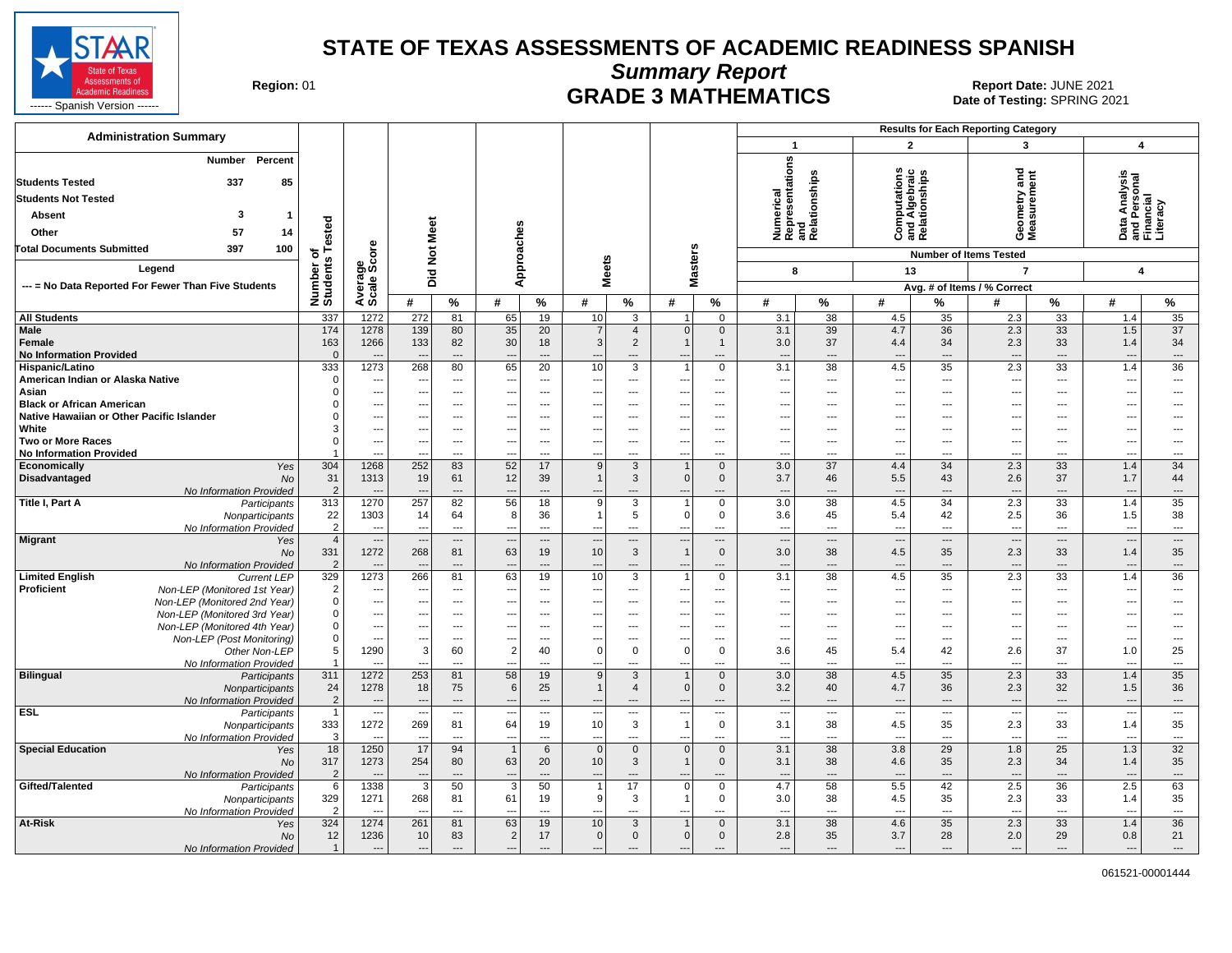

**Summary Report**

Region: 01 **Region: 01 CRADE 3 MATHEMATICS Date: JUNE 2021 Report Date: JUNE 2021** 

| <b>Administration Summary</b>                                                 |                                |                                          |                          |                      |                                      |                          |                                         |                                                              |                                          |                                    |                                                      |                                                      |                                                       |                                            | <b>Results for Each Reporting Category</b> |                                      |                                                        |                                      |
|-------------------------------------------------------------------------------|--------------------------------|------------------------------------------|--------------------------|----------------------|--------------------------------------|--------------------------|-----------------------------------------|--------------------------------------------------------------|------------------------------------------|------------------------------------|------------------------------------------------------|------------------------------------------------------|-------------------------------------------------------|--------------------------------------------|--------------------------------------------|--------------------------------------|--------------------------------------------------------|--------------------------------------|
|                                                                               |                                |                                          |                          |                      |                                      |                          |                                         |                                                              |                                          |                                    | $\mathbf{1}$                                         |                                                      | $\mathbf{2}$                                          |                                            | 3                                          |                                      | 4                                                      |                                      |
| Percent<br>Number<br>337<br>85<br><b>Students Tested</b>                      |                                |                                          |                          |                      |                                      |                          |                                         |                                                              |                                          |                                    | Numerical<br>Representations<br>and<br>Relationships |                                                      | <b>Computations</b><br>and Algebraic<br>Relationships |                                            | ठ<br>seometry and<br>leasurement           |                                      | Data Analysis<br>and Personal<br>Financial<br>Literacy |                                      |
|                                                                               |                                |                                          |                          |                      |                                      |                          |                                         |                                                              |                                          |                                    |                                                      |                                                      |                                                       |                                            |                                            |                                      |                                                        |                                      |
| <b>Students Not Tested</b>                                                    |                                |                                          |                          |                      |                                      |                          |                                         |                                                              |                                          |                                    |                                                      |                                                      |                                                       |                                            |                                            |                                      |                                                        |                                      |
| -3<br>Absent<br>$\mathbf 1$                                                   |                                |                                          |                          |                      |                                      |                          |                                         |                                                              |                                          |                                    |                                                      |                                                      |                                                       |                                            |                                            |                                      |                                                        |                                      |
| 57<br>14<br>Other                                                             | ested                          |                                          |                          |                      |                                      |                          |                                         |                                                              |                                          |                                    |                                                      |                                                      |                                                       |                                            | ÖΣ                                         |                                      |                                                        |                                      |
| 397<br>100<br><b>Total Documents Submitted</b>                                | ⊢<br>৳                         | ö                                        | <b>Not Meet</b>          |                      | Approaches                           |                          |                                         |                                                              |                                          |                                    |                                                      |                                                      |                                                       |                                            | <b>Number of Items Tested</b>              |                                      |                                                        |                                      |
| Legend                                                                        |                                |                                          |                          |                      |                                      |                          |                                         |                                                              |                                          |                                    |                                                      |                                                      |                                                       |                                            |                                            |                                      |                                                        |                                      |
|                                                                               | Number of<br>Students          | Average<br>Scale Scc                     | Did                      |                      |                                      |                          | <b>Meets</b>                            |                                                              | <b>Masters</b>                           |                                    | 8                                                    |                                                      | 13                                                    |                                            | $\overline{7}$                             |                                      | 4                                                      |                                      |
| --- = No Data Reported For Fewer Than Five Students                           |                                |                                          |                          |                      |                                      |                          |                                         |                                                              |                                          |                                    |                                                      |                                                      |                                                       |                                            | Avg. # of Items / % Correct                |                                      |                                                        |                                      |
|                                                                               |                                |                                          | #                        | $\%$                 | #                                    | %                        | #                                       | %                                                            | #                                        | %                                  | #                                                    | $\%$                                                 | #                                                     | %                                          | #                                          | %                                    | #                                                      | %                                    |
| <b>All Students</b>                                                           | 337                            | 1272                                     | 272                      | 81                   | 65                                   | 19                       | 10                                      | 3                                                            | 1                                        | $\mathbf 0$                        | 3.1                                                  | $\overline{38}$                                      | 4.5                                                   | 35                                         | 2.3                                        | $\overline{33}$                      | 1.4                                                    | 35                                   |
| Male<br>Female<br><b>No Information Provided</b>                              | 174<br>163<br>$\mathbf{0}$     | 1278<br>1266<br>$\overline{\phantom{a}}$ | 139<br>133<br>$\sim$     | 80<br>82<br>$---$    | 35<br>30<br>$\overline{\phantom{a}}$ | 20<br>18<br>$---$        | $\overline{7}$<br>$\mathbf{3}$<br>---   | $\overline{4}$<br>$\overline{2}$<br>$\overline{\phantom{a}}$ | $\vert 0 \vert$<br>$\mathbf{1}$<br>$---$ | $\mathbf 0$<br>$\mathbf{1}$<br>--- | 3.1<br>3.0<br>$\sim$                                 | 39<br>37<br>$\overline{\phantom{a}}$                 | 4.7<br>4.4<br>---                                     | 36<br>34<br>$\overline{\phantom{a}}$       | 2.3<br>2.3<br>$\overline{\phantom{a}}$     | 33<br>33<br>$\overline{\phantom{a}}$ | 1.5<br>1.4<br>---                                      | 37<br>34<br>$\qquad \qquad \cdots$   |
| Hispanic/Latino                                                               | 333                            | 1273                                     | 268                      | 80                   | 65                                   | 20                       | 10                                      | 3                                                            | $\mathbf{1}$                             | $\mathbf 0$                        | 3.1                                                  | 38                                                   | 4.5                                                   | 35                                         | 2.3                                        | 33                                   | 1.4                                                    | 36                                   |
| American Indian or Alaska Native                                              | $\mathbf 0$                    | $\overline{\phantom{a}}$                 | ---                      | $\overline{a}$       | $\overline{\phantom{a}}$             | ---                      | $\cdots$                                | $\overline{\phantom{a}}$                                     | ---                                      | $\overline{\phantom{a}}$           | $\sim$                                               | $\overline{\phantom{a}}$                             | ---                                                   | $\overline{\phantom{a}}$                   | $\overline{\phantom{a}}$                   | $---$                                | ---                                                    | $\overline{\phantom{a}}$             |
| Asian                                                                         | $\Omega$                       | ---                                      | ---                      | $\overline{a}$       | $\overline{\phantom{a}}$             | ---                      | ---                                     | $\overline{a}$                                               | ---                                      | ---                                | $\overline{\phantom{a}}$                             | $\overline{\phantom{a}}$                             | ---                                                   | ---                                        | ---                                        | $---$                                | ---                                                    | ---                                  |
| <b>Black or African American</b><br>Native Hawaiian or Other Pacific Islander | $\Omega$                       | $\overline{\phantom{a}}$<br>---          | ---<br>$---$             | ---<br>---           | $---$<br>---                         | ---<br>---               | ---<br>---                              | ---<br>---                                                   | $---$<br>---                             | $---$<br>$---$                     | $\overline{\phantom{a}}$<br>$\sim$                   | $\overline{\phantom{a}}$<br>$\overline{\phantom{a}}$ | ---<br>---                                            | ---<br>---                                 | ---<br>---                                 | $---$<br>$---$                       | ---<br>---                                             | ---<br>---                           |
| White                                                                         | 3                              | $\cdots$                                 | $---$                    | $\overline{a}$       | ---                                  | $\overline{a}$           | $\overline{a}$                          | $\overline{\phantom{a}}$                                     | ---                                      | $---$                              | $\overline{\phantom{a}}$                             | $\sim$                                               | ---                                                   | $\overline{a}$                             | $\overline{a}$                             | $---$                                | ---                                                    | ---                                  |
| Two or More Races                                                             | $\Omega$                       | $\hspace{0.05cm} \ldots$                 |                          | $\overline{a}$       | $\overline{\phantom{a}}$             | ---                      | $\overline{a}$                          | $\overline{\phantom{a}}$                                     | ---                                      | ---                                | $\overline{\phantom{a}}$                             | $\sim$                                               | ---                                                   | ---                                        | $\overline{a}$                             | $---$                                | --                                                     | ---                                  |
| <b>No Information Provided</b>                                                |                                | ---                                      |                          | ---                  | $\overline{\phantom{a}}$             | ---                      | $\overline{a}$                          | $\overline{\phantom{a}}$                                     | ---                                      | $---$                              | $\overline{\phantom{a}}$                             | $\overline{\phantom{a}}$                             | ---                                                   | ---                                        | ---                                        | $---$                                | --                                                     | ---                                  |
| Economically<br>Yes                                                           | 304                            | 1268                                     | 252                      | 83                   | 52                                   | 17                       | 9                                       | $\mathbf{3}$                                                 | $\mathbf{1}$                             | $\mathbf 0$                        | 3.0                                                  | 37                                                   | 4.4                                                   | 34                                         | 2.3                                        | 33                                   | 1.4                                                    | 34                                   |
| Disadvantaged<br>No<br>No Information Provided                                | 31<br>$\overline{2}$           | 1313<br>$\overline{\phantom{a}}$         | 19                       | 61<br>$\overline{a}$ | 12<br>$\overline{\phantom{a}}$       | 39<br>$\overline{a}$     | $\mathbf{1}$                            | 3<br>---                                                     | 0 <br>$\overline{\phantom{a}}$           | $\mathbf 0$<br>$\overline{a}$      | 3.7<br>--                                            | 46<br>$---$                                          | 5.5<br>$\overline{\phantom{a}}$                       | 43<br>$\overline{a}$                       | 2.6<br>$\overline{a}$                      | 37<br>$---$                          | 1.7<br>$\overline{\phantom{a}}$                        | 44<br>$\overline{\phantom{a}}$       |
| Title I, Part A<br>Participants                                               | 313                            | 1270                                     | 257                      | 82                   | 56                                   | 18                       | $\overline{9}$                          | $\overline{3}$                                               | $\mathbf{1}$                             | $\mathbf 0$                        | 3.0                                                  | 38                                                   | 4.5                                                   | 34                                         | 2.3                                        | 33                                   | 1.4                                                    | 35                                   |
| Nonparticipants                                                               | 22                             | 1303                                     | 14                       | 64                   | 8                                    | 36                       | $\mathbf{1}$                            | 5                                                            | $\overline{0}$                           | $\mathbf 0$                        | 3.6                                                  | 45                                                   | 5.4                                                   | 42                                         | 2.5                                        | 36                                   | 1.5                                                    | 38                                   |
| No Information Provided                                                       | $\overline{2}$                 | $\overline{a}$                           | $\overline{a}$           | $\overline{a}$       | $\overline{\phantom{a}}$             | $\overline{a}$           | $\overline{a}$                          | $\overline{a}$                                               | $---$                                    | $\overline{a}$                     | $\overline{\phantom{a}}$                             | $\overline{\phantom{a}}$                             | $\sim$                                                | $\overline{a}$                             | $\overline{\phantom{a}}$                   | $---$                                | ---                                                    | $\sim$                               |
| <b>Migrant</b><br>Yes                                                         | $\overline{4}$                 | $\overline{\phantom{a}}$                 | $\overline{\phantom{a}}$ | ---                  | $\overline{\phantom{a}}$             | $\overline{\phantom{a}}$ | $\overline{\phantom{a}}$                | $\hspace{0.05cm} \ldots$                                     | $\overline{\phantom{a}}$                 | ---                                | $\overline{\phantom{a}}$                             | $\overline{\phantom{a}}$                             | ---                                                   | $\hspace{0.05cm} \ldots$                   | $\overline{\phantom{a}}$                   | $\hspace{0.05cm} \ldots$             | --                                                     | $\hspace{0.05cm} \ldots$             |
| <b>No</b><br>No Information Provided                                          | 331<br>$\overline{2}$          | 1272                                     | 268                      | 81<br>---            | 63<br>$\overline{\phantom{a}}$       | 19<br>$\overline{a}$     | $10$                                    | $\mathbf{3}$<br>$\overline{a}$                               | $\mathbf{1}$<br>$\overline{\phantom{a}}$ | $\mathbf 0$<br>$\overline{a}$      | 3.0<br>$\overline{\phantom{a}}$                      | 38<br>$\overline{\phantom{a}}$                       | 4.5<br>---                                            | 35<br>---                                  | 2.3<br>$\overline{\phantom{a}}$            | 33<br>$\overline{\phantom{a}}$       | 1.4<br>--                                              | 35<br>$\hspace{0.05cm} \ldots$       |
| <b>Limited English</b><br><b>Current LEP</b>                                  | 329                            | 1273                                     | 266                      | 81                   | 63                                   | 19                       | 10                                      | 3                                                            | $\overline{1}$                           | 0                                  | 3.1                                                  | 38                                                   | 4.5                                                   | 35                                         | 2.3                                        | 33                                   | 1.4                                                    | 36                                   |
| Proficient<br>Non-LEP (Monitored 1st Year)                                    | $\overline{2}$                 | ---                                      |                          | ---                  | ---                                  | $\overline{\phantom{a}}$ |                                         | $\overline{\phantom{a}}$                                     | ---                                      | ---                                | $\sim$                                               | $\hspace{0.05cm} \cdots$                             | ---                                                   | ---                                        | $\overline{\phantom{a}}$                   | $\overline{\phantom{a}}$             | --                                                     | ---                                  |
| Non-LEP (Monitored 2nd Year)                                                  | $\mathbf 0$                    | ---                                      | ---                      | ---                  | ---                                  | $\overline{a}$           | ---                                     | ---                                                          | $\overline{\phantom{a}}$                 | ---                                | $\overline{\phantom{a}}$                             | $\overline{\phantom{a}}$                             | ---                                                   | ---                                        | ---                                        | ---                                  | --                                                     | ---                                  |
| Non-LEP (Monitored 3rd Year)                                                  | $\mathbf 0$                    | ---                                      |                          | ---                  | ---                                  | $\overline{a}$           | ---                                     | ---                                                          | $\overline{\phantom{a}}$                 | ---                                | $\overline{\phantom{a}}$                             | $\overline{\phantom{a}}$                             | ---                                                   | ---                                        |                                            | ---                                  | --                                                     | ---                                  |
| Non-LEP (Monitored 4th Year)                                                  | $\mathbf 0$<br>$\mathbf 0$     | ---<br>$\sim$                            | $---$                    | ---<br>---           | ---<br>$\overline{\phantom{a}}$      | ---<br>---               |                                         | ---<br>---                                                   | ---<br>$\overline{\phantom{a}}$          | ---<br>---                         | $\overline{\phantom{a}}$<br>$\overline{\phantom{a}}$ | ---<br>$\overline{\phantom{a}}$                      | ---<br>$\overline{\phantom{a}}$                       | ---<br>---                                 | $\overline{\phantom{a}}$                   | ---<br>$\overline{\phantom{a}}$      | --<br>---                                              | ---<br>$\ldots$                      |
| Non-LEP (Post Monitoring)<br>Other Non-LEP                                    | 5                              | 1290                                     | 3                        | 60                   | $\overline{2}$                       | 40                       | $\overline{\phantom{a}}$<br>$\mathsf 0$ | $\mathbf 0$                                                  | $\overline{0}$                           | $\mathbf 0$                        | 3.6                                                  | 45                                                   | 5.4                                                   | 42                                         | 2.6                                        | 37                                   | 1.0                                                    | 25                                   |
| No Information Provided                                                       |                                | $\overline{a}$                           |                          | …                    | $\overline{a}$                       |                          |                                         | ---                                                          | ---                                      | ---                                | $\sim$                                               | ---                                                  | ---                                                   |                                            | $\overline{a}$                             |                                      | --                                                     | ---                                  |
| <b>Bilingual</b><br>Participants                                              | 311                            | 1272                                     | 253                      | 81                   | 58                                   | 19                       | 9                                       | 3                                                            | $\mathbf{1}$                             | $\mathbf{0}$                       | 3.0                                                  | 38                                                   | 4.5                                                   | 35                                         | 2.3                                        | 33                                   | 1.4                                                    | 35                                   |
| Nonparticipants                                                               | 24                             | 1278                                     | 18                       | 75                   | 6                                    | 25                       | $\mathbf{1}$                            | $\overline{4}$                                               | $\overline{0}$                           | $\mathbf{0}$                       | 3.2                                                  | 40                                                   | 4.7                                                   | 36                                         | 2.3                                        | 32                                   | 1.5                                                    | 36                                   |
| No Information Provided<br><b>ESL</b>                                         | $\overline{2}$<br>$\mathbf{1}$ | $\overline{a}$<br>$\sim$                 | $\overline{\phantom{a}}$ | ---<br>$\sim$        | $\overline{\phantom{a}}$             | ---                      | $\overline{a}$                          | $\overline{a}$<br>$\overline{\phantom{a}}$                   | $\overline{a}$<br>$\ldots$               | $\overline{\phantom{a}}$           | $\overline{\phantom{a}}$<br>$\sim$                   | $\overline{\phantom{a}}$                             | $\overline{a}$<br>$\sim$                              | $\overline{a}$<br>$\hspace{0.05cm} \ldots$ | $\overline{\phantom{a}}$<br>$\sim$ $\sim$  | $\overline{\phantom{a}}$<br>$\sim$   | $\overline{\phantom{a}}$<br>---                        | $\hspace{0.05cm} \ldots$<br>$\cdots$ |
| Participants<br>Nonparticipants                                               | 333                            | 1272                                     | 269                      | 81                   | $\overline{\phantom{a}}$<br>64       | ---<br>19                | $\overline{\phantom{a}}$<br>10          | 3                                                            | $\mathbf{1}$                             | $\cdots$<br>$\mathbf 0$            | 3.1                                                  | $\hspace{0.05cm} \cdots$<br>38                       | 4.5                                                   | 35                                         | 2.3                                        | 33                                   | 1.4                                                    | 35                                   |
| No Information Provided                                                       | 3                              | $\overline{a}$                           | $\overline{a}$           | ---                  | $\overline{\phantom{a}}$             | $\overline{a}$           |                                         | $\overline{a}$                                               | $---$                                    | $\overline{a}$                     | $\overline{\phantom{a}}$                             | $\overline{\phantom{a}}$                             | ---                                                   | $\overline{a}$                             | $\overline{a}$                             | $---$                                | ---                                                    | $\overline{\phantom{a}}$             |
| <b>Special Education</b><br>Yes                                               | 18                             | 1250                                     | 17                       | 94                   | $\overline{1}$                       | 6                        | $\mathbf 0$                             | $\mathbf 0$                                                  | $\vert 0 \vert$                          | $\mathbf 0$                        | 3.1                                                  | $\overline{38}$                                      | 3.8                                                   | 29                                         | 1.8                                        | 25                                   | 1.3                                                    | 32                                   |
| <b>No</b>                                                                     | 317                            | 1273                                     | 254                      | 80                   | 63                                   | 20                       | 10 <sup>1</sup>                         | 3                                                            | $\mathbf{1}$                             | $\mathbf 0$                        | 3.1                                                  | 38                                                   | 4.6                                                   | 35                                         | 2.3                                        | 34                                   | 1.4                                                    | 35                                   |
| No Information Provided                                                       | $\overline{2}$                 | $\sim$                                   |                          | ---                  | $\overline{\phantom{a}}$             | $\overline{a}$           |                                         | ---                                                          |                                          |                                    | --                                                   | $\overline{a}$                                       | ---                                                   | $---$                                      | $\overline{\phantom{a}}$                   | $---$                                | $\overline{a}$                                         | $\overline{\phantom{a}}$             |
| Gifted/Talented<br>Participants                                               | 6<br>329                       | 1338<br>1271                             | 3<br>268                 | 50<br>81             | 3<br>61                              | 50<br>19                 | 9                                       | 17<br>3                                                      | $\overline{0}$<br>$\mathbf{1}$           | $\mathbf 0$<br>0                   | 4.7<br>3.0                                           | 58<br>38                                             | 5.5<br>4.5                                            | 42<br>35                                   | 2.5<br>2.3                                 | 36<br>33                             | 2.5<br>1.4                                             | 63<br>35                             |
| Nonparticipants<br>No Information Provided                                    | $\overline{2}$                 | $\overline{a}$                           | $\overline{\phantom{a}}$ | $\overline{a}$       | $\overline{\phantom{a}}$             | $\overline{a}$           | ---                                     | $\overline{a}$                                               | $\overline{\phantom{a}}$                 | $\overline{a}$                     | $\overline{\phantom{a}}$                             | $\overline{\phantom{a}}$                             | ---                                                   | $\overline{a}$                             | $\overline{a}$                             | $\overline{\phantom{a}}$             | $\overline{\phantom{a}}$                               | $\sim$                               |
| <b>At-Risk</b><br>Yes                                                         | 324                            | 1274                                     | 261                      | 81                   | 63                                   | 19                       | 10 <sup>1</sup>                         | 3                                                            | $\mathbf{1}$                             | $\mathbf{0}$                       | 3.1                                                  | 38                                                   | 4.6                                                   | $\overline{35}$                            | 2.3                                        | 33                                   | 1.4                                                    | 36                                   |
| No                                                                            | 12                             | 1236                                     | 10                       | 83                   | $\overline{2}$                       | 17                       | $\mathsf{O}\xspace$                     | $\mathbf 0$                                                  | $\overline{0}$                           | $\mathbf{0}$                       | 2.8                                                  | 35                                                   | 3.7                                                   | 28                                         | 2.0                                        | 29                                   | 0.8                                                    | 21                                   |
| No Information Provided                                                       | $\mathbf{1}$                   | $\overline{\phantom{a}}$                 | $\overline{a}$           | $\overline{a}$       | $\sim$                               | $\overline{a}$           | $\overline{a}$                          |                                                              | ---                                      | $---$                              | $\overline{\phantom{a}}$                             | $\overline{\phantom{a}}$                             | $\overline{\phantom{a}}$                              | $\overline{a}$                             | $\overline{a}$                             | $\overline{\phantom{a}}$             | ---                                                    | $\overline{\phantom{a}}$             |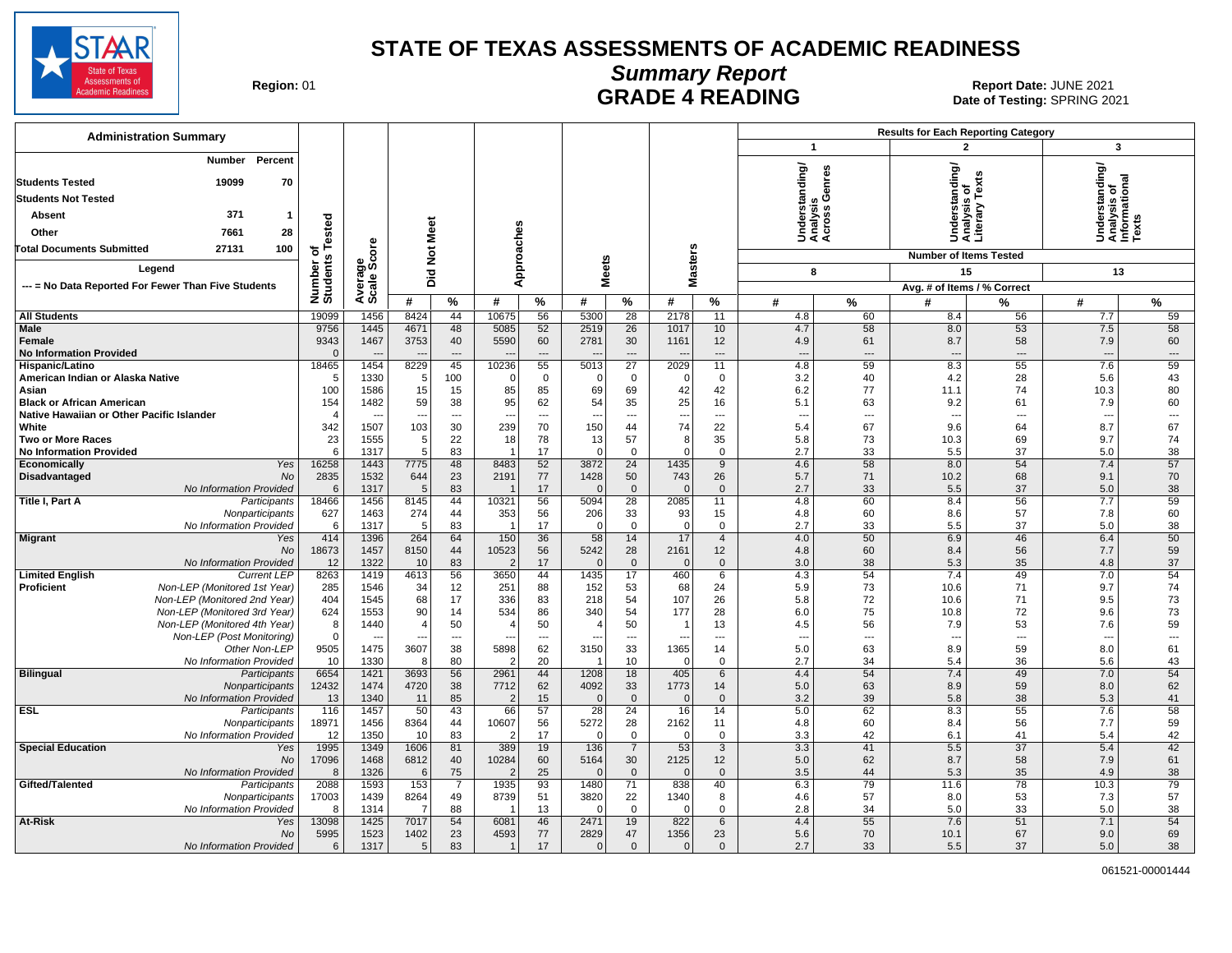

#### **Summary Report** Region: 01 **Region: 01 CALL CONSISTS AND READING Report Date: JUNE 2021**<br>Date of Testing: SPRING 20

| <b>Administration Summary</b>                                                            |                          |                        |                |                          |                                |                                |                          |                      |                                  |                      |                                          |                          | <b>Results for Each Reporting Category</b> |                                |                                                         |                          |
|------------------------------------------------------------------------------------------|--------------------------|------------------------|----------------|--------------------------|--------------------------------|--------------------------------|--------------------------|----------------------|----------------------------------|----------------------|------------------------------------------|--------------------------|--------------------------------------------|--------------------------------|---------------------------------------------------------|--------------------------|
|                                                                                          |                          |                        |                |                          |                                |                                |                          |                      |                                  |                      | $\mathbf{1}$                             |                          |                                            | $\overline{2}$                 | $\overline{\mathbf{3}}$                                 |                          |
| Number<br>Percent<br><b>Students Tested</b><br>19099<br>70<br><b>Students Not Tested</b> |                          |                        |                |                          |                                |                                |                          |                      |                                  |                      | nderstanding/<br>nalysis<br>;ross Genres | ق ہِ                     | derstanding                                | ě                              | Understanding/<br>Analysis of<br>Informational<br>Texts |                          |
| 371<br>Absent<br>$\mathbf{1}$                                                            |                          |                        |                |                          |                                |                                |                          |                      |                                  |                      |                                          |                          |                                            | sis<br>nalysis<br>terary       |                                                         |                          |
| 7661<br>28<br>Other                                                                      | ested                    |                        |                |                          |                                |                                |                          |                      |                                  |                      |                                          |                          |                                            |                                |                                                         |                          |
|                                                                                          |                          |                        |                |                          |                                |                                |                          |                      |                                  |                      | र्ड ई ई                                  |                          | ŠËŠ                                        |                                |                                                         |                          |
| 27131<br>100<br><b>Total Documents Submitted</b>                                         |                          |                        |                |                          |                                |                                |                          |                      |                                  |                      |                                          |                          | <b>Number of Items Tested</b>              |                                |                                                         |                          |
| Legend                                                                                   |                          |                        | Did Not Meet   |                          |                                | Approaches                     |                          | <b>Meets</b>         | <b>Masters</b>                   |                      | 8                                        |                          | 15                                         |                                | 13                                                      |                          |
| --- = No Data Reported For Fewer Than Five Students                                      |                          |                        |                |                          |                                |                                |                          |                      |                                  |                      |                                          |                          | Avg. # of Items / % Correct                |                                |                                                         |                          |
|                                                                                          | Number of<br>Students Te | Average<br>Scale Score | #              | $\%$                     | #                              | %                              | #                        | %                    | #                                | %                    | #                                        | %                        | #                                          | %                              | #                                                       | %                        |
| <b>All Students</b>                                                                      | 19099                    | 1456                   | 8424           | 44                       | 10675                          | 56                             | 5300                     | 28                   | 2178                             | 11                   | 4.8                                      | 60                       | 8.4                                        | 56                             | 7.7                                                     | 59                       |
| Male                                                                                     | 9756                     | 1445                   | 4671           | 48                       | 5085                           | 52                             | 2519                     | 26                   | 1017                             | 10                   | 4.7                                      | 58                       | 8.0                                        | 53                             | 7.5                                                     | 58                       |
| Female                                                                                   | 9343                     | 1467                   | 3753           | 40                       | 5590                           | 60                             | 2781                     | 30                   | 1161                             | 12                   | 4.9                                      | 61                       | 8.7                                        | 58                             | 7.9                                                     | 60                       |
| <b>No Information Provided</b>                                                           | $\mathbf 0$<br>18465     | 1454                   | 8229           | $---$<br>45              | 10236                          | $\overline{\phantom{a}}$<br>55 | 5013                     | $\overline{a}$<br>27 | $\overline{\phantom{a}}$<br>2029 | $\overline{a}$<br>11 | $\overline{a}$<br>4.8                    | $\overline{a}$<br>59     | $\overline{a}$<br>8.3                      | $\overline{\phantom{a}}$<br>55 | ---<br>7.6                                              | $\overline{a}$<br>59     |
| Hispanic/Latino<br>American Indian or Alaska Native                                      | 5                        | 1330                   | 5              | 100                      | $\Omega$                       | $\mathbf 0$                    | $\Omega$                 | $\mathbf 0$          | 0                                | 0                    | 3.2                                      | 40                       | 4.2                                        | 28                             | 5.6                                                     | 43                       |
| Asian                                                                                    | 100                      | 1586                   | 15             | 15                       | 85                             | 85                             | 69                       | 69                   | 42                               | 42                   | 6.2                                      | 77                       | 11.1                                       | 74                             | 10.3                                                    | 80                       |
| <b>Black or African American</b>                                                         | 154                      | 1482                   | 59             | 38                       | 95                             | 62                             | 54                       | 35                   | 25                               | 16                   | 5.1                                      | 63                       | 9.2                                        | 61                             | 7.9                                                     | 60                       |
| Native Hawaiian or Other Pacific Islander                                                | $\overline{4}$           |                        | $\overline{a}$ | $---$                    | $\overline{\phantom{a}}$       | $---$                          | ---                      | $\overline{a}$       | $\overline{\phantom{a}}$         | $---$                | $\overline{a}$                           | $---$                    | $\overline{a}$                             | $\overline{\phantom{a}}$       | $\overline{\phantom{a}}$                                | $\hspace{0.05cm} \ldots$ |
| White                                                                                    | 342                      | 1507                   | 103            | 30                       | 239                            | 70                             | 150                      | 44                   | 74                               | 22                   | 5.4                                      | 67                       | 9.6                                        | 64                             | 8.7                                                     | 67                       |
| <b>Two or More Races</b><br><b>No Information Provided</b>                               | 23<br>6                  | 1555<br>1317           | 5<br>5         | 22<br>83                 | 18<br>$\overline{\phantom{0}}$ | 78<br>17                       | 13<br>$\Omega$           | 57<br>$\mathbf 0$    | 8 <sup>1</sup><br>$\Omega$       | 35<br>$\Omega$       | 5.8<br>2.7                               | 73<br>33                 | 10.3<br>5.5                                | 69<br>37                       | 9.7<br>5.0                                              | 74<br>38                 |
| Economically<br>Yes                                                                      | 16258                    | 1443                   | 7775           | 48                       | 8483                           | 52                             | 3872                     | 24                   | 1435                             | 9                    | 4.6                                      | 58                       | 8.0                                        | 54                             | 7.4                                                     | 57                       |
| Disadvantaged<br>No                                                                      | 2835                     | 1532                   | 644            | 23                       | 2191                           | 77                             | 1428                     | 50                   | 743                              | 26                   | 5.7                                      | 71                       | 10.2                                       | 68                             | 9.1                                                     | 70                       |
| No Information Provided                                                                  | 6                        | 1317                   | 5              | 83                       |                                | 17                             | $\Omega$                 | $\mathbf{0}$         | $\Omega$                         | $\mathbf{0}$         | 2.7                                      | 33                       | 5.5                                        | 37                             | 5.0                                                     | 38                       |
| Title I, Part A<br>Participants                                                          | 18466                    | 1456                   | 8145           | 44                       | 10321                          | 56                             | 5094                     | 28                   | 2085                             | 11                   | 4.8                                      | 60                       | 8.4                                        | 56                             | 7.7                                                     | 59                       |
| Nonparticipants                                                                          | 627                      | 1463                   | 274            | 44                       | 353                            | 56                             | 206<br>$\Omega$          | 33<br>$\mathbf 0$    | 93<br> 0                         | 15                   | 4.8                                      | 60<br>33                 | 8.6                                        | 57<br>37                       | 7.8                                                     | 60                       |
| No Information Provided<br><b>Migrant</b><br>Yes                                         | 6<br>414                 | 1317<br>1396           | 5<br>264       | 83<br>64                 | 150                            | 17<br>36                       | 58                       | 14                   | 17                               | 0<br>$\overline{4}$  | 2.7<br>4.0                               | 50                       | 5.5<br>6.9                                 | 46                             | 5.0<br>6.4                                              | 38<br>50                 |
| No                                                                                       | 18673                    | 1457                   | 8150           | 44                       | 10523                          | 56                             | 5242                     | 28                   | 2161                             | 12                   | 4.8                                      | 60                       | 8.4                                        | 56                             | 7.7                                                     | 59                       |
| No Information Provided                                                                  | 12                       | 1322                   | 10             | 83                       | -2                             | 17                             | $\mathbf{0}$             | $\mathbf 0$          | 0                                | $\mathbf 0$          | 3.0                                      | 38                       | 5.3                                        | 35                             | 4.8                                                     | $37\,$                   |
| <b>Limited English</b><br><b>Current LEP</b>                                             | 8263                     | 1419                   | 4613           | 56                       | 3650                           | 44                             | 1435                     | 17                   | 460                              | 6                    | 4.3                                      | 54                       | 7.4                                        | 49                             | 7.0                                                     | 54                       |
| Proficient<br>Non-LEP (Monitored 1st Year)                                               | 285                      | 1546                   | 34             | 12                       | 251                            | 88                             | 152                      | 53                   | 68                               | 24                   | 5.9                                      | 73                       | 10.6                                       | 71                             | 9.7                                                     | 74                       |
| Non-LEP (Monitored 2nd Year)<br>Non-LEP (Monitored 3rd Year)                             | 404<br>624               | 1545<br>1553           | 68<br>90       | 17<br>14                 | 336<br>534                     | 83<br>86                       | 218<br>340               | 54<br>54             | 107<br>177                       | 26<br>28             | 5.8<br>6.0                               | 72<br>75                 | 10.6<br>10.8                               | 71<br>72                       | 9.5<br>9.6                                              | $73\,$<br>$73\,$         |
| Non-LEP (Monitored 4th Year)                                                             | 8                        | 1440                   | $\overline{4}$ | 50                       | $\sqrt{2}$                     | 50                             |                          | 50                   | -1                               | 13                   | 4.5                                      | 56                       | 7.9                                        | 53                             | 7.6                                                     | 59                       |
| Non-LEP (Post Monitoring)                                                                | $\mathbf 0$              |                        | ---            | $\overline{\phantom{a}}$ | $\overline{\phantom{a}}$       | ---                            | $\overline{\phantom{a}}$ | ---                  | $\overline{\phantom{a}}$         | ---                  | $\overline{\phantom{a}}$                 | $\overline{\phantom{a}}$ |                                            | $\cdots$                       | $\overline{\phantom{a}}$                                | ---                      |
| Other Non-LEP                                                                            | 9505                     | 1475                   | 3607           | 38                       | 5898                           | 62                             | 3150                     | 33                   | 1365                             | 14                   | 5.0                                      | 63                       | 8.9                                        | 59                             | 8.0                                                     | 61                       |
| No Information Provided                                                                  | 10                       | 1330                   | 8              | 80                       | -2                             | 20                             |                          | 10                   | $\overline{0}$                   | $\Omega$             | 2.7                                      | 34                       | 5.4                                        | 36                             | 5.6                                                     | 43                       |
| <b>Bilingual</b><br>Participants                                                         | 6654<br>12432            | 1421<br>1474           | 3693<br>4720   | 56<br>38                 | 2961<br>7712                   | 44<br>62                       | 1208<br>4092             | 18<br>33             | 405<br>1773                      | 6<br>14              | 4.4<br>5.0                               | 54<br>63                 | 7.4<br>8.9                                 | 49<br>59                       | 7.0<br>8.0                                              | 54<br>62                 |
| Nonparticipants<br>No Information Provided                                               | 13                       | 1340                   | 11             | 85                       | 2                              | 15                             | $\Omega$                 | $\mathbf 0$          | $\mathbf{0}$                     | $\mathbf{0}$         | 3.2                                      | 39                       | 5.8                                        | 38                             | 5.3                                                     | 41                       |
| <b>ESL</b><br>Participants                                                               | 116                      | 1457                   | 50             | 43                       | 66                             | 57                             | 28                       | 24                   | 16                               | 14                   | 5.0                                      | 62                       | 8.3                                        | 55                             | 7.6                                                     | 58                       |
| Nonparticipants                                                                          | 18971                    | 1456                   | 8364           | 44                       | 10607                          | 56                             | 5272                     | 28                   | 2162                             | 11                   | 4.8                                      | 60                       | 8.4                                        | 56                             | 7.7                                                     | 59                       |
| No Information Provided                                                                  | 12                       | 1350                   | 10             | 83                       | -2                             | 17                             | $\Omega$                 | $\mathbf 0$          | 0                                | $\Omega$             | 3.3                                      | 42                       | 6.1                                        | 41                             | 5.4                                                     | 42                       |
| <b>Special Education</b><br>Yes                                                          | 1995                     | 1349                   | 1606           | 81                       | 389                            | 19                             | 136                      | $\overline{7}$       | 53                               | 3                    | 3.3                                      | 41                       | 5.5                                        | $\overline{37}$                | 5.4                                                     | 42                       |
| No<br>No Information Provided                                                            | 17096<br>8               | 1468<br>1326           | 6812<br>6      | 40<br>75                 | 10284<br>2                     | 60<br>25                       | 5164<br>$\Omega$         | 30<br>$\mathbf{0}$   | 2125<br>$\mathbf{0}$             | 12<br>$\mathbf{0}$   | 5.0<br>3.5                               | 62<br>44                 | 8.7<br>5.3                                 | 58<br>35                       | 7.9<br>4.9                                              | 61<br>38                 |
| Gifted/Talented<br>Participants                                                          | 2088                     | 1593                   | 153            | 7                        | 1935                           | 93                             | 1480                     | 71                   | 838                              | 40                   | 6.3                                      | 79                       | 11.6                                       | 78                             | 10.3                                                    | 79                       |
| Nonparticipants                                                                          | 17003                    | 1439                   | 8264           | 49                       | 8739                           | 51                             | 3820                     | 22                   | 1340                             | 8                    | 4.6                                      | 57                       | 8.0                                        | 53                             | 7.3                                                     | 57                       |
| No Information Provided                                                                  | 8                        | 1314                   | $\overline{7}$ | 88                       | $\overline{\phantom{0}}$       | 13                             | $\Omega$                 | $\mathbf 0$          | 0                                | 0                    | 2.8                                      | 34                       | 5.0                                        | 33                             | 5.0                                                     | 38                       |
| At-Risk<br>Yes                                                                           | 13098                    | 1425                   | 7017           | 54                       | 6081                           | 46                             | 2471                     | 19                   | 822                              | 6                    | 4.4                                      | 55                       | 7.6                                        | 51                             | 7.1                                                     | 54                       |
| No                                                                                       | 5995                     | 1523                   | 1402           | 23                       | 4593                           | 77                             | 2829                     | 47                   | 1356                             | 23                   | 5.6                                      | 70                       | 10.1                                       | 67                             | 9.0                                                     | 69                       |
| No Information Provided                                                                  | 6                        | 1317                   | 5 <sup>5</sup> | 83                       | $\overline{1}$                 | 17                             | $\overline{0}$           | $\mathbf 0$          | $\overline{0}$                   | $\mathbf{0}$         | 2.7                                      | 33                       | 5.5                                        | 37                             | 5.0                                                     | 38                       |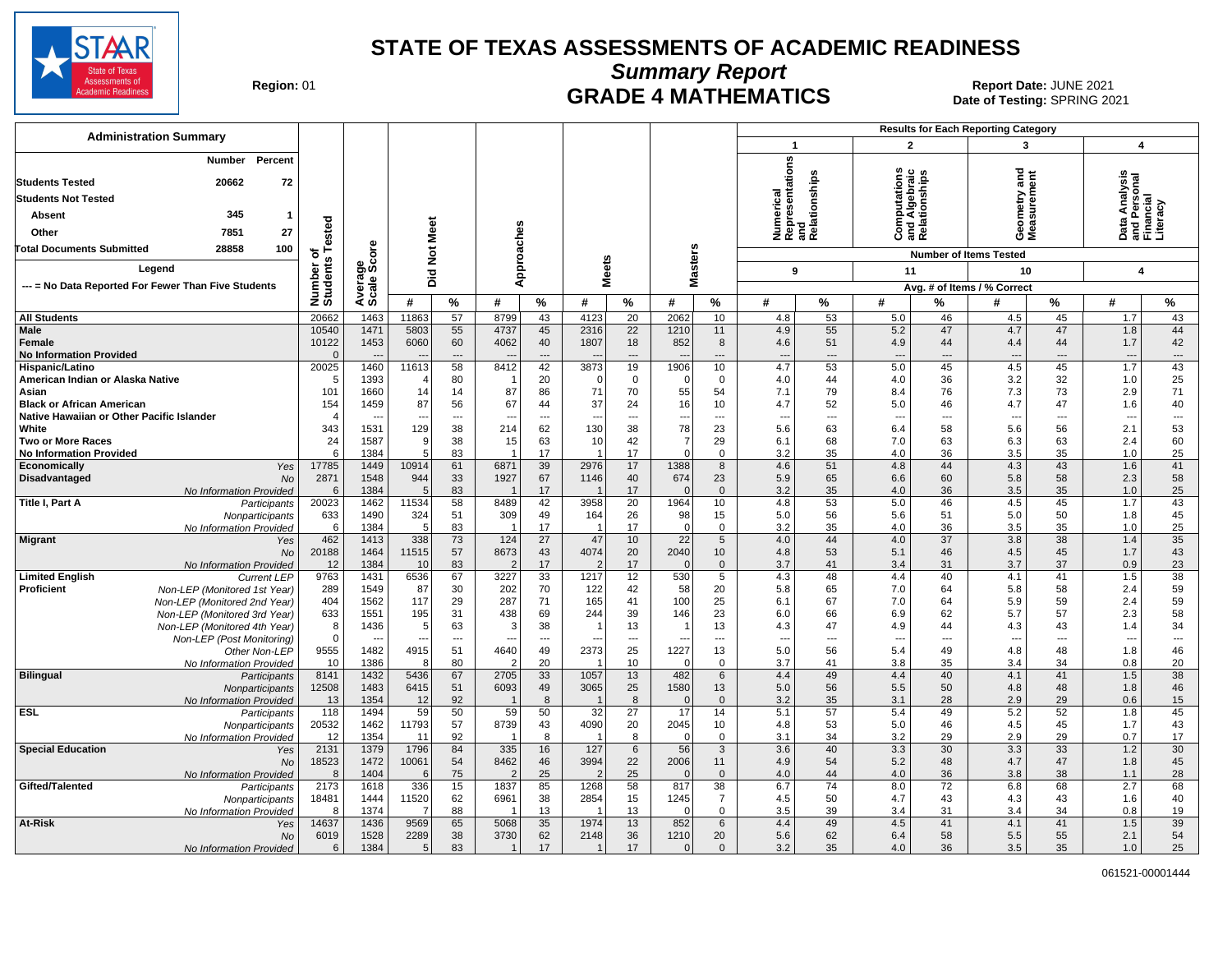

**Summary Report**

Region: 01 **Region: 01 CRADE 4 MATHEMATICS Date: JUNE 2021 Report Date: JUNE 2021** Date of Testing: SPRING 2021

| <b>Administration Summary</b>                                                            |                            |                   |                       |                            |                                 |                            |                        |                 |                  |                      | <b>Results for Each Reporting Category</b>                            |                                      |                                                       |                |                                        |                                      |                                                                    |                                      |
|------------------------------------------------------------------------------------------|----------------------------|-------------------|-----------------------|----------------------------|---------------------------------|----------------------------|------------------------|-----------------|------------------|----------------------|-----------------------------------------------------------------------|--------------------------------------|-------------------------------------------------------|----------------|----------------------------------------|--------------------------------------|--------------------------------------------------------------------|--------------------------------------|
|                                                                                          |                            |                   |                       |                            |                                 |                            |                        |                 |                  |                      | $\mathbf{1}$                                                          |                                      | $\mathbf{2}$                                          |                | 3                                      |                                      | 4                                                                  |                                      |
| Number<br>Percent<br><b>Students Tested</b><br>20662<br>72<br><b>Students Not Tested</b> |                            |                   |                       |                            |                                 |                            |                        |                 |                  |                      | epresentations<br>Numerical<br>Representatior<br>and<br>Relationships |                                      | <b>Computations</b><br>and Algebraic<br>Relationships |                | and<br>eometry                         | ā<br>surem                           | Data Analysis<br>and Personal<br><sup>-</sup> inancial<br>-iteracy |                                      |
| 345<br>Absent<br>-1                                                                      |                            |                   |                       |                            |                                 |                            |                        |                 |                  |                      |                                                                       |                                      |                                                       |                |                                        |                                      |                                                                    |                                      |
| 27<br>7851<br>Other                                                                      | ested                      |                   | Meet                  |                            |                                 |                            |                        |                 |                  |                      |                                                                       |                                      |                                                       |                | σΣ                                     | Ë                                    | ۵                                                                  | ᅙᄃᄀ                                  |
| 28858<br>100<br><b>Total Documents Submitted</b>                                         | 하                          | δe                |                       |                            | Approaches                      |                            |                        |                 |                  |                      |                                                                       |                                      |                                                       |                |                                        |                                      |                                                                    |                                      |
|                                                                                          | S                          | မ္တီဖွဲ           | $\overline{5}$        |                            |                                 |                            | <b>Meets</b>           |                 | <b>Masters</b>   |                      |                                                                       |                                      |                                                       |                | <b>Number of Items Tested</b>          |                                      |                                                                    |                                      |
| Legend                                                                                   |                            |                   | Did                   |                            |                                 |                            |                        |                 |                  |                      | 9                                                                     |                                      | 11                                                    |                | 10                                     |                                      | $\overline{4}$                                                     |                                      |
| --- = No Data Reported For Fewer Than Five Students                                      | Number<br>Students         | Average<br>Scale: |                       |                            |                                 |                            |                        |                 |                  |                      |                                                                       |                                      |                                                       |                | Avg. # of Items / % Correct            |                                      |                                                                    |                                      |
|                                                                                          |                            |                   | #                     | $\%$                       | #                               | %                          | #                      | %               | #                | %                    | #                                                                     | %                                    | #                                                     | %              | #                                      | $\%$                                 | #                                                                  | %                                    |
| <b>All Students</b>                                                                      | 20662                      | 1463              | 11863                 | 57                         | 8799                            | 43                         | 4123                   | $\overline{20}$ | 2062             | 10                   | 4.8                                                                   | 53                                   | 5.0                                                   | 46             | 4.5                                    | 45                                   | 1.7                                                                | 43                                   |
| <b>Male</b><br>Female<br><b>No Information Provided</b>                                  | 10540<br>10122<br>$\Omega$ | 1471<br>1453      | 5803<br>6060          | 55<br>60<br>$\overline{a}$ | 4737<br>4062                    | 45<br>40<br>$\overline{a}$ | 2316<br>1807           | 22<br>18<br>--- | 1210<br>852      | 11<br>8<br>---       | 4.9<br>4.6<br>$\overline{\phantom{a}}$                                | 55<br>51<br>$\overline{\phantom{a}}$ | 5.2<br>4.9<br>$\overline{\phantom{a}}$                | 47<br>44       | 4.7<br>4.4<br>$\overline{\phantom{a}}$ | 47<br>44<br>$\overline{\phantom{a}}$ | 1.8<br>1.7<br>$\overline{\phantom{a}}$                             | 44<br>42<br>$\hspace{0.05cm} \ldots$ |
| Hispanic/Latino                                                                          | 20025                      | 1460              | 11613                 | 58                         | 8412                            | 42                         | 3873                   | 19              | 1906             | 10                   | 4.7                                                                   | 53                                   | 5.0                                                   | 45             | 4.5                                    | 45                                   | 1.7                                                                | 43                                   |
| American Indian or Alaska Native                                                         | -5                         | 1393              |                       | 80                         |                                 | 20                         |                        | $\mathbf 0$     | $\Omega$         | $\mathbf 0$          | 4.0                                                                   | 44                                   | 4.0                                                   | 36             | 3.2                                    | 32                                   | 1.0                                                                | 25                                   |
| Asian<br><b>Black or African American</b>                                                | 101<br>154                 | 1660<br>1459      | 14<br>87              | 14<br>56                   | 87<br>67                        | 86<br>44                   | 71<br>37               | 70<br>24        | 55<br>16         | 54<br>10             | 7.1<br>4.7                                                            | 79<br>52                             | 8.4<br>5.0                                            | 76<br>46       | 7.3<br>4.7                             | 73<br>47                             | 2.9<br>1.6                                                         | 71<br>40                             |
| Native Hawaiian or Other Pacific Islander                                                |                            |                   |                       | $\overline{a}$             |                                 |                            |                        | -−              |                  | ---                  | $\overline{\phantom{a}}$                                              | ---                                  | $\overline{a}$                                        | ---            |                                        | $\overline{a}$                       | ---                                                                | ---                                  |
| White                                                                                    | 343                        | 1531              | 129                   | 38                         | 214                             | 62                         | 130                    | 38              | 78               | 23                   | 5.6                                                                   | 63                                   | 6.4                                                   | 58             | 5.6                                    | 56                                   | 2.1                                                                | 53                                   |
| <b>Two or More Races</b>                                                                 | 24                         | 1587              | 9                     | 38                         | 15                              | 63                         | 10                     | 42              | $\overline{7}$   | 29                   | 6.1                                                                   | 68                                   | 7.0                                                   | 63             | 6.3                                    | 63                                   | 2.4                                                                | 60                                   |
| <b>No Information Provided</b>                                                           | 6                          | 1384              | 5                     | 83                         |                                 | 17                         |                        | 17              | $\Omega$         | $\mathbf 0$          | 3.2                                                                   | 35                                   | 4.0                                                   | 36             | 3.5                                    | 35                                   | 1.0                                                                | 25                                   |
| Economically<br>Yes                                                                      | 17785                      | 1449              | 10914                 | 61                         | 6871                            | 39                         | 2976                   | 17              | 1388             | 8                    | 4.6                                                                   | 51                                   | 4.8                                                   | 44             | 4.3                                    | 43                                   | 1.6                                                                | 41                                   |
| Disadvantaged<br><b>No</b><br>No Information Provided                                    | 2871<br>6                  | 1548<br>1384      | 944<br>5              | 33<br>83                   | 1927<br>$\overline{\mathbf{1}}$ | 67<br>17                   | 1146                   | 40<br>17        | 674<br>$\Omega$  | 23<br>$\overline{0}$ | 5.9<br>3.2                                                            | 65<br>35                             | 6.6<br>4.0                                            | 60<br>36       | 5.8<br>3.5                             | 58<br>35                             | 2.3<br>1.0                                                         | 58<br>25                             |
| Title I, Part A<br>Participants                                                          | 20023                      | 1462              | 11534                 | 58                         | 8489                            | 42                         | 3958                   | $\overline{20}$ | 1964             | 10                   | 4.8                                                                   | 53                                   | 5.0                                                   | 46             | 4.5                                    | 45                                   | 1.7                                                                | 43                                   |
| Nonparticipants                                                                          | 633                        | 1490              | 324                   | 51                         | 309                             | 49                         | 164                    | 26              | 98               | 15                   | 5.0                                                                   | 56                                   | 5.6                                                   | 51             | 5.0                                    | 50                                   | 1.8                                                                | 45                                   |
| No Information Provided                                                                  | 6                          | 1384              | -5                    | 83                         |                                 | 17                         |                        | 17              | $\Omega$         | $\mathbf 0$          | 3.2                                                                   | 35                                   | 4.0                                                   | 36             | 3.5                                    | 35                                   | 1.0                                                                | 25                                   |
| <b>Migrant</b><br>Yes                                                                    | 462                        | 1413              | 338                   | 73                         | 124                             | 27                         | 47                     | 10              | 22               | 5                    | 4.0                                                                   | 44                                   | 4.0                                                   | 37             | 3.8                                    | 38<br>45                             | 1.4                                                                | 35                                   |
| No<br>No Information Provided                                                            | 20188<br>12                | 1464<br>1384      | 11515<br>10           | 57<br>83                   | 8673<br>$\overline{2}$          | 43<br>17                   | 4074<br>$\overline{2}$ | 20<br>17        | 2040<br>$\Omega$ | 10<br>$\overline{0}$ | 4.8<br>3.7                                                            | 53<br>41                             | 5.1<br>3.4                                            | 46<br>31       | 4.5<br>3.7                             | 37                                   | 1.7<br>0.9                                                         | 43<br>23                             |
| <b>Limited English</b><br><b>Current LEP</b>                                             | 9763                       | 1431              | 6536                  | 67                         | 3227                            | 33                         | 1217                   | 12              | 530              | 5                    | 4.3                                                                   | 48                                   | 4.4                                                   | 40             | 4.1                                    | 41                                   | 1.5                                                                | 38                                   |
| Proficient<br>Non-LEP (Monitored 1st Year)                                               | 289                        | 1549              | 87                    | 30                         | 202                             | 70                         | 122                    | 42              | 58               | 20                   | 5.8                                                                   | 65                                   | 7.0                                                   | 64             | 5.8                                    | 58                                   | 2.4                                                                | 59                                   |
| Non-LEP (Monitored 2nd Year)                                                             | 404                        | 1562              | 117                   | 29                         | 287                             | 71                         | 165                    | 41              | 100              | 25                   | 6.1                                                                   | 67                                   | 7.0                                                   | 64             | 5.9                                    | 59                                   | 2.4                                                                | 59                                   |
| Non-LEP (Monitored 3rd Year)                                                             | 633<br>8                   | 1551<br>1436      | 195<br>5 <sup>5</sup> | 31<br>63                   | 438<br>3                        | 69<br>38                   | 244                    | 39<br>13        | 146<br>-1        | 23<br>13             | 6.0<br>4.3                                                            | 66<br>47                             | 6.9<br>4.9                                            | 62<br>44       | 5.7<br>4.3                             | 57<br>43                             | 2.3<br>1.4                                                         | 58<br>34                             |
| Non-LEP (Monitored 4th Year)<br>Non-LEP (Post Monitoring)                                | $\Omega$                   |                   |                       | ---                        |                                 | $\overline{a}$             |                        | $\overline{a}$  |                  | ---                  | $\overline{\phantom{a}}$                                              | $\overline{a}$                       | $\overline{\phantom{a}}$                              | $\overline{a}$ | $\overline{a}$                         | $\overline{a}$                       | $\overline{\phantom{a}}$                                           | $\overline{\phantom{a}}$             |
| Other Non-LEP                                                                            | 9555                       | 1482              | 4915                  | 51                         | 4640                            | 49                         | 2373                   | 25              | 1227             | 13                   | 5.0                                                                   | 56                                   | 5.4                                                   | 49             | 4.8                                    | 48                                   | 1.8                                                                | 46                                   |
| No Information Provided                                                                  | 10                         | 1386              | 8                     | 80                         | $\mathcal{D}$                   | 20                         |                        | 10              | $\Omega$         | $\overline{0}$       | 3.7                                                                   | 41                                   | 3.8                                                   | 35             | 3.4                                    | 34                                   | 0.8                                                                | 20                                   |
| <b>Bilingual</b><br>Participants                                                         | 8141                       | 1432              | 5436                  | 67                         | 2705                            | 33                         | 1057                   | 13              | 482              | 6                    | 4.4                                                                   | 49                                   | 4.4                                                   | 40             | 4.1                                    | 41                                   | 1.5                                                                | 38                                   |
| Nonparticipants                                                                          | 12508<br>13                | 1483<br>1354      | 6415<br>12            | 51<br>92                   | 6093<br>$\overline{\mathbf{1}}$ | 49<br>8                    | 3065                   | 25<br>8         | 1580<br>$\Omega$ | 13<br>$\mathbf 0$    | 5.0<br>3.2                                                            | 56<br>35                             | 5.5<br>3.1                                            | 50<br>28       | 4.8<br>2.9                             | 48<br>29                             | 1.8<br>0.6                                                         | 46<br>15                             |
| No Information Provided<br><b>ESL</b><br>Participants                                    | 118                        | 1494              | 59                    | 50                         | 59                              | 50                         | 32                     | 27              | 17               | 14                   | 5.1                                                                   | 57                                   | 5.4                                                   | 49             | 5.2                                    | 52                                   | 1.8                                                                | 45                                   |
| Nonparticipants                                                                          | 20532                      | 1462              | 11793                 | 57                         | 8739                            | 43                         | 4090                   | 20              | 2045             | 10                   | 4.8                                                                   | 53                                   | 5.0                                                   | 46             | 4.5                                    | 45                                   | 1.7                                                                | 43                                   |
| No Information Provided                                                                  | 12                         | 1354              | 11                    | 92                         | $\overline{1}$                  | 8                          |                        | 8               | $\Omega$         | $\mathbf 0$          | 3.1                                                                   | 34                                   | 3.2                                                   | 29             | 2.9                                    | 29                                   | 0.7                                                                | 17                                   |
| <b>Special Education</b><br>Yes                                                          | 2131                       | 1379              | 1796                  | 84                         | 335                             | 16                         | 127                    | $6\phantom{1}$  | 56               | $\mathbf{3}$         | 3.6                                                                   | 40                                   | 3.3                                                   | 30             | 3.3                                    | 33                                   | 1.2                                                                | 30                                   |
| No                                                                                       | 18523<br>8                 | 1472<br>1404      | 10061<br>6            | 54<br>75                   | 8462<br>$\mathcal{P}$           | 46<br>25                   | 3994<br>2              | 22<br>25        | 2006<br>$\Omega$ | 11<br>$\overline{0}$ | 4.9<br>4.0                                                            | 54<br>44                             | 5.2<br>4.0                                            | 48<br>36       | 4.7<br>3.8                             | 47<br>38                             | 1.8<br>1.1                                                         | 45<br>28                             |
| No Information Provided<br>Gifted/Talented<br>Participants                               | 2173                       | 1618              | 336                   | 15                         | 1837                            | 85                         | 1268                   | 58              | 817              | 38                   | 6.7                                                                   | 74                                   | 8.0                                                   | 72             | 6.8                                    | 68                                   | 2.7                                                                | 68                                   |
| Nonparticipants                                                                          | 18481                      | 1444              | 11520                 | 62                         | 6961                            | 38                         | 2854                   | 15              | 1245             | $\overline{7}$       | 4.5                                                                   | 50                                   | 4.7                                                   | 43             | 4.3                                    | 43                                   | 1.6                                                                | 40                                   |
| No Information Provided                                                                  | 8                          | 1374              | -7                    | 88                         |                                 | 13                         |                        | 13              | $\Omega$         | $\mathbf 0$          | 3.5                                                                   | 39                                   | 3.4                                                   | 31             | 3.4                                    | 34                                   | 0.8                                                                | 19                                   |
| At-Risk<br>Yes                                                                           | 14637                      | 1436              | 9569                  | 65                         | 5068                            | 35                         | 1974                   | 13              | 852              | 6                    | 4.4                                                                   | 49                                   | 4.5                                                   | 41             | 4.1                                    | 41                                   | 1.5                                                                | 39                                   |
| No                                                                                       | 6019                       | 1528              | 2289                  | 38                         | 3730                            | 62                         | 2148                   | 36              | 1210             | 20                   | 5.6                                                                   | 62                                   | 6.4                                                   | 58             | 5.5                                    | 55                                   | 2.1                                                                | 54                                   |
| No Information Provided                                                                  | 6                          | 1384              | 5 <sup>5</sup>        | 83                         | $\mathbf{1}$                    | 17                         |                        | 17              | $\overline{0}$   | $\mathbf{0}$         | 3.2                                                                   | 35                                   | 4.0                                                   | 36             | 3.5                                    | 35                                   | 1.0                                                                | 25                                   |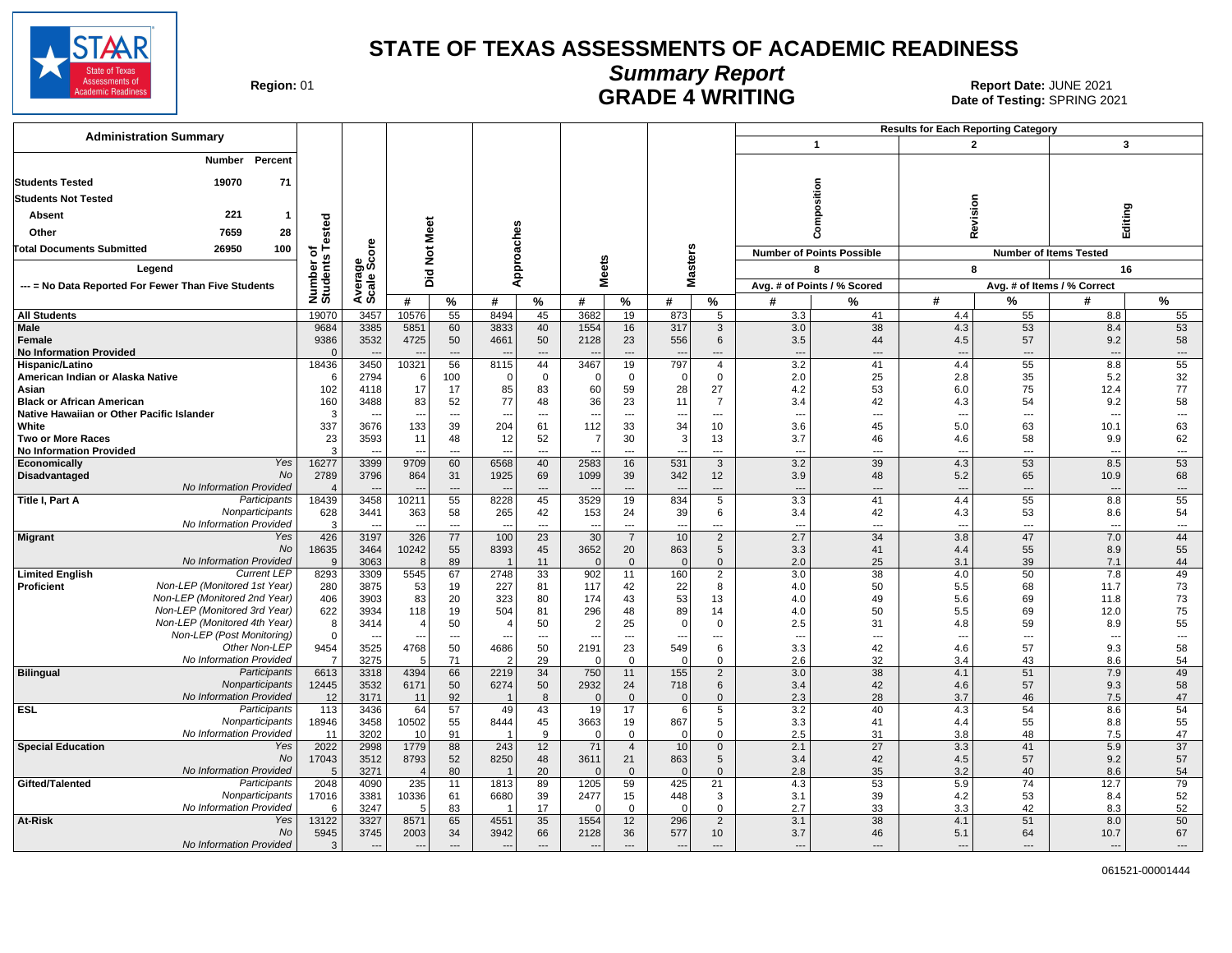

#### **Summary Report** Region: 01 **Region: 01 CALL CONSISTS AND CONTROLS 2021 Report Date: JUNE 2021**<br>Date of Testing: SPRING 20

| <b>Administration Summary</b>                                              |                       |                          |                |                          |                        |                                   |                  |                                  |                                |                                            |                                 |                                  | <b>Results for Each Reporting Category</b> |                                |                                 |                                |
|----------------------------------------------------------------------------|-----------------------|--------------------------|----------------|--------------------------|------------------------|-----------------------------------|------------------|----------------------------------|--------------------------------|--------------------------------------------|---------------------------------|----------------------------------|--------------------------------------------|--------------------------------|---------------------------------|--------------------------------|
|                                                                            |                       |                          |                |                          |                        |                                   |                  |                                  |                                |                                            |                                 | $\overline{\mathbf{1}}$          | $\overline{2}$                             |                                | 3                               |                                |
| Percent<br>Number                                                          |                       |                          |                |                          |                        |                                   |                  |                                  |                                |                                            |                                 |                                  |                                            |                                |                                 |                                |
| 71<br><b>Students Tested</b><br>19070                                      |                       |                          |                |                          |                        |                                   |                  |                                  |                                |                                            |                                 |                                  |                                            |                                |                                 |                                |
| <b>Students Not Tested</b>                                                 |                       |                          |                |                          |                        |                                   |                  |                                  |                                |                                            |                                 | osition                          |                                            |                                |                                 |                                |
| 221<br><b>Absent</b><br>$\mathbf{1}$                                       |                       |                          |                |                          |                        |                                   |                  |                                  |                                |                                            |                                 |                                  | Revision                                   |                                | Editing                         |                                |
| 28<br>Other<br>7659                                                        |                       |                          |                |                          |                        |                                   |                  |                                  |                                |                                            |                                 |                                  |                                            |                                |                                 |                                |
| 26950<br>100<br>Total Documents Submitted                                  | of<br>s Tested        | <b>ore</b>               |                |                          |                        |                                   |                  |                                  |                                |                                            |                                 | Ō                                |                                            |                                |                                 |                                |
|                                                                            | Number of<br>Students | န္တီဖိ                   | Not Meet       |                          | pproaches              |                                   |                  |                                  | asters                         |                                            |                                 | <b>Number of Points Possible</b> |                                            |                                | <b>Number of Items Tested</b>   |                                |
| Legend                                                                     |                       |                          | Did            |                          |                        |                                   | leets            |                                  |                                |                                            |                                 | 8                                | 8                                          |                                | 16                              |                                |
| --- = No Data Reported For Fewer Than Five Students                        |                       | Avera                    |                |                          | ∢                      |                                   | ż.               |                                  | Σ                              |                                            |                                 | Avg. # of Points / % Scored      |                                            |                                | Avg. # of Items / % Correct     |                                |
|                                                                            |                       |                          | #              | %                        | #                      | %                                 | #                | %                                | #                              | $\%$                                       | #                               | %                                | #                                          | %                              | #                               | %                              |
| <b>All Students</b>                                                        | 19070                 | 3457                     | 10576          | 55                       | 8494                   | 45                                | 3682             | 19                               | 873                            | 5                                          | 3.3                             | 41                               | 4.4                                        | 55                             | 8.8                             | 55                             |
| <b>Male</b><br>Female                                                      | 9684<br>9386          | 3385<br>3532             | 5851<br>4725   | 60<br>50                 | 3833<br>4661           | 40<br>50                          | 1554<br>2128     | 16<br>23                         | 317<br>556                     | 3<br>6                                     | 3.0<br>3.5                      | 38<br>44                         | 4.3<br>4.5                                 | 53<br>57                       | 8.4<br>9.2                      | 53<br>58                       |
| <b>No Information Provided</b>                                             | $\Omega$              |                          |                | $\overline{a}$           |                        | $\overline{\phantom{a}}$          |                  | $\overline{a}$                   |                                | ---                                        | щ.                              | $\overline{a}$                   |                                            | $\overline{\phantom{a}}$       | ---                             | $\overline{\phantom{a}}$       |
| Hispanic/Latino                                                            | 18436                 | 3450                     | 10321          | 56                       | 8115                   | 44                                | 3467             | 19                               | 797                            | $\overline{4}$                             | 3.2                             | 41                               | 4.4                                        | 55                             | 8.8                             | 55                             |
| American Indian or Alaska Native                                           | -6                    | 2794                     | 6              | 100                      | $\Omega$               | $\mathbf 0$                       | $\Omega$         | $\mathbf 0$                      | $\mathbf 0$                    | $\mathsf 0$                                | 2.0                             | 25                               | 2.8                                        | 35                             | 5.2                             | 32                             |
| Asian<br><b>Black or African American</b>                                  | 102<br>160            | 4118<br>3488             | 17<br>83       | 17<br>52                 | 85<br>77               | 83<br>48                          | 60<br>36         | 59<br>23                         | 28<br>11                       | 27<br>$\overline{7}$                       | 4.2<br>3.4                      | 53<br>42                         | 6.0<br>4.3                                 | 75<br>54                       | 12.4<br>9.2                     | 77<br>58                       |
| Native Hawaiian or Other Pacific Islander                                  | 3                     |                          | $\sim$         | $\overline{a}$           | $\overline{a}$         | ---                               |                  | $\overline{a}$                   | ---                            | $\overline{a}$                             | $\overline{\phantom{a}}$        | ---                              | $\overline{\phantom{a}}$                   | ---                            | $\overline{\phantom{a}}$        | $\overline{\phantom{a}}$       |
| White                                                                      | 337                   | 3676                     | 133            | 39                       | 204                    | 61                                | 112              | 33                               | 34                             | 10                                         | 3.6                             | 45                               | 5.0                                        | 63                             | 10.1                            | 63                             |
| <b>Two or More Races</b>                                                   | 23                    | 3593                     | 11             | 48                       | 12                     | 52                                | 7                | 30                               | 3                              | 13                                         | 3.7                             | 46                               | 4.6                                        | 58                             | 9.9                             | 62                             |
| <b>No Information Provided</b>                                             | $\mathcal{R}$         |                          |                | $\overline{a}$           |                        | ---                               |                  | ---                              |                                | ---                                        | $\overline{\phantom{a}}$        | ---                              | $\overline{a}$                             | ---                            | ---                             | $\scriptstyle\cdots$           |
| Yes<br>Economically<br>No<br><b>Disadvantaged</b>                          | 16277<br>2789         | 3399<br>3796             | 9709<br>864    | 60<br>31                 | 6568<br>1925           | 40<br>69                          | 2583<br>1099     | 16<br>39                         | 531<br>342                     | $\mathbf{3}$<br>12                         | 3.2<br>3.9                      | 39<br>48                         | 4.3<br>5.2                                 | 53<br>65                       | 8.5<br>10.9                     | 53<br>68                       |
| No Information Provided                                                    |                       |                          |                | $\overline{\phantom{a}}$ |                        | $\overline{a}$                    |                  | $\overline{\phantom{a}}$         |                                | $\overline{\phantom{a}}$                   | $\overline{\phantom{a}}$        | $\overline{\phantom{a}}$         | $\overline{a}$                             | ---                            | $\overline{\phantom{a}}$        | $\overline{\phantom{a}}$       |
| Title I, Part A<br>Participants                                            | 18439                 | 3458                     | 10211          | 55                       | 8228                   | 45                                | 3529             | 19                               | 834                            | $5\overline{)}$                            | 3.3                             | 41                               | 4.4                                        | 55                             | 8.8                             | 55                             |
| Nonparticipants                                                            | 628                   | 3441                     | 363            | 58                       | 265                    | 42                                | 153              | 24                               | 39                             | 6                                          | 3.4                             | 42                               | 4.3                                        | 53                             | 8.6                             | 54                             |
| No Information Provided<br><b>Migrant</b><br>Yes                           | $\mathbf{B}$<br>426   | $\overline{a}$<br>3197   | $-$<br>326     | $\overline{a}$<br>77     | 100                    | $\overline{a}$<br>$\overline{23}$ | 30               | $\overline{a}$<br>$\overline{7}$ | $\overline{\phantom{a}}$<br>10 | $\overline{\phantom{a}}$<br>$\overline{2}$ | $\overline{\phantom{a}}$<br>2.7 | ---<br>34                        | $---$<br>3.8                               | $\overline{\phantom{a}}$<br>47 | $\overline{\phantom{a}}$<br>7.0 | $\overline{\phantom{a}}$<br>44 |
| <b>No</b>                                                                  | 18635                 | 3464                     | 10242          | 55                       | 8393                   | 45                                | 3652             | 20                               | 863                            | 5                                          | 3.3                             | 41                               | 4.4                                        | 55                             | 8.9                             | 55                             |
| No Information Provided                                                    | 9                     | 3063                     | 8              | 89                       |                        | 11                                | $\Omega$         | $\mathbf{0}$                     | $\mathbf{0}$                   | $\mathbf{0}$                               | 2.0                             | 25                               | 3.1                                        | 39                             | 7.1                             | 44                             |
| <b>Limited English</b><br><b>Current LEP</b>                               | 8293                  | 3309                     | 5545           | 67                       | 2748                   | 33                                | 902              | 11                               | 160                            | $\overline{2}$                             | 3.0                             | 38                               | 4.0                                        | 50                             | 7.8                             | 49                             |
| Proficient<br>Non-LEP (Monitored 1st Year)<br>Non-LEP (Monitored 2nd Year) | 280<br>406            | 3875<br>3903             | 53<br>83       | 19<br>20                 | 227<br>323             | 81<br>80                          | 117<br>174       | 42<br>43                         | 22<br>53                       | 8<br>13                                    | 4.0<br>4.0                      | 50<br>49                         | 5.5<br>5.6                                 | 68<br>69                       | 11.7<br>11.8                    | 73<br>73                       |
| Non-LEP (Monitored 3rd Year)                                               | 622                   | 3934                     | 118            | 19                       | 504                    | 81                                | 296              | 48                               | 89                             | 14                                         | 4.0                             | 50                               | 5.5                                        | 69                             | 12.0                            | 75                             |
| Non-LEP (Monitored 4th Year)                                               | 8                     | 3414                     | $\overline{4}$ | 50                       | $\overline{4}$         | 50                                | $\overline{2}$   | 25                               | $\mathbf 0$                    | $\mathbf 0$                                | 2.5                             | 31                               | 4.8                                        | 59                             | 8.9                             | 55                             |
| Non-LEP (Post Monitoring)                                                  | $\mathbf 0$           | $\overline{\phantom{a}}$ | $\overline{a}$ | $\overline{\phantom{a}}$ | $\overline{a}$         | ---                               |                  | $\overline{a}$                   | ---                            | $\overline{a}$                             | $\overline{\phantom{a}}$        | ---                              | $\overline{\phantom{a}}$                   | ---                            | $\overline{\phantom{a}}$        | $\overline{\phantom{a}}$       |
| Other Non-LEP                                                              | 9454                  | 3525                     | 4768           | 50                       | 4686                   | 50                                | 2191             | 23                               | 549                            | 6                                          | 3.3                             | 42                               | 4.6                                        | 57                             | 9.3                             | 58                             |
| No Information Provided<br>Participants<br><b>Bilingual</b>                | 6613                  | 3275<br>3318             | 5<br>4394      | 71<br>66                 | $\overline{c}$<br>2219 | 29<br>34                          | $\Omega$<br>750  | $\mathbf 0$<br>11                | $\mathbf 0$<br>155             | $\mathbf 0$<br>$\overline{2}$              | 2.6<br>3.0                      | 32<br>38                         | 3.4<br>4.1                                 | 43<br>51                       | 8.6<br>7.9                      | 54<br>49                       |
| Nonparticipants                                                            | 12445                 | 3532                     | 6171           | 50                       | 6274                   | 50                                | 2932             | 24                               | 718                            | 6                                          | 3.4                             | 42                               | 4.6                                        | 57                             | 9.3                             | 58                             |
| No Information Provided                                                    | 12                    | 3171                     | 11             | 92                       |                        | 8                                 | $\Omega$         | $\mathbf 0$                      | $\mathbf{0}$                   | $\mathbf 0$                                | 2.3                             | 28                               | 3.7                                        | 46                             | 7.5                             | 47                             |
| <b>ESL</b><br>Participants                                                 | 113                   | 3436                     | 64             | 57                       | 49                     | 43                                | 19               | 17                               | 6                              | $5\overline{)}$                            | 3.2                             | 40                               | 4.3                                        | 54                             | 8.6                             | 54                             |
| Nonparticipants<br>No Information Provided                                 | 18946                 | 3458<br>3202             | 10502<br>10    | 55<br>91                 | 8444                   | 45<br>9                           | 3663<br>$\Omega$ | 19<br>$\mathbf 0$                | 867<br>$\overline{0}$          | 5<br>$\mathbf 0$                           | 3.3<br>2.5                      | 41<br>31                         | 4.4<br>3.8                                 | 55<br>48                       | 8.8<br>7.5                      | 55<br>47                       |
| <b>Special Education</b><br>Yes                                            | 11<br>2022            | 2998                     | 1779           | 88                       | 243                    | 12                                | 71               | $\overline{4}$                   | 10 <sup>1</sup>                | $\mathbf 0$                                | 2.1                             | $\overline{27}$                  | 3.3                                        | 41                             | 5.9                             | $\overline{37}$                |
| <b>No</b>                                                                  | 17043                 | 3512                     | 8793           | 52                       | 8250                   | 48                                | 3611             | 21                               | 863                            | 5                                          | 3.4                             | 42                               | 4.5                                        | 57                             | 9.2                             | 57                             |
| No Information Provided                                                    | .5                    | 3271                     | $\overline{4}$ | 80                       | -1                     | 20                                | $\sqrt{ }$       | $\mathbf{0}$                     | $\Omega$                       | $\Omega$                                   | 2.8                             | 35                               | 3.2                                        | 40                             | 8.6                             | 54                             |
| Gifted/Talented<br>Participants                                            | 2048                  | 4090                     | 235            | 11                       | 1813                   | 89                                | 1205             | 59                               | 425                            | 21                                         | 4.3                             | 53                               | 5.9                                        | 74                             | 12.7                            | 79                             |
| Nonparticipants<br>No Information Provided                                 | 17016<br>-6           | 3381<br>3247             | 10336<br>5     | 61<br>83                 | 6680                   | 39<br>17                          | 2477<br>C        | 15<br>$\Omega$                   | 448<br>$\mathbf 0$             | 3<br>$\mathbf{0}$                          | 3.1<br>2.7                      | 39<br>33                         | 4.2<br>3.3                                 | 53<br>42                       | 8.4<br>8.3                      | 52<br>52                       |
| At-Risk<br>Yes                                                             | 13122                 | 3327                     | 8571           | 65                       | 4551                   | 35                                | 1554             | 12                               | 296                            | $\overline{2}$                             | 3.1                             | 38                               | 4.1                                        | 51                             | 8.0                             | 50                             |
| <b>No</b>                                                                  | 5945                  | 3745                     | 2003           | 34                       | 3942                   | 66                                | 2128             | 36                               | 577                            | 10 <sup>1</sup>                            | 3.7                             | 46                               | 5.1                                        | 64                             | 10.7                            | 67                             |
| No Information Provided                                                    | 3                     | ---                      | $\overline{a}$ | $\cdots$                 | $\overline{a}$         | ---                               | $\overline{a}$   | $\overline{\phantom{a}}$         | $\overline{a}$                 | ---                                        | $\overline{\phantom{a}}$        | ---                              | $---$                                      | ---                            | $\overline{\phantom{a}}$        | $\cdots$                       |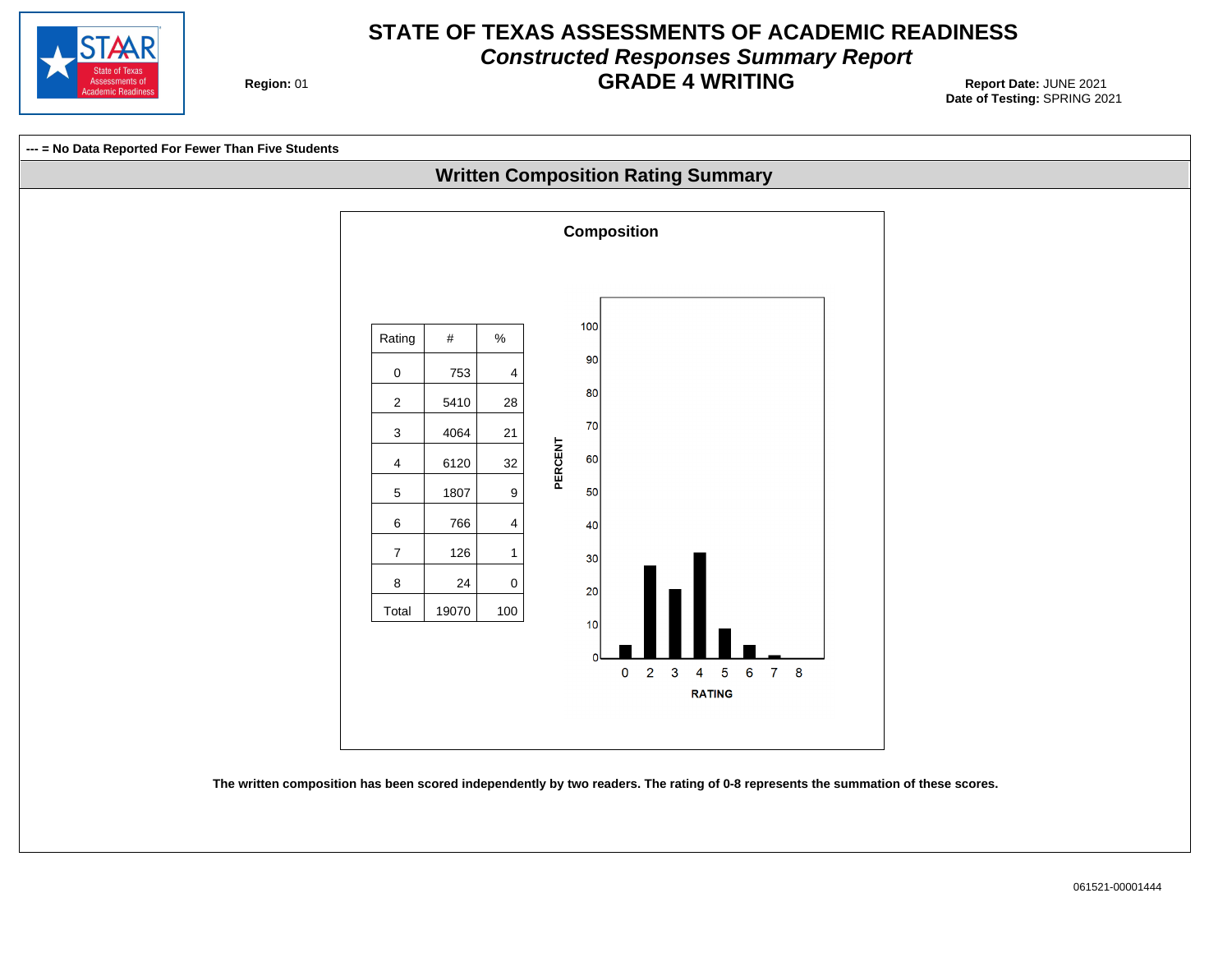

#### **STATE OF TEXAS ASSESSMENTS OF ACADEMIC READINESS Constructed Responses Summary Report GRADE 4 WRITING** Report Date: JUNE 2021

**Region: 01** 



**The written composition has been scored independently by two readers. The rating of 0-8 represents the summation of these scores.**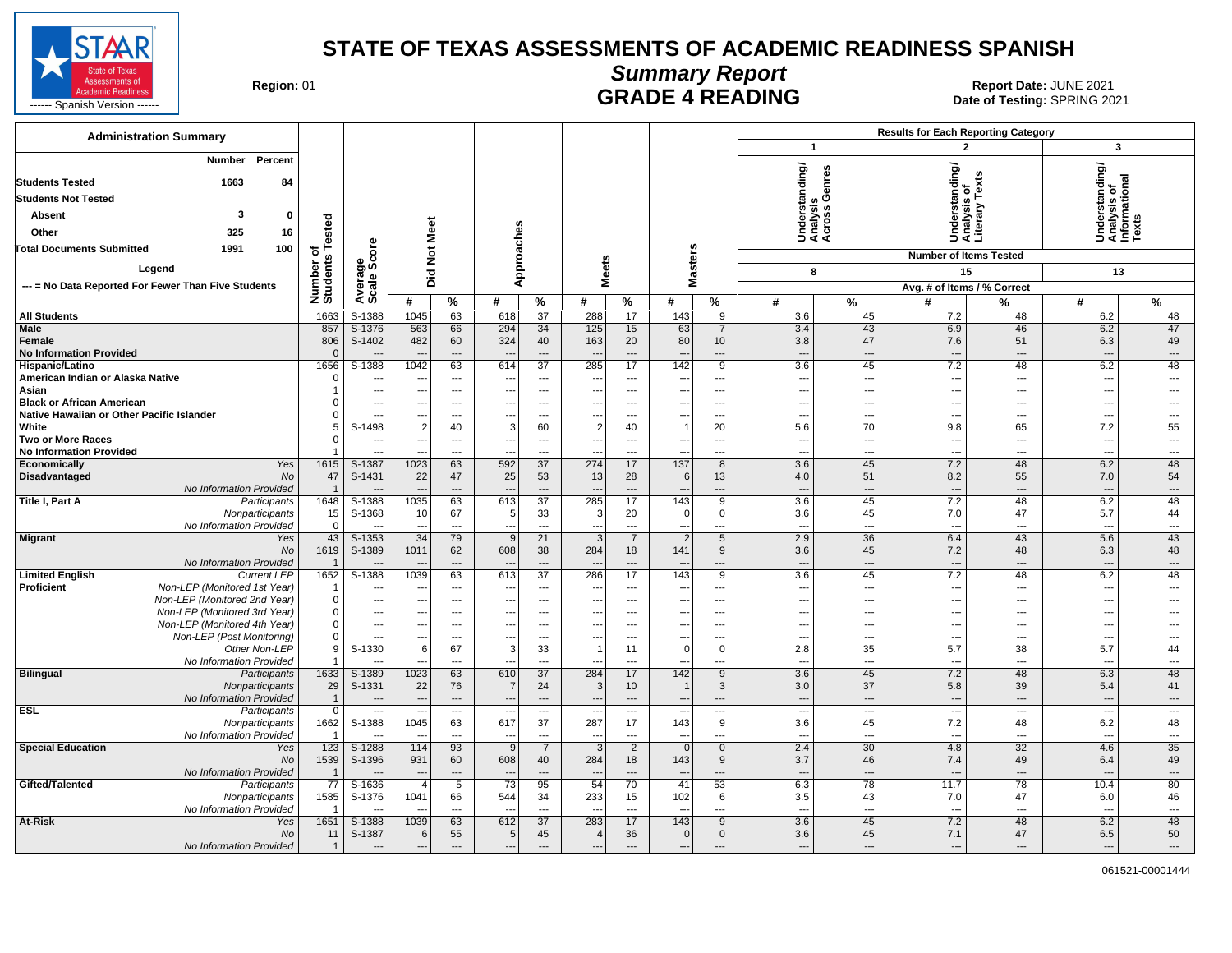

**Summary Report**

Region: 01 **Region: 01 CALL CONSISTS AND READING Report Date: JUNE 2021**<br>Date of Testing: SPRING 20

| <b>Administration Summary</b>                                                              |                            |                                  |                                                      |                                   |                                            |                                   |                          |                                  |                                         |                                  |                                    |                                 | <b>Results for Each Reporting Category</b>      |                                                      |                                                         |                         |
|--------------------------------------------------------------------------------------------|----------------------------|----------------------------------|------------------------------------------------------|-----------------------------------|--------------------------------------------|-----------------------------------|--------------------------|----------------------------------|-----------------------------------------|----------------------------------|------------------------------------|---------------------------------|-------------------------------------------------|------------------------------------------------------|---------------------------------------------------------|-------------------------|
|                                                                                            |                            |                                  |                                                      |                                   |                                            |                                   |                          |                                  |                                         |                                  | -1                                 |                                 | $\mathbf{2}$                                    |                                                      | $\mathbf{3}$                                            |                         |
| Percent<br>Number<br><b>Students Tested</b><br>1663<br>84                                  |                            |                                  |                                                      |                                   |                                            |                                   |                          |                                  |                                         |                                  | Inding/                            | enres                           | Understanding/<br>Analysis of<br>Literary Texts |                                                      | Understanding/<br>Analysis of<br>Informational<br>Texts |                         |
| <b>Students Not Tested</b>                                                                 |                            |                                  |                                                      |                                   |                                            |                                   |                          |                                  |                                         |                                  | œ<br>s                             | Ō                               |                                                 |                                                      |                                                         |                         |
| Absent<br>3<br>0                                                                           |                            |                                  |                                                      |                                   |                                            |                                   |                          |                                  |                                         |                                  | Underst<br>Analysis<br>Across      |                                 |                                                 |                                                      |                                                         |                         |
| Other<br>325<br>16                                                                         | ested                      |                                  | Meet                                                 |                                   |                                            |                                   |                          |                                  |                                         |                                  |                                    |                                 |                                                 |                                                      |                                                         |                         |
| Total Documents Submitted<br>1991<br>100                                                   |                            |                                  |                                                      |                                   |                                            |                                   |                          |                                  |                                         |                                  |                                    |                                 |                                                 |                                                      |                                                         |                         |
|                                                                                            | $\overline{\bullet}$       | ge<br>Score                      | $\frac{5}{2}$                                        |                                   | Approaches                                 |                                   |                          |                                  | <b>Masters</b>                          |                                  |                                    |                                 | <b>Number of Items Tested</b>                   |                                                      |                                                         |                         |
| Legend                                                                                     |                            |                                  | 흐<br>ه                                               |                                   |                                            |                                   | <b>Meets</b>             |                                  |                                         |                                  | 8                                  |                                 | 15                                              |                                                      | 13                                                      |                         |
| --- = No Data Reported For Fewer Than Five Students                                        | Number o<br>Students       | Avera                            |                                                      |                                   |                                            |                                   |                          |                                  |                                         |                                  |                                    |                                 | Avg. # of Items / % Correct                     |                                                      |                                                         |                         |
|                                                                                            |                            |                                  | #                                                    | %                                 | #                                          | %                                 | #                        | $\%$                             | #                                       | $\%$                             | #                                  | %                               | #                                               | %                                                    | #                                                       | %                       |
| <b>All Students</b><br><b>Male</b>                                                         | 1663<br>857                | S-1388<br>S-1376                 | 1045<br>563                                          | 63<br>66                          | 618<br>294                                 | 37<br>34                          | 288<br>125               | 17<br>15                         | 143<br>63                               | 9<br>$\overline{7}$              | 3.6<br>3.4                         | 45<br>43                        | 7.2<br>6.9                                      | 48<br>46                                             | 6.2<br>6.2                                              | 48<br>47                |
| Female<br><b>No Information Provided</b>                                                   | 806<br>$\sqrt{ }$          | S-1402                           | 482<br>$\sim$                                        | 60<br>$\overline{a}$              | 324                                        | 40<br>---                         | 163                      | 20<br>---                        | 80<br>$\overline{a}$                    | 10<br>$\overline{a}$             | 3.8<br>$\overline{a}$              | 47<br>---                       | 7.6<br>$\overline{a}$                           | 51<br>$\overline{\phantom{a}}$                       | 6.3                                                     | 49<br>---               |
| Hispanic/Latino                                                                            | 1656                       | S-1388                           | 1042                                                 | 63                                | 614                                        | $\overline{37}$                   | 285                      | 17                               | 142                                     | $\overline{9}$                   | 3.6                                | 45                              | 7.2                                             | 48                                                   | 6.2                                                     | 48                      |
| American Indian or Alaska Native                                                           | $\sqrt{ }$                 | ---                              | $\sim$ $\sim$                                        | $---$                             |                                            | $\overline{\phantom{a}}$          | $\overline{\phantom{a}}$ | ---                              | ---                                     | ---                              | $\scriptstyle\cdots$               | ---                             | ---                                             | ---                                                  | ---                                                     | ---                     |
| Asian<br><b>Black or African American</b>                                                  |                            | ---<br>$\overline{a}$            | $\overline{\phantom{a}}$<br>$\overline{\phantom{a}}$ | $---$<br>$\overline{\phantom{a}}$ | $---$                                      | ---<br>$\overline{\phantom{a}}$   | ---<br>$---$             | $\overline{a}$<br>$\overline{a}$ | $---$<br>$\overline{\phantom{a}}$       | ---<br>---                       | $\overline{\phantom{a}}$<br>$\sim$ | $\overline{\phantom{a}}$<br>--- | $\overline{\phantom{a}}$<br>---                 | $\overline{\phantom{a}}$<br>$\overline{\phantom{a}}$ | ---                                                     | $---$                   |
| Native Hawaiian or Other Pacific Islander                                                  |                            | $\overline{a}$                   | $\sim$                                               | $\overline{\phantom{a}}$          |                                            | ---                               | ---                      | ---                              | $\overline{\phantom{a}}$                | ---                              | $\overline{\phantom{a}}$           | ---                             | ---                                             | $\overline{\phantom{a}}$                             | $\overline{a}$                                          | ---                     |
| White                                                                                      |                            | S-1498                           | $\overline{2}$                                       | 40                                | 3                                          | 60                                | $\overline{2}$           | 40                               | $\mathbf{1}$                            | 20                               | 5.6                                | 70                              | 9.8                                             | 65                                                   | 7.2                                                     | 55                      |
| <b>Two or More Races</b>                                                                   |                            | ---                              | $\overline{\phantom{a}}$                             | $\overline{\phantom{a}}$          | ---                                        | ---                               | ---                      | $\overline{\phantom{a}}$         | $\overline{\phantom{a}}$                | $\overline{a}$                   | $\overline{\phantom{a}}$           | $\overline{\phantom{a}}$        | ---                                             | ---                                                  | $\overline{\phantom{a}}$                                | $\overline{a}$          |
| <b>No Information Provided</b><br>Economically<br>Yes                                      | 1615                       | S-1387                           | 1023                                                 | $\overline{\phantom{a}}$<br>63    | ---<br>592                                 | $\overline{a}$<br>37              | ---<br>274               | ---<br>17                        | $\overline{\phantom{a}}$<br>137         | $\overline{a}$<br>8              | ---<br>3.6                         | ---<br>45                       | $\overline{a}$<br>7.2                           | ---<br>48                                            | ---<br>6.2                                              | $\overline{a}$<br>48    |
| Disadvantaged<br>No                                                                        | 47                         | S-1431                           | 22                                                   | 47                                | 25                                         | 53                                | 13                       | 28                               | 6                                       | 13                               | 4.0                                | 51                              | 8.2                                             | 55                                                   | 7.0                                                     | 54                      |
| No Information Provided                                                                    |                            |                                  | -44                                                  | $---$                             |                                            | $\overline{a}$                    |                          | $\overline{a}$                   | $\sim$                                  | $-$ --                           | $\sim$                             | $---$                           | $\overline{a}$                                  | $\overline{\phantom{a}}$                             | ---                                                     | $\overline{a}$          |
| Title I, Part A<br>Participants                                                            | 1648                       | S-1388                           | 1035                                                 | 63                                | 613                                        | 37                                | 285                      | 17                               | 143                                     | 9                                | 3.6                                | 45                              | 7.2                                             | 48                                                   | 6.2                                                     | 48                      |
| Nonparticipants<br>No Information Provided                                                 | 15<br>$\Omega$             | S-1368                           | 10<br>$\overline{\phantom{a}}$                       | 67<br>$\overline{a}$              | 5                                          | 33<br>$\overline{a}$              | 3<br>---                 | 20<br>---                        | 0 <br>$\overline{\phantom{a}}$          | $\mathbf 0$<br>$\overline{a}$    | 3.6<br>$\overline{a}$              | 45<br>---                       | 7.0<br>$\overline{a}$                           | 47<br>$\overline{a}$                                 | 5.7<br>$\sim$                                           | 44<br>$\overline{a}$    |
| <b>Migrant</b><br>Yes                                                                      | 43                         | S-1353                           | 34                                                   | 79                                | 9                                          | 21                                | 3                        | $\overline{7}$                   | $\overline{2}$                          | 5                                | 2.9                                | 36                              | 6.4                                             | 43                                                   | 5.6                                                     | 43                      |
| <b>No</b>                                                                                  | 1619                       | S-1389                           | 1011                                                 | 62                                | 608                                        | 38                                | 284                      | 18                               | 141                                     | 9                                | 3.6                                | 45                              | 7.2                                             | 48                                                   | 6.3                                                     | 48                      |
| No Information Provided                                                                    |                            |                                  |                                                      | $\overline{a}$                    |                                            | ---                               |                          | ---                              | $\overline{a}$                          | $\overline{a}$                   | $\sim$                             | ---                             | $\overline{a}$                                  | $\overline{\phantom{a}}$                             | ---                                                     | $\overline{a}$          |
| <b>Current LEP</b><br><b>Limited English</b><br>Non-LEP (Monitored 1st Year)<br>Proficient | 1652                       | $S-1388$                         | 1039                                                 | 63<br>---                         | 613                                        | $\overline{37}$<br>---            | 286                      | 17<br>---                        | 143<br>$\overline{\phantom{a}}$         | $\overline{9}$<br>$\overline{a}$ | 3.6<br>$\overline{a}$              | 45<br>---                       | 7.2<br>$\overline{a}$                           | 48<br>---                                            | 6.2                                                     | 48                      |
| Non-LEP (Monitored 2nd Year)                                                               | $\Omega$                   | $\overline{\phantom{a}}$         | $\overline{\phantom{a}}$                             | $\hspace{0.05cm} \ldots$          | ---                                        | ---                               | ---                      | ---                              | $\overline{\phantom{a}}$                | ---                              | $\sim$                             | $\overline{\phantom{a}}$        | $\overline{\phantom{a}}$                        | ---                                                  |                                                         |                         |
| Non-LEP (Monitored 3rd Year)                                                               | $\Omega$                   | $\overline{\phantom{a}}$         |                                                      | $\overline{a}$                    |                                            | $\overline{a}$                    |                          | ---                              |                                         | ---                              | ---                                | ---                             | --                                              |                                                      |                                                         |                         |
| Non-LEP (Monitored 4th Year)                                                               | $\Omega$                   | $\overline{\phantom{a}}$         | $\overline{\phantom{a}}$                             | $\overline{\phantom{a}}$          | ---                                        | ---                               | ---                      | ---                              | $\overline{\phantom{a}}$                | $\overline{\phantom{a}}$         | ---                                | $\overline{\phantom{a}}$        | ---                                             | ---                                                  |                                                         |                         |
| Non-LEP (Post Monitoring)<br>Other Non-LEP                                                 |                            | $\overline{a}$<br>S-1330         | 6                                                    | $\overline{\phantom{a}}$<br>67    | $\mathbf{3}$                               | ---<br>33                         | 1                        | ---<br>11                        | $\overline{\phantom{a}}$<br>$\mathsf 0$ | $\overline{a}$<br>$\mathbf 0$    | $\overline{a}$<br>2.8              | ---<br>35                       | $\overline{a}$<br>5.7                           | ---<br>38                                            | 5.7                                                     | 44                      |
| No Information Provided                                                                    |                            |                                  |                                                      | $\overline{a}$                    |                                            | $\overline{a}$                    |                          | ---                              | $\overline{a}$                          | ---                              | $\overline{a}$                     | ---                             | --                                              | ---                                                  | $\overline{a}$                                          | ---                     |
| <b>Bilingual</b><br>Participants                                                           | 1633                       | S-1389                           | 1023                                                 | 63                                | 610                                        | $\overline{37}$                   | 284                      | 17                               | 142                                     | 9                                | 3.6                                | 45                              | 7.2                                             | 48                                                   | 6.3                                                     | 48                      |
| Nonparticipants                                                                            | 29                         | S-1331                           | 22                                                   | 76                                | $\overline{7}$                             | 24                                | 3                        | 10                               | $\overline{1}$                          | 3                                | 3.0                                | 37                              | 5.8                                             | 39                                                   | 5.4                                                     | 41                      |
| No Information Provided<br><b>ESL</b><br>Participants                                      | $\overline{1}$<br>$\Omega$ | $\overline{a}$<br>$\overline{a}$ | $\sim$<br>$\sim$                                     | $---$<br>$\sim$                   | $\overline{\phantom{a}}$<br>$\overline{a}$ | $---$<br>$\overline{\phantom{a}}$ | $---$                    | ---<br>$\overline{\phantom{a}}$  | $---$<br>$\overline{a}$                 | $---$<br>$\overline{a}$          | $---$<br>$\overline{a}$            | $---$<br>$\overline{a}$         | $\overline{\phantom{a}}$<br>$\overline{a}$      | $---$<br>$\sim$                                      | $\overline{\phantom{a}}$<br>$\overline{\phantom{a}}$    | $---$<br>$\overline{a}$ |
| Nonparticipants                                                                            | 1662                       | S-1388                           | 1045                                                 | 63                                | 617                                        | 37                                | 287                      | 17                               | 143                                     | 9                                | 3.6                                | 45                              | 7.2                                             | 48                                                   | 6.2                                                     | 48                      |
| No Information Provided                                                                    |                            |                                  | $\overline{\phantom{a}}$                             | $\overline{a}$                    | $\overline{\phantom{a}}$                   | $\overline{\phantom{a}}$          |                          | $\overline{a}$                   | $\overline{a}$                          | $\overline{a}$                   | $\overline{a}$                     | $\overline{a}$                  | $\overline{a}$                                  | $\overline{a}$                                       | $\overline{\phantom{a}}$                                | $\overline{a}$          |
| <b>Special Education</b><br>Yes                                                            | 123                        | S-1288                           | 114                                                  | 93                                | 9                                          | $\overline{7}$                    | 3                        | $\overline{2}$                   | $\overline{0}$                          | $\mathbf 0$                      | 2.4                                | 30                              | 4.8                                             | 32                                                   | 4.6                                                     | 35                      |
| <b>No</b>                                                                                  | 1539                       | S-1396                           | 931                                                  | 60                                | 608                                        | 40                                | 284                      | 18                               | 143                                     | 9                                | 3.7                                | 46                              | 7.4                                             | 49                                                   | 6.4                                                     | 49                      |
| No Information Provided<br>Gifted/Talented<br>Participants                                 | 77                         | $S-1636$                         | $-$<br>$\overline{4}$                                | $---$<br>$\overline{5}$           | --<br>73                                   | $---$<br>95                       | 54                       | ---<br>70                        | $\overline{\phantom{a}}$<br>41          | $---$<br>53                      | $---$<br>6.3                       | $---$<br>78                     | $\overline{a}$<br>11.7                          | $\overline{\phantom{a}}$<br>78                       | $\overline{\phantom{a}}$<br>10.4                        | $---$<br>80             |
| Nonparticipants                                                                            | 1585                       | S-1376                           | 1041                                                 | 66                                | 544                                        | 34                                | 233                      | 15                               | 102                                     | 6                                | 3.5                                | 43                              | 7.0                                             | 47                                                   | 6.0                                                     | 46                      |
| No Information Provided                                                                    |                            |                                  |                                                      | $\sim$                            |                                            | $\sim$                            |                          | $\overline{a}$                   | $\sim$                                  | $\sim$                           | $-$                                | ---                             | $\overline{a}$                                  | $\sim$                                               |                                                         | $\overline{a}$          |
| At-Risk<br>Yes                                                                             | 1651                       | S-1388                           | 1039                                                 | 63                                | 612                                        | 37                                | 283                      | 17                               | 143                                     | 9                                | 3.6                                | 45                              | 7.2                                             | 48                                                   | 6.2                                                     | 48                      |
| No<br>No Information Provided                                                              | 11<br>$\overline{1}$       | S-1387                           | 6                                                    | 55<br>$---$                       | 5                                          | 45<br>$\overline{\phantom{a}}$    |                          | 36<br>---                        | 0                                       | $\mathbf 0$                      | 3.6<br>$\overline{\phantom{a}}$    | 45<br>---                       | 7.1<br>---                                      | 47<br>$\overline{\phantom{a}}$                       | 6.5<br>$\overline{\phantom{a}}$                         | 50<br>---               |
|                                                                                            |                            |                                  |                                                      |                                   |                                            |                                   |                          |                                  |                                         |                                  |                                    |                                 |                                                 |                                                      |                                                         |                         |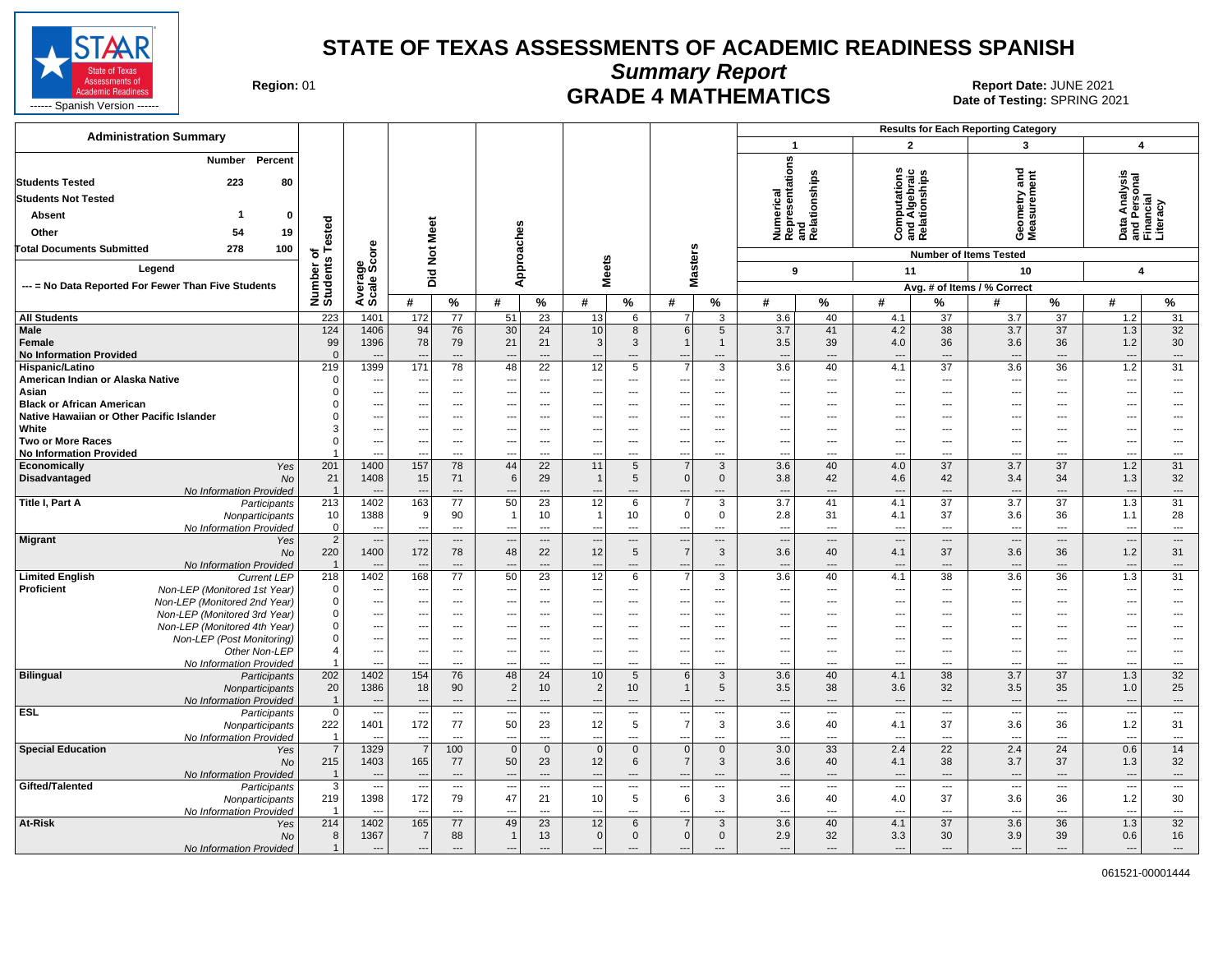

**Summary Report**

Region: 01 **Region: 01 CRADE 4 MATHEMATICS Date: JUNE 2021 Report Date: JUNE 2021** 

| <b>Administration Summary</b>                                           |                                  |                                                      |                                 |                        |                                                      |                                  |                                |                                            |                                                      |                          |                                                                                |                                                      |                                                      |                                                    | <b>Results for Each Reporting Category</b>           |                                            |                                                        |                                 |
|-------------------------------------------------------------------------|----------------------------------|------------------------------------------------------|---------------------------------|------------------------|------------------------------------------------------|----------------------------------|--------------------------------|--------------------------------------------|------------------------------------------------------|--------------------------|--------------------------------------------------------------------------------|------------------------------------------------------|------------------------------------------------------|----------------------------------------------------|------------------------------------------------------|--------------------------------------------|--------------------------------------------------------|---------------------------------|
|                                                                         |                                  |                                                      |                                 |                        |                                                      |                                  |                                |                                            |                                                      |                          | $\mathbf{1}$                                                                   |                                                      | $\overline{2}$                                       |                                                    | 3                                                    |                                            | 4                                                      |                                 |
| Percent<br>Number<br><b>Students Tested</b><br>223<br>80                |                                  |                                                      |                                 |                        |                                                      |                                  |                                |                                            |                                                      |                          | nerical<br>resentations<br>Numerical<br>Representation<br>and<br>Relationships |                                                      | w<br>Computations<br>and Algebraic<br>Relationships  |                                                    | ठ<br>ometry and<br>ssurement                         |                                            | Data Analysis<br>and Personal<br>Financial<br>Literacy |                                 |
| <b>Students Not Tested</b>                                              |                                  |                                                      |                                 |                        |                                                      |                                  |                                |                                            |                                                      |                          |                                                                                |                                                      |                                                      |                                                    |                                                      |                                            |                                                        |                                 |
| -1                                                                      |                                  |                                                      |                                 |                        |                                                      |                                  |                                |                                            |                                                      |                          |                                                                                |                                                      |                                                      |                                                    |                                                      |                                            |                                                        |                                 |
| <b>Absent</b><br>0                                                      | ested                            |                                                      |                                 |                        |                                                      |                                  |                                |                                            |                                                      |                          |                                                                                |                                                      |                                                      |                                                    | $\overline{8}$                                       |                                            |                                                        |                                 |
| 19<br>Other<br>54                                                       |                                  |                                                      |                                 |                        |                                                      |                                  |                                |                                            |                                                      |                          |                                                                                |                                                      |                                                      |                                                    | ÒΣ                                                   |                                            |                                                        |                                 |
| 278<br>100<br><b>Total Documents Submitted</b>                          | ⊢<br>৳                           | ö                                                    | <b>Not Meet</b>                 |                        |                                                      |                                  |                                |                                            |                                                      |                          |                                                                                |                                                      |                                                      |                                                    | <b>Number of Items Tested</b>                        |                                            |                                                        |                                 |
| Legend                                                                  | Number of<br>Students            | Average<br>Scale Sco                                 |                                 |                        | Approaches                                           |                                  | <b>Meets</b>                   |                                            | <b>Masters</b>                                       |                          | 9                                                                              |                                                      | 11                                                   |                                                    | 10                                                   |                                            | $\overline{\mathbf{A}}$                                |                                 |
| --- = No Data Reported For Fewer Than Five Students                     |                                  |                                                      | Did                             |                        |                                                      |                                  |                                |                                            |                                                      |                          |                                                                                |                                                      |                                                      |                                                    | Avg. # of Items / % Correct                          |                                            |                                                        |                                 |
|                                                                         |                                  |                                                      | #                               | %                      | #                                                    | %                                | #                              | $\%$                                       | #                                                    | $\%$                     | #                                                                              | %                                                    | #                                                    | %                                                  | #                                                    | %                                          | #                                                      | %                               |
| <b>All Students</b>                                                     | 223                              | 1401                                                 | 172                             | $\overline{77}$        | 51                                                   | $\overline{23}$                  | 13                             | 6                                          | $\overline{7}$                                       | 3                        | 3.6                                                                            | 40                                                   | 4.1                                                  | $\overline{37}$                                    | 3.7                                                  | $\overline{37}$                            | $1.2$                                                  | 31                              |
| <b>Male</b>                                                             | 124                              | 1406                                                 | 94                              | 76                     | 30                                                   | 24                               | 10                             | 8                                          | 6                                                    | 5                        | 3.7                                                                            | 41                                                   | 4.2                                                  | 38                                                 | 3.7                                                  | 37                                         | 1.3                                                    | 32                              |
| Female                                                                  | 99                               | 1396                                                 | 78                              | 79                     | 21                                                   | 21                               | $\mathbf{3}$                   | $\mathbf{3}$                               | $\mathbf{1}$                                         | $\mathbf{1}$             | 3.5                                                                            | 39                                                   | 4.0                                                  | 36                                                 | 3.6                                                  | 36                                         | 1.2                                                    | 30                              |
| <b>No Information Provided</b>                                          | $\mathbf{0}$                     | $\overline{a}$                                       | $\overline{a}$                  | ---                    | $\overline{\phantom{a}}$                             | $\overline{a}$                   | $---$                          | $\overline{a}$                             | $\overline{\phantom{a}}$                             | $\overline{a}$           | --                                                                             | $\overline{\phantom{a}}$                             | $\overline{\phantom{a}}$                             | $---$                                              | $\overline{\phantom{a}}$                             | $\overline{\phantom{a}}$                   | $\overline{\phantom{a}}$                               | ---                             |
| Hispanic/Latino<br>American Indian or Alaska Native                     | 219<br>$\mathbf 0$               | 1399<br>---                                          | 171<br>$\overline{\phantom{a}}$ | 78<br>---              | 48<br>---                                            | 22<br>---                        | 12<br>---                      | 5<br>---                                   | $\overline{7}$<br>---                                | 3<br>---                 | 3.6<br>$\overline{\phantom{a}}$                                                | 40<br>$\overline{\phantom{a}}$                       | 4.1<br>---                                           | 37<br>$\overline{\phantom{a}}$                     | 3.6<br>$\overline{\phantom{a}}$                      | 36<br>$\overline{\phantom{a}}$             | 1.2<br>---                                             | 31<br>---                       |
| Asian                                                                   | $\Omega$                         | ---                                                  | $\overline{\phantom{a}}$        | $\qquad \qquad \cdots$ | ---                                                  | ---                              | ---                            | $\qquad \qquad \cdots$                     | ---                                                  | ---                      | $\overline{\phantom{a}}$                                                       | $\overline{\phantom{a}}$                             | ---                                                  | $\hspace{0.05cm} \ldots$                           | ---                                                  | $\overline{\phantom{a}}$                   | ---                                                    | ---                             |
| <b>Black or African American</b>                                        |                                  | ---                                                  |                                 | $\overline{a}$         | ---                                                  | $\overline{a}$                   |                                | $\overline{a}$                             | $\overline{\phantom{a}}$                             | ---                      | $\overline{\phantom{a}}$                                                       | $---$                                                | ---                                                  | $---$                                              |                                                      | $\overline{a}$                             | ---                                                    | $\overline{a}$                  |
| Native Hawaiian or Other Pacific Islander                               | ŋ                                | ---                                                  | ---                             | ---                    | ---                                                  | ---                              | ---                            | $\hspace{0.05cm} \ldots$                   | $\overline{\phantom{a}}$                             | ---                      | $\overline{\phantom{a}}$                                                       | ---                                                  | ---                                                  | ---                                                | -−∙                                                  | ---                                        | ---                                                    | ---                             |
| White<br><b>Two or More Races</b>                                       | 3<br>$\Omega$                    | ---                                                  | $---$                           | ---<br>---             | $\overline{\phantom{a}}$                             | ---                              | ---                            | ---                                        | $\overline{\phantom{a}}$                             | ---                      | $\overline{\phantom{a}}$                                                       | ---                                                  | ---                                                  | $---$                                              | ---                                                  | $---$                                      | ---                                                    | ---                             |
| <b>No Information Provided</b>                                          |                                  | ---<br>Ξ.                                            | $---$                           | ---                    | $\overline{\phantom{a}}$                             | ---<br>---                       | $\overline{\phantom{a}}$       | $\overline{\phantom{a}}$<br>---            | $\hspace{0.05cm} \ldots$<br>$\overline{a}$           | ---<br>…                 | $\overline{\phantom{a}}$<br>$\overline{a}$                                     | $\overline{\phantom{a}}$<br>---                      | $\overline{\phantom{a}}$<br>---                      | $\overline{\phantom{a}}$<br>---                    | ---<br>---                                           | $\overline{\phantom{a}}$<br>$\overline{a}$ | ---<br>Ξ.                                              | $\overline{\phantom{a}}$<br>--- |
| Economically<br>Yes                                                     | 201                              | 1400                                                 | 157                             | 78                     | 44                                                   | $\overline{22}$                  | 11                             | 5                                          | $\overline{7}$                                       | 3                        | 3.6                                                                            | 40                                                   | 4.0                                                  | $\overline{37}$                                    | 3.7                                                  | 37                                         | 1.2                                                    | 31                              |
| Disadvantaged<br><b>No</b>                                              | 21                               | 1408                                                 | 15                              | 71                     | 6                                                    | 29                               | $\mathbf 1$                    | 5                                          | $\overline{0}$                                       | $\mathbf 0$              | 3.8                                                                            | 42                                                   | 4.6                                                  | 42                                                 | 3.4                                                  | 34                                         | 1.3                                                    | 32                              |
| No Information Provided                                                 | $\overline{1}$<br>213            | $\overline{a}$                                       |                                 | ---<br>$\overline{77}$ | $\overline{\phantom{a}}$                             | ---                              |                                | ---                                        | ---                                                  | $\overline{a}$           | $\overline{\phantom{a}}$                                                       | $\overline{\phantom{a}}$<br>41                       | $\overline{\phantom{a}}$                             | $\overline{\phantom{a}}$<br>$\overline{37}$        | $\overline{\phantom{a}}$                             | $\overline{\phantom{a}}$                   | $\overline{\phantom{a}}$                               | $\hspace{0.05cm} \ldots$        |
| Title I, Part A<br>Participants<br>Nonparticipants                      | 10                               | 1402<br>1388                                         | 163<br>9                        | 90                     | 50<br>$\overline{1}$                                 | $\overline{23}$<br>10            | $\overline{12}$<br>$\mathbf 1$ | 6<br>10                                    | $\overline{7}$<br>$\overline{0}$                     | 3<br>0                   | 3.7<br>2.8                                                                     | 31                                                   | 4.1<br>4.1                                           | 37                                                 | 3.7<br>3.6                                           | $\overline{37}$<br>36                      | 1.3<br>1.1                                             | 31<br>28                        |
| No Information Provided                                                 | $\mathbf 0$                      | ---                                                  | $\overline{a}$                  | ---                    | $\sim$                                               | $\overline{a}$                   | $\overline{a}$                 | $\overline{a}$                             | $\overline{a}$                                       | $\overline{a}$           | ---                                                                            | $\overline{\phantom{a}}$                             | $\overline{\phantom{a}}$                             | $\overline{a}$                                     | $\overline{a}$                                       | $\overline{\phantom{a}}$                   | $\overline{a}$                                         | $\overline{\phantom{a}}$        |
| <b>Migrant</b><br>Yes                                                   | $\overline{2}$                   | $\overline{\phantom{a}}$                             | $\sim$                          | $\cdots$               | $\overline{\phantom{a}}$                             | $---$                            | $\overline{\phantom{a}}$       | $\hspace{0.05cm} \ldots$                   | $\hspace{0.05cm} \ldots$                             | $\overline{\phantom{a}}$ | ---                                                                            | $\cdots$                                             | $\overline{\phantom{a}}$                             | $\qquad \qquad \cdots$                             | $---$                                                | $---$                                      | $\overline{\phantom{a}}$                               | $\cdots$                        |
| No                                                                      | 220                              | 1400                                                 | 172                             | 78                     | 48                                                   | 22                               | 12                             | $5\phantom{.0}$                            | $\overline{7}$                                       | 3                        | 3.6                                                                            | 40                                                   | 4.1                                                  | 37                                                 | 3.6                                                  | 36                                         | 1.2                                                    | 31                              |
| No Information Provided<br><b>Limited English</b><br><b>Current LEP</b> | 218                              | 1402                                                 | 168                             | ---<br>77              | $\overline{\phantom{a}}$<br>50                       | $\overline{a}$<br>23             | $\overline{a}$<br>12           | $---$<br>6                                 | $---$<br>$\overline{7}$                              | $---$<br>3               | $\overline{\phantom{a}}$<br>3.6                                                | $---$<br>40                                          | $\overline{\phantom{a}}$<br>4.1                      | $---$<br>38                                        | $\overline{a}$<br>3.6                                | $\overline{\phantom{a}}$<br>36             | $\overline{a}$<br>1.3                                  | $\overline{a}$<br>31            |
| Proficient<br>Non-LEP (Monitored 1st Year)                              | $\mathbf 0$                      | $\overline{a}$                                       | $\overline{a}$                  | $\overline{a}$         | $---$                                                | $\overline{a}$                   | $\overline{a}$                 | $---$                                      | $---$                                                | $---$                    | $\sim$                                                                         | $\overline{\phantom{a}}$                             | $-$                                                  | $---$                                              | $---$                                                | $---$                                      | ---                                                    | $\overline{a}$                  |
| Non-LEP (Monitored 2nd Year)                                            | $\mathbf 0$                      | ---                                                  | $\sim$                          | $\overline{a}$         | $\overline{\phantom{a}}$                             | $\overline{a}$                   | $- - -$                        | $\overline{a}$                             | $-$                                                  | $---$                    | $\sim$                                                                         | $---$                                                | $\overline{a}$                                       | $---$                                              | ---                                                  | $\overline{a}$                             | ---                                                    | $\overline{a}$                  |
| Non-LEP (Monitored 3rd Year)                                            | $\mathbf 0$                      | ---                                                  | $\overline{a}$                  | $---$                  | $---$                                                | $---$                            | $---$                          | $---$                                      | $---$                                                | $---$                    | $\sim$                                                                         | $\overline{\phantom{a}}$                             | $\ddotsc$                                            | $---$                                              | ---                                                  | $\overline{a}$                             | ---                                                    | $\overline{a}$                  |
| Non-LEP (Monitored 4th Year)                                            | $\mathbf 0$                      | ---                                                  | $\sim$                          | $\overline{a}$         | ---                                                  | $---$                            | $- - -$                        | $\overline{a}$                             | $-$                                                  | $---$                    | $\sim$                                                                         | $\overline{\phantom{a}}$                             | $-$                                                  | $---$                                              | ---                                                  | $\overline{a}$                             | ---                                                    | $\overline{a}$                  |
| Non-LEP (Post Monitoring)<br>Other Non-LEP                              | $\mathbf 0$<br>$\overline{4}$    | ---<br>                                              | ---                             | ---<br>---             | ---<br>---                                           | $\overline{a}$<br>---            | ---                            | $\overline{a}$<br>$\hspace{0.05cm} \ldots$ | $-$<br>$\overline{\phantom{a}}$                      | ---<br>---               | $\overline{\phantom{a}}$<br>$\overline{\phantom{a}}$                           | $\overline{\phantom{a}}$<br>---                      | ---<br>---                                           | $---$<br>$\overline{\phantom{a}}$                  | ---<br>---                                           | $---$<br>$\overline{\phantom{a}}$          | ---<br>---                                             | ---<br>---                      |
| No Information Provided                                                 |                                  | ---                                                  |                                 | ---                    | $\overline{\phantom{a}}$                             | $\overline{a}$                   | $- - -$                        | $\overline{a}$                             | $\overline{a}$                                       | $\overline{a}$           | $\overline{\phantom{a}}$                                                       | $\overline{\phantom{a}}$                             | ---                                                  | ---                                                | ---                                                  | $\overline{a}$                             | −−                                                     | ---                             |
| <b>Bilingual</b><br>Participants                                        | 202                              | 1402                                                 | 154                             | 76                     | 48                                                   | 24                               | 10                             | $5\phantom{.0}$                            | 6                                                    | 3                        | 3.6                                                                            | 40                                                   | 4.1                                                  | 38                                                 | 3.7                                                  | 37                                         | 1.3                                                    | 32                              |
| Nonparticipants                                                         | 20                               | 1386                                                 | 18                              | 90                     | $\overline{2}$                                       | 10                               | $\overline{2}$                 | 10                                         | $\mathbf{1}$                                         | 5                        | 3.5                                                                            | 38                                                   | 3.6                                                  | 32                                                 | 3.5                                                  | 35                                         | 1.0                                                    | 25                              |
| No Information Provided<br><b>ESL</b>                                   | $\overline{1}$<br>$\overline{0}$ | $\overline{\phantom{a}}$<br>$\overline{\phantom{a}}$ |                                 | ---<br>---             | $\overline{\phantom{a}}$                             | $\overline{a}$<br>$\overline{a}$ | $\overline{a}$                 | $\overline{a}$<br>---                      | $\overline{\phantom{a}}$<br>$\overline{a}$           | $\overline{a}$<br>---    | $\overline{\phantom{a}}$<br>$\overline{\phantom{a}}$                           | $\overline{\phantom{a}}$<br>$\overline{\phantom{a}}$ | $\overline{\phantom{a}}$<br>$\overline{\phantom{a}}$ | $\overline{a}$<br>$\overline{a}$                   | $\overline{a}$<br>$\overline{\phantom{a}}$           | $\overline{\phantom{a}}$<br>$\overline{a}$ | $\overline{\phantom{a}}$<br>−−                         | $\hspace{0.05cm} \ldots$<br>--- |
| Participants<br>Nonparticipants                                         | 222                              | 1401                                                 | 172                             | 77                     | 50                                                   | 23                               | 12                             | 5                                          | $\overline{7}$                                       | 3                        | 3.6                                                                            | 40                                                   | 4.1                                                  | 37                                                 | 3.6                                                  | 36                                         | 1.2                                                    | 31                              |
| No Information Provided                                                 | $\overline{1}$                   | --                                                   | $\overline{\phantom{a}}$        | ---                    | $\overline{\phantom{a}}$                             | ---                              | $\overline{a}$                 | $\overline{a}$                             | $\overline{\phantom{a}}$                             | $\overline{a}$           | $\overline{\phantom{a}}$                                                       | $\overline{\phantom{a}}$                             | ---                                                  | $\overline{a}$                                     | $\overline{\phantom{a}}$                             | $\scriptstyle\cdots$                       | $\overline{\phantom{a}}$                               | ---                             |
| <b>Special Education</b><br>Yes                                         | $\overline{7}$                   | 1329                                                 | $\overline{7}$                  | 100                    | $\Omega$                                             | $\mathbf 0$                      | $\overline{0}$                 | $\mathbf{0}$                               | $\overline{0}$                                       | $\mathbf{0}$             | 3.0                                                                            | 33                                                   | 2.4                                                  | 22                                                 | 2.4                                                  | 24                                         | 0.6                                                    | 14                              |
| <b>No</b>                                                               | 215                              | 1403                                                 | 165                             | 77                     | 50                                                   | 23                               | 12                             | 6                                          | $\overline{7}$                                       | 3                        | 3.6                                                                            | 40                                                   | 4.1                                                  | 38                                                 | 3.7                                                  | 37                                         | 1.3                                                    | 32                              |
| No Information Provided<br>Gifted/Talented                              | $\overline{1}$<br>$\overline{3}$ | ---<br>---                                           | $\overline{a}$                  | ---<br>---             | $\overline{\phantom{a}}$<br>$\overline{\phantom{a}}$ | ---<br>$-$                       | $\overline{\phantom{a}}$       | $\overline{\phantom{a}}$<br>---            | $\overline{\phantom{a}}$<br>$\overline{\phantom{a}}$ | $---$<br>---             | $\overline{\phantom{a}}$<br>$\overline{\phantom{a}}$                           | $\overline{\phantom{a}}$<br>$\overline{\phantom{a}}$ | $\overline{\phantom{a}}$<br>$\overline{a}$           | $\qquad \qquad \cdots$<br>$\overline{\phantom{a}}$ | $\overline{\phantom{a}}$<br>$\overline{\phantom{a}}$ | $\cdots$<br>$\overline{\phantom{a}}$       | $\overline{\phantom{a}}$<br>---                        | $\cdots$<br>$\cdots$            |
| Participants<br>Nonparticipants                                         | 219                              | 1398                                                 | --<br>172                       | 79                     | 47                                                   | 21                               | 10                             | 5                                          | 6                                                    | 3                        | 3.6                                                                            | 40                                                   | 4.0                                                  | 37                                                 | 3.6                                                  | 36                                         | 1.2                                                    | 30                              |
| No Information Provided                                                 | -1                               |                                                      | $\overline{\phantom{a}}$        | ---                    | $\sim$                                               | $\overline{a}$                   | $- - -$                        | $\overline{a}$                             | $\overline{a}$                                       | $\overline{a}$           | $\overline{\phantom{a}}$                                                       | $\overline{\phantom{a}}$                             | $\overline{a}$                                       | $---$                                              | $\overline{a}$                                       | $\overline{\phantom{a}}$                   | ÷.,                                                    | ---                             |
| At-Risk<br>Yes                                                          | 214                              | 1402                                                 | 165                             | 77                     | 49                                                   | 23                               | 12                             | 6                                          | $\overline{7}$                                       | 3                        | 3.6                                                                            | 40                                                   | 4.1                                                  | 37                                                 | 3.6                                                  | 36                                         | 1.3                                                    | 32                              |
| <b>No</b>                                                               | 8                                | 1367                                                 | 7                               | 88                     | $\overline{1}$                                       | 13                               | $\mathbf 0$                    | $\mathbf{0}$                               | $\overline{0}$                                       | $\mathbf{0}$             | 2.9                                                                            | 32                                                   | 3.3                                                  | 30                                                 | 3.9                                                  | 39                                         | 0.6                                                    | 16                              |
| No Information Provided                                                 | $\overline{1}$                   | $\overline{\phantom{a}}$                             | $\overline{\phantom{a}}$        | $\overline{a}$         | $---$                                                | $\cdots$                         | $\cdots$                       | $---$                                      | $---$                                                | $---$                    | $\overline{\phantom{a}}$                                                       | $---$                                                | $\overline{\phantom{a}}$                             | $---$                                              | $\hspace{1.5cm} \cdots$                              | $---$                                      | $\overline{\phantom{a}}$                               | ---                             |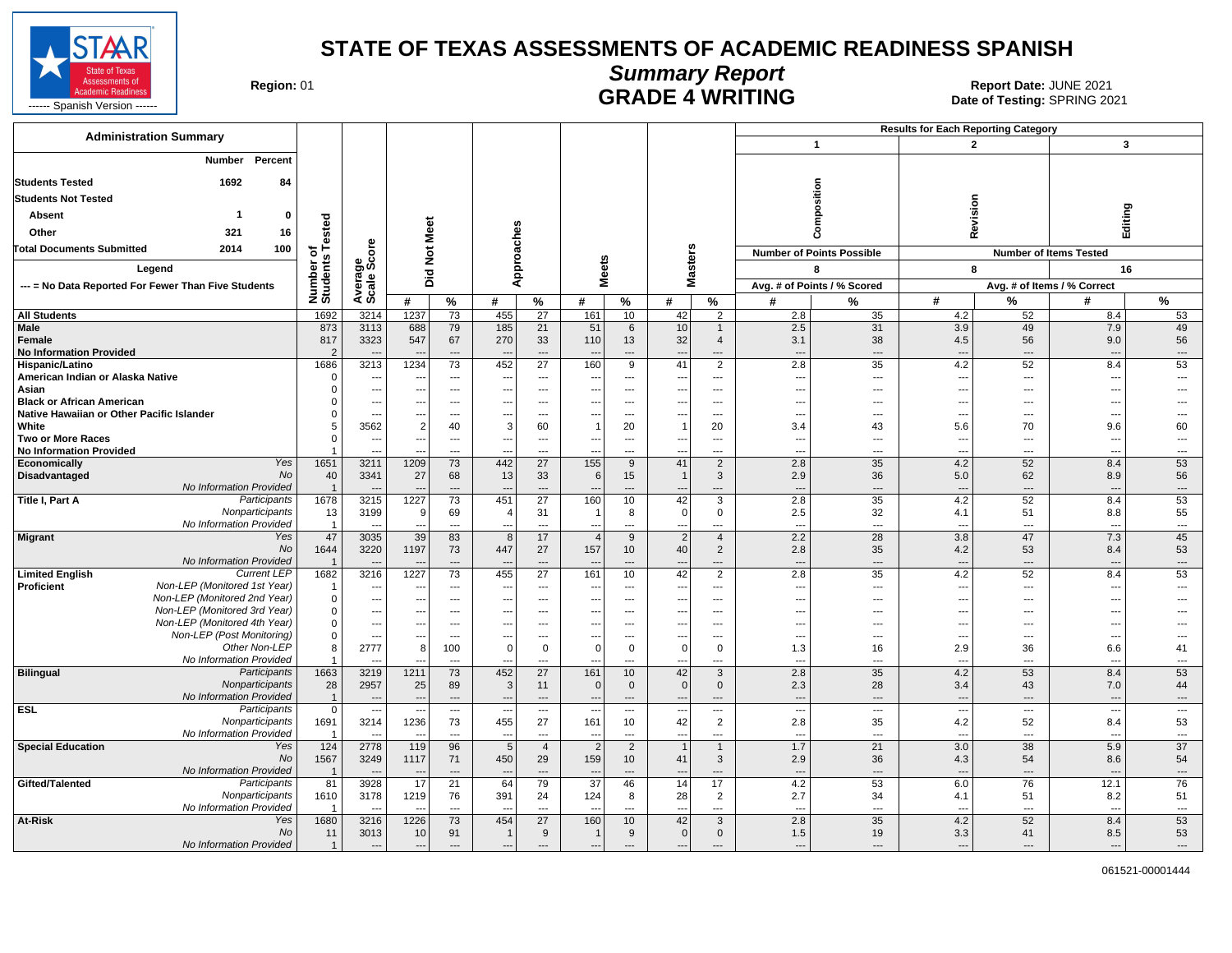

# **Summary Report**

Region: 01 **Region: 01 CALL CONSISTS AND CONTROLS 2021 Report Date: JUNE 2021**<br>Date of Testing: SPRING 20

| <b>Administration Summary</b>                                           |                                  |                                  |                          |                                |                                 |                                |                          |                                |                                      |                                            |                                 |                                  | <b>Results for Each Reporting Category</b> |                                |                                 |                                |
|-------------------------------------------------------------------------|----------------------------------|----------------------------------|--------------------------|--------------------------------|---------------------------------|--------------------------------|--------------------------|--------------------------------|--------------------------------------|--------------------------------------------|---------------------------------|----------------------------------|--------------------------------------------|--------------------------------|---------------------------------|--------------------------------|
|                                                                         |                                  |                                  |                          |                                |                                 |                                |                          |                                |                                      |                                            |                                 | $\overline{1}$                   | $\overline{2}$                             |                                | 3                               |                                |
| Percent<br>Number                                                       |                                  |                                  |                          |                                |                                 |                                |                          |                                |                                      |                                            |                                 |                                  |                                            |                                |                                 |                                |
| <b>Students Tested</b><br>1692<br>84                                    |                                  |                                  |                          |                                |                                 |                                |                          |                                |                                      |                                            |                                 |                                  |                                            |                                |                                 |                                |
| <b>Students Not Tested</b>                                              |                                  |                                  |                          |                                |                                 |                                |                          |                                |                                      |                                            |                                 | osition                          |                                            |                                |                                 |                                |
| <b>Absent</b><br>-1<br>0                                                |                                  |                                  |                          |                                |                                 |                                |                          |                                |                                      |                                            |                                 |                                  | Revision                                   |                                | Editing                         |                                |
|                                                                         | ested                            |                                  | Meet                     |                                |                                 |                                |                          |                                |                                      |                                            |                                 |                                  |                                            |                                |                                 |                                |
| Other<br>321<br>16                                                      |                                  |                                  |                          |                                |                                 |                                |                          |                                |                                      |                                            |                                 | ā                                |                                            |                                |                                 |                                |
| <b>Total Documents Submitted</b><br>2014<br>100                         | 하                                | ge<br>Score                      | $\frac{5}{2}$            |                                |                                 | pproaches                      |                          |                                |                                      | sters                                      |                                 | <b>Number of Points Possible</b> |                                            |                                | <b>Number of Items Tested</b>   |                                |
| Legend                                                                  |                                  |                                  |                          |                                |                                 |                                | <b>Meets</b>             |                                |                                      |                                            |                                 | 8                                | 8                                          |                                |                                 | 16                             |
| --- = No Data Reported For Fewer Than Five Students                     |                                  | Avera                            | Did                      |                                |                                 | ⋖                              |                          |                                |                                      | š                                          |                                 | Avg. # of Points / % Scored      |                                            |                                | Avg. # of Items / % Correct     |                                |
|                                                                         | Number of<br>Students            |                                  | #                        | $\%$                           | #                               | %                              | #                        | %                              | #                                    | %                                          | #                               | %                                | #                                          | %                              | #                               | %                              |
| <b>All Students</b>                                                     | 1692                             | 3214                             | 1237                     | 73                             | 455                             | 27                             | 161                      | 10                             | 42                                   | $\overline{2}$                             | 2.8                             | 35                               | 4.2                                        | 52                             | 8.4                             | 53                             |
| <b>Male</b>                                                             | 873                              | 3113                             | 688                      | 79                             | 185                             | 21                             | 51                       | 6                              | 10                                   |                                            | 2.5                             | 31                               | 3.9                                        | 49                             | 7.9                             | 49                             |
| Female                                                                  | 817<br>$\mathcal{P}$             | 3323                             | 547                      | 67                             | 270                             | 33                             | 110                      | 13                             | 32                                   | $\overline{4}$                             | 3.1                             | 38                               | 4.5                                        | 56                             | 9.0                             | 56                             |
| <b>No Information Provided</b><br>Hispanic/Latino                       | 1686                             | 3213                             | 1234                     | ---<br>$\overline{73}$         | 452                             | ---<br>27                      | 160                      | ---<br>$\overline{9}$          | $\overline{\phantom{a}}$<br>41       | ---<br>2                                   | $\overline{\phantom{a}}$<br>2.8 | ---<br>35                        | $\overline{a}$<br>4.2                      | ---<br>52                      | ---<br>8.4                      | $\cdots$<br>53                 |
| American Indian or Alaska Native                                        | $\Omega$                         | $\overline{\phantom{a}}$         |                          | $\ldots$                       | $\overline{\phantom{a}}$        | ---                            | $\overline{\phantom{a}}$ | $\overline{a}$                 | $\sim$                               | $\hspace{0.05cm} \ldots$                   | --                              | $\overline{a}$                   | ---                                        | $\hspace{0.05cm} \ldots$       | $\overline{\phantom{a}}$        | $\overline{a}$                 |
| Asian                                                                   | $\Omega$                         | $\sim$                           | $\overline{\phantom{a}}$ | $\overline{\phantom{a}}$       |                                 | ---                            | $\overline{\phantom{a}}$ | ---                            | $\overline{\phantom{a}}$             | $\overline{\phantom{a}}$                   | --                              | ---                              | $\overline{\phantom{a}}$                   | $\overline{\phantom{a}}$       | ---                             | $\overline{a}$                 |
| <b>Black or African American</b>                                        |                                  | $\ldots$                         | $-$                      | ---                            | $-$                             | ---                            | $---$                    | $\hspace{0.05cm} \ldots$       | $\overline{\phantom{a}}$             | $\overline{\phantom{a}}$                   | ---                             | ---                              | ---                                        | $\overline{\phantom{a}}$       | ---                             | ---                            |
| Native Hawaiian or Other Pacific Islander                               |                                  | $\overline{a}$<br>3562           | $\overline{2}$           | $---$                          | 3                               | $---$                          |                          | $---$                          |                                      | $---$                                      | $\overline{\phantom{a}}$        | ---                              | $\overline{a}$                             | $\overline{a}$                 | ---                             |                                |
| White<br><b>Two or More Races</b>                                       | 5<br>$\Omega$                    | ---                              | $\sim$                   | 40<br>---                      | $\overline{\phantom{a}}$        | 60<br>$\overline{\phantom{a}}$ | ---                      | 20<br>---                      | $\overline{\phantom{a}}$             | 20<br>$\overline{\phantom{a}}$             | 3.4<br>--                       | 43<br>---                        | 5.6<br>$---$                               | 70<br>$\overline{\phantom{a}}$ | 9.6<br>---                      | 60<br>$\overline{\phantom{a}}$ |
| <b>No Information Provided</b>                                          |                                  | $\sim$                           |                          | $\overline{a}$                 | $\overline{\phantom{a}}$        | $---$                          | $\overline{\phantom{a}}$ | $---$                          | $\overline{\phantom{a}}$             | $\overline{\phantom{a}}$                   | ---                             | $---$                            | $---$                                      | $\overline{\phantom{a}}$       | $\overline{a}$                  | $\cdots$                       |
| Yes<br>Economically                                                     | 1651                             | 3211                             | 1209                     | 73                             | 442                             | 27                             | 155                      | 9                              | 41                                   | 2                                          | 2.8                             | 35                               | 4.2                                        | 52                             | 8.4                             | 53                             |
| No<br>Disadvantaged                                                     | 40                               | 3341                             | 27                       | 68                             | 13                              | 33                             | 6                        | 15                             | $\overline{1}$                       | $\mathbf{3}$                               | 2.9                             | 36                               | 5.0                                        | 62                             | 8.9                             | 56                             |
| No Information Provided<br>Participants<br>Title I, Part A              | $\overline{1}$<br>1678           | 3215                             | 1227                     | $\overline{\phantom{a}}$<br>73 | 451                             | $\overline{\phantom{a}}$<br>27 | 160                      | $\overline{\phantom{a}}$<br>10 | 42                                   | $\overline{\phantom{a}}$<br>$\overline{3}$ | $\overline{\phantom{a}}$<br>2.8 | $\overline{\phantom{a}}$<br>35   | $\overline{a}$<br>4.2                      | $\overline{\phantom{a}}$<br>52 | ---<br>8.4                      | $\overline{\phantom{a}}$<br>53 |
| Nonparticipants                                                         | 13                               | 3199                             | 9                        | 69                             |                                 | 31                             |                          | 8                              | $\Omega$                             | $\mathbf 0$                                | 2.5                             | 32                               | 4.1                                        | 51                             | 8.8                             | 55                             |
| No Information Provided                                                 | -1                               |                                  |                          | $---$                          |                                 | $\overline{a}$                 | $\sim$                   | $---$                          | $\overline{\phantom{a}}$             | $\overline{\phantom{a}}$                   | --                              | ---                              | $\overline{a}$                             | $---$                          | $\sim$                          | $\overline{\phantom{a}}$       |
| Yes<br><b>Migrant</b>                                                   | 47                               | 3035                             | 39                       | 83                             | -8                              | 17                             | $\overline{4}$           | 9                              | $\overline{2}$                       | $\overline{4}$                             | 2.2                             | 28                               | 3.8                                        | 47                             | 7.3                             | 45                             |
| <b>No</b>                                                               | 1644                             | 3220                             | 1197                     | 73                             | 447                             | 27                             | 157                      | 10                             | 40                                   | $\overline{2}$                             | 2.8                             | 35                               | 4.2                                        | 53                             | 8.4                             | 53                             |
| No Information Provided<br><b>Current LEP</b><br><b>Limited English</b> | $\overline{1}$<br>1682           | 3216                             | 1227                     | ---<br>73                      | 455                             | 27                             | 161                      | 10                             | $\overline{\phantom{a}}$<br>42       | $\overline{\phantom{a}}$<br>$\overline{2}$ | $\overline{\phantom{a}}$<br>2.8 | $\overline{a}$<br>35             | $\overline{a}$<br>4.2                      | $\overline{a}$<br>52           | ---<br>8.4                      | $\qquad \qquad \cdots$<br>53   |
| Non-LEP (Monitored 1st Year)<br>Proficient                              | -1                               | $\overline{\phantom{a}}$         | $\sim$                   | $\ldots$                       | $\overline{\phantom{a}}$        | ---                            | $\hspace{0.05cm} \ldots$ | $\hspace{0.05cm} \ldots$       | $\overline{\phantom{a}}$             | $\cdots$                                   | ---                             | $\scriptstyle\cdots$             | ---                                        | $\hspace{0.05cm} \ldots$       | $\overline{\phantom{a}}$        | $\cdots$                       |
| Non-LEP (Monitored 2nd Year)                                            | 0                                | $\ldots$                         |                          | ---                            |                                 | ---                            |                          | $\overline{a}$                 |                                      | $\hspace{0.05cm} \ldots$                   | $\overline{\phantom{a}}$        | ---                              | $\overline{a}$                             | $\overline{a}$                 | ---                             |                                |
| Non-LEP (Monitored 3rd Year)                                            | $\Omega$                         | $---$                            | $\sim$                   | $\overline{\phantom{a}}$       | $\overline{\phantom{a}}$        | $\overline{\phantom{a}}$       | $---$                    | $---$                          | $\sim$                               | $---$                                      | ---                             | ---                              | $\overline{\phantom{a}}$                   | $---$                          | ---                             | ---                            |
| Non-LEP (Monitored 4th Year)<br>Non-LEP (Post Monitoring)               | 0                                | $---$                            | $\sim$                   | $\overline{\phantom{a}}$       |                                 | ---                            | ---                      | ---                            | $\overline{\phantom{a}}$             | $---$                                      | --                              | ---                              | $\overline{\phantom{a}}$                   | $---$                          | ---                             | ---                            |
| Other Non-LEP                                                           | $\Omega$<br>8                    | $\overline{\phantom{a}}$<br>2777 | 8                        | $\overline{a}$<br>100          | $\Omega$                        | ---<br>$\mathbf 0$             | $---$<br>$\mathbf 0$     | $---$<br>0                     | $\overline{\phantom{a}}$<br>$\Omega$ | $\overline{\phantom{a}}$<br>$\mathbf 0$    | $\overline{\phantom{a}}$<br>1.3 | ---<br>16                        | $---$<br>2.9                               | $---$<br>36                    | ---<br>6.6                      | $---$<br>41                    |
| No Information Provided                                                 |                                  |                                  |                          | $\overline{a}$                 |                                 | $---$                          |                          | $---$                          | $\sim$                               | $\overline{\phantom{a}}$                   | $\overline{\phantom{a}}$        | $\sim$                           | $- -$                                      | $\overline{\phantom{a}}$       | $\sim$                          | $\cdots$                       |
| <b>Bilingual</b><br>Participants                                        | 1663                             | 3219                             | 1211                     | 73                             | 452                             | 27                             | 161                      | 10 <sup>1</sup>                | 42                                   | 3                                          | 2.8                             | 35                               | 4.2                                        | 53                             | 8.4                             | 53                             |
| Nonparticipants                                                         | 28                               | 2957                             | 25                       | 89                             | 3                               | 11                             | $\overline{0}$           | $\mathbf 0$                    | 0                                    | $\mathbf 0$                                | 2.3                             | 28                               | 3.4                                        | 43                             | 7.0                             | 44                             |
| No Information Provided<br>Participants                                 | $\overline{1}$<br>$\overline{0}$ | $\overline{a}$                   | $\sim$                   | $\overline{a}$                 |                                 | $\overline{a}$                 | $\overline{\phantom{a}}$ | ---                            |                                      | $\overline{\phantom{a}}$                   | $\overline{a}$                  | $\overline{\phantom{a}}$         | $\sim$                                     | $\overline{\phantom{a}}$       | ---                             | $---$                          |
| <b>ESL</b><br>Nonparticipants                                           | 1691                             | ---<br>3214                      | 1236                     | ---<br>73                      | $\overline{\phantom{a}}$<br>455 | ---<br>27                      | 161                      | ---<br>10                      | ---<br>42                            | $\overline{\phantom{a}}$<br>2              | ---<br>2.8                      | ---<br>35                        | $\overline{\phantom{a}}$<br>4.2            | $\overline{\phantom{a}}$<br>52 | $\overline{\phantom{a}}$<br>8.4 | $\overline{\phantom{a}}$<br>53 |
| No Information Provided                                                 | -1                               |                                  | -44                      | $---$                          | $\overline{\phantom{a}}$        | ---                            | $\overline{\phantom{a}}$ | ---                            | $\overline{\phantom{a}}$             | $---$                                      | --                              | ---                              | $\overline{a}$                             | $---$                          | $\overline{a}$                  | $\overline{\phantom{a}}$       |
| <b>Special Education</b><br>Yes                                         | 124                              | 2778                             | 119                      | 96                             | $\overline{5}$                  | $\overline{4}$                 | $\overline{2}$           | $\overline{2}$                 |                                      | $\mathbf{1}$                               | 1.7                             | 21                               | 3.0                                        | 38                             | 5.9                             | $\overline{37}$                |
| No                                                                      | 1567                             | 3249                             | 1117                     | 71                             | 450                             | 29                             | 159                      | 10                             | 41                                   | $\mathbf{3}$                               | 2.9                             | 36                               | 4.3                                        | 54                             | 8.6                             | 54                             |
| No Information Provided                                                 | $\overline{1}$                   | $\overline{\phantom{a}}$         | $\overline{17}$          | $\overline{\phantom{a}}$       |                                 |                                |                          | ---                            | $\overline{\phantom{a}}$<br>14       | $\overline{\phantom{a}}$                   | $\overline{\phantom{a}}$        | $\overline{a}$                   | $\overline{a}$                             | $---$                          | $\overline{\phantom{a}}$        | $\cdots$                       |
| Gifted/Talented<br>Participants<br>Nonparticipants                      | 81<br>1610                       | 3928<br>3178                     | 1219                     | 21<br>76                       | 64<br>391                       | 79<br>24                       | 37<br>124                | 46<br>8                        | 28                                   | 17<br>$\overline{2}$                       | 4.2<br>2.7                      | 53<br>34                         | 6.0<br>4.1                                 | 76<br>51                       | 12.1<br>8.2                     | 76<br>51                       |
| No Information Provided                                                 | -1                               |                                  |                          | $\overline{a}$                 |                                 | $\overline{a}$                 |                          | ---                            |                                      | $\overline{\phantom{a}}$                   | $\overline{a}$                  | $\overline{a}$                   | $\overline{a}$                             | $\overline{\phantom{a}}$       | $\overline{a}$                  | $\overline{a}$                 |
| At-Risk<br>Yes                                                          | 1680                             | 3216                             | 1226                     | 73                             | 454                             | 27                             | 160                      | 10 <sup>1</sup>                | 42                                   | 3                                          | 2.8                             | 35                               | 4.2                                        | 52                             | 8.4                             | 53                             |
| No                                                                      | 11                               | 3013                             | 10                       | 91                             |                                 | 9                              |                          | 9                              | $\Omega$                             | $\mathbf{0}$                               | 1.5                             | 19                               | 3.3                                        | 41                             | 8.5                             | 53                             |
| No Information Provided                                                 | $\overline{1}$                   | $\cdots$                         | $\sim$                   | $---$                          | $\overline{\phantom{a}}$        | ---                            | $\overline{\phantom{a}}$ | $\overline{\phantom{a}}$       | --                                   | $---$                                      | ---                             | ---                              | $---$                                      | ---                            | $---$                           | $\cdots$                       |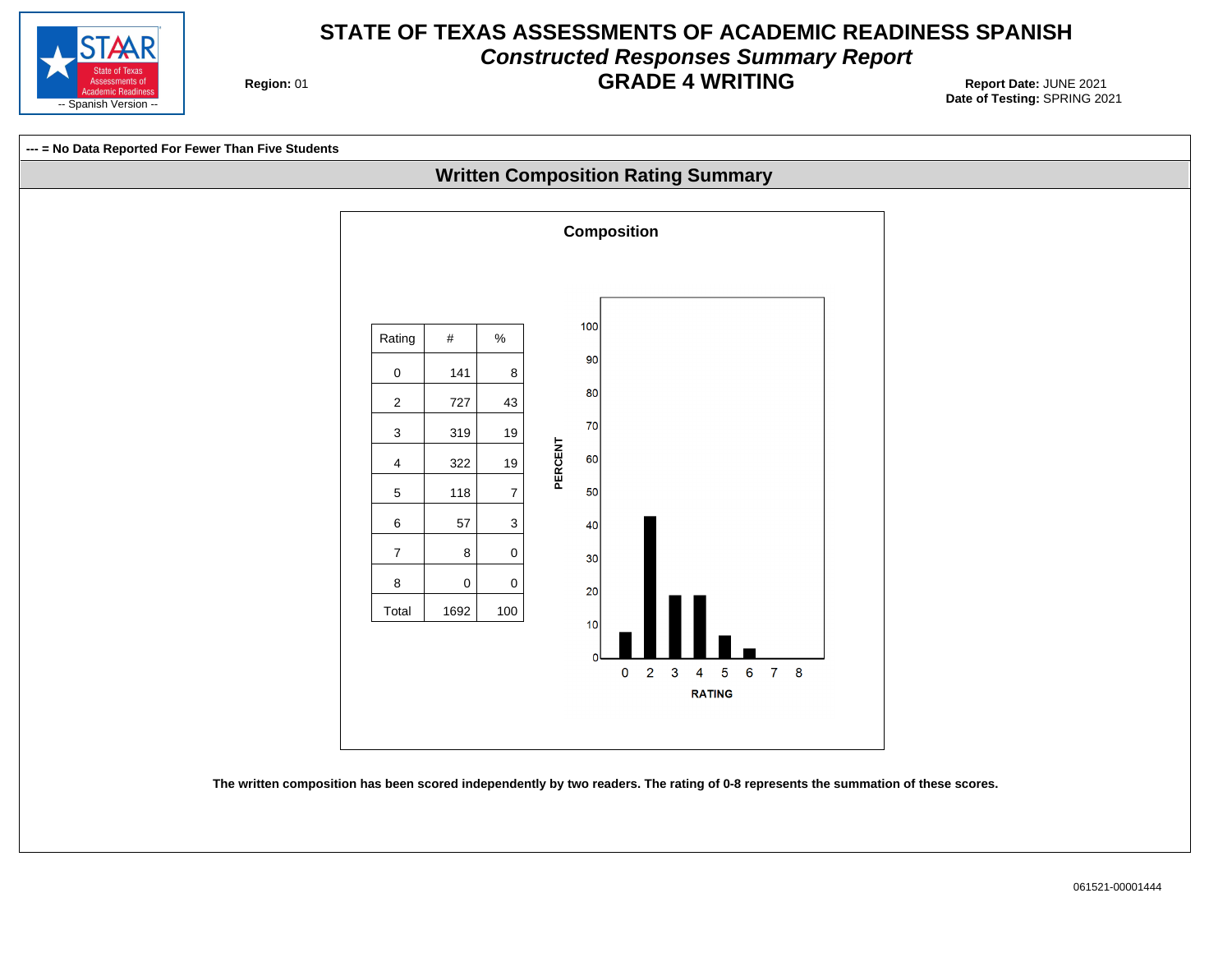

#### **STATE OF TEXAS ASSESSMENTS OF ACADEMIC READINESS SPANISH Constructed Responses Summary Report GRADE 4 WRITING** Report Date: JUNE 2021

**Region: 01** 



**The written composition has been scored independently by two readers. The rating of 0-8 represents the summation of these scores.**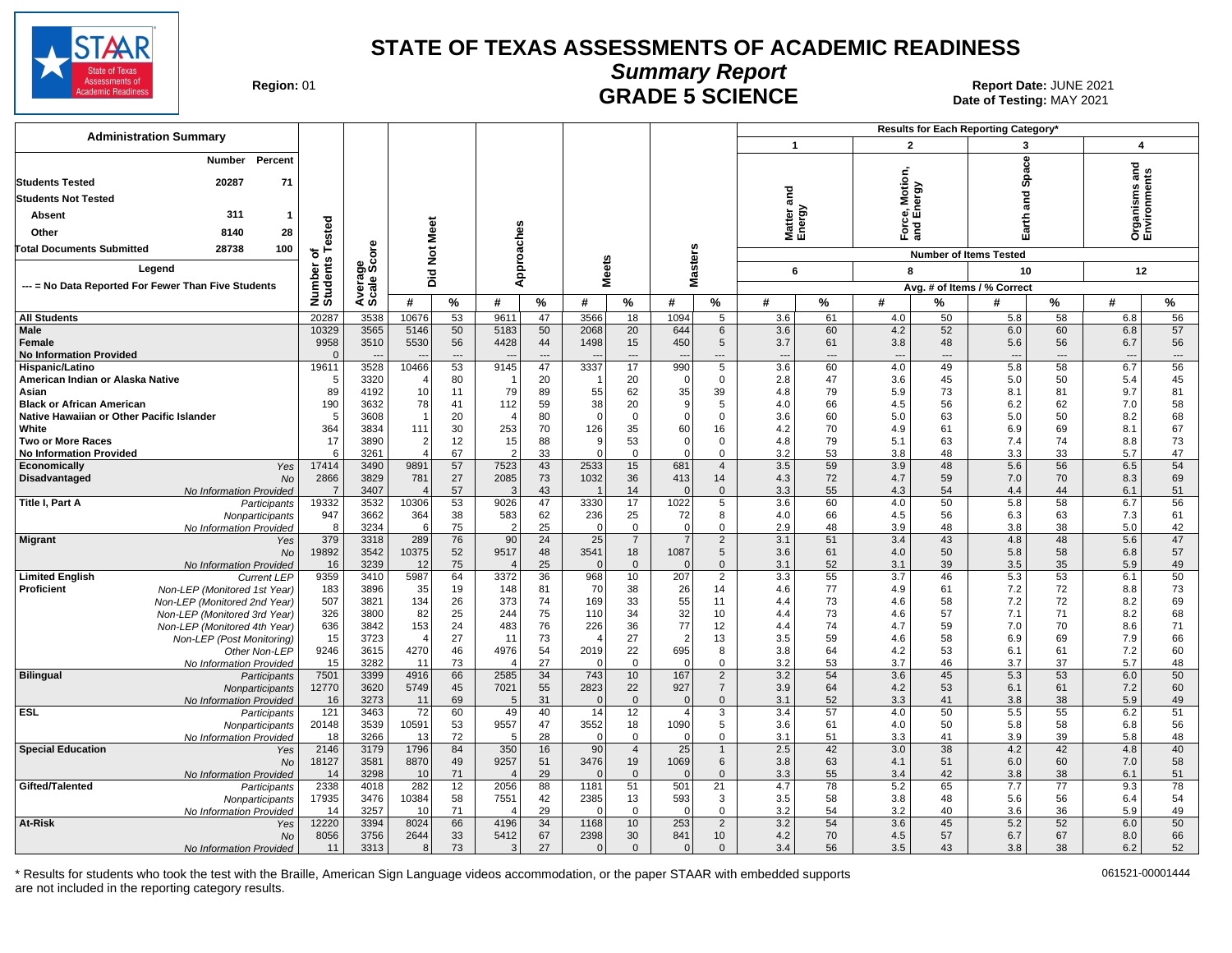

Date of Testing: MAY 2021

| Region: 01 |  |
|------------|--|
|------------|--|

#### **Summary Report** Region: 01 **Region: 01 CRADE 5 SCIENCE Date: JUNE 2021 Report Date: JUNE 2021**

| <b>Administration Summary</b>                                           |                        |                      |                                    |          |                        |                |                  |                               |                  |                                |                          |                |                   |          | Results for Each Reporting Category' |                |                                   |          |
|-------------------------------------------------------------------------|------------------------|----------------------|------------------------------------|----------|------------------------|----------------|------------------|-------------------------------|------------------|--------------------------------|--------------------------|----------------|-------------------|----------|--------------------------------------|----------------|-----------------------------------|----------|
|                                                                         |                        |                      |                                    |          |                        |                |                  |                               |                  |                                | $\mathbf{1}$             |                | $\overline{2}$    |          | 3                                    |                | $\boldsymbol{4}$                  |          |
| Percent<br>Number<br>20287<br>71<br><b>Students Tested</b>              |                        |                      |                                    |          |                        |                |                  |                               |                  |                                |                          |                | Motion,<br>ergy   |          | Space                                |                | 혿<br>Organisms an<br>Environments |          |
| <b>Students Not Tested</b>                                              |                        |                      |                                    |          |                        |                |                  |                               |                  |                                | <u>ក្ខ</u>               |                |                   |          | 겯                                    |                |                                   |          |
|                                                                         |                        |                      |                                    |          |                        |                |                  |                               |                  |                                |                          |                |                   |          | <b>ro</b>                            |                |                                   |          |
| 311<br>Absent<br>-1                                                     |                        |                      |                                    |          |                        |                |                  |                               |                  |                                |                          |                | orce, I<br>nd Ene |          | arth                                 |                |                                   |          |
| 28<br>Other<br>8140                                                     | ested                  |                      |                                    |          |                        |                |                  |                               |                  |                                | Matter a<br>Energy       |                | 군<br>이            |          | Ш                                    |                |                                   |          |
| <b>Total Documents Submitted</b><br>28738<br>100                        | ۴<br>৳                 | <b>ore</b>           | Not Meet                           |          |                        |                |                  |                               |                  |                                |                          |                |                   |          | <b>Number of Items Tested</b>        |                |                                   |          |
| Legend                                                                  | Number o<br>Students   | Average<br>Scale Sco |                                    |          | Approaches             |                | <b>Meets</b>     |                               | <b>Masters</b>   |                                | 6                        |                | 8                 |          | 10                                   |                | 12                                |          |
| --- = No Data Reported For Fewer Than Five Students                     |                        |                      | Did                                |          |                        |                |                  |                               |                  |                                |                          |                |                   |          | Avg. # of Items / % Correct          |                |                                   |          |
|                                                                         |                        |                      | #                                  | %        | #                      | %              | #                | %                             | #                | %                              | #                        | $\%$           | #                 | %        | #                                    | ℅              | #                                 | $\%$     |
| <b>All Students</b>                                                     | 20287                  | 3538                 | 10676                              | 53       | 9611                   | 47             | 3566             | 18                            | 1094             | 5                              | 3.6                      | 61             | 4.0               | 50       | 5.8                                  | 58             | 6.8                               | 56       |
| <b>Male</b>                                                             | 10329                  | 3565                 | 5146                               | 50       | 5183                   | 50             | 2068             | 20                            | 644              | 6                              | 3.6                      | 60             | 4.2               | 52       | 6.0                                  | 60             | 6.8                               | 57       |
| Female                                                                  | 9958                   | 3510                 | 5530                               | 56       | 4428                   | 44             | 1498             | 15                            | 450              | 5                              | 3.7                      | 61             | 3.8               | 48       | 5.6                                  | 56             | 6.7                               | 56       |
| <b>No Information Provided</b>                                          | $\Omega$               |                      |                                    | ---      |                        | $\overline{a}$ |                  | $\overline{\phantom{a}}$      |                  | $---$                          | $\overline{\phantom{a}}$ | $\overline{a}$ | ---               | ---      | $---$                                | $\overline{a}$ | $\overline{\phantom{a}}$          | $\cdots$ |
| Hispanic/Latino                                                         | 19611                  | 3528                 | 10466                              | 53       | 9145                   | 47             | 3337             | 17                            | 990              | 5                              | 3.6                      | 60             | 4.0               | 49       | 5.8                                  | 58             | 6.7                               | 56       |
| American Indian or Alaska Native                                        | -5                     | 3320                 | $\overline{\mathcal{A}}$           | 80       |                        | 20             | -1               | 20                            | $\Omega$         | $\mathbf 0$                    | 2.8                      | 47             | 3.6               | 45       | 5.0                                  | 50             | 5.4                               | 45       |
| Asian<br><b>Black or African American</b>                               | 89                     | 4192<br>3632         | 10<br>78                           | 11<br>41 | 79                     | 89             | 55<br>38         | 62                            | 35<br>9          | 39<br>5                        | 4.8                      | 79<br>66       | 5.9               | 73<br>56 | 8.1                                  | 81             | 9.7                               | 81<br>58 |
| Native Hawaiian or Other Pacific Islander                               | 190<br>-5              | 3608                 | -1                                 | 20       | 112<br>$\overline{4}$  | 59<br>80       | $\Omega$         | 20<br>$\mathbf 0$             | $\Omega$         | $\Omega$                       | 4.0<br>3.6               | 60             | 4.5<br>5.0        | 63       | 6.2<br>5.0                           | 62<br>50       | 7.0<br>8.2                        | 68       |
| White                                                                   | 364                    | 3834                 | 111                                | 30       | 253                    | 70             | 126              | 35                            | 60               | 16                             | 4.2                      | 70             | 4.9               | 61       | 6.9                                  | 69             | 8.1                               | 67       |
| <b>Two or More Races</b>                                                | 17                     | 3890                 | $\overline{2}$                     | 12       | 15                     | 88             | 9                | 53                            | $\mathbf 0$      | $\mathbf 0$                    | 4.8                      | 79             | 5.1               | 63       | 7.4                                  | 74             | 8.8                               | 73       |
| <b>No Information Provided</b>                                          | 6                      | 3261                 | $\overline{4}$                     | 67       | 2                      | 33             | $\Omega$         | $\mathbf 0$                   | $\Omega$         | $\Omega$                       | 3.2                      | 53             | 3.8               | 48       | 3.3                                  | 33             | 5.7                               | 47       |
| Economically<br>Yes                                                     | 17414                  | 3490                 | 9891                               | 57       | 7523                   | 43             | 2533             | 15                            | 681              | $\overline{4}$                 | 3.5                      | 59             | 3.9               | 48       | 5.6                                  | 56             | 6.5                               | 54       |
| Disadvantaged<br><b>No</b>                                              | 2866<br>$\overline{7}$ | 3829                 | 781<br>$\boldsymbol{\vartriangle}$ | 27       | 2085                   | 73             | 1032             | 36                            | 413<br>$\Omega$  | 14                             | 4.3                      | 72             | 4.7               | 59<br>54 | 7.0                                  | 70             | 8.3                               | 69       |
| No Information Provided<br><b>Title I, Part A</b><br>Participants       | 19332                  | 3407<br>3532         | 10306                              | 57<br>53 | -3<br>9026             | 43<br>47       | 3330             | 14<br>17                      | 1022             | $\mathbf{0}$<br>5              | 3.3<br>3.6               | 55<br>60       | 4.3<br>4.0        | 50       | 4.4<br>5.8                           | 44<br>58       | 6.1<br>6.7                        | 51<br>56 |
| Nonparticipants                                                         | 947                    | 3662                 | 364                                | 38       | 583                    | 62             | 236              | 25                            | 72               | 8                              | 4.0                      | 66             | 4.5               | 56       | 6.3                                  | 63             | 7.3                               | 61       |
| No Information Provided                                                 | -8                     | 3234                 | 6                                  | 75       | $\overline{2}$         | 25             | $\Omega$         | $\mathbf 0$                   | $\Omega$         | $\Omega$                       | 2.9                      | 48             | 3.9               | 48       | 3.8                                  | 38             | 5.0                               | 42       |
| <b>Migrant</b><br>Yes                                                   | 379                    | 3318                 | 289                                | 76       | 90                     | 24             | 25               | $\overline{7}$                |                  | $\overline{2}$                 | 3.1                      | 51             | 3.4               | 43       | 4.8                                  | 48             | 5.6                               | 47       |
| No                                                                      | 19892                  | 3542                 | 10375                              | 52       | 9517                   | 48             | 3541             | 18                            | 1087             | 5                              | 3.6                      | 61             | 4.0               | 50       | 5.8                                  | 58             | 6.8                               | 57       |
| No Information Provided<br><b>Limited English</b><br><b>Current LEP</b> | 16<br>9359             | 3239<br>3410         | 12<br>5987                         | 75<br>64 | $\overline{4}$<br>3372 | 25<br>36       | $\Omega$<br>968  | $\overline{0}$<br>10          | $\Omega$<br>207  | $\mathbf{0}$<br>$\overline{2}$ | 3.1<br>3.3               | 52<br>55       | 3.1<br>3.7        | 39<br>46 | 3.5<br>5.3                           | 35<br>53       | 5.9<br>6.1                        | 49<br>50 |
| Proficient<br>Non-LEP (Monitored 1st Year)                              | 183                    | 3896                 | 35                                 | 19       | 148                    | 81             | 70               | 38                            | 26               | 14                             | 4.6                      | 77             | 4.9               | 61       | 7.2                                  | 72             | 8.8                               | 73       |
| Non-LEP (Monitored 2nd Year)                                            | 507                    | 3821                 | 134                                | 26       | 373                    | 74             | 169              | 33                            | 55               | 11                             | 4.4                      | 73             | 4.6               | 58       | 7.2                                  | 72             | 8.2                               | 69       |
| Non-LEP (Monitored 3rd Year)                                            | 326                    | 3800                 | 82                                 | 25       | 244                    | 75             | 110              | 34                            | 32               | 10                             | 4.4                      | 73             | 4.6               | 57       | 7.1                                  | 71             | 8.2                               | 68       |
| Non-LEP (Monitored 4th Year)                                            | 636                    | 3842                 | 153                                | 24       | 483                    | 76             | 226              | 36                            | 77               | 12                             | 4.4                      | 74             | 4.7               | 59       | 7.0                                  | 70             | 8.6                               | 71       |
| Non-LEP (Post Monitoring)                                               | 15                     | 3723                 | 4                                  | 27       | 11                     | 73             |                  | 27                            | $\overline{2}$   | 13                             | 3.5                      | 59             | 4.6               | 58       | 6.9                                  | 69             | 7.9                               | 66       |
| Other Non-LEP<br>No Information Provided                                | 9246<br>15             | 3615<br>3282         | 4270<br>11                         | 46<br>73 | 4976<br>$\overline{4}$ | 54<br>27       | 2019<br>$\Omega$ | 22<br>$\mathbf 0$             | 695<br>$\Omega$  | 8<br>$\mathbf 0$               | 3.8<br>3.2               | 64<br>53       | 4.2<br>3.7        | 53<br>46 | 6.1<br>3.7                           | 61<br>37       | 7.2<br>5.7                        | 60<br>48 |
| <b>Bilingual</b><br>Participants                                        | 7501                   | 3399                 | 4916                               | 66       | 2585                   | 34             | 743              | 10                            | 167              | $\overline{2}$                 | 3.2                      | 54             | 3.6               | 45       | 5.3                                  | 53             | 6.0                               | 50       |
| Nonparticipants                                                         | 12770                  | 3620                 | 5749                               | 45       | 7021                   | 55             | 2823             | 22                            | 927              | $\overline{7}$                 | 3.9                      | 64             | 4.2               | 53       | 6.1                                  | 61             | 7.2                               | 60       |
| No Information Provided                                                 | 16                     | 3273                 | 11                                 | 69       | 5                      | 31             | $\Omega$         | $\mathbf{0}$                  | $\Omega$         | $\mathbf{0}$                   | 3.1                      | 52             | 3.3               | 41       | 3.8                                  | 38             | 5.9                               | 49       |
| <b>ESL</b><br>Participants                                              | 121                    | 3463                 | $\overline{72}$                    | 60       | 49                     | 40             | 14               | 12                            | $\overline{4}$   | 3                              | 3.4                      | 57             | 4.0               | 50       | 5.5                                  | 55             | 6.2                               | 51       |
| Nonparticipants                                                         | 20148                  | 3539                 | 10591                              | 53       | 9557                   | 47             | 3552             | 18                            | 1090<br>$\Omega$ | 5                              | 3.6                      | 61             | 4.0               | 50       | 5.8                                  | 58             | 6.8                               | 56       |
| No Information Provided<br><b>Special Education</b><br>Yes              | 18<br>2146             | 3266<br>3179         | 13<br>1796                         | 72<br>84 | 5<br>350               | 28<br>16       | $\Omega$<br>90   | $\mathbf 0$<br>$\overline{4}$ | 25               | $\mathbf 0$<br>$\mathbf{1}$    | 3.1<br>2.5               | 51<br>42       | 3.3<br>3.0        | 41<br>38 | 3.9<br>4.2                           | 39<br>42       | 5.8<br>4.8                        | 48<br>40 |
| No                                                                      | 18127                  | 3581                 | 8870                               | 49       | 9257                   | 51             | 3476             | 19                            | 1069             | 6                              | 3.8                      | 63             | 4.1               | 51       | 6.0                                  | 60             | 7.0                               | 58       |
| No Information Provided                                                 | 14                     | 3298                 | 10                                 | 71       | $\overline{4}$         | 29             |                  | $\mathbf{0}$                  | $\Omega$         | $\mathbf{0}$                   | 3.3                      | 55             | 3.4               | 42       | 3.8                                  | 38             | 6.1                               | 51       |
| Gifted/Talented<br>Participants                                         | 2338                   | 4018                 | 282                                | 12       | 2056                   | 88             | 1181             | 51                            | 501              | 21                             | 4.7                      | 78             | 5.2               | 65       | 7.7                                  | 77             | 9.3                               | 78       |
| Nonparticipants                                                         | 17935                  | 3476                 | 10384                              | 58       | 7551                   | 42             | 2385             | 13                            | 593              | 3                              | 3.5                      | 58             | 3.8               | 48       | 5.6                                  | 56             | 6.4                               | 54       |
| No Information Provided                                                 | 14                     | 3257                 | 10                                 | 71       | $\overline{4}$         | 29             | $\Omega$         | $\mathbf 0$                   | $\Omega$         | $\mathbf 0$                    | 3.2                      | 54             | 3.2               | 40       | 3.6                                  | 36             | 5.9                               | 49<br>50 |
| At-Risk<br>Yes<br>No                                                    | 12220<br>8056          | 3394<br>3756         | 8024<br>2644                       | 66<br>33 | 4196<br>5412           | 34<br>67       | 1168<br>2398     | 10<br>30                      | 253<br>841       | $\overline{2}$<br>10           | 3.2<br>4.2               | 54<br>70       | 3.6<br>4.5        | 45<br>57 | 5.2<br>6.7                           | 52<br>67       | 6.0<br>8.0                        | 66       |
| No Information Provided                                                 | 11                     | 3313                 | 8                                  | 73       | 3                      | 27             | $\mathbf{0}$     | $\mathbf{0}$                  | $\mathbf{0}$     | $\mathbf{0}$                   | 3.4                      | 56             | 3.5               | 43       | 3.8                                  | 38             | 6.2                               | 52       |
|                                                                         |                        |                      |                                    |          |                        |                |                  |                               |                  |                                |                          |                |                   |          |                                      |                |                                   |          |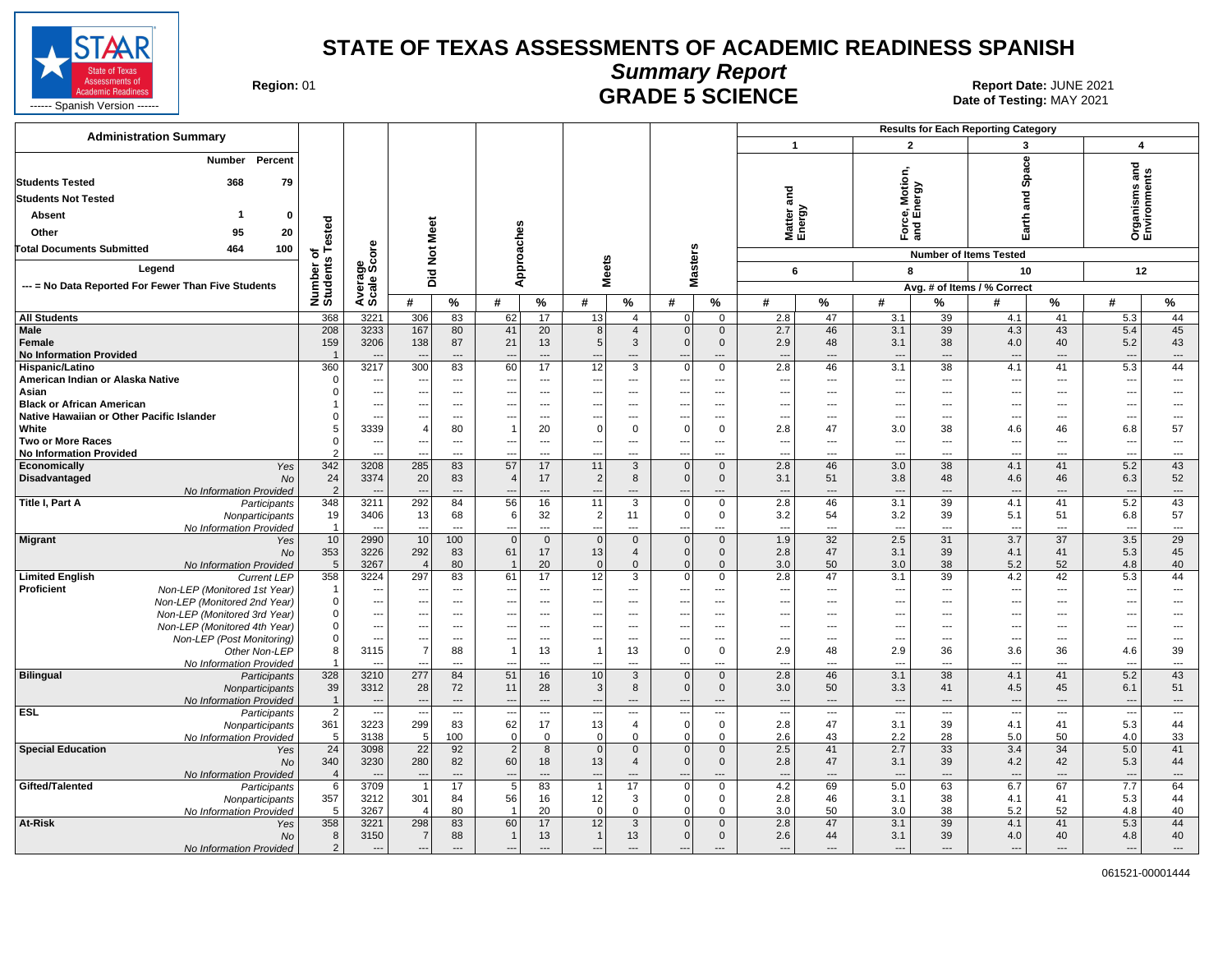

#### **Summary Report** Region: 01 **Region: 01 CRADE 5 SCIENCE Date: JUNE 2021 Report Date: JUNE 2021** MALE 3 SUIENUE SERVICE SOME DATA DESIGN OF Testing: MAY 2021

| <b>Administration Summary</b>                                |                                  |                                 |                                                      |                |                                                      |                          |                                                      |                                   |                                                      |                                   |                                 |                |                                 |                | <b>Results for Each Reporting Category</b> |                          |                                                      |                                                      |
|--------------------------------------------------------------|----------------------------------|---------------------------------|------------------------------------------------------|----------------|------------------------------------------------------|--------------------------|------------------------------------------------------|-----------------------------------|------------------------------------------------------|-----------------------------------|---------------------------------|----------------|---------------------------------|----------------|--------------------------------------------|--------------------------|------------------------------------------------------|------------------------------------------------------|
|                                                              |                                  |                                 |                                                      |                |                                                      |                          |                                                      |                                   |                                                      |                                   | $\mathbf{1}$                    |                | $\overline{2}$                  |                | 3                                          |                          | $\boldsymbol{4}$                                     |                                                      |
| Number<br>Percent<br><b>Students Tested</b><br>368<br>79     |                                  |                                 |                                                      |                |                                                      |                          |                                                      |                                   |                                                      |                                   |                                 |                | Motion,                         |                | Space                                      |                          | 겯<br>Organisms and<br>Environments                   |                                                      |
| <b>Students Not Tested</b>                                   |                                  |                                 |                                                      |                |                                                      |                          |                                                      |                                   |                                                      |                                   | and                             |                |                                 | ౚ              | g                                          |                          |                                                      |                                                      |
|                                                              |                                  |                                 |                                                      |                |                                                      |                          |                                                      |                                   |                                                      |                                   |                                 |                |                                 | ō              | ಹ                                          |                          |                                                      |                                                      |
| Absent<br>$\bf{0}$                                           |                                  |                                 |                                                      |                |                                                      |                          |                                                      |                                   |                                                      |                                   | Matter a<br>Energy              |                | ខូធ៌                            |                | arth                                       |                          |                                                      |                                                      |
| 20<br>Other<br>95                                            |                                  |                                 |                                                      |                |                                                      |                          |                                                      |                                   |                                                      |                                   |                                 |                | និគី                            |                | ш                                          |                          |                                                      |                                                      |
| <b>Total Documents Submitted</b><br>464<br>100               | Tested<br>৳                      | ö                               |                                                      |                |                                                      |                          |                                                      |                                   |                                                      |                                   |                                 |                |                                 |                | <b>Number of Items Tested</b>              |                          |                                                      |                                                      |
| Legend                                                       |                                  |                                 |                                                      |                |                                                      |                          |                                                      |                                   |                                                      |                                   |                                 |                |                                 |                |                                            |                          |                                                      |                                                      |
|                                                              | Number of<br>Students            | Average<br>Scale Sco            | Did Not Meet                                         |                | Approaches                                           |                          | <b>Meets</b>                                         |                                   | Masters                                              |                                   | 6                               |                | 8                               |                | 10                                         |                          | 12                                                   |                                                      |
| --- = No Data Reported For Fewer Than Five Students          |                                  |                                 |                                                      |                |                                                      |                          |                                                      |                                   |                                                      |                                   |                                 |                |                                 |                | Avg. # of Items / % Correct                |                          |                                                      |                                                      |
|                                                              |                                  |                                 | #                                                    | %              | #                                                    | $\%$                     | #                                                    | %                                 | #                                                    | $\%$                              | #                               | %              | #                               | %              | #                                          | %                        | #                                                    | %                                                    |
| <b>All Students</b>                                          | 368                              | 3221                            | 306                                                  | 83             | 62                                                   | 17                       | 13                                                   | $\overline{4}$                    | $\overline{0}$                                       | $\mathbf 0$                       | 2.8                             | 47             | 3.1                             | 39             | 4.1                                        | 41                       | 5.3                                                  | 44                                                   |
| Male                                                         | 208                              | 3233                            | 167                                                  | 80             | 41                                                   | 20                       | 8                                                    | $\overline{4}$                    | $\mathbf{0}$                                         | $\mathbf 0$                       | 2.7<br>2.9                      | 46             | 3.1                             | 39             | 4.3                                        | 43                       | 5.4                                                  | 45                                                   |
| Female<br><b>No Information Provided</b>                     | 159                              | 3206                            | 138                                                  | 87<br>---      | 21<br>---                                            | 13<br>$\overline{a}$     | $\overline{5}$                                       | $\mathbf{3}$                      | $\mathbf 0$<br>$\overline{a}$                        | $\mathbf{0}$                      | $\overline{\phantom{a}}$        | 48<br>---      | 3.1<br>$\overline{\phantom{a}}$ | 38<br>---      | 4.0<br>$\overline{\phantom{a}}$            | 40<br>---                | 5.2<br>$\overline{\phantom{a}}$                      | 43<br>$\cdots$                                       |
| Hispanic/Latino                                              | 360                              | 3217                            | 300                                                  | 83             | 60                                                   | 17                       | 12                                                   | $\overline{3}$                    | $\overline{0}$                                       | $\mathbf 0$                       | 2.8                             | 46             | 3.1                             | 38             | 4.1                                        | 41                       | 5.3                                                  | 44                                                   |
| American Indian or Alaska Native                             | $\Omega$                         | ---                             | ---                                                  | ---            | ---                                                  | ---                      | $---$                                                | ---                               | $\overline{\phantom{a}}$                             | ---                               | ---                             | ---            | $\overline{\phantom{a}}$        | ---            | $\overline{a}$                             | $\overline{\phantom{a}}$ | ---                                                  | $\overline{\phantom{a}}$                             |
| Asian                                                        | 0                                | …                               |                                                      | ---            | ÷.,                                                  | ---                      | ---                                                  | $\overline{a}$                    | ---                                                  | $\overline{\phantom{a}}$          | ---                             | ---            | ---                             | ---            | ---                                        | ---                      | ---                                                  | $\overline{\phantom{a}}$                             |
| <b>Black or African American</b>                             |                                  | ---                             | ---                                                  | ---            | ---                                                  | ---                      | ---                                                  | $\overline{\phantom{a}}$          | ---                                                  | ---                               | ---                             | ---            | $\overline{\phantom{a}}$        | ---            | ---                                        | ---                      | ---                                                  | ---                                                  |
| Native Hawaiian or Other Pacific Islander                    | 0                                | $\overline{a}$                  | $\overline{a}$                                       | $\overline{a}$ | ---                                                  | ---                      | ---                                                  | $\overline{a}$                    | ---                                                  | $\overline{\phantom{a}}$          | ---                             | $\overline{a}$ | ---                             | ---            | ÷-                                         | ---                      | ---                                                  | $\overline{\phantom{a}}$                             |
| White                                                        | 5<br>$\mathbf 0$                 | 3339                            | $\overline{4}$                                       | 80<br>---      | ---                                                  | 20<br>---                | $\Omega$<br>---                                      | $\Omega$<br>---                   | $\Omega$<br>---                                      | $\Omega$<br>$---$                 | 2.8                             | 47<br>---      | 3.0<br>---                      | 38<br>---      | 4.6                                        | 46<br>---                | 6.8<br>---                                           | 57<br>$\overline{\phantom{a}}$                       |
| <b>Two or More Races</b><br><b>No Information Provided</b>   | $\mathfrak{p}$                   | ---<br>$\overline{a}$           |                                                      | $\overline{a}$ | ---                                                  | $\overline{a}$           | $\overline{\phantom{a}}$                             | $\overline{a}$                    | $\overline{\phantom{a}}$                             | ---                               | ---<br>$\overline{a}$           | ---            | ---                             | $\overline{a}$ | $\overline{\phantom{a}}$<br>---            | $---$                    | ---                                                  | $\sim$                                               |
| Economically<br>Yes                                          | 342                              | 3208                            | 285                                                  | 83             | 57                                                   | 17                       | 11                                                   | $\mathbf{3}$                      | $\overline{0}$                                       | $\mathbf 0$                       | 2.8                             | 46             | 3.0                             | 38             | 4.1                                        | 41                       | 5.2                                                  | 43                                                   |
| Disadvantaged<br>No                                          | 24                               | 3374                            | 20                                                   | 83             | $\overline{4}$                                       | 17                       | $\overline{c}$                                       | 8                                 | $\mathbf 0$                                          | $\mathbf{0}$                      | 3.1                             | 51             | 3.8                             | 48             | 4.6                                        | 46                       | 6.3                                                  | 52                                                   |
| No Information Provided                                      | $\overline{2}$                   |                                 |                                                      | $\overline{a}$ |                                                      | $\overline{a}$           |                                                      | ---                               | $\overline{a}$                                       |                                   | $\overline{\phantom{a}}$        | ---            | $\overline{\phantom{a}}$        | $\overline{a}$ |                                            | $\overline{a}$           |                                                      | $\overline{\phantom{a}}$                             |
| Title I, Part A<br>Participants                              | 348                              | 3211                            | 292                                                  | 84             | 56                                                   | 16                       | 11                                                   | $\overline{3}$                    | $\overline{0}$                                       | $\mathbf 0$                       | 2.8                             | 46             | 3.1                             | 39             | 4.1                                        | 41                       | 5.2                                                  | 43                                                   |
| Nonparticipants                                              | 19<br>$\overline{1}$             | 3406                            | 13                                                   | 68             | 6<br>---                                             | 32<br>$\overline{a}$     | $\overline{c}$<br>$\overline{\phantom{a}}$           | 11                                | $\mathbf 0$<br>---                                   | $\mathbf 0$                       | 3.2<br>$\overline{\phantom{a}}$ | 54<br>---      | 3.2                             | 39<br>---      | 5.1<br>$\overline{\phantom{a}}$            | 51<br>---                | 6.8                                                  | 57<br>$\cdots$                                       |
| No Information Provided<br><b>Migrant</b><br>Yes             | 10                               | 2990                            | 10                                                   | 100            | $\overline{0}$                                       | $\mathbf 0$              | $\mathbf 0$                                          | $\mathbf 0$                       | $\overline{0}$                                       | $\mathbf 0$                       | 1.9                             | 32             | ---<br>2.5                      | 31             | 3.7                                        | 37                       | 3.5                                                  | $\overline{29}$                                      |
| No                                                           | 353                              | 3226                            | 292                                                  | 83             | 61                                                   | 17                       | 13                                                   | $\overline{4}$                    | $\mathbf{0}$                                         | $\mathbf 0$                       | 2.8                             | 47             | 3.1                             | 39             | 4.1                                        | 41                       | 5.3                                                  | 45                                                   |
| No Information Provided                                      | 5                                | 3267                            | $\overline{4}$                                       | 80             | $\overline{1}$                                       | 20                       | $\overline{0}$                                       | $\mathbf{0}$                      | $\mathbf{0}$                                         | $\mathbf{0}$                      | 3.0                             | 50             | 3.0                             | 38             | 5.2                                        | 52                       | 4.8                                                  | 40                                                   |
| <b>Limited English</b><br><b>Current LEP</b>                 | 358                              | 3224                            | 297                                                  | 83             | 61                                                   | 17                       | $\overline{12}$                                      | 3                                 | $\overline{0}$                                       | $\mathbf 0$                       | 2.8                             | 47             | 3.1                             | 39             | 4.2                                        | 42                       | 5.3                                                  | 44                                                   |
| Proficient<br>Non-LEP (Monitored 1st Year)                   | $\mathbf{1}$                     | ---                             | $\overline{\phantom{a}}$                             | $\overline{a}$ | ---                                                  | ---                      | $\overline{\phantom{a}}$                             | $\overline{\phantom{a}}$          | $\overline{\phantom{a}}$                             | ---                               | ---                             | $\overline{a}$ | ---                             | ---            | ---                                        | $\overline{\phantom{a}}$ | $\overline{\phantom{a}}$                             | $\overline{\phantom{a}}$                             |
| Non-LEP (Monitored 2nd Year)                                 | $\mathbf 0$                      | ---                             | ---                                                  | ---            | ---                                                  | ---                      | ---                                                  | $\overline{\phantom{a}}$          | ---                                                  | $\overline{\phantom{a}}$          | ---                             | ---            | ---                             | ---            | ---                                        | $\cdots$                 | ---                                                  | $\overline{\phantom{a}}$                             |
| Non-LEP (Monitored 3rd Year)<br>Non-LEP (Monitored 4th Year) | 0<br>$\mathsf 0$                 | ---<br>---                      | $\overline{\phantom{a}}$<br>$\overline{\phantom{a}}$ | ---<br>---     | ---<br>---                                           | $---$<br>$---$           | $\overline{\phantom{a}}$<br>---                      | $\overline{\phantom{a}}$<br>$---$ | ---<br>---                                           | $\overline{\phantom{a}}$<br>$---$ | ---<br>$---$                    | ---<br>---     | ---<br>---                      | ---<br>---     | ---<br>---                                 | $\cdots$<br>$\cdots$     | $\overline{\phantom{a}}$<br>$\overline{\phantom{a}}$ | $\overline{\phantom{a}}$<br>$\overline{\phantom{a}}$ |
| Non-LEP (Post Monitoring)                                    | $\mathbf 0$                      | $\overline{a}$                  |                                                      | $---$          | ---                                                  | $\overline{a}$           | ---                                                  | $---$                             | $\overline{\phantom{a}}$                             | $\sim$                            | $---$                           | ---            | $\overline{\phantom{a}}$        | $---$          | $\overline{a}$                             | $---$                    | ---                                                  | $\sim$                                               |
| Other Non-LEP                                                | 8                                | 3115                            | $\overline{7}$                                       | 88             |                                                      | 13                       | $\overline{1}$                                       | 13                                | $\Omega$                                             | $\mathbf 0$                       | 2.9                             | 48             | 2.9                             | 36             | 3.6                                        | 36                       | 4.6                                                  | 39                                                   |
| No Information Provided                                      | $\mathbf{1}$                     |                                 |                                                      | $\overline{a}$ | ---                                                  | $\overline{a}$           | $\overline{a}$                                       | $---$                             | $\overline{a}$                                       | $\overline{a}$                    | $\overline{a}$                  | ---            | $\overline{\phantom{a}}$        | $\overline{a}$ | $\overline{a}$                             | $---$                    | $\sim$                                               | $\overline{\phantom{a}}$                             |
| <b>Bilingual</b><br>Participants                             | 328                              | 3210                            | 277                                                  | 84             | 51                                                   | 16                       | 10                                                   | $\mathbf{3}$                      | 0                                                    | $\mathbf 0$                       | 2.8                             | 46             | 3.1                             | 38             | 4.1                                        | 41                       | 5.2                                                  | 43                                                   |
| Nonparticipants                                              | 39                               | 3312                            | 28                                                   | 72<br>$---$    | 11                                                   | 28<br>$\overline{a}$     | 3                                                    | 8<br>$---$                        | $\overline{0}$                                       | $\mathbf{0}$                      | 3.0<br>$\overline{\phantom{a}}$ | 50             | 3.3                             | 41<br>$---$    | 4.5                                        | 45                       | 6.1                                                  | 51                                                   |
| No Information Provided<br><b>ESL</b><br>Participants        | $\overline{1}$<br>$\overline{2}$ | $\overline{\phantom{a}}$<br>--- | $\overline{\phantom{a}}$<br>$\overline{a}$           | ---            | $\overline{\phantom{a}}$<br>$\overline{\phantom{a}}$ | ---                      | $\overline{\phantom{a}}$<br>$\overline{\phantom{a}}$ | $\overline{\phantom{a}}$          | $\overline{\phantom{a}}$<br>$\overline{\phantom{a}}$ | $---$<br>---                      | ---                             | $---$<br>---   | ---<br>$\overline{\phantom{a}}$ | ---            | $\overline{a}$<br>$\overline{\phantom{a}}$ | $---$<br>$---$           | $\sim$<br>$\overline{\phantom{a}}$                   | $\hspace{0.05cm} \ldots$<br>$\overline{\phantom{a}}$ |
| Nonparticipants                                              | 361                              | 3223                            | 299                                                  | 83             | 62                                                   | 17                       | 13                                                   | $\overline{4}$                    | $\mathbf 0$                                          | $\mathbf 0$                       | 2.8                             | 47             | 3.1                             | 39             | 4.1                                        | 41                       | 5.3                                                  | 44                                                   |
| No Information Provided                                      | 5                                | 3138                            | 5                                                    | 100            | $\Omega$                                             | $\mathbf 0$              | $\mathbf 0$                                          | $\mathbf 0$                       | $\mathbf 0$                                          | $\mathbf 0$                       | 2.6                             | 43             | 2.2                             | 28             | 5.0                                        | 50                       | 4.0                                                  | 33                                                   |
| <b>Special Education</b><br>Yes                              | 24                               | 3098                            | 22                                                   | 92             | $\overline{2}$                                       | 8                        | $\overline{0}$                                       | $\mathbf 0$                       | $\mathbf{0}$                                         | $\mathbf{0}$                      | 2.5                             | 41             | 2.7                             | 33             | 3.4                                        | 34                       | 5.0                                                  | 41                                                   |
| No                                                           | 340                              | 3230                            | 280                                                  | 82             | 60                                                   | 18                       | 13                                                   | $\overline{4}$                    | $\mathbf{0}$                                         | $\mathbf{0}$                      | 2.8                             | 47             | 3.1                             | 39             | 4.2                                        | 42                       | 5.3                                                  | 44                                                   |
| No Information Provided                                      | $\overline{4}$                   | $\sim$                          | $\sim$                                               | $\overline{a}$ | $\overline{\phantom{a}}$                             | $\overline{a}$           | $\overline{a}$                                       | $---$                             | $\overline{\phantom{a}}$                             | $\overline{a}$                    | $\overline{a}$                  | $\overline{a}$ | $\overline{\phantom{a}}$        | $\overline{a}$ | $\overline{a}$                             | $\overline{a}$           | ---                                                  | $---$                                                |
| Gifted/Talented<br>Participants                              | 6<br>357                         | 3709<br>3212                    | 301                                                  | 17<br>84       | 5<br>56                                              | 83<br>16                 | $\overline{1}$<br>12                                 | 17<br>3                           | $\overline{0}$<br>$\mathbf 0$                        | $\mathbf 0$<br>$\mathbf 0$        | 4.2<br>2.8                      | 69<br>46       | 5.0<br>3.1                      | 63<br>38       | 6.7<br>4.1                                 | 67<br>41                 | 7.7<br>5.3                                           | 64<br>44                                             |
| Nonparticipants<br>No Information Provided                   | 5                                | 3267                            | $\overline{4}$                                       | 80             |                                                      | 20                       | $\mathbf 0$                                          | $\mathbf 0$                       | $\mathbf 0$                                          | $\mathbf 0$                       | 3.0                             | 50             | 3.0                             | 38             | 5.2                                        | 52                       | 4.8                                                  | 40                                                   |
| <b>At-Risk</b><br>Yes                                        | 358                              | 3221                            | 298                                                  | 83             | 60                                                   | 17                       | 12                                                   | 3                                 | $\mathbf 0$                                          | $\mathbf 0$                       | 2.8                             | 47             | 3.1                             | 39             | 4.1                                        | 41                       | 5.3                                                  | 44                                                   |
| No                                                           | 8                                | 3150                            |                                                      | 88             |                                                      | 13                       | $\overline{1}$                                       | 13                                | $\mathbf 0$                                          | $\mathbf 0$                       | 2.6                             | 44             | 3.1                             | 39             | 4.0                                        | 40                       | 4.8                                                  | 40                                                   |
| No Information Provided                                      | $\overline{2}$                   | $\overline{\phantom{a}}$        |                                                      | $---$          | ---                                                  | $\overline{\phantom{a}}$ |                                                      | $---$                             |                                                      |                                   | $\overline{a}$                  | ---            | ---                             | $---$          | ---                                        | ---                      | $---$                                                | $\overline{\phantom{a}}$                             |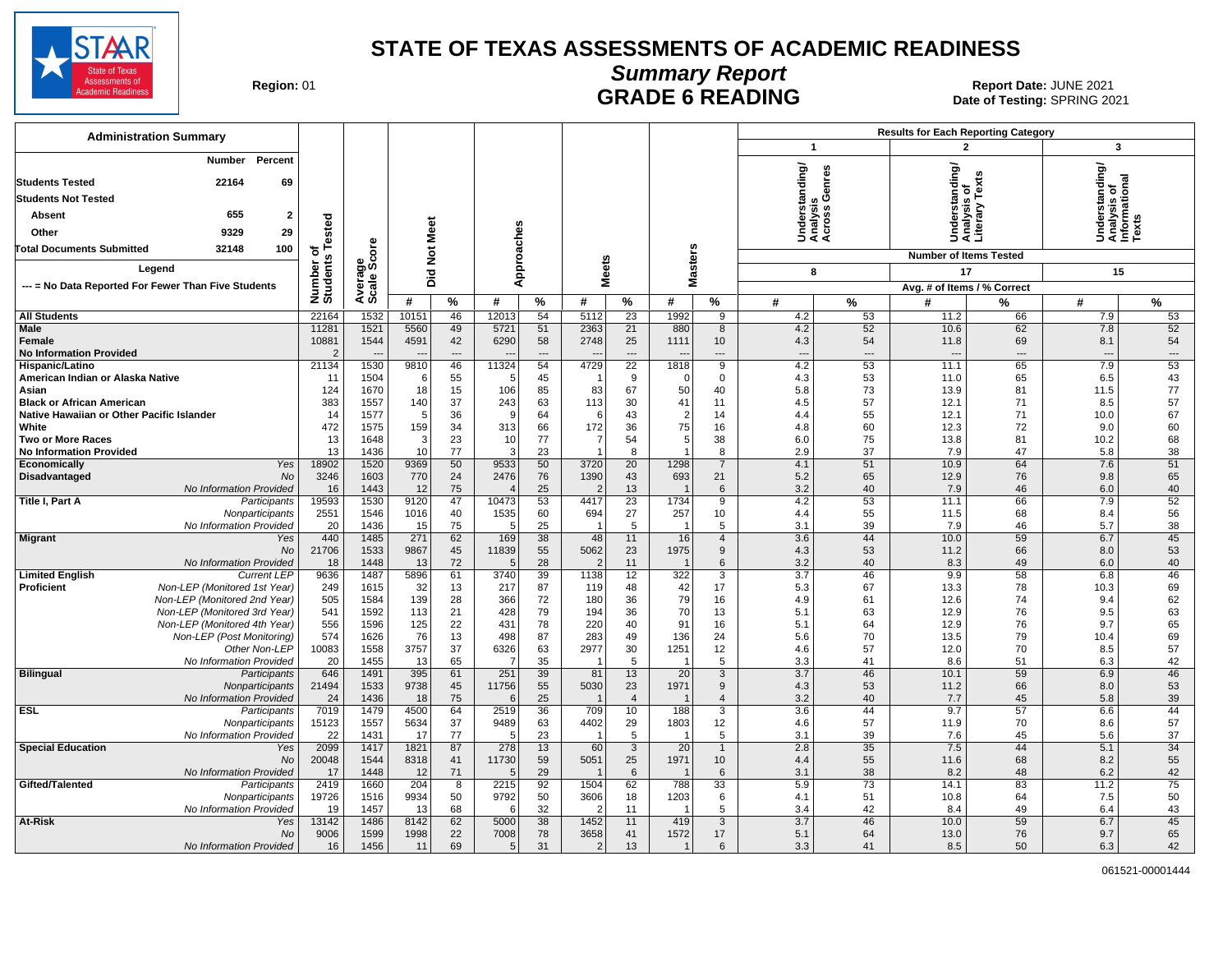

## **Summary Report**

Region: 01 **Region: 01 CALL CONSISTS CONSISTENCE CRADE 6 READING Date: JUNE 2021 Report Date: JUNE 2021** Date of Testing: SPRING 2021

| <b>Administration Summary</b><br>3<br>$\mathbf{1}$<br>$\mathbf{2}$<br><b>Number</b><br>Percent                                                                                                                                                                                                                             |                                                         |
|----------------------------------------------------------------------------------------------------------------------------------------------------------------------------------------------------------------------------------------------------------------------------------------------------------------------------|---------------------------------------------------------|
|                                                                                                                                                                                                                                                                                                                            |                                                         |
|                                                                                                                                                                                                                                                                                                                            |                                                         |
| nderstanding/<br>nalysis<br>;ross Genres<br>derstanding<br>22164<br>69<br><b>Students Tested</b><br>Tex                                                                                                                                                                                                                    | Understanding/<br>Analysis of<br>Informational<br>Texts |
| <b>Students Not Tested</b><br>sis                                                                                                                                                                                                                                                                                          |                                                         |
| nalysis<br>terary<br>655<br>Absent<br>$\overline{2}$                                                                                                                                                                                                                                                                       |                                                         |
| 29<br>9329<br>Other                                                                                                                                                                                                                                                                                                        |                                                         |
| of<br>s Tested<br>र्ड ई ई<br>ŠËŠ<br>ö<br>100<br><b>Total Documents Submitted</b><br>32148                                                                                                                                                                                                                                  |                                                         |
| Did Not Meet<br>Approaches<br><b>Masters</b><br><b>Number of Items Tested</b><br>Number of<br>Students                                                                                                                                                                                                                     |                                                         |
| <b>Meets</b><br>Average<br>Scale Scc<br>Legend<br>17<br>8                                                                                                                                                                                                                                                                  | 15                                                      |
| --- = No Data Reported For Fewer Than Five Students<br>Avg. # of Items / % Correct                                                                                                                                                                                                                                         |                                                         |
| %<br>%<br>#<br>#<br>#<br>%<br>#<br>%<br>%<br>#<br>#<br>%<br>#                                                                                                                                                                                                                                                              | %                                                       |
| 22164<br>1532<br>10151<br>46<br>12013<br>54<br>5112<br>23<br>1992<br>9<br>4.2<br>53<br>11.2<br>66<br>7.9<br><b>All Students</b>                                                                                                                                                                                            | 53                                                      |
| Male<br>11281<br>1521<br>5560<br>49<br>5721<br>51<br>2363<br>21<br>880<br>8<br>4.2<br>52<br>10.6<br>62<br>7.8                                                                                                                                                                                                              | 52                                                      |
| 10881<br>1544<br>42<br>6290<br>58<br>2748<br>25<br>10 <sup>10</sup><br>4.3<br>69<br>Female<br>4591<br>1111<br>54<br>11.8<br>8.1<br>$\overline{a}$                                                                                                                                                                          | 54                                                      |
| <b>No Information Provided</b><br>$\overline{2}$<br>$\overline{a}$<br>$\overline{a}$<br>$\sim$<br>$\overline{a}$<br>$\overline{\phantom{a}}$<br>$\overline{\phantom{a}}$<br>---<br>1530<br>11324<br>$\overline{22}$<br>4.2<br>53<br>65<br>21134<br>9810<br>46<br>54<br>4729<br>1818<br>9<br>11.1<br>7.9<br>Hispanic/Latino | $\overline{a}$<br>53                                    |
| 1504<br>55<br>45<br>9<br>$\mathbf 0$<br>4.3<br>53<br>11.0<br>65<br>6.5<br>American Indian or Alaska Native<br>11<br>$\epsilon$<br>$\mathbf 0$<br>- 6                                                                                                                                                                       | 43                                                      |
| 124<br>1670<br>18<br>15<br>106<br>85<br>83<br>67<br>50<br>40<br>5.8<br>73<br>13.9<br>81<br>11.5<br>Asian                                                                                                                                                                                                                   | 77                                                      |
| 57<br>383<br>1557<br>140<br>37<br>243<br>63<br>113<br>30<br>41<br>11<br>4.5<br>12.1<br>71<br>8.5<br><b>Black or African American</b>                                                                                                                                                                                       | 57                                                      |
| Native Hawaiian or Other Pacific Islander<br>14<br>1577<br>5<br>36<br><b>g</b><br>64<br>43<br>$\overline{2}$<br>14<br>4.4<br>55<br>12.1<br>71<br>10.0<br>6                                                                                                                                                                 | 67                                                      |
| 472<br>159<br>White<br>1575<br>34<br>313<br>66<br>172<br>36<br>75<br>16<br>4.8<br>60<br>12.3<br>72<br>9.0                                                                                                                                                                                                                  | 60                                                      |
| 13<br>23<br>77<br>1648<br>3<br>10<br>54<br>5<br>38<br>6.0<br>75<br>13.8<br>81<br>10.2<br><b>Two or More Races</b><br>7<br>13<br>10<br>1436<br>77<br>3<br>23<br>8<br>8<br>2.9<br>37<br>7.9<br>47<br>5.8<br><b>No Information Provided</b>                                                                                   | 68<br>38                                                |
| 18902<br>1520<br>9369<br>50<br>9533<br>50<br>3720<br>20<br>1298<br>$\overline{7}$<br>4.1<br>51<br>10.9<br>64<br>7.6<br><b>Economically</b><br>Yes                                                                                                                                                                          | 51                                                      |
| 3246<br>1603<br>770<br>24<br>2476<br>76<br>1390<br>43<br>693<br>21<br>5.2<br>65<br>12.9<br>76<br>Disadvantaged<br>No<br>9.8                                                                                                                                                                                                | 65                                                      |
| 75<br>25<br>16<br>1443<br>12<br>13<br>6<br>3.2<br>40<br>7.9<br>46<br>6.0<br>No Information Provided<br>$\overline{\phantom{0}}$                                                                                                                                                                                            | 40                                                      |
| 19593<br>1530<br>9120<br>47<br>10473<br>53<br>4417<br>23<br>1734<br>9<br>4.2<br>53<br>11.1<br>66<br>7.9<br>Title I, Part A<br>Participants                                                                                                                                                                                 | 52                                                      |
| 1535<br>27<br>55<br>68<br>2551<br>1546<br>40<br>60<br>694<br>257<br>10 <sup>1</sup><br>4.4<br>8.4<br>Nonparticipants<br>1016<br>11.5                                                                                                                                                                                       | 56                                                      |
| 20<br>1436<br>25<br>5<br>39<br>7.9<br>No Information Provided<br>15<br>75<br>5<br>3.1<br>46<br>5.7<br>÷<br>-1<br>440<br>1485<br>271<br>62<br>169<br>38<br>48<br>16<br>3.6<br>44<br>59<br>11<br>$\overline{4}$<br>10.0<br>6.7<br><b>Migrant</b><br>Yes                                                                      | 38<br>45                                                |
| 21706<br>11839<br>5062<br>9<br>1533<br>9867<br>45<br>55<br>23<br>1975<br>4.3<br>53<br>11.2<br>66<br>8.0<br>No                                                                                                                                                                                                              | 53                                                      |
| 18<br>72<br>28<br>6<br>3.2<br>40<br>49<br>No Information Provided<br>1448<br>13<br>11<br>8.3<br>6.0<br>$\cdot$<br>$\overline{2}$<br>$\overline{\phantom{0}}$ 1                                                                                                                                                             | 40                                                      |
| 9636<br>1487<br>5896<br>61<br>3740<br>39<br>1138<br>12<br>322<br>$\overline{3}$<br>$\overline{3.7}$<br>46<br>9.9<br>58<br><b>Limited English</b><br><b>Current LEP</b><br>6.8                                                                                                                                              | 46                                                      |
| <b>Proficient</b><br>Non-LEP (Monitored 1st Year)<br>32<br>13<br>217<br>87<br>42<br>17<br>5.3<br>67<br>13.3<br>78<br>249<br>1615<br>119<br>48<br>10.3                                                                                                                                                                      | 69                                                      |
| Non-LEP (Monitored 2nd Year)<br>505<br>139<br>79<br>1584<br>28<br>366<br>72<br>36<br>16<br>4.9<br>61<br>180<br>12.6<br>74<br>9.4                                                                                                                                                                                           | 62                                                      |
| 541<br>21<br>428<br>79<br>70<br>Non-LEP (Monitored 3rd Year)<br>1592<br>113<br>194<br>36<br>13<br>5.1<br>76<br>9.5<br>63<br>12.9<br>556<br>125<br>91<br>1596<br>78<br>40<br>16<br>12.9<br>76<br>64                                                                                                                         | 63<br>65                                                |
| Non-LEP (Monitored 4th Year)<br>22<br>431<br>220<br>5.1<br>9.7<br>574<br>13<br>498<br>Non-LEP (Post Monitoring)<br>76<br>87<br>283<br>49<br>136<br>24<br>70<br>79<br>1626<br>5.6<br>13.5<br>10.4                                                                                                                           | 69                                                      |
| 10083<br>3757<br>37<br>30<br>1558<br>6326<br>63<br>2977<br>1251<br>12<br>4.6<br>57<br>70<br>8.5<br>Other Non-LEP<br>12.0                                                                                                                                                                                                   | 57                                                      |
| 20<br>1455<br>65<br>35<br>5<br>No Information Provided<br>13<br>5<br>3.3<br>41<br>51<br>6.3<br>-7<br>$\overline{\phantom{0}}$<br>8.6<br>-1                                                                                                                                                                                 | 42                                                      |
| 39<br>646<br>1491<br>395<br>61<br>81<br>$\overline{20}$<br>$\overline{3}$<br>$\overline{3.7}$<br>46<br>59<br><b>Bilingual</b><br>251<br>13<br>10.1<br>6.9<br>Participants                                                                                                                                                  | 46                                                      |
| 21494<br>1533<br>9738<br>45<br>11756<br>55<br>5030<br>23<br>1971<br>9<br>4.3<br>53<br>66<br>8.0<br>Nonparticipants<br>11.2                                                                                                                                                                                                 | 53                                                      |
| No Information Provided<br>24<br>1436<br>18<br>75<br>25<br>$\overline{4}$<br>3.2<br>40<br>7.7<br>45<br>5.8<br>6<br>$\overline{4}$<br><b>ESL</b><br>7019<br>1479<br>64<br>36<br>709<br>3<br>3.6<br>57<br>2519<br>10<br>188<br>44<br>9.7                                                                                     | 39<br>44                                                |
| 4500<br>6.6<br>Participants<br>15123<br>1557<br>5634<br>37<br>9489<br>63<br>4402<br>1803<br>12<br>4.6<br>57<br>11.9<br>70<br>Nonparticipants<br>29<br>8.6                                                                                                                                                                  | 57                                                      |
| 77<br>22<br>No Information Provided<br>1431<br>17<br>23<br>5<br>5<br>3.1<br>39<br>7.6<br>45<br>5.6<br>÷<br>-1<br>$\overline{1}$                                                                                                                                                                                            | 37                                                      |
| 20<br>2099<br>1821<br>87<br>278<br>60<br>2.8<br>35<br>44<br><b>Special Education</b><br>1417<br>13<br>$\mathbf{3}$<br>7.5<br>5.1<br>Yes<br>$\mathbf{1}$                                                                                                                                                                    | $\overline{34}$                                         |
| 20048<br>1544<br>8318<br>41<br>11730<br>59<br>5051<br>25<br>1971<br>10 <sup>10</sup><br>4.4<br>55<br>68<br>8.2<br>No<br>11.6                                                                                                                                                                                               | 55                                                      |
| No Information Provided<br>17<br>1448<br>12<br>71<br>29<br>$6\phantom{1}$<br>3.1<br>38<br>8.2<br>48<br>6.2<br>$\cdot$<br>6<br>- 1                                                                                                                                                                                          | 42                                                      |
| 2419<br>204<br>2215<br>1504<br>73<br>83<br>Gifted/Talented<br>1660<br>8<br>92<br>62<br>788<br>33<br>5.9<br>14.1<br>11.2<br>Participants                                                                                                                                                                                    | 75                                                      |
| 9792<br>19726<br>1516<br>9934<br>50<br>50<br>3606<br>18<br>1203<br>6<br>4.1<br>51<br>10.8<br>64<br>7.5<br>Nonparticipants<br>No Information Provided<br>19<br>1457<br>13<br>68<br>32<br>11<br>5<br>42<br>8.4<br>49<br>6.4<br>-6<br>$\overline{1}$<br>3.4                                                                   | 50<br>43                                                |
| 3.7<br>46<br>59<br>At-Risk<br>13142<br>1486<br>8142<br>62<br>5000<br>38<br>1452<br>11<br>419<br>3<br>10.0<br>6.7<br>Yes                                                                                                                                                                                                    | 45                                                      |
| No<br>9006<br>1599<br>1998<br>22<br>7008<br>78<br>3658<br>41<br>1572<br>17<br>5.1<br>64<br>13.0<br>76<br>9.7                                                                                                                                                                                                               | 65                                                      |
| 69<br>No Information Provided<br>16<br>1456<br>11<br>31<br>$\overline{2}$<br>13<br>6<br>3.3<br>41<br>8.5<br>50<br>6.3<br>5<br>$\overline{1}$                                                                                                                                                                               | 42                                                      |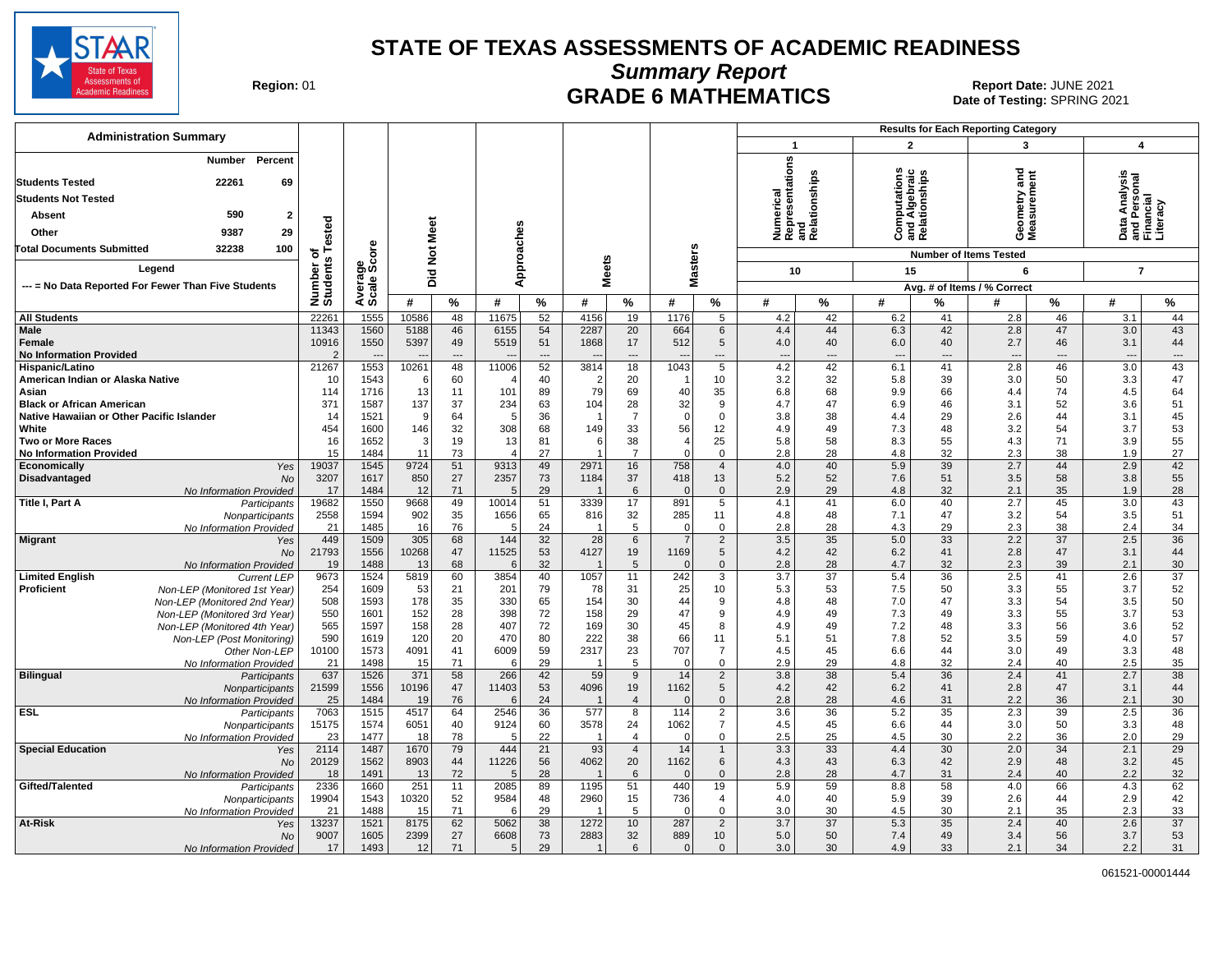

**Summary Report**

Region: 01 **Region: 01 CRADE 6 MATHEMATICS Date: JUNE 2021 Report Date: JUNE 2021** Date of Testing: SPRING 2021

| <b>Administration Summary</b>                                                                                                                    |                                  |                      |                         |                 |                |                            |                |                 |                      |                             |                                                                       |                 |                                                |                 | <b>Results for Each Reporting Category</b> |                            |                                                                           |                                    |
|--------------------------------------------------------------------------------------------------------------------------------------------------|----------------------------------|----------------------|-------------------------|-----------------|----------------|----------------------------|----------------|-----------------|----------------------|-----------------------------|-----------------------------------------------------------------------|-----------------|------------------------------------------------|-----------------|--------------------------------------------|----------------------------|---------------------------------------------------------------------------|------------------------------------|
|                                                                                                                                                  |                                  |                      |                         |                 |                |                            |                |                 |                      |                             | $\mathbf{1}$                                                          |                 | $\mathbf{2}$                                   |                 | 3                                          |                            | $\boldsymbol{4}$                                                          |                                    |
| Number<br>Percent<br>22261<br>69<br><b>Students Tested</b><br><b>Students Not Tested</b><br>590<br>Absent<br>$\mathbf{2}$<br>9387<br>29<br>Other | ested                            |                      | Meet                    |                 | Approaches     |                            |                |                 |                      |                             | epresentations<br>Numerical<br>Representatior<br>and<br>Relationships |                 | Computations<br>and Algebraic<br>Relationships |                 | and<br>eometry<br>leasurem<br>⊙ ≅          | ā                          | rsonal<br>ial<br>a Analysi:<br>Personal<br>Incial<br><u> 호</u><br>o<br>ᄛᄔ | racv                               |
| <b>Total Documents Submitted</b><br>32238<br>100                                                                                                 | ৳                                | ere                  |                         |                 |                |                            |                |                 |                      |                             |                                                                       |                 |                                                |                 | <b>Number of Items Tested</b>              |                            |                                                                           |                                    |
| Legend                                                                                                                                           |                                  |                      | $\overline{\mathbf{z}}$ |                 |                |                            |                |                 |                      |                             |                                                                       |                 |                                                |                 |                                            |                            |                                                                           |                                    |
|                                                                                                                                                  | Number of<br>Students            | Average<br>Scale Sco | Did                     |                 |                |                            | <b>Meets</b>   |                 | <b>Masters</b>       |                             | 10                                                                    |                 | 15                                             |                 | 6                                          |                            | $\overline{7}$                                                            |                                    |
| --- = No Data Reported For Fewer Than Five Students                                                                                              |                                  |                      |                         |                 |                |                            |                |                 |                      |                             |                                                                       |                 |                                                |                 | Avg. # of Items / % Correct                |                            |                                                                           |                                    |
|                                                                                                                                                  |                                  |                      | #                       | $\%$            | #              | %                          | #              | $\%$            | #                    | ℅                           | #                                                                     | %               | #                                              | %               | #                                          | %                          | #                                                                         | $\%$                               |
| <b>All Students</b>                                                                                                                              | 22261                            | 1555                 | 10586                   | 48              | 11675          | 52                         | 4156           | 19              | 1176                 | $\overline{5}$              | 4.2                                                                   | 42              | 6.2                                            | 41              | 2.8                                        | 46                         | 3.1                                                                       | 44                                 |
| Male<br>Female<br><b>No Information Provided</b>                                                                                                 | 11343<br>10916<br>$\overline{2}$ | 1560<br>1550         | 5188<br>5397            | 46<br>49<br>--- | 6155<br>5519   | 54<br>51<br>$\overline{a}$ | 2287<br>1868   | 20<br>17<br>--- | 664<br>512           | 6<br>$5\phantom{.0}$<br>--- | 4.4<br>4.0<br>$\overline{\phantom{a}}$                                | 44<br>40<br>--- | 6.3<br>6.0<br>$\overline{\phantom{a}}$         | 42<br>40<br>--- | 2.8<br>2.7<br>$\overline{\phantom{a}}$     | 47<br>46<br>$\overline{a}$ | 3.0<br>3.1<br>$\overline{\phantom{a}}$                                    | 43<br>44<br>$\qquad \qquad \cdots$ |
| Hispanic/Latino                                                                                                                                  | 21267                            | 1553                 | 10261                   | 48              | 11006          | 52                         | 3814           | 18              | 1043                 | $\overline{5}$              | 4.2                                                                   | 42              | 6.1                                            | 41              | 2.8                                        | 46                         | 3.0                                                                       | 43                                 |
| American Indian or Alaska Native                                                                                                                 | 10                               | 1543                 | -6                      | 60              |                | 40                         | $\overline{2}$ | 20              | -1                   | 10                          | 3.2                                                                   | 32              | 5.8                                            | 39              | 3.0                                        | 50                         | 3.3                                                                       | 47                                 |
| Asian                                                                                                                                            | 114                              | 1716                 | 13                      | 11              | 101            | 89                         | 79             | 69              | 40                   | 35                          | 6.8                                                                   | 68              | 9.9                                            | 66              | 4.4                                        | 74                         | 4.5                                                                       | 64                                 |
| <b>Black or African American</b>                                                                                                                 | 371                              | 1587                 | 137                     | 37              | 234            | 63                         | 104            | 28              | 32                   | 9                           | 4.7                                                                   | 47              | 6.9                                            | 46              | 3.1                                        | 52                         | 3.6                                                                       | 51                                 |
| Native Hawaiian or Other Pacific Islander                                                                                                        | 14                               | 1521                 | <sub>9</sub>            | 64              | 5              | 36                         | -1             | $\overline{7}$  | $\mathbf 0$          | $\mathbf 0$                 | 3.8                                                                   | 38              | 4.4                                            | 29              | 2.6                                        | 44                         | 3.1                                                                       | 45                                 |
| White<br><b>Two or More Races</b>                                                                                                                | 454<br>16                        | 1600<br>1652         | 146<br>3                | 32<br>19        | 308<br>13      | 68<br>81                   | 149            | 33<br>38        | 56<br>$\overline{4}$ | 12<br>25                    | 4.9<br>5.8                                                            | 49<br>58        | 7.3                                            | 48<br>55        | 3.2<br>4.3                                 | 54<br>71                   | 3.7<br>3.9                                                                | 53<br>55                           |
| <b>No Information Provided</b>                                                                                                                   | 15                               | 1484                 | 11                      | 73              | $\overline{4}$ | 27                         | 6              | $\overline{7}$  | $\Omega$             | $\mathbf 0$                 | 2.8                                                                   | 28              | 8.3<br>4.8                                     | 32              | 2.3                                        | 38                         | 1.9                                                                       | 27                                 |
| Economically<br>Yes                                                                                                                              | 19037                            | 1545                 | 9724                    | 51              | 9313           | 49                         | 2971           | 16              | 758                  | $\overline{4}$              | 4.0                                                                   | 40              | 5.9                                            | 39              | 2.7                                        | 44                         | 2.9                                                                       | 42                                 |
| Disadvantaged<br>No                                                                                                                              | 3207                             | 1617                 | 850                     | 27              | 2357           | 73                         | 1184           | 37              | 418                  | 13                          | 5.2                                                                   | 52              | 7.6                                            | 51              | 3.5                                        | 58                         | 3.8                                                                       | 55                                 |
| No Information Provided                                                                                                                          | 17                               | 1484                 | 12                      | 71              | 5              | 29                         |                | 6               | $\Omega$             | $\overline{0}$              | 2.9                                                                   | 29              | 4.8                                            | 32              | 2.1                                        | 35                         | 1.9                                                                       | 28                                 |
| Title I, Part A<br>Participants                                                                                                                  | 19682                            | 1550                 | 9668                    | 49              | 10014          | 51                         | 3339           | 17              | 891                  | $\overline{5}$              | 4.1                                                                   | 41              | 6.0                                            | 40              | 2.7                                        | 45                         | 3.0                                                                       | 43                                 |
| Nonparticipants                                                                                                                                  | 2558                             | 1594                 | 902                     | 35              | 1656           | 65                         | 816            | 32              | 285                  | 11                          | 4.8                                                                   | 48              | 7.1                                            | 47              | 3.2                                        | 54                         | 3.5                                                                       | 51                                 |
| No Information Provided                                                                                                                          | 21                               | 1485                 | 16                      | 76              | 5              | 24                         |                | 5               | 0<br>$\overline{7}$  | $\mathbf 0$                 | 2.8                                                                   | 28              | 4.3                                            | 29              | 2.3                                        | 38                         | 2.4                                                                       | 34                                 |
| <b>Migrant</b><br>Yes<br>No                                                                                                                      | 449<br>21793                     | 1509<br>1556         | 305<br>10268            | 68<br>47        | 144<br>11525   | 32<br>53                   | 28<br>4127     | 6<br>19         | 1169                 | $\overline{2}$<br>5         | 3.5<br>4.2                                                            | 35<br>42        | 5.0<br>6.2                                     | 33<br>41        | 2.2<br>2.8                                 | $\overline{37}$<br>47      | 2.5<br>3.1                                                                | 36<br>44                           |
| No Information Provided                                                                                                                          | 19                               | 1488                 | 13                      | 68              | 6              | 32                         |                | 5               | $\Omega$             | $\mathbf 0$                 | 2.8                                                                   | 28              | 4.7                                            | 32              | 2.3                                        | 39                         | 2.1                                                                       | 30                                 |
| <b>Limited English</b><br><b>Current LEP</b>                                                                                                     | 9673                             | 1524                 | 5819                    | 60              | 3854           | 40                         | 1057           | 11              | 242                  | 3                           | 3.7                                                                   | 37              | 5.4                                            | 36              | 2.5                                        | 41                         | 2.6                                                                       | 37                                 |
| Proficient<br>Non-LEP (Monitored 1st Year)                                                                                                       | 254                              | 1609                 | 53                      | 21              | 201            | 79                         | 78             | 31              | 25                   | 10                          | 5.3                                                                   | 53              | 7.5                                            | 50              | 3.3                                        | 55                         | 3.7                                                                       | 52                                 |
| Non-LEP (Monitored 2nd Year)                                                                                                                     | 508                              | 1593                 | 178                     | 35              | 330            | 65                         | 154            | 30              | 44                   | 9                           | 4.8                                                                   | 48              | 7.0                                            | 47              | 3.3                                        | 54                         | 3.5                                                                       | 50                                 |
| Non-LEP (Monitored 3rd Year)                                                                                                                     | 550                              | 1601                 | 152                     | 28              | 398            | 72                         | 158            | 29              | 47                   | 9                           | 4.9                                                                   | 49              | 7.3                                            | 49              | 3.3                                        | 55                         | 3.7                                                                       | 53                                 |
| Non-LEP (Monitored 4th Year)                                                                                                                     | 565                              | 1597                 | 158                     | 28              | 407            | 72                         | 169            | 30              | 45                   | 8                           | 4.9                                                                   | 49              | 7.2                                            | 48              | 3.3                                        | 56                         | 3.6                                                                       | 52                                 |
| Non-LEP (Post Monitoring)                                                                                                                        | 590                              | 1619                 | 120                     | 20              | 470            | 80                         | 222            | 38              | 66                   | 11                          | 5.1                                                                   | 51              | 7.8                                            | 52              | 3.5                                        | 59                         | 4.0                                                                       | 57                                 |
| Other Non-LEP                                                                                                                                    | 10100<br>21                      | 1573<br>1498         | 4091                    | 41<br>71        | 6009<br>6      | 59<br>29                   | 2317<br>-1     | 23<br>5         | 707<br>$\mathbf 0$   | $\overline{7}$              | 4.5                                                                   | 45<br>29        | 6.6                                            | 44<br>32        | 3.0                                        | 49                         | 3.3<br>2.5                                                                | 48<br>35                           |
| No Information Provided<br><b>Bilingual</b><br>Participants                                                                                      | 637                              | 1526                 | 15<br>371               | 58              | 266            | 42                         | 59             | 9               | 14                   | 0<br>$\overline{2}$         | 2.9<br>3.8                                                            | 38              | 4.8<br>5.4                                     | 36              | 2.4<br>2.4                                 | 40<br>41                   | 2.7                                                                       | 38                                 |
| Nonparticipants                                                                                                                                  | 21599                            | 1556                 | 10196                   | 47              | 11403          | 53                         | 4096           | 19              | 1162                 | 5                           | 4.2                                                                   | 42              | 6.2                                            | 41              | 2.8                                        | 47                         | 3.1                                                                       | 44                                 |
| No Information Provided                                                                                                                          | 25                               | 1484                 | 19                      | 76              | 6              | 24                         |                | $\overline{4}$  | $\Omega$             | $\Omega$                    | 2.8                                                                   | 28              | 4.6                                            | 31              | 2.2                                        | 36                         | 2.1                                                                       | 30                                 |
| <b>ESL</b><br>Participants                                                                                                                       | 7063                             | 1515                 | 4517                    | 64              | 2546           | 36                         | 577            | 8               | 114                  | $\overline{2}$              | 3.6                                                                   | 36              | 5.2                                            | 35              | 2.3                                        | 39                         | 2.5                                                                       | 36                                 |
| Nonparticipants                                                                                                                                  | 15175                            | 1574                 | 6051                    | 40              | 9124           | 60                         | 3578           | 24              | 1062                 | $\overline{7}$              | 4.5                                                                   | 45              | 6.6                                            | 44              | 3.0                                        | 50                         | 3.3                                                                       | 48                                 |
| No Information Provided                                                                                                                          | 23                               | 1477                 | 18                      | 78              | 5              | 22                         |                | $\overline{4}$  | $\Omega$             | $\mathbf 0$                 | 2.5                                                                   | 25              | 4.5                                            | 30              | 2.2                                        | 36                         | 2.0                                                                       | 29                                 |
| <b>Special Education</b><br>Yes                                                                                                                  | 2114                             | 1487                 | 1670                    | 79              | 444            | 21                         | 93             | $\overline{4}$  | 14                   | $\mathbf{1}$                | 3.3                                                                   | 33              | 4.4                                            | 30              | 2.0                                        | 34                         | 2.1                                                                       | 29                                 |
| No                                                                                                                                               | 20129<br>18                      | 1562<br>1491         | 8903<br>13              | 44<br>72        | 11226<br>5     | 56<br>28                   | 4062           | 20<br>6         | 1162<br>$\Omega$     | 6<br>$\mathbf 0$            | 4.3<br>2.8                                                            | 43<br>28        | 6.3<br>4.7                                     | 42<br>31        | 2.9<br>2.4                                 | 48<br>40                   | 3.2<br>2.2                                                                | 45<br>32                           |
| No Information Provided<br>Gifted/Talented<br>Participants                                                                                       | 2336                             | 1660                 | 251                     | 11              | 2085           | 89                         | 1195           | 51              | 440                  | 19                          | 5.9                                                                   | 59              | 8.8                                            | 58              | 4.0                                        | 66                         | 4.3                                                                       | 62                                 |
| Nonparticipants                                                                                                                                  | 19904                            | 1543                 | 10320                   | 52              | 9584           | 48                         | 2960           | 15              | 736                  | 4                           | 4.0                                                                   | 40              | 5.9                                            | 39              | 2.6                                        | 44                         | 2.9                                                                       | 42                                 |
| No Information Provided                                                                                                                          | 21                               | 1488                 | 15                      | 71              | 6              | 29                         |                | 5               | $\mathbf 0$          | $\mathbf 0$                 | 3.0                                                                   | 30              | 4.5                                            | 30              | 2.1                                        | 35                         | 2.3                                                                       | 33                                 |
| At-Risk<br>Yes                                                                                                                                   | 13237                            | 1521                 | 8175                    | 62              | 5062           | 38                         | 1272           | 10 <sup>1</sup> | 287                  | $\overline{2}$              | 3.7                                                                   | 37              | 5.3                                            | 35              | 2.4                                        | 40                         | 2.6                                                                       | $\overline{37}$                    |
| No                                                                                                                                               | 9007                             | 1605                 | 2399                    | 27              | 6608           | 73                         | 2883           | 32              | 889                  | 10 <sup>1</sup>             | 5.0                                                                   | 50              | 7.4                                            | 49              | 3.4                                        | 56                         | 3.7                                                                       | 53                                 |
| No Information Provided                                                                                                                          | 17                               | 1493                 | 12                      | 71              | 5              | 29                         | $\mathbf{1}$   | 6               | $\overline{0}$       | $\overline{0}$              | 3.0                                                                   | 30              | 4.9                                            | 33              | 2.1                                        | 34                         | 2.2                                                                       | 31                                 |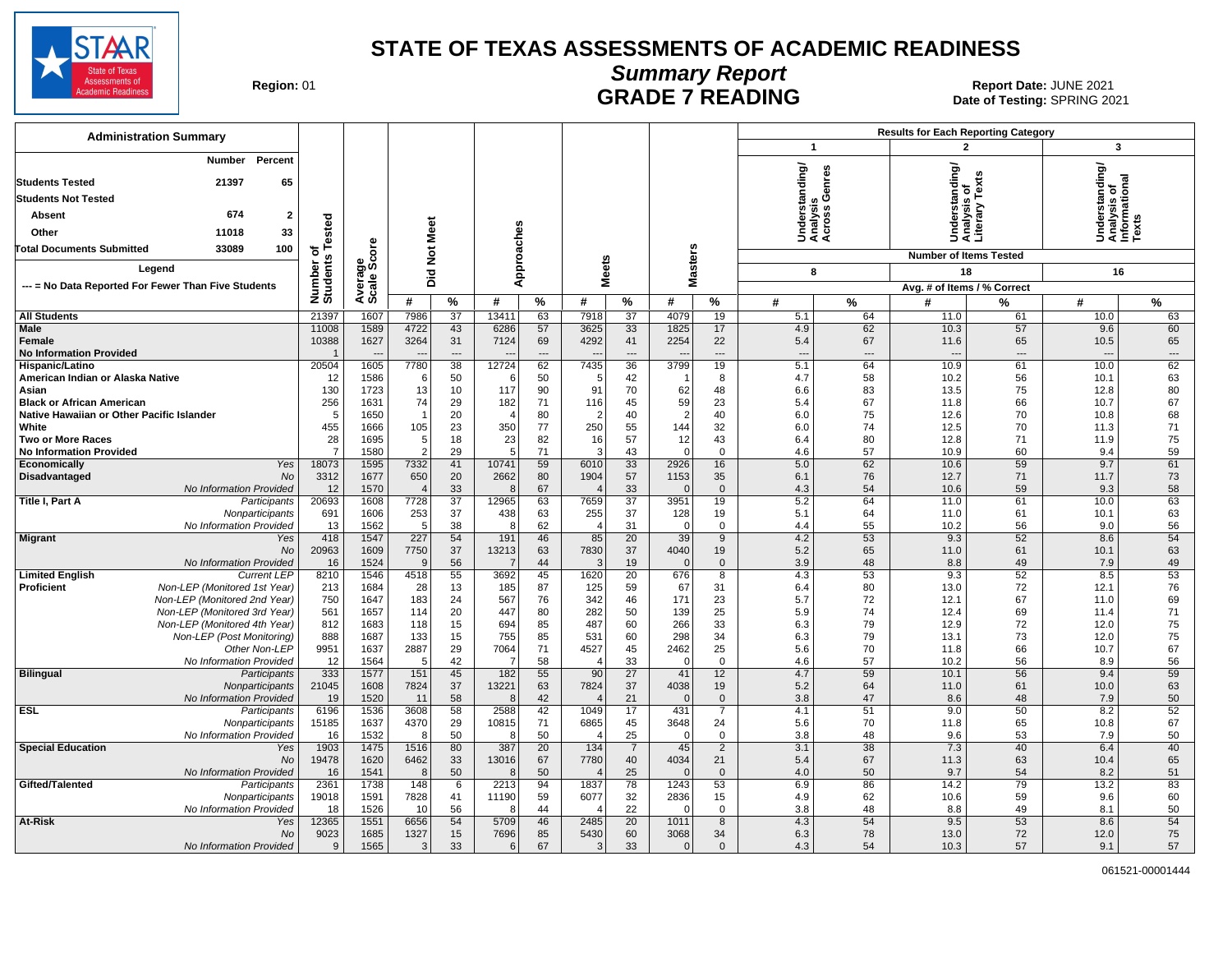

## **Summary Report**

Region: 01 **Region: 01 CALL CONSISTS AND CONTROLL TO READING Date: JUNE 2021 Report Date: JUNE 2021** Date of Testing: SPRING 2021

| <b>Administration Summary</b>                                                            |                              |                        |                         |                 |                  |                       |                                 |                       |                      |                               |                                             |                | <b>Results for Each Reporting Category</b> |                                  |                                                         |                |
|------------------------------------------------------------------------------------------|------------------------------|------------------------|-------------------------|-----------------|------------------|-----------------------|---------------------------------|-----------------------|----------------------|-------------------------------|---------------------------------------------|----------------|--------------------------------------------|----------------------------------|---------------------------------------------------------|----------------|
|                                                                                          |                              |                        |                         |                 |                  |                       |                                 |                       |                      |                               | $\mathbf{1}$                                |                | $\overline{2}$                             |                                  | $\overline{\mathbf{3}}$                                 |                |
| Percent<br>Number<br>65<br><b>Students Tested</b><br>21397<br><b>Students Not Tested</b> |                              |                        |                         |                 |                  |                       |                                 |                       |                      |                               | Understanding/<br>Analysis<br>Across Genres |                | standing/<br>৳                             |                                  | Understanding/<br>Analysis of<br>Informational<br>Texts |                |
| 674<br>$\overline{2}$<br>Absent                                                          |                              |                        |                         |                 |                  |                       |                                 |                       |                      |                               |                                             |                | sis                                        | Understa<br>Analysis<br>Literary |                                                         |                |
|                                                                                          |                              |                        |                         |                 |                  |                       |                                 |                       |                      |                               |                                             |                |                                            |                                  |                                                         |                |
| 33<br>Other<br>11018                                                                     |                              |                        |                         |                 |                  |                       |                                 |                       |                      |                               |                                             |                |                                            |                                  |                                                         |                |
| <b>Total Documents Submitted</b><br>33089<br>100                                         |                              |                        | Not Meet                |                 |                  |                       |                                 |                       |                      |                               |                                             |                | <b>Number of Items Tested</b>              |                                  |                                                         |                |
| Legend                                                                                   |                              |                        |                         |                 |                  | Approaches            | <b>Meets</b>                    |                       | <b>Masters</b>       |                               | 8                                           |                | 18                                         |                                  | 16                                                      |                |
| --- = No Data Reported For Fewer Than Five Students                                      |                              |                        | Did                     |                 |                  |                       |                                 |                       |                      |                               |                                             |                | Avg. # of Items / % Correct                |                                  |                                                         |                |
|                                                                                          | Number of<br>Students Tested | Average<br>Scale Score | #                       | %               | #                | $\frac{9}{6}$         | #                               | $\%$                  | #                    | %                             | #                                           | $\%$           | #                                          | %                                | #                                                       | %              |
| <b>All Students</b>                                                                      | 21397                        | 1607                   | 7986                    | 37              | 13411            | 63                    | 7918                            | 37                    | 4079                 | 19                            | 5.1                                         | 64             | 11.0                                       | 61                               | 10.0                                                    | 63             |
| Male                                                                                     | 11008                        | 1589                   | 4722                    | 43              | 6286             | 57                    | 3625                            | 33                    | 1825                 | 17                            | 4.9                                         | 62             | 10.3                                       | 57                               | 9.6                                                     | 60             |
| Female                                                                                   | 10388                        | 1627                   | 3264                    | 31              | 7124             | 69                    | 4292                            | 41                    | 2254                 | 22                            | 5.4                                         | 67             | 11.6                                       | 65                               | 10.5                                                    | 65             |
| <b>No Information Provided</b>                                                           | $\overline{\mathbf{1}}$      |                        |                         | $\overline{a}$  |                  |                       |                                 | ---                   |                      | $\overline{a}$                |                                             | $\overline{a}$ |                                            | ---                              | $\sim$                                                  | $\overline{a}$ |
| Hispanic/Latino                                                                          | 20504                        | 1605                   | 7780                    | $\overline{38}$ | 12724            | 62                    | 7435                            | 36                    | 3799                 | 19                            | 5.1                                         | 64             | 10.9                                       | 61                               | 10.0                                                    | 62             |
| American Indian or Alaska Native                                                         | 12                           | 1586                   | -6                      | 50              | -6               | 50                    |                                 | 42                    |                      | 8                             | 4.7                                         | 58             | 10.2                                       | 56                               | 10.1                                                    | 63             |
| Asian<br><b>Black or African American</b>                                                | 130<br>256                   | 1723<br>1631           | 13<br>74                | 10<br>29        | 117<br>182       | 90<br>71              | 91<br>116                       | 70<br>45              | 62<br>59             | 48<br>23                      | 6.6<br>5.4                                  | 83<br>67       | 13.5<br>11.8                               | 75<br>66                         | 12.8<br>10.7                                            | 80<br>67       |
| Native Hawaiian or Other Pacific Islander                                                | 5                            | 1650                   | $\overline{\mathbf{1}}$ | 20              | $\Delta$         | 80                    | 2                               | 40                    | 2                    | 40                            | 6.0                                         | 75             | 12.6                                       | 70                               | 10.8                                                    | 68             |
| White                                                                                    | 455                          | 1666                   | 105                     | 23              | 350              | 77                    | 250                             | 55                    | 144                  | 32                            | 6.0                                         | 74             | 12.5                                       | 70                               | 11.3                                                    | 71             |
| <b>Two or More Races</b>                                                                 | 28                           | 1695                   | 5                       | 18              | 23               | 82                    | 16                              | 57                    | 12                   | 43                            | 6.4                                         | 80             | 12.8                                       | 71                               | 11.9                                                    | 75             |
| <b>No Information Provided</b>                                                           | $\overline{7}$               | 1580                   | $\overline{2}$          | 29              | 5 <sup>5</sup>   | 71                    | 3                               | 43                    | $\Omega$             | $\Omega$                      | 4.6                                         | 57             | 10.9                                       | 60                               | 9.4                                                     | 59             |
| Economically<br>Yes                                                                      | 18073                        | 1595                   | 7332                    | 41              | 10741            | 59                    | 6010                            | 33                    | 2926                 | 16                            | 5.0                                         | 62             | 10.6                                       | 59                               | 9.7                                                     | 61             |
| Disadvantaged<br>No<br>No Information Provided                                           | 3312<br>12                   | 1677<br>1570           | 650<br>$\overline{4}$   | 20<br>33        | 2662             | 80<br>67              | 1904                            | 57<br>33              | 1153<br>$\Omega$     | 35<br>$\mathbf{0}$            | 6.1<br>4.3                                  | 76<br>54       | 12.7<br>10.6                               | 71<br>59                         | 11.7<br>9.3                                             | 73<br>58       |
| Title I, Part A<br>Participants                                                          | 20693                        | 1608                   | 7728                    | 37              | 12965            | 63                    | 7659                            | 37                    | 3951                 | 19                            | 5.2                                         | 64             | 11.0                                       | 61                               | 10.0                                                    | 63             |
| Nonparticipants                                                                          | 691                          | 1606                   | 253                     | 37              | 438              | 63                    | 255                             | 37                    | 128                  | 19                            | 5.1                                         | 64             | 11.0                                       | 61                               | 10.1                                                    | 63             |
| No Information Provided                                                                  | 13                           | 1562                   | 5                       | 38              | 8                | 62                    | $\overline{4}$                  | 31                    | $\mathbf 0$          | $\mathbf 0$                   | 4.4                                         | 55             | 10.2                                       | 56                               | 9.0                                                     | 56             |
| <b>Migrant</b><br>Yes                                                                    | 418                          | 1547                   | 227                     | 54              | 191              | 46                    | 85                              | 20                    | 39                   | $\overline{9}$                | 4.2                                         | 53             | 9.3                                        | 52                               | 8.6                                                     | 54             |
| No                                                                                       | 20963                        | 1609                   | 7750<br><b>9</b>        | 37              | 13213            | 63                    | 7830                            | 37                    | 4040                 | 19                            | 5.2                                         | 65             | 11.0                                       | 61                               | 10.1                                                    | 63             |
| No Information Provided<br><b>Limited English</b><br><b>Current LEP</b>                  | 16<br>8210                   | 1524<br>1546           | 4518                    | 56<br>55        | 7<br>3692        | 44<br>45              | 3<br>1620                       | 19<br>$\overline{20}$ | $\mathbf{0}$<br>676  | $\mathbf 0$<br>$\overline{8}$ | 3.9<br>4.3                                  | 48<br>53       | 8.8<br>9.3                                 | 49<br>52                         | 7.9<br>8.5                                              | 49<br>53       |
| Proficient<br>Non-LEP (Monitored 1st Year)                                               | 213                          | 1684                   | 28                      | 13              | 185              | 87                    | 125                             | 59                    | 67                   | 31                            | 6.4                                         | 80             | 13.0                                       | 72                               | 12.1                                                    | 76             |
| Non-LEP (Monitored 2nd Year)                                                             | 750                          | 1647                   | 183                     | 24              | 567              | 76                    | 342                             | 46                    | 171                  | 23                            | 5.7                                         | 72             | 12.1                                       | 67                               | 11.0                                                    | 69             |
| Non-LEP (Monitored 3rd Year)                                                             | 561                          | 1657                   | 114                     | 20              | 447              | 80                    | 282                             | 50                    | 139                  | 25                            | 5.9                                         | 74             | 12.4                                       | 69                               | 11.4                                                    | 71             |
| Non-LEP (Monitored 4th Year)                                                             | 812                          | 1683                   | 118                     | 15              | 694              | 85                    | 487                             | 60                    | 266                  | 33                            | 6.3                                         | 79             | 12.9                                       | 72                               | 12.0                                                    | 75             |
| Non-LEP (Post Monitoring)                                                                | 888                          | 1687                   | 133                     | 15              | 755              | 85                    | 531                             | 60                    | 298                  | 34                            | 6.3                                         | 79             | 13.1                                       | 73                               | 12.0                                                    | 75             |
| Other Non-LEP<br>No Information Provided                                                 | 9951<br>12                   | 1637<br>1564           | 2887<br>-5              | 29<br>42        | 7064<br>7        | 71<br>58              | 4527<br>$\overline{\mathbf{4}}$ | 45<br>33              | 2462<br>$\mathbf 0$  | 25<br>$\mathbf 0$             | 5.6<br>4.6                                  | 70<br>57       | 11.8<br>10.2                               | 66<br>56                         | 10.7<br>8.9                                             | 67<br>56       |
| <b>Bilingual</b><br>Participants                                                         | 333                          | 1577                   | 151                     | 45              | 182              | 55                    | 90                              | $\overline{27}$       | 41                   | 12                            | 4.7                                         | 59             | 10.1                                       | 56                               | 9.4                                                     | 59             |
| Nonparticipants                                                                          | 21045                        | 1608                   | 7824                    | 37              | 13221            | 63                    | 7824                            | 37                    | 4038                 | 19                            | 5.2                                         | 64             | 11.0                                       | 61                               | 10.0                                                    | 63             |
| No Information Provided                                                                  | 19                           | 1520                   | 11                      | 58              |                  | 42                    |                                 | 21                    | $\Omega$             | $\mathbf{0}$                  | 3.8                                         | 47             | 8.6                                        | 48                               | 7.9                                                     | 50             |
| <b>ESL</b><br>Participants                                                               | 6196                         | 1536                   | 3608                    | 58              | 2588             | 42                    | 1049                            | 17                    | 431                  | $\overline{7}$                | 4.1                                         | 51             | 9.0                                        | 50                               | 8.2                                                     | 52             |
| Nonparticipants                                                                          | 15185                        | 1637                   | 4370                    | 29              | 10815            | 71                    | 6865                            | 45                    | 3648                 | 24                            | 5.6                                         | 70             | 11.8                                       | 65                               | 10.8                                                    | 67             |
| No Information Provided<br><b>Special Education</b>                                      | 16<br>1903                   | 1532<br>1475           | -8<br>1516              | 50<br>80        | 8<br>387         | 50<br>$\overline{20}$ | $\Delta$<br>134                 | 25                    | $\mathbf 0$<br>45    | $\mathbf 0$<br>$\overline{2}$ | 3.8<br>3.1                                  | 48<br>38       | 9.6<br>7.3                                 | 53<br>40                         | 7.9<br>6.4                                              | 50<br>40       |
| Yes<br>No                                                                                | 19478                        | 1620                   | 6462                    | 33              | 13016            | 67                    | 7780                            | $\overline{7}$<br>40  | 4034                 | 21                            | 5.4                                         | 67             | 11.3                                       | 63                               | 10.4                                                    | 65             |
| No Information Provided                                                                  | 16                           | 1541                   | 8                       | 50              |                  | 50                    |                                 | 25                    | $\overline{0}$       | $\mathbf{0}$                  | 4.0                                         | 50             | 9.7                                        | 54                               | 8.2                                                     | 51             |
| Gifted/Talented<br>Participants                                                          | 2361                         | 1738                   | 148                     | 6               | 2213             | 94                    | 1837                            | 78                    | 1243                 | 53                            | 6.9                                         | 86             | 14.2                                       | 79                               | 13.2                                                    | 83             |
| Nonparticipants                                                                          | 19018                        | 1591                   | 7828                    | 41              | 11190            | 59                    | 6077                            | 32                    | 2836                 | 15                            | 4.9                                         | 62             | 10.6                                       | 59                               | 9.6                                                     | 60             |
| No Information Provided                                                                  | 18                           | 1526                   | 10                      | 56              | 8                | 44                    |                                 | 22                    | $\Omega$             | $\mathbf 0$                   | 3.8                                         | 48             | 8.8                                        | 49                               | 8.1                                                     | 50             |
| <b>At-Risk</b><br>Yes                                                                    | 12365                        | 1551                   | 6656                    | 54              | 5709             | 46                    | 2485                            | 20                    | 1011                 | 8                             | 4.3                                         | 54             | 9.5                                        | 53                               | 8.6                                                     | 54             |
| No<br>No Information Provided                                                            | 9023<br>9                    | 1685<br>1565           | 1327<br>3               | 15<br>33        | 7696<br>$6 \mid$ | 85<br>67              | 5430<br>3                       | 60<br>33              | 3068<br>$\mathbf{0}$ | 34<br>$\mathbf{0}$            | 6.3<br>4.3                                  | 78<br>54       | 13.0<br>10.3                               | 72<br>57                         | 12.0<br>9.1                                             | 75<br>57       |
|                                                                                          |                              |                        |                         |                 |                  |                       |                                 |                       |                      |                               |                                             |                |                                            |                                  |                                                         |                |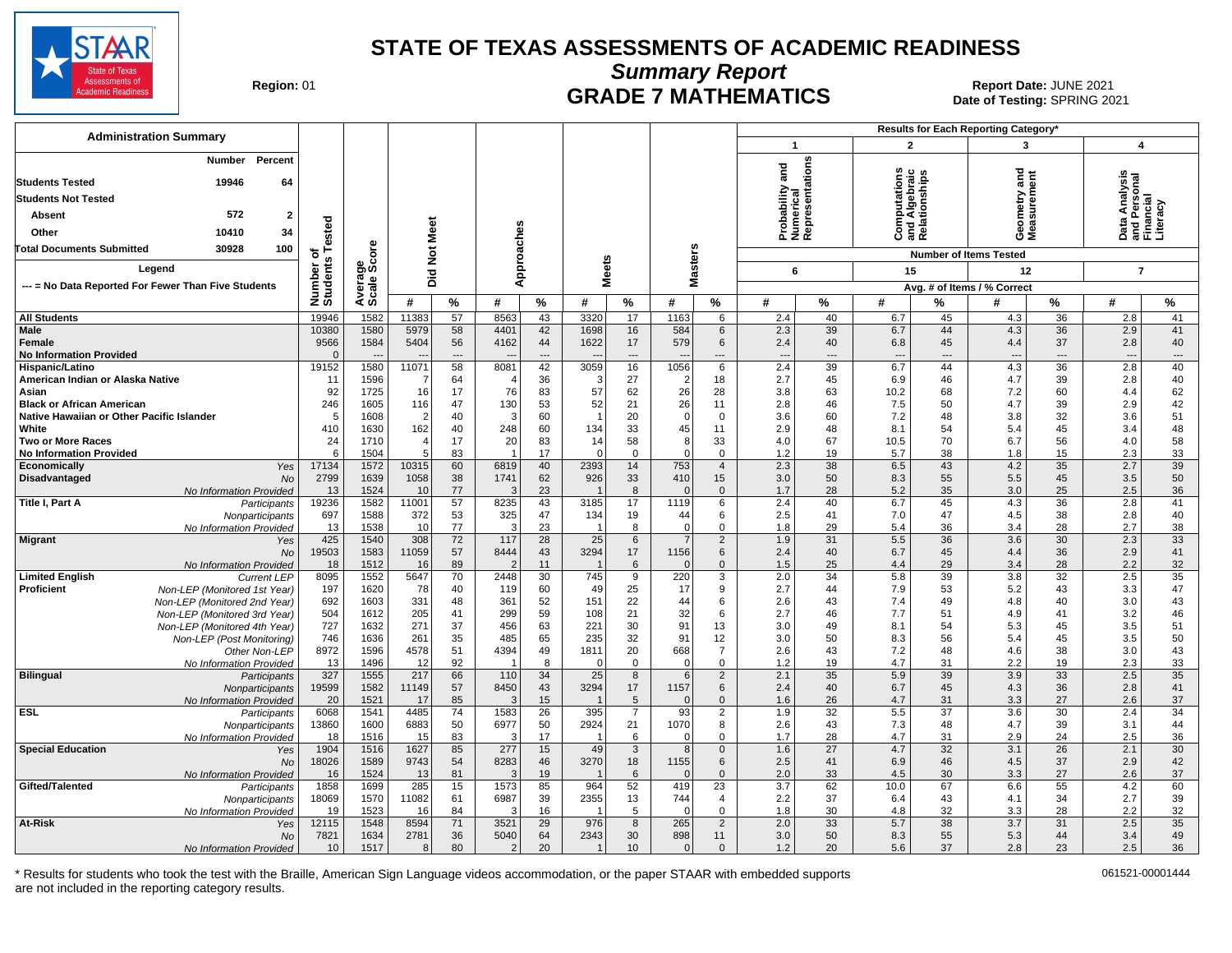

**Summary Report**

Region: 01 **Region: 01 CRADE 7 MATHEMATICS Date: JUNE 2021 Date: JUNE 2021 Report Date: JUNE 2021** Date of Testing: SPRING 2021

| <b>Administration Summary</b>                                     |                    |                        |                |             |                        |                 |              |                        |                   |                                  |               |                       |                                                |                 | Results for Each Reporting Category* |             |                                 |                 |
|-------------------------------------------------------------------|--------------------|------------------------|----------------|-------------|------------------------|-----------------|--------------|------------------------|-------------------|----------------------------------|---------------|-----------------------|------------------------------------------------|-----------------|--------------------------------------|-------------|---------------------------------|-----------------|
|                                                                   |                    |                        |                |             |                        |                 |              |                        |                   |                                  | $\mathbf{1}$  |                       | $\overline{2}$                                 |                 | 3                                    |             | $\boldsymbol{4}$                |                 |
| <b>Number</b><br>Percent<br>19946<br><b>Students Tested</b><br>64 |                    |                        |                |             |                        |                 |              |                        |                   |                                  | and           | entations             | Computations<br>Ind Algebraic<br>Relationships |                 | ਠ<br>Ĕ                               | ā           |                                 |                 |
| <b>Students Not Tested</b>                                        |                    |                        |                |             |                        |                 |              |                        |                   |                                  | ී             |                       |                                                |                 |                                      |             | nalysi                          |                 |
| 572                                                               |                    |                        |                |             |                        |                 |              |                        |                   |                                  | bability      |                       |                                                |                 | ieometry<br>leasurem                 |             | a Analy<br>Persoi<br>Incial     |                 |
| Absent<br>$\overline{2}$                                          | ested              |                        |                |             |                        |                 |              |                        |                   |                                  | 5             | umerie<br>eprese      |                                                |                 |                                      |             |                                 |                 |
| 10410<br>34<br>Other                                              |                    |                        | Meet           |             |                        |                 |              |                        |                   |                                  | āzě           |                       | ن ≌ ھ                                          |                 | oΣ                                   |             | ◠<br>கட்                        |                 |
| 100<br>Total Documents Submitted<br>30928                         | 하<br>s             | δő                     | $\frac{5}{2}$  |             |                        |                 |              |                        |                   |                                  |               |                       |                                                |                 | <b>Number of Items Tested</b>        |             |                                 |                 |
| Legend                                                            |                    | န္တပ္ကိ                |                |             | Approaches             |                 | <b>Meets</b> |                        | <b>Masters</b>    |                                  | 6             |                       | 15                                             |                 | 12                                   |             | $\overline{7}$                  |                 |
| --- = No Data Reported For Fewer Than Five Students               |                    |                        | Did            |             |                        |                 |              |                        |                   |                                  |               |                       |                                                |                 | Avg. # of Items / % Correct          |             |                                 |                 |
|                                                                   | Number<br>Students | Avera<br>Scale         | #              | $\%$        | #                      | $\frac{0}{0}$   | #            | %                      | #                 | $\%$                             | #             | %                     | #                                              | ℅               | #                                    | %           | #                               | $\frac{9}{6}$   |
| <b>All Students</b>                                               | 19946              | 1582                   | 11383          | 57          | 8563                   | 43              | 3320         | 17                     | 1163              | 6                                | 2.4           | 40                    | 6.7                                            | 45              | 4.3                                  | 36          | 2.8                             | 41              |
| <b>Male</b>                                                       | 10380              | 1580                   | 5979           | 58          | 4401                   | 42              | 1698         | 16                     | 584               | 6                                | 2.3           | 39                    | 6.7                                            | 44              | 4.3                                  | 36          | 2.9                             | 41              |
| Female                                                            | 9566               | 1584                   | 5404           | 56          | 4162                   | 44              | 1622         | 17                     | 579               | 6                                | 2.4           | 40                    | 6.8                                            | 45              | 4.4                                  | 37          | 2.8                             | 40              |
| <b>No Information Provided</b><br>Hispanic/Latino                 | $\Omega$<br>19152  | $\overline{a}$<br>1580 | 11071          | $---$<br>58 | 8081                   | $---$<br>42     | 3059         | ---<br>16              | 1056              | ---<br>6                         | $\sim$<br>2.4 | ---<br>39             | $\overline{\phantom{a}}$<br>6.7                | $---$<br>44     | $\overline{\phantom{a}}$<br>4.3      | $---$<br>36 | $\overline{\phantom{a}}$<br>2.8 | $---$<br>40     |
| American Indian or Alaska Native                                  | 11                 | 1596                   | -7             | 64          |                        | 36              | 3            | 27                     | $\overline{2}$    | 18                               | 2.7           | 45                    | 6.9                                            | 46              | 4.7                                  | 39          | 2.8                             | 40              |
| Asian                                                             | 92                 | 1725                   | 16             | 17          | 76                     | 83              | 57           | 62                     | 26                | 28                               | 3.8           | 63                    | 10.2                                           | 68              | 7.2                                  | 60          | 4.4                             | 62              |
| <b>Black or African American</b>                                  | 246                | 1605                   | 116            | 47          | 130                    | 53              | 52           | 21                     | 26                | 11                               | 2.8           | 46                    | 7.5                                            | 50              | 4.7                                  | 39          | 2.9                             | 42              |
| Native Hawaiian or Other Pacific Islander                         | 5                  | 1608                   | $\overline{2}$ | 40          | 3                      | 60              |              | 20                     | $\mathbf 0$       | $\mathbf 0$                      | 3.6           | 60                    | 7.2                                            | 48              | 3.8                                  | 32          | 3.6                             | 51              |
| White                                                             | 410                | 1630                   | 162            | 40          | 248                    | 60              | 134          | 33                     | 45                | 11                               | 2.9           | 48                    | 8.1                                            | 54              | 5.4                                  | 45          | 3.4                             | 48              |
| <b>Two or More Races</b><br><b>No Information Provided</b>        | 24<br>6            | 1710<br>1504           | 4<br>5         | 17<br>83    | 20<br>-1               | 83<br>17        | 14<br>O      | 58<br>$\Omega$         | 8<br>$\Omega$     | 33<br>$\mathbf 0$                | 4.0<br>1.2    | 67<br>19              | 10.5<br>5.7                                    | 70<br>38        | 6.7<br>1.8                           | 56<br>15    | 4.0<br>2.3                      | 58<br>33        |
| Economically<br>Yes                                               | 17134              | 1572                   | 10315          | 60          | 6819                   | 40              | 2393         | 14                     | 753               | $\overline{4}$                   | 2.3           | 38                    | 6.5                                            | 43              | 4.2                                  | 35          | 2.7                             | 39              |
| Disadvantaged<br><b>No</b>                                        | 2799               | 1639                   | 1058           | 38          | 1741                   | 62              | 926          | 33                     | 410               | 15                               | 3.0           | 50                    | 8.3                                            | 55              | 5.5                                  | 45          | 3.5                             | 50              |
| No Information Provided                                           | 13                 | 1524                   | 10             | 77          | 3                      | 23              |              | 8                      | $\Omega$          | $\mathbf{0}$                     | 1.7           | 28                    | 5.2                                            | 35              | 3.0                                  | 25          | 2.5                             | 36              |
| Title I, Part A<br>Participants                                   | 19236              | 1582                   | 11001          | 57          | 8235                   | 43              | 3185         | 17                     | 1119              | 6                                | 2.4           | 40                    | 6.7                                            | 45              | 4.3                                  | 36          | 2.8                             | 41              |
| Nonparticipants                                                   | 697<br>13          | 1588<br>1538           | 372<br>10      | 53<br>77    | 325<br>3               | 47<br>23        | 134          | 19<br>8                | 44<br>$\mathbf 0$ | 6<br>$\mathsf 0$                 | 2.5<br>1.8    | 41<br>29              | 7.0<br>5.4                                     | 47<br>36        | 4.5<br>3.4                           | 38<br>28    | 2.8<br>2.7                      | 40<br>38        |
| No Information Provided<br><b>Migrant</b><br>Yes                  | 425                | 1540                   | 308            | 72          | 117                    | 28              | 25           | $6\phantom{.}6$        | $\overline{7}$    | $\sqrt{2}$                       | 1.9           | 31                    | 5.5                                            | 36              | 3.6                                  | 30          | 2.3                             | $\overline{33}$ |
| <b>No</b>                                                         | 19503              | 1583                   | 11059          | 57          | 8444                   | 43              | 3294         | 17                     | 1156              | 6                                | 2.4           | 40                    | 6.7                                            | 45              | 4.4                                  | 36          | 2.9                             | 41              |
| No Information Provided                                           | 18                 | 1512                   | 16             | 89          |                        | 11              |              | 6                      | $\mathbf{0}$      | $\mathbf 0$                      | 1.5           | 25                    | 4.4                                            | 29              | 3.4                                  | 28          | 2.2                             | 32              |
| <b>Limited English</b><br><b>Current LEP</b>                      | 8095               | 1552                   | 5647           | 70          | 2448                   | 30              | 745          | 9                      | 220               | 3                                | 2.0           | 34                    | 5.8                                            | 39              | 3.8                                  | 32          | 2.5                             | 35              |
| Proficient<br>Non-LEP (Monitored 1st Year)                        | 197                | 1620<br>1603           | 78             | 40          | 119                    | 60              | 49           | 25                     | 17<br>44          | 9                                | 2.7           | 44<br>43              | 7.9                                            | 53<br>49        | 5.2                                  | 43<br>40    | 3.3                             | 47<br>43        |
| Non-LEP (Monitored 2nd Year)<br>Non-LEP (Monitored 3rd Year)      | 692<br>504         | 1612                   | 331<br>205     | 48<br>41    | 361<br>299             | 52<br>59        | 151<br>108   | 22<br>21               | 32                | 6<br>6                           | 2.6<br>2.7    | 46                    | 7.4<br>7.7                                     | 51              | 4.8<br>4.9                           | 41          | 3.0<br>3.2                      | 46              |
| Non-LEP (Monitored 4th Year)                                      | 727                | 1632                   | 271            | 37          | 456                    | 63              | 221          | 30                     | 91                | 13                               | 3.0           | 49                    | 8.1                                            | 54              | 5.3                                  | 45          | 3.5                             | 51              |
| Non-LEP (Post Monitoring)                                         | 746                | 1636                   | 261            | 35          | 485                    | 65              | 235          | 32                     | 91                | 12                               | 3.0           | 50                    | 8.3                                            | 56              | 5.4                                  | 45          | 3.5                             | 50              |
| Other Non-LEP                                                     | 8972               | 1596                   | 4578           | 51          | 4394                   | 49              | 1811         | 20                     | 668               | $\overline{7}$                   | 2.6           | 43                    | 7.2                                            | 48              | 4.6                                  | 38          | 3.0                             | 43              |
| No Information Provided                                           | 13                 | 1496                   | 12             | 92          |                        | 8               | O            | $\Omega$               | $\Omega$          | $\mathbf{0}$                     | 1.2           | 19                    | 4.7                                            | 31              | 2.2                                  | 19          | 2.3                             | 33              |
| <b>Bilingual</b><br>Participants                                  | 327<br>19599       | 1555<br>1582           | 217<br>11149   | 66<br>57    | 110<br>8450            | 34<br>43        | 25<br>3294   | 8<br>17                | 6<br>1157         | $\overline{2}$<br>$6\phantom{1}$ | 2.1<br>2.4    | 35<br>40              | 5.9<br>6.7                                     | 39<br>45        | 3.9<br>4.3                           | 33<br>36    | 2.5<br>2.8                      | 35<br>41        |
| Nonparticipants<br>No Information Provided                        | 20                 | 1521                   | 17             | 85          | 3                      | 15              |              | 5                      | $\Omega$          | $\mathbf 0$                      | 1.6           | 26                    | 4.7                                            | 31              | 3.3                                  | 27          | 2.6                             | 37              |
| <b>ESL</b><br>Participants                                        | 6068               | 1541                   | 4485           | 74          | 1583                   | $\overline{26}$ | 395          | $\overline{7}$         | 93                | $\overline{2}$                   | 1.9           | 32                    | 5.5                                            | $\overline{37}$ | 3.6                                  | 30          | 2.4                             | 34              |
| Nonparticipants                                                   | 13860              | 1600                   | 6883           | 50          | 6977                   | 50              | 2924         | 21                     | 1070              | 8                                | 2.6           | 43                    | 7.3                                            | 48              | 4.7                                  | 39          | 3.1                             | 44              |
| No Information Provided                                           | 18                 | 1516                   | 15             | 83          | 3                      | 17              |              | 6                      | $\Omega$          | $\mathbf{0}$                     | 1.7           | 28                    | 4.7                                            | 31              | 2.9                                  | 24          | 2.5                             | 36              |
| <b>Special Education</b><br>Yes                                   | 1904               | 1516                   | 1627<br>9743   | 85<br>54    | 277<br>8283            | 15              | 49<br>3270   | $\mathbf{3}$           | 8<br>1155         | $\mathbf 0$                      | 1.6<br>2.5    | $\overline{27}$<br>41 | 4.7<br>6.9                                     | 32<br>46        | 3.1<br>4.5                           | 26<br>37    | 2.1<br>2.9                      | 30<br>42        |
| <b>No</b><br>No Information Provided                              | 18026<br>16        | 1589<br>1524           | 13             | 81          | $\mathcal{R}$          | 46<br>19        |              | 18<br>6                | $\Omega$          | 6<br>$\mathbf 0$                 | 2.0           | 33                    | 4.5                                            | 30              | 3.3                                  | 27          | 2.6                             | 37              |
| Gifted/Talented<br>Participants                                   | 1858               | 1699                   | 285            | 15          | 1573                   | 85              | 964          | 52                     | 419               | 23                               | 3.7           | 62                    | 10.0                                           | 67              | 6.6                                  | 55          | 4.2                             | 60              |
| Nonparticipants                                                   | 18069              | 1570                   | 11082          | 61          | 6987                   | 39              | 2355         | 13                     | 744               | $\overline{4}$                   | 2.2           | 37                    | 6.4                                            | 43              | 4.1                                  | 34          | 2.7                             | 39              |
| No Information Provided                                           | 19                 | 1523                   | 16             | 84          | 3                      | 16              |              | 5                      | $\Omega$          | $\mathbf 0$                      | 1.8           | 30                    | 4.8                                            | 32              | 3.3                                  | 28          | 2.2                             | 32              |
| At-Risk<br>Yes                                                    | 12115              | 1548                   | 8594           | 71          | 3521                   | 29              | 976          | 8                      | 265               | $\overline{2}$                   | 2.0           | 33                    | 5.7                                            | 38              | 3.7                                  | 31          | 2.5                             | $\overline{35}$ |
| <b>No</b><br>No Information Provided                              | 7821<br>10         | 1634<br>1517           | 2781<br>8      | 36<br>80    | 5040<br>$\overline{2}$ | 64<br>20        | 2343         | 30<br>10 <sup>10</sup> | 898<br>$\Omega$   | 11<br>$\mathbf{0}$               | 3.0<br>1.2    | 50<br>20              | 8.3<br>5.6                                     | 55<br>37        | 5.3<br>2.8                           | 44<br>23    | 3.4<br>2.5                      | 49<br>36        |
|                                                                   |                    |                        |                |             |                        |                 |              |                        |                   |                                  |               |                       |                                                |                 |                                      |             |                                 |                 |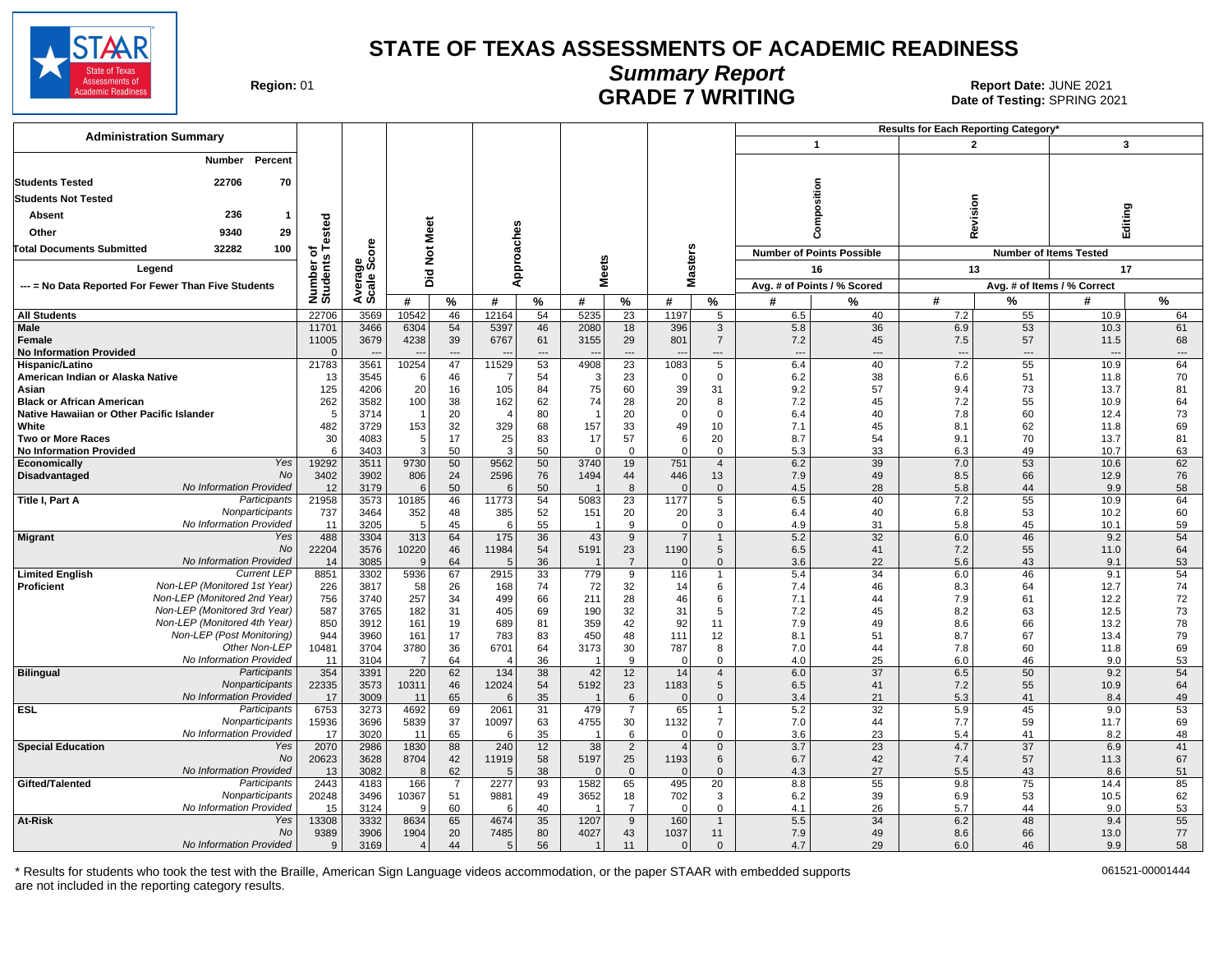

## **Summary Report**

Region: 01 **Region: 01 CALL CONSISTS OF A REGION CONSISTENCE 2021 Report Date: JUNE 2021**<br>Date of Testing: SPRING 20 Date of Testing: SPRING 2021

| <b>Administration Summary</b>                                        |                       |                |                        |                 |              |           |              |                      |                 |                               |            |                                  | <b>Results for Each Reporting Category</b> |                                |                               |           |
|----------------------------------------------------------------------|-----------------------|----------------|------------------------|-----------------|--------------|-----------|--------------|----------------------|-----------------|-------------------------------|------------|----------------------------------|--------------------------------------------|--------------------------------|-------------------------------|-----------|
|                                                                      |                       |                |                        |                 |              |           |              |                      |                 |                               |            | $\mathbf{1}$                     | $\overline{2}$                             |                                | 3                             |           |
| Percent<br>Number                                                    |                       |                |                        |                 |              |           |              |                      |                 |                               |            |                                  |                                            |                                |                               |           |
| 22706<br>70<br><b>Students Tested</b>                                |                       |                |                        |                 |              |           |              |                      |                 |                               |            |                                  |                                            |                                |                               |           |
| <b>Students Not Tested</b>                                           |                       |                |                        |                 |              |           |              |                      |                 |                               |            | Composition                      |                                            |                                |                               |           |
| 236<br>1                                                             |                       |                |                        |                 |              |           |              |                      |                 |                               |            |                                  | Revision                                   |                                | Editing                       |           |
| Absent                                                               | ested                 |                | Meet                   |                 |              |           |              |                      |                 |                               |            |                                  |                                            |                                |                               |           |
| 9340<br>29<br>Other                                                  |                       |                |                        |                 |              |           |              |                      |                 |                               |            |                                  |                                            |                                |                               |           |
| <b>Total Documents Submitted</b><br>32282<br>100                     | ځ م                   | ge<br>Score    | $\frac{5}{2}$          |                 |              |           |              |                      |                 |                               |            | <b>Number of Points Possible</b> |                                            |                                | <b>Number of Items Tested</b> |           |
| Legend                                                               | Number of<br>Students |                | 고                      |                 |              | pproaches | <b>Meets</b> |                      | <b>Masters</b>  |                               |            | 16                               | 13                                         |                                | 17                            |           |
| --- = No Data Reported For Fewer Than Five Students                  |                       | Avera<br>Scale | ō                      |                 |              | ⋖         |              |                      |                 |                               |            | Avg. # of Points / % Scored      |                                            |                                | Avg. # of Items / % Correct   |           |
|                                                                      |                       |                | #                      | %               | #            | %         | #            | %                    | #               | %                             | #          | $\frac{9}{6}$                    | #                                          | %                              | #                             | %         |
| <b>All Students</b>                                                  | 22706                 | 3569           | 10542                  | 46              | 12164        | 54        | 5235         | 23                   | 1197            | 5                             | 6.5        | 40                               | 7.2                                        | 55                             | 10.9                          | 64        |
| <b>Male</b>                                                          | 11701                 | 3466           | 6304                   | 54              | 5397         | 46        | 2080         | 18                   | 396             | 3                             | 5.8        | 36                               | 6.9                                        | 53                             | 10.3                          | 61        |
| Female                                                               | 11005<br>$\Omega$     | 3679           | 4238                   | 39              | 6767         | 61        | 3155         | 29<br>---            | 801             | $\overline{7}$                | 7.2        | 45                               | 7.5                                        | 57                             | 11.5                          | 68        |
| <b>No Information Provided</b><br>Hispanic/Latino                    | 21783                 | 3561           | 10254                  | 47              | 11529        | 53        | 4908         | $\overline{23}$      | 1083            | ---<br>5                      | ---<br>6.4 | 40                               | $\overline{a}$<br>7.2                      | $\overline{\phantom{a}}$<br>55 | 10.9                          | ---<br>64 |
| American Indian or Alaska Native                                     | 13                    | 3545           | 6                      | 46              |              | 54        | 3            | 23                   |                 | $\mathbf{0}$                  | 6.2        | 38                               | 6.6                                        | 51                             | 11.8                          | 70        |
| Asian                                                                | 125                   | 4206           | 20                     | 16              | 105          | 84        | 75           | 60                   | 39              | 31                            | 9.2        | 57                               | 9.4                                        | 73                             | 13.7                          | 81        |
| <b>Black or African American</b>                                     | 262                   | 3582           | 100                    | 38              | 162          | 62        | 74           | 28                   | 20              | 8                             | 7.2        | 45                               | 7.2                                        | 55                             | 10.9                          | 64        |
| Native Hawaiian or Other Pacific Islander                            | 5                     | 3714           |                        | 20              |              | 80        |              | 20                   | $\Omega$        | $\Omega$                      | 6.4        | 40                               | 7.8                                        | 60                             | 12.4                          | 73        |
| White<br><b>Two or More Races</b>                                    | 482<br>30             | 3729<br>4083   | 153<br>5 <sub>5</sub>  | 32<br>17        | 329<br>25    | 68<br>83  | 157<br>17    | 33<br>57             | 49<br>6         | 10<br>20                      | 7.1<br>8.7 | 45<br>54                         | 8.1<br>9.1                                 | 62<br>70                       | 11.8<br>13.7                  | 69<br>81  |
| <b>No Information Provided</b>                                       | 6                     | 3403           | 3                      | 50              | 3            | 50        | $\Omega$     | $\Omega$             | $\Omega$        | $\mathbf 0$                   | 5.3        | 33                               | 6.3                                        | 49                             | 10.7                          | 63        |
| Yes<br>Economically                                                  | 19292                 | 3511           | 9730                   | 50              | 9562         | 50        | 3740         | 19                   | 751             | $\overline{4}$                | 6.2        | 39                               | 7.0                                        | 53                             | 10.6                          | 62        |
| <b>No</b><br>Disadvantaged                                           | 3402                  | 3902           | 806                    | 24              | 2596         | 76        | 1494         | 44                   | 446             | 13                            | 7.9        | 49                               | 8.5                                        | 66                             | 12.9                          | 76        |
| No Information Provided                                              | 12                    | 3179           | 6                      | 50              | 6            | 50        |              | 8                    |                 | $\mathbf 0$                   | 4.5        | 28                               | 5.8                                        | 44                             | 9.9                           | 58        |
| Title I, Part A<br>Participants<br>Nonparticipants                   | 21958<br>737          | 3573<br>3464   | 10185<br>352           | 46<br>48        | 11773<br>385 | 54<br>52  | 5083<br>151  | 23<br>20             | 1177<br>20      | 5<br>3                        | 6.5<br>6.4 | 40<br>40                         | 7.2<br>6.8                                 | 55<br>53                       | 10.9<br>10.2                  | 64<br>60  |
| No Information Provided                                              | 11                    | 3205           | 5 <sup>5</sup>         | 45              | 6            | 55        |              | 9                    | $\Omega$        | $\mathbf 0$                   | 4.9        | 31                               | 5.8                                        | 45                             | 10.1                          | 59        |
| <b>Migrant</b><br>Yes                                                | 488                   | 3304           | 313                    | 64              | 175          | 36        | 43           | 9                    |                 |                               | 5.2        | 32                               | 6.0                                        | 46                             | 9.2                           | 54        |
| <b>No</b>                                                            | 22204                 | 3576           | 10220                  | 46              | 11984        | 54        | 5191         | 23                   | 1190            | 5                             | 6.5        | 41                               | 7.2                                        | 55                             | 11.0                          | 64        |
| No Information Provided<br><b>Current LEP</b>                        | 14<br>8851            | 3085           | 9<br>5936              | 64<br>67        | 2915         | 36<br>33  | 779          | $\overline{7}$<br>9  | 116             | $\mathbf{0}$<br>$\mathbf{1}$  | 3.6<br>5.4 | 22<br>34                         | 5.6<br>6.0                                 | 43<br>46                       | 9.1<br>9.1                    | 53<br>54  |
| <b>Limited English</b><br>Non-LEP (Monitored 1st Year)<br>Proficient | 226                   | 3302<br>3817   | 58                     | 26              | 168          | 74        | 72           | 32                   | 14              | 6                             | 7.4        | 46                               | 8.3                                        | 64                             | 12.7                          | 74        |
| Non-LEP (Monitored 2nd Year)                                         | 756                   | 3740           | 257                    | 34              | 499          | 66        | 211          | 28                   | 46              | 6                             | 7.1        | 44                               | 7.9                                        | 61                             | 12.2                          | 72        |
| Non-LEP (Monitored 3rd Year)                                         | 587                   | 3765           | 182                    | 31              | 405          | 69        | 190          | 32                   | 31              | 5                             | 7.2        | 45                               | 8.2                                        | 63                             | 12.5                          | 73        |
| Non-LEP (Monitored 4th Year)                                         | 850                   | 3912           | 161                    | 19              | 689          | 81        | 359          | 42                   | 92              | 11                            | 7.9        | 49                               | 8.6                                        | 66                             | 13.2                          | 78        |
| Non-LEP (Post Monitoring)<br>Other Non-LEP                           | 944<br>10481          | 3960           | 161                    | 17<br>36        | 783<br>6701  | 83        | 450          | 48<br>30             | 111<br>787      | 12                            | 8.1        | 51                               | 8.7                                        | 67                             | 13.4                          | 79        |
| No Information Provided                                              | 11                    | 3704<br>3104   | 3780<br>$\overline{7}$ | 64              |              | 64<br>36  | 3173         | 9                    | $\Omega$        | 8<br>0                        | 7.0<br>4.0 | 44<br>25                         | 7.8<br>6.0                                 | 60<br>46                       | 11.8<br>9.0                   | 69<br>53  |
| <b>Bilingual</b><br>Participants                                     | 354                   | 3391           | 220                    | 62              | 134          | 38        | 42           | 12                   | 14              | $\overline{4}$                | 6.0        | 37                               | 6.5                                        | 50                             | 9.2                           | 54        |
| Nonparticipants                                                      | 22335                 | 3573           | 10311                  | 46              | 12024        | 54        | 5192         | 23                   | 1183            | 5                             | 6.5        | 41                               | 7.2                                        | 55                             | 10.9                          | 64        |
| No Information Provided                                              | 17                    | 3009           | 11                     | 65              | 6            | 35        |              | 6                    | $\Omega$        | $\mathbf 0$                   | 3.4        | 21                               | 5.3                                        | 41                             | 8.4                           | 49        |
| <b>ESL</b><br>Participants<br>Nonparticipants                        | 6753                  | 3273           | 4692                   | 69              | 2061         | 31        | 479          | $\overline{7}$       | 65              | $\mathbf 1$<br>$\overline{7}$ | 5.2        | 32                               | 5.9<br>7.7                                 | 45<br>59                       | 9.0<br>11.7                   | 53        |
| No Information Provided                                              | 15936<br>17           | 3696<br>3020   | 5839<br>11             | 37<br>65        | 10097<br>6   | 63<br>35  | 4755         | 30<br>6              | 1132<br>0       | $\mathbf 0$                   | 7.0<br>3.6 | 44<br>23                         | 5.4                                        | 41                             | 8.2                           | 69<br>48  |
| <b>Special Education</b><br>Yes                                      | 2070                  | 2986           | 1830                   | $\overline{88}$ | 240          | 12        | 38           | $\overline{2}$       | $\overline{4}$  | $\overline{0}$                | 3.7        | $\overline{23}$                  | 4.7                                        | $\overline{37}$                | 6.9                           | 41        |
| <b>No</b>                                                            | 20623                 | 3628           | 8704                   | 42              | 11919        | 58        | 5197         | 25                   | 1193            | $\,6\,$                       | 6.7        | 42                               | 7.4                                        | 57                             | 11.3                          | 67        |
| No Information Provided                                              | 13                    | 3082           | 8                      | 62              |              | 38        | $\Omega$     | $\mathbf{0}$         |                 | $\mathbf{0}$                  | 4.3        | 27                               | 5.5                                        | 43                             | 8.6                           | 51        |
| Gifted/Talented<br>Participants                                      | 2443                  | 4183           | 166                    | $\overline{7}$  | 2277         | 93        | 1582         | 65                   | 495             | 20                            | 8.8        | 55                               | 9.8                                        | 75                             | 14.4                          | 85        |
| Nonparticipants<br>No Information Provided                           | 20248                 | 3496<br>3124   | 10367<br>-9            | 51<br>60        | 9881<br>6    | 49<br>40  | 3652         | 18<br>$\overline{7}$ | 702<br>$\Omega$ | 3<br>$\mathbf 0$              | 6.2<br>4.1 | 39<br>26                         | 6.9<br>5.7                                 | 53<br>44                       | 10.5<br>9.0                   | 62<br>53  |
| At-Risk<br>Yes                                                       | 15<br>13308           | 3332           | 8634                   | 65              | 4674         | 35        | 1207         | 9                    | 160             | $\mathbf{1}$                  | 5.5        | 34                               | 6.2                                        | 48                             | 9.4                           | 55        |
| <b>No</b>                                                            | 9389                  | 3906           | 1904                   | 20              | 7485         | 80        | 4027         | 43                   | 1037            | 11                            | 7.9        | 49                               | 8.6                                        | 66                             | 13.0                          | 77        |
| No Information Provided                                              | 9                     | 3169           | $\overline{4}$         | 44              | 5            | 56        | $\mathbf 1$  | 11                   | $\Omega$        | $\mathbf{0}$                  | 4.7        | 29                               | 6.0                                        | 46                             | 9.9                           | 58        |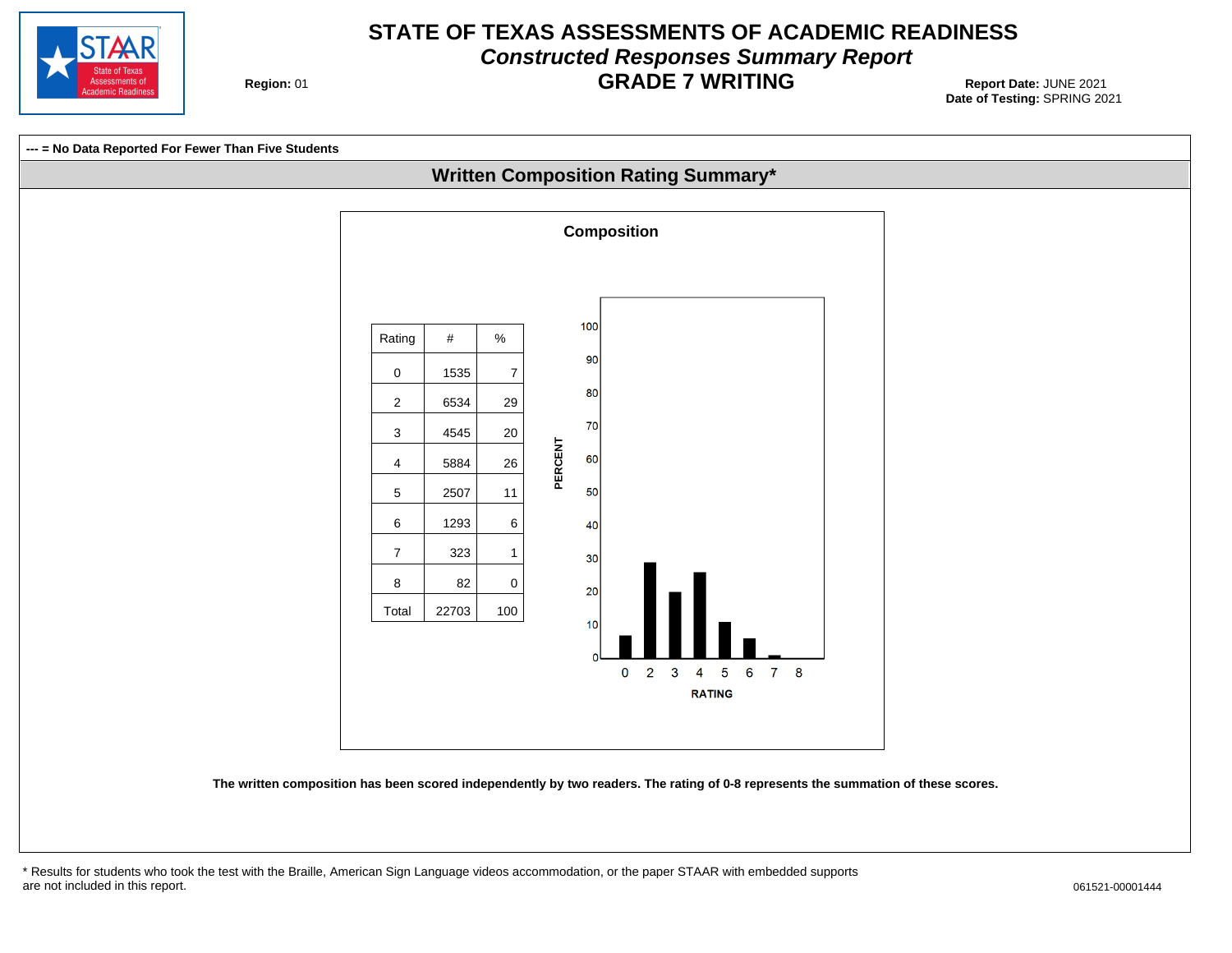

#### **STATE OF TEXAS ASSESSMENTS OF ACADEMIC READINESS Constructed Responses Summary Report GRADE 7 WRITING** Report Date: JUNE 2021

**Region: 01** 

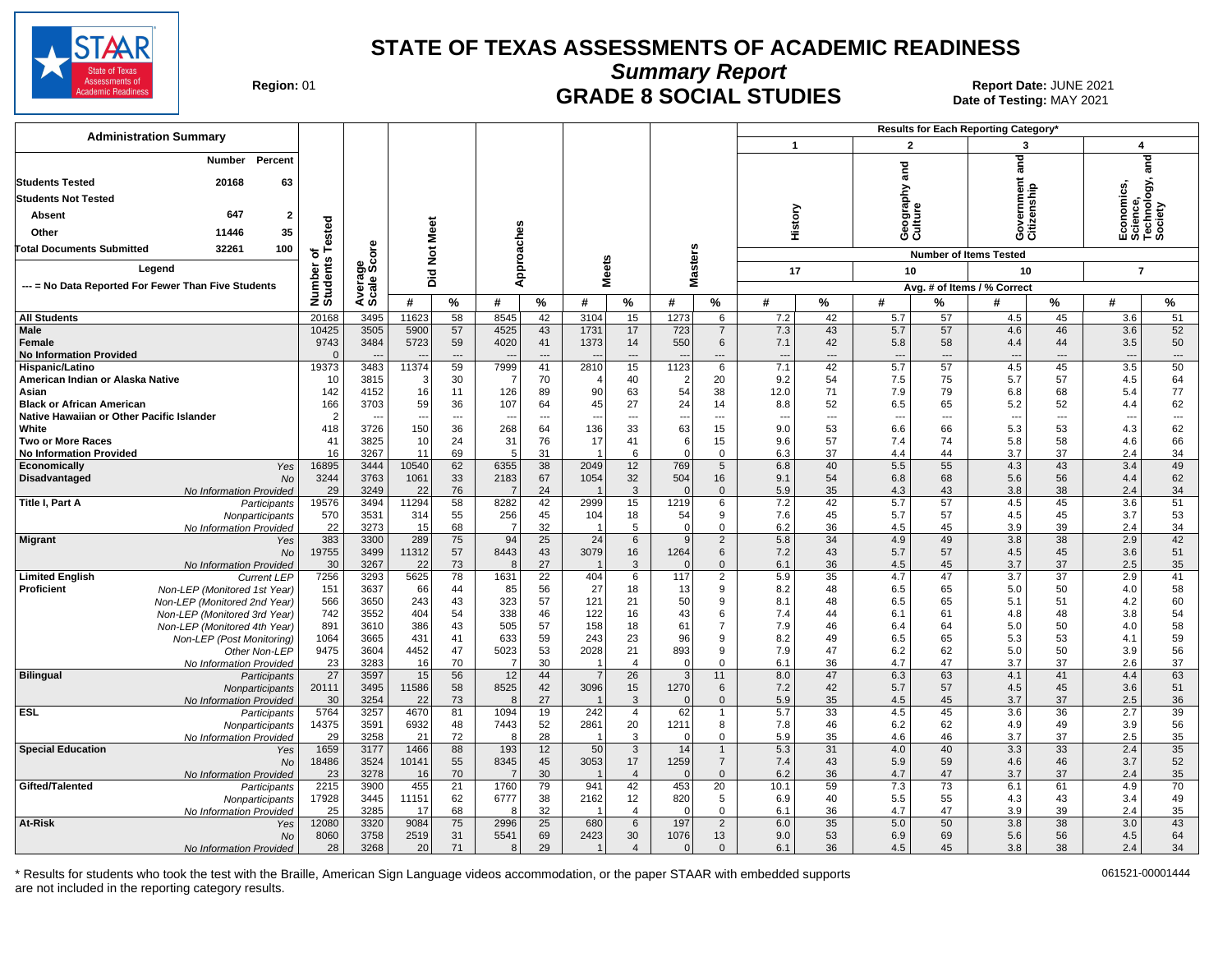

**Summary Report**

Region: 01 **Region: 01 CRADE 8 SOCIAL STUDIES Report Date: JUNE 2021 Report Date: JUNE 2021** Date of Testing: MAY 2021

| <b>Administration Summary</b>                                |                      |                      |               |                 |                          |             |                 |                      |                  |                          |              |                          |                        |             | <b>Results for Each Reporting Category'</b> |           |                                                    |                                |
|--------------------------------------------------------------|----------------------|----------------------|---------------|-----------------|--------------------------|-------------|-----------------|----------------------|------------------|--------------------------|--------------|--------------------------|------------------------|-------------|---------------------------------------------|-----------|----------------------------------------------------|--------------------------------|
|                                                              |                      |                      |               |                 |                          |             |                 |                      |                  |                          | $\mathbf{1}$ |                          | $\overline{2}$         |             | 3                                           |           | $\overline{\mathbf{A}}$                            |                                |
| Percent<br>Number                                            |                      |                      |               |                 |                          |             |                 |                      |                  |                          |              |                          |                        |             | ਛੂ                                          |           |                                                    | and                            |
| <b>Students Tested</b><br>20168<br>63                        |                      |                      |               |                 |                          |             |                 |                      |                  |                          |              |                          | and                    |             |                                             |           |                                                    |                                |
|                                                              |                      |                      |               |                 |                          |             |                 |                      |                  |                          |              |                          |                        |             |                                             |           |                                                    |                                |
| <b>Students Not Tested</b>                                   |                      |                      |               |                 |                          |             |                 |                      |                  |                          |              |                          | ieography ;<br>:ulture |             | iovernment<br>:itizenship                   |           | Economics,<br>Science,<br>Technology, ¿<br>Society |                                |
| 647<br><b>Absent</b><br>$\overline{\mathbf{2}}$              |                      |                      |               |                 |                          |             |                 |                      |                  |                          | History      |                          |                        |             |                                             |           |                                                    |                                |
| 35<br>11446<br>Other                                         | ested                |                      | Meet          |                 |                          |             |                 |                      |                  |                          |              |                          | ဖပ                     |             | ပ ပ                                         |           | ய் ம்ட்ம்                                          |                                |
| 32261<br>100<br>Total Documents Submitted                    | ⊢<br>৽               | e<br>6               |               |                 | Approaches               |             |                 |                      | s                |                          |              |                          |                        |             | <b>Number of Items Tested</b>               |           |                                                    |                                |
| Legend                                                       | Number o<br>Students | Average<br>Scale Scc | $\frac{5}{2}$ |                 |                          |             | <b>Meets</b>    |                      | laster:          |                          |              |                          |                        |             |                                             |           |                                                    |                                |
|                                                              |                      |                      | Did           |                 |                          |             |                 |                      | Σ                |                          | 17           |                          | 10                     |             | 10                                          |           | $\overline{7}$                                     |                                |
| --- = No Data Reported For Fewer Than Five Students          |                      |                      |               |                 |                          |             |                 |                      |                  |                          |              |                          |                        |             | Avg. # of Items / % Correct                 |           |                                                    |                                |
|                                                              |                      |                      | #             | $\frac{9}{6}$   | #                        | %           | #               | %                    | #                | $\%$                     | #            | $\%$                     | #                      | %           | #                                           | %         | #                                                  | $\frac{9}{6}$                  |
| <b>All Students</b>                                          | 20168                | 3495                 | 11623         | 58              | 8545                     | 42          | 3104            | 15                   | 1273             | 6                        | 7.2          | 42                       | 5.7                    | 57          | 4.5                                         | 45        | 3.6                                                | 51                             |
| <b>Male</b>                                                  | 10425                | 3505                 | 5900          | 57              | 4525                     | 43          | 1731            | 17                   | 723              | $\overline{7}$           | 7.3          | 43                       | 5.7                    | 57          | 4.6                                         | 46        | 3.6                                                | 52                             |
| Female<br><b>No Information Provided</b>                     | 9743<br>$\Omega$     | 3484                 | 5723          | 59<br>$---$     | 4020                     | 41<br>$---$ | 1373            | 14<br>$---$          | 550              | 6<br>$---$               | 7.1<br>---   | 42<br>---                | 5.8<br>$--$            | 58<br>$---$ | 4.4<br>$---$                                | 44<br>--- | 3.5<br>$\overline{\phantom{a}}$                    | 50<br>$\overline{\phantom{a}}$ |
| Hispanic/Latino                                              | 19373                | 3483                 | 11374         | 59              | 7999                     | 41          | 2810            | 15                   | 1123             | 6                        | 7.1          | 42                       | 5.7                    | 57          | 4.5                                         | 45        | 3.5                                                | 50                             |
| American Indian or Alaska Native                             | 10                   | 3815                 |               | 30              | -7                       | 70          |                 | 40                   | $\overline{2}$   | 20                       | 9.2          | 54                       | 7.5                    | 75          | 5.7                                         | 57        | 4.5                                                | 64                             |
| Asian                                                        | 142                  | 4152                 | 16            | 11              | 126                      | 89          | 90              | 63                   | 54               | 38                       | 12.0         | 71                       | 7.9                    | 79          | 6.8                                         | 68        | 5.4                                                | 77                             |
| <b>Black or African American</b>                             | 166                  | 3703                 | 59            | 36              | 107                      | 64          | 45              | 27                   | 24               | 14                       | 8.8          | 52                       | 6.5                    | 65          | 5.2                                         | 52        | 4.4                                                | 62                             |
| Native Hawaiian or Other Pacific Islander                    | $\overline{2}$       |                      |               | $\overline{a}$  | $\overline{\phantom{a}}$ | $---$       |                 | ---                  |                  | $\overline{\phantom{a}}$ | ---          | $\overline{\phantom{a}}$ | ---                    | $---$       | ---                                         | ---       | $\overline{\phantom{a}}$                           | $\overline{\phantom{a}}$       |
| White<br><b>Two or More Races</b>                            | 418<br>41            | 3726<br>3825         | 150<br>10     | 36<br>24        | 268<br>31                | 64<br>76    | 136<br>17       | 33<br>41             | 63<br>6          | 15<br>15                 | 9.0<br>9.6   | 53<br>57                 | 6.6<br>7.4             | 66<br>74    | 5.3<br>5.8                                  | 53<br>58  | 4.3<br>4.6                                         | 62<br>66                       |
| <b>No Information Provided</b>                               | 16                   | 3267                 | 11            | 69              | 5                        | 31          |                 | 6                    | $\Omega$         | $\Omega$                 | 6.3          | 37                       | 4.4                    | 44          | 3.7                                         | 37        | 2.4                                                | 34                             |
| Economically<br>Yes                                          | 16895                | 3444                 | 10540         | 62              | 6355                     | 38          | 2049            | 12                   | 769              | 5                        | 6.8          | 40                       | 5.5                    | 55          | 4.3                                         | 43        | 3.4                                                | 49                             |
| Disadvantaged<br><b>No</b>                                   | 3244                 | 3763                 | 1061          | 33              | 2183                     | 67          | 1054            | 32                   | 504              | 16                       | 9.1          | 54                       | 6.8                    | 68          | 5.6                                         | 56        | 4.4                                                | 62                             |
| No Information Provided                                      | 29                   | 3249                 | 22            | 76              | $\overline{7}$           | 24          |                 | 3                    |                  | $\mathbf{0}$             | 5.9          | 35                       | 4.3                    | 43          | 3.8                                         | 38        | 2.4                                                | 34                             |
| Title I, Part A<br>Participants                              | 19576                | 3494                 | 11294         | 58              | 8282                     | 42          | 2999            | 15                   | 1219             | 6                        | 7.2          | 42                       | 5.7<br>5.7             | 57<br>57    | 4.5                                         | 45        | 3.6                                                | 51                             |
| Nonparticipants<br>No Information Provided                   | 570<br>22            | 3531<br>3273         | 314<br>15     | 55<br>68        | 256<br>-7                | 45<br>32    | 104             | 18<br>5              | 54<br>$\Omega$   | 9<br>$\mathbf 0$         | 7.6<br>6.2   | 45<br>36                 | 4.5                    | 45          | 4.5<br>3.9                                  | 45<br>39  | 3.7<br>2.4                                         | 53<br>34                       |
| <b>Migrant</b><br>Yes                                        | 383                  | 3300                 | 289           | 75              | 94                       | 25          | $\overline{24}$ | $6\phantom{1}$       | 9                | $\sqrt{2}$               | 5.8          | $\overline{34}$          | 4.9                    | 49          | 3.8                                         | 38        | 2.9                                                | 42                             |
| No                                                           | 19755                | 3499                 | 11312         | 57              | 8443                     | 43          | 3079            | 16                   | 1264             | 6                        | 7.2          | 43                       | 5.7                    | 57          | 4.5                                         | 45        | 3.6                                                | 51                             |
| No Information Provided                                      | 30                   | 3267                 | 22            | 73              | 8                        | 27          |                 | 3                    |                  | $\mathbf{0}$             | 6.1          | 36                       | 4.5                    | 45          | 3.7                                         | 37        | 2.5                                                | 35                             |
| <b>Limited English</b><br><b>Current LEP</b>                 | 7256                 | 3293                 | 5625          | $\overline{78}$ | 1631                     | 22          | 404             | 6                    | 117              | $\overline{c}$           | 5.9          | 35                       | 4.7                    | 47          | 3.7                                         | 37        | 2.9                                                | 41                             |
| Proficient<br>Non-LEP (Monitored 1st Year)                   | 151                  | 3637                 | 66            | 44              | 85                       | 56          | 27              | 18                   | 13               | 9                        | 8.2          | 48                       | 6.5                    | 65          | 5.0                                         | 50        | 4.0                                                | 58                             |
| Non-LEP (Monitored 2nd Year)<br>Non-LEP (Monitored 3rd Year) | 566<br>742           | 3650<br>3552         | 243<br>404    | 43<br>54        | 323<br>338               | 57<br>46    | 121<br>122      | 21<br>16             | 50<br>43         | 9<br>6                   | 8.1<br>7.4   | 48<br>44                 | 6.5<br>6.1             | 65<br>61    | 5.1<br>4.8                                  | 51<br>48  | 4.2<br>3.8                                         | 60<br>54                       |
| Non-LEP (Monitored 4th Year)                                 | 891                  | 3610                 | 386           | 43              | 505                      | 57          | 158             | 18                   | 61               | $\overline{7}$           | 7.9          | 46                       | 6.4                    | 64          | 5.0                                         | 50        | 4.0                                                | 58                             |
| Non-LEP (Post Monitorina)                                    | 1064                 | 3665                 | 431           | 41              | 633                      | 59          | 243             | 23                   | 96               | 9                        | 8.2          | 49                       | 6.5                    | 65          | 5.3                                         | 53        | 4.1                                                | 59                             |
| Other Non-LEP                                                | 9475                 | 3604                 | 4452          | 47              | 5023                     | 53          | 2028            | 21                   | 893              | 9                        | 7.9          | 47                       | 6.2                    | 62          | 5.0                                         | 50        | 3.9                                                | 56                             |
| No Information Provided                                      | 23                   | 3283                 | 16            | 70              | -7                       | 30          |                 | $\overline{4}$       | $\Omega$         | $\Omega$                 | 6.1          | 36                       | 4.7                    | 47          | 3.7                                         | 37        | 2.6                                                | 37                             |
| <b>Bilingual</b><br>Participants                             | 27                   | 3597                 | 15            | 56              | 12                       | 44          |                 | 26                   | 3                | 11                       | 8.0          | 47                       | 6.3                    | 63          | 4.1                                         | 41        | 4.4                                                | 63                             |
| Nonparticipants<br>No Information Provided                   | 20111<br>30          | 3495<br>3254         | 11586<br>22   | 58<br>73        | 8525<br>8                | 42<br>27    | 3096            | 15<br>3              | 1270<br>$\Omega$ | 6<br>$\mathbf{0}$        | 7.2<br>5.9   | 42<br>35                 | 5.7<br>4.5             | 57<br>45    | 4.5<br>3.7                                  | 45<br>37  | 3.6<br>2.5                                         | 51<br>36                       |
| <b>ESL</b><br>Participants                                   | 5764                 | 3257                 | 4670          | 81              | 1094                     | 19          | 242             | $\overline{4}$       | 62               |                          | 5.7          | $\overline{33}$          | 4.5                    | 45          | 3.6                                         | 36        | 2.7                                                | 39                             |
| Nonparticipants                                              | 14375                | 3591                 | 6932          | 48              | 7443                     | 52          | 2861            | 20                   | 1211             | 8                        | 7.8          | 46                       | 6.2                    | 62          | 4.9                                         | 49        | 3.9                                                | 56                             |
| No Information Provided                                      | 29                   | 3258                 | 21            | 72              | 8                        | 28          |                 | 3                    | $\Omega$         | $\mathbf 0$              | 5.9          | 35                       | 4.6                    | 46          | 3.7                                         | 37        | 2.5                                                | 35                             |
| <b>Special Education</b><br>Yes                              | 1659                 | 3177                 | 1466          | 88              | 193                      | 12          | 50              | $\mathbf{3}$         | 14               | $\mathbf{1}$             | 5.3          | 31                       | 4.0                    | 40          | 3.3                                         | 33        | 2.4                                                | 35                             |
| No                                                           | 18486                | 3524                 | 10141         | 55              | 8345                     | 45          | 3053            | 17                   | 1259             | $\overline{7}$           | 7.4          | 43                       | 5.9                    | 59          | 4.6                                         | 46        | 3.7                                                | 52                             |
| No Information Provided<br>Gifted/Talented                   | 23<br>2215           | 3278<br>3900         | 16<br>455     | 70<br>21        | $\overline{7}$<br>1760   | 30<br>79    | 941             | $\overline{4}$<br>42 | 453              | $\mathbf{0}$<br>20       | 6.2<br>10.1  | 36<br>59                 | 4.7<br>7.3             | 47<br>73    | 3.7<br>6.1                                  | 37<br>61  | 2.4<br>4.9                                         | 35<br>70                       |
| Participants<br>Nonparticipants                              | 17928                | 3445                 | 11151         | 62              | 6777                     | 38          | 2162            | 12                   | 820              | 5                        | 6.9          | 40                       | 5.5                    | 55          | 4.3                                         | 43        | 3.4                                                | 49                             |
| No Information Provided                                      | 25                   | 3285                 | 17            | 68              | 8                        | 32          |                 | $\overline{4}$       |                  | $\Omega$                 | 6.1          | 36                       | 4.7                    | 47          | 3.9                                         | 39        | 2.4                                                | 35                             |
| At-Risk<br>Yes                                               | 12080                | 3320                 | 9084          | 75              | 2996                     | 25          | 680             | 6                    | 197              | $\overline{2}$           | 6.0          | 35                       | 5.0                    | 50          | 3.8                                         | 38        | 3.0                                                | 43                             |
| <b>No</b>                                                    | 8060                 | 3758                 | 2519          | 31              | 5541                     | 69          | 2423            | 30                   | 1076             | 13                       | 9.0          | 53                       | 6.9                    | 69          | 5.6                                         | 56        | 4.5                                                | 64                             |
| No Information Provided                                      | 28                   | 3268                 | 20            | 71              | 8                        | 29          |                 | $\overline{4}$       | $\Omega$         | $\Omega$                 | 6.1          | 36                       | 4.5                    | 45          | 3.8                                         | 38        | 2.4                                                | 34                             |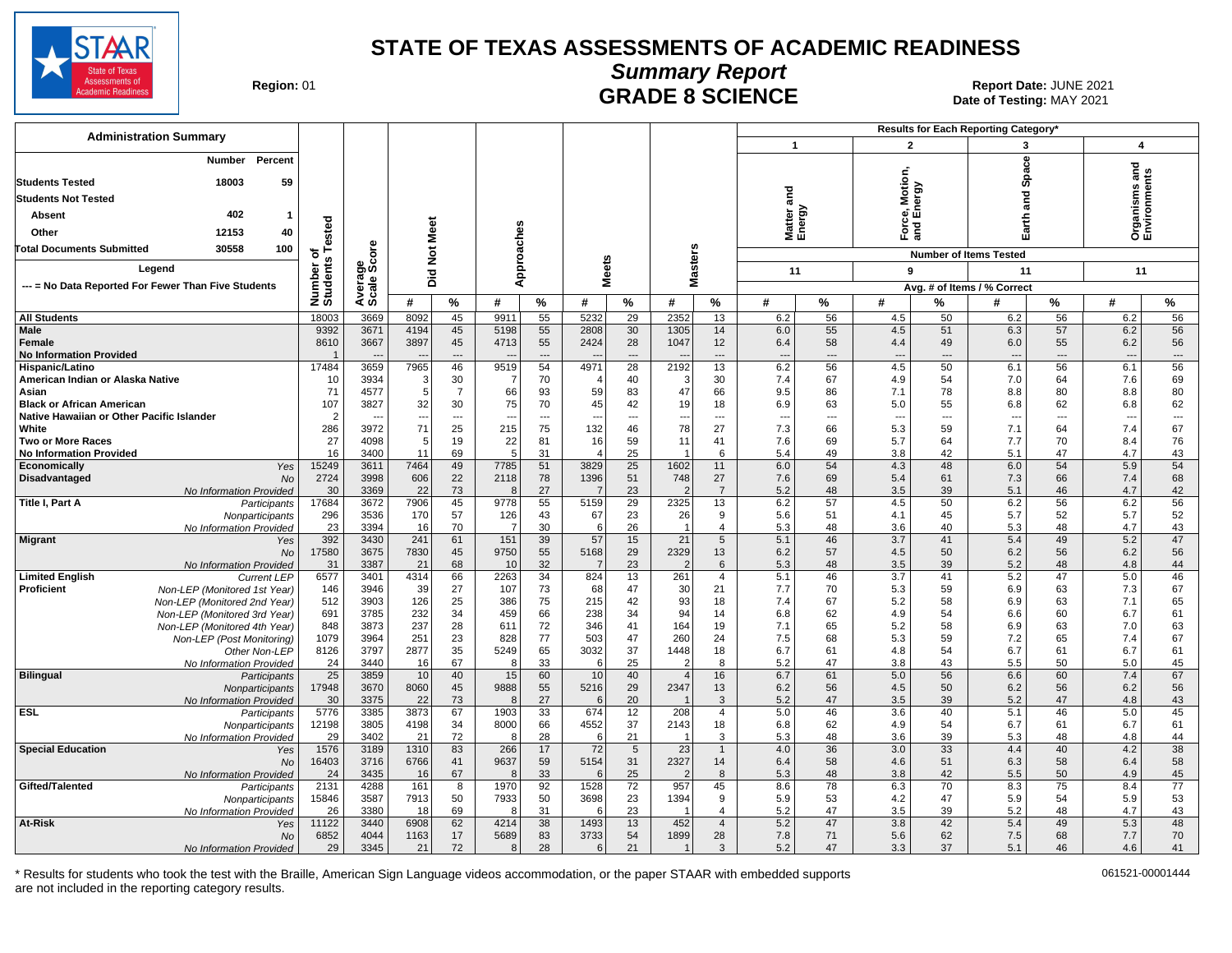

Date of Testing: MAY 2021

| Region: 01 |
|------------|
|------------|

#### **Summary Report** Region: 01 **Region: 01 CRADE 8 SCIENCE Date: JUNE 2021 Report Date: JUNE 2021**

| <b>Administration Summary</b>                                     |                      |                                  |                                |                      |                                  |                      |                |                                |                          |                                |                                 | Results for Each Reporting Category' |                  |                |                                 |                      |                                 |          |
|-------------------------------------------------------------------|----------------------|----------------------------------|--------------------------------|----------------------|----------------------------------|----------------------|----------------|--------------------------------|--------------------------|--------------------------------|---------------------------------|--------------------------------------|------------------|----------------|---------------------------------|----------------------|---------------------------------|----------|
|                                                                   |                      |                                  |                                |                      |                                  |                      |                |                                |                          |                                | $\mathbf{1}$                    |                                      |                  | $\overline{2}$ | 3                               |                      | $\overline{\mathbf{A}}$         |          |
| Percent<br>Number<br>18003<br>59                                  |                      |                                  |                                |                      |                                  |                      |                |                                |                          |                                |                                 |                                      | Motion,          |                | Space                           |                      | 혿                               |          |
| <b>Students Tested</b>                                            |                      |                                  |                                |                      |                                  |                      |                |                                |                          |                                | <u>ក្នុ</u>                     |                                      |                  | ergy           |                                 |                      |                                 |          |
| <b>Students Not Tested</b>                                        |                      |                                  |                                |                      |                                  |                      |                |                                |                          |                                |                                 |                                      |                  |                | 겯<br><b>ro</b>                  |                      | Organisms an<br>Environments    |          |
| 402<br>Absent<br>$\mathbf{1}$                                     |                      |                                  |                                |                      |                                  |                      |                |                                |                          |                                | Matter a<br>Energy              |                                      |                  | g် ⊡็          | arth                            |                      |                                 |          |
| Other<br>12153<br>40                                              |                      |                                  |                                |                      |                                  |                      |                |                                |                          |                                |                                 |                                      |                  | 군<br>이         | шī                              |                      |                                 |          |
| 30558<br>100<br><b>Total Documents Submitted</b>                  | Tested<br>৳          | Φ<br>ă                           | Not Meet                       |                      |                                  |                      |                |                                |                          |                                |                                 |                                      |                  |                | <b>Number of Items Tested</b>   |                      |                                 |          |
| Legend                                                            | Number o<br>Students |                                  |                                |                      | Approaches                       |                      | <b>Meets</b>   |                                | <b>Masters</b>           |                                |                                 |                                      |                  |                |                                 |                      |                                 |          |
|                                                                   |                      | Average<br>Scale Sc              | Did                            |                      |                                  |                      |                |                                |                          |                                | 11                              |                                      | 9                |                | 11                              |                      | 11                              |          |
| --- = No Data Reported For Fewer Than Five Students               |                      |                                  |                                |                      |                                  |                      |                |                                |                          |                                |                                 |                                      |                  |                | Avg. # of Items / % Correct     |                      |                                 |          |
|                                                                   |                      |                                  | #                              | %                    | #                                | $\%$                 | #              | %                              | #                        | %                              | #                               | $\%$                                 | #                | %              | #                               | ℅                    | #                               | $\%$     |
| <b>All Students</b>                                               | 18003                | 3669                             | 8092                           | 45                   | 9911                             | 55                   | 5232           | $\overline{29}$                | 2352                     | 13                             | 6.2                             | 56                                   | 4.5              | 50             | 6.2                             | 56                   | 6.2                             | 56       |
| <b>Male</b>                                                       | 9392<br>8610         | 367'                             | 4194                           | 45                   | 5198                             | 55                   | 2808           | 30                             | 1305                     | 14                             | 6.0                             | 55                                   | 4.5              | 51             | 6.3                             | 57                   | 6.2                             | 56<br>56 |
| Female<br><b>No Information Provided</b>                          |                      | 3667<br>$\overline{\phantom{a}}$ | 3897                           | 45<br>$---$          | 4713<br>$\overline{\phantom{a}}$ | 55<br>$\overline{a}$ | 2424           | 28<br>$\overline{\phantom{a}}$ | 1047                     | 12<br>$\overline{\phantom{a}}$ | 6.4<br>$\overline{\phantom{a}}$ | 58<br>$\overline{a}$                 | 4.4<br>---       | 49<br>---      | 6.0<br>$\overline{\phantom{a}}$ | 55<br>---            | 6.2<br>$\overline{\phantom{a}}$ | $\cdots$ |
| Hispanic/Latino                                                   | 17484                | 3659                             | 7965                           | 46                   | 9519                             | 54                   | 4971           | 28                             | 2192                     | 13                             | 6.2                             | 56                                   | 4.5              | 50             | 6.1                             | 56                   | 6.1                             | 56       |
| American Indian or Alaska Native                                  | 10                   | 3934                             | 3                              | 30                   | -7                               | 70                   |                | 40                             | 3                        | 30                             | 7.4                             | 67                                   | 4.9              | 54             | 7.0                             | 64                   | 7.6                             | 69       |
| Asian                                                             | 71                   | 4577                             | 5                              | $\overline{7}$       | 66                               | 93                   | 59             | 83                             | 47                       | 66                             | 9.5                             | 86                                   | 7.1              | 78             | 8.8                             | 80                   | 8.8                             | 80       |
| <b>Black or African American</b>                                  | 107                  | 3827                             | 32                             | 30                   | 75                               | 70                   | 45             | 42                             | 19                       | 18                             | 6.9                             | 63                                   | 5.0              | 55             | 6.8                             | 62                   | 6.8                             | 62       |
| Native Hawaiian or Other Pacific Islander<br>White                | $\overline{2}$       | --<br>3972                       | $\overline{\phantom{a}}$<br>71 | $\overline{a}$<br>25 | $\overline{\phantom{a}}$         | $-$<br>75            | $\overline{a}$ | $\overline{a}$                 | $\overline{\phantom{a}}$ | $\sim$<br>27                   | $\overline{a}$                  | ---                                  | $\sim$<br>5.3    | ---<br>59      | $\overline{\phantom{a}}$        | $\overline{a}$<br>64 | $\overline{\phantom{a}}$        | $\sim$   |
| <b>Two or More Races</b>                                          | 286<br>27            | 4098                             | 5                              | 19                   | 215<br>22                        | 81                   | 132<br>16      | 46<br>59                       | 78<br>11                 | 41                             | 7.3<br>7.6                      | 66<br>69                             | 5.7              | 64             | 7.1<br>7.7                      | 70                   | 7.4<br>8.4                      | 67<br>76 |
| <b>No Information Provided</b>                                    | 16                   | 3400                             | 11                             | 69                   | 5                                | 31                   | $\overline{4}$ | 25                             |                          | 6                              | 5.4                             | 49                                   | 3.8              | 42             | 5.1                             | 47                   | 4.7                             | 43       |
| Economically<br>Yes                                               | 15249                | 3611                             | 7464                           | 49                   | 7785                             | 51                   | 3829           | 25                             | 1602                     | 11                             | 6.0                             | 54                                   | 4.3              | 48             | 6.0                             | 54                   | 5.9                             | 54       |
| Disadvantaged<br><b>No</b>                                        | 2724                 | 3998                             | 606                            | 22                   | 2118                             | 78                   | 1396           | 51                             | 748                      | 27                             | 7.6                             | 69                                   | 5.4              | 61             | 7.3                             | 66                   | 7.4                             | 68       |
| No Information Provided                                           | 30                   | 3369                             | 22                             | 73                   | -8                               | 27                   |                | 23                             | $\mathcal{P}$            | $\overline{7}$                 | 5.2                             | 48                                   | 3.5              | 39             | 5.1                             | 46                   | 4.7                             | 42       |
| <b>Title I, Part A</b><br>Participants                            | 17684<br>296         | 3672<br>3536                     | 7906<br>170                    | 45<br>57             | 9778<br>126                      | 55<br>43             | 5159<br>67     | 29<br>23                       | 2325<br>26               | 13<br>9                        | 6.2<br>5.6                      | 57<br>51                             | 4.5<br>4.1       | 50<br>45       | 6.2<br>5.7                      | 56<br>52             | 6.2<br>5.7                      | 56<br>52 |
| Nonparticipants<br>No Information Provided                        | 23                   | 3394                             | 16                             | 70                   | - 7                              | 30                   | 6              | 26                             | $\overline{1}$           | $\overline{4}$                 | 5.3                             | 48                                   | 3.6              | 40             | 5.3                             | 48                   | 4.7                             | 43       |
| <b>Migrant</b><br>Yes                                             | 392                  | 3430                             | 241                            | 61                   | 151                              | 39                   | 57             | 15                             | $\overline{21}$          | 5                              | 5.1                             | 46                                   | $\overline{3.7}$ | 41             | 5.4                             | 49                   | 5.2                             | 47       |
| No                                                                | 17580                | 3675                             | 7830                           | 45                   | 9750                             | 55                   | 5168           | 29                             | 2329                     | 13                             | 6.2                             | 57                                   | 4.5              | 50             | 6.2                             | 56                   | 6.2                             | 56       |
| No Information Provided                                           | 31                   | 3387                             | 21                             | 68                   | 10                               | 32                   | $\overline{7}$ | 23                             | $\overline{2}$           | 6                              | 5.3                             | 48                                   | 3.5              | 39             | 5.2                             | 48                   | 4.8                             | 44       |
| <b>Limited English</b><br><b>Current LEP</b><br><b>Proficient</b> | 6577                 | 3401                             | 4314                           | 66<br>27             | 2263                             | 34                   | 824            | 13<br>47                       | 261                      | $\overline{4}$                 | 5.1<br>7.7                      | 46<br>70                             | 3.7              | 41             | 5.2                             | 47                   | 5.0                             | 46<br>67 |
| Non-LEP (Monitored 1st Year)<br>Non-LEP (Monitored 2nd Year)      | 146<br>512           | 3946<br>3903                     | 39<br>126                      | 25                   | 107<br>386                       | 73<br>75             | 68<br>215      | 42                             | 30<br>93                 | 21<br>18                       | 7.4                             | 67                                   | 5.3<br>5.2       | 59<br>58       | 6.9<br>6.9                      | 63<br>63             | 7.3<br>7.1                      | 65       |
| Non-LEP (Monitored 3rd Year)                                      | 691                  | 3785                             | 232                            | 34                   | 459                              | 66                   | 238            | 34                             | 94                       | 14                             | 6.8                             | 62                                   | 4.9              | 54             | 6.6                             | 60                   | 6.7                             | 61       |
| Non-LEP (Monitored 4th Year)                                      | 848                  | 3873                             | 237                            | 28                   | 611                              | 72                   | 346            | 41                             | 164                      | 19                             | 7.1                             | 65                                   | 5.2              | 58             | 6.9                             | 63                   | 7.0                             | 63       |
| Non-LEP (Post Monitoring)                                         | 1079                 | 3964                             | 251                            | 23                   | 828                              | 77                   | 503            | 47                             | 260                      | 24                             | 7.5                             | 68                                   | 5.3              | 59             | 7.2                             | 65                   | 7.4                             | 67       |
| Other Non-LEP                                                     | 8126                 | 3797                             | 2877                           | 35                   | 5249                             | 65                   | 3032           | 37                             | 1448                     | 18                             | 6.7                             | 61                                   | 4.8              | 54             | 6.7                             | 61                   | 6.7                             | 61       |
| No Information Provided                                           | 24                   | 3440                             | 16                             | 67                   | 8                                | 33                   | 6              | 25                             | $\overline{2}$           | 8                              | 5.2                             | 47                                   | 3.8              | 43             | 5.5                             | 50                   | 5.0                             | 45<br>67 |
| <b>Bilingual</b><br>Participants<br>Nonparticipants               | 25<br>17948          | 3859<br>3670                     | 10<br>8060                     | 40<br>45             | 15<br>9888                       | 60<br>55             | 10<br>5216     | 40<br>29                       | 2347                     | 16<br>13                       | 6.7<br>6.2                      | 61<br>56                             | 5.0<br>4.5       | 56<br>50       | 6.6<br>6.2                      | 60<br>56             | 7.4<br>6.2                      | 56       |
| No Information Provided                                           | 30                   | 3375                             | 22                             | 73                   | 8                                | 27                   | 6              | 20                             | $\overline{1}$           | 3                              | 5.2                             | 47                                   | 3.5              | 39             | 5.2                             | 47                   | 4.8                             | 43       |
| <b>ESL</b><br>Participants                                        | 5776                 | 3385                             | 3873                           | 67                   | 1903                             | 33                   | 674            | 12                             | 208                      | $\overline{4}$                 | 5.0                             | 46                                   | 3.6              | 40             | 5.1                             | 46                   | 5.0                             | 45       |
| Nonparticipants                                                   | 12198                | 3805                             | 4198                           | 34                   | 8000                             | 66                   | 4552           | 37                             | 2143                     | 18                             | 6.8                             | 62                                   | 4.9              | 54             | 6.7                             | 61                   | 6.7                             | 61       |
| No Information Provided                                           | 29                   | 3402                             | 21                             | 72                   | -8                               | 28                   | 6              | 21                             |                          | 3                              | 5.3                             | 48                                   | 3.6              | 39             | 5.3                             | 48                   | 4.8                             | 44       |
| <b>Special Education</b><br>Yes                                   | 1576                 | 3189                             | 1310                           | 83                   | 266                              | 17                   | 72             | 5                              | 23                       | $\overline{1}$                 | 4.0                             | 36<br>58                             | 3.0              | 33             | 4.4                             | 40                   | 4.2                             | 38       |
| <b>No</b><br>No Information Provided                              | 16403<br>24          | 3716<br>3435                     | 6766<br>16                     | 41<br>67             | 9637<br>-8                       | 59<br>33             | 5154<br>6      | 31<br>25                       | 2327                     | 14<br>8                        | 6.4<br>5.3                      | 48                                   | 4.6<br>3.8       | 51<br>42       | 6.3<br>5.5                      | 58<br>50             | 6.4<br>4.9                      | 58<br>45 |
| Gifted/Talented<br>Participants                                   | 2131                 | 4288                             | 161                            | 8                    | 1970                             | 92                   | 1528           | 72                             | 957                      | 45                             | 8.6                             | 78                                   | 6.3              | 70             | 8.3                             | 75                   | 8.4                             | 77       |
| Nonparticipants                                                   | 15846                | 3587                             | 7913                           | 50                   | 7933                             | 50                   | 3698           | 23                             | 1394                     | 9                              | 5.9                             | 53                                   | 4.2              | 47             | 5.9                             | 54                   | 5.9                             | 53       |
| No Information Provided                                           | 26                   | 3380                             | 18                             | 69                   | -8                               | 31                   | 6              | 23                             | -1                       | $\overline{4}$                 | 5.2                             | 47                                   | 3.5              | 39             | 5.2                             | 48                   | 4.7                             | 43       |
| At-Risk<br>Yes                                                    | 11122                | 3440                             | 6908                           | 62                   | 4214                             | $\overline{38}$      | 1493           | 13                             | 452                      | $\overline{4}$                 | 5.2                             | 47                                   | $\overline{3.8}$ | 42             | 5.4                             | 49                   | 5.3                             | 48       |
| <b>No</b>                                                         | 6852                 | 4044<br>3345                     | 1163                           | 17<br>72             | 5689<br>8                        | 83<br>28             | 3733<br>6      | 54<br>21                       | 1899<br>$\overline{1}$   | 28<br>3                        | 7.8<br>5.2                      | 71<br>47                             | 5.6              | 62<br>37       | 7.5                             | 68<br>46             | 7.7<br>4.6                      | 70<br>41 |
| No Information Provided                                           | 29                   |                                  | 21                             |                      |                                  |                      |                |                                |                          |                                |                                 |                                      | 3.3              |                | 5.1                             |                      |                                 |          |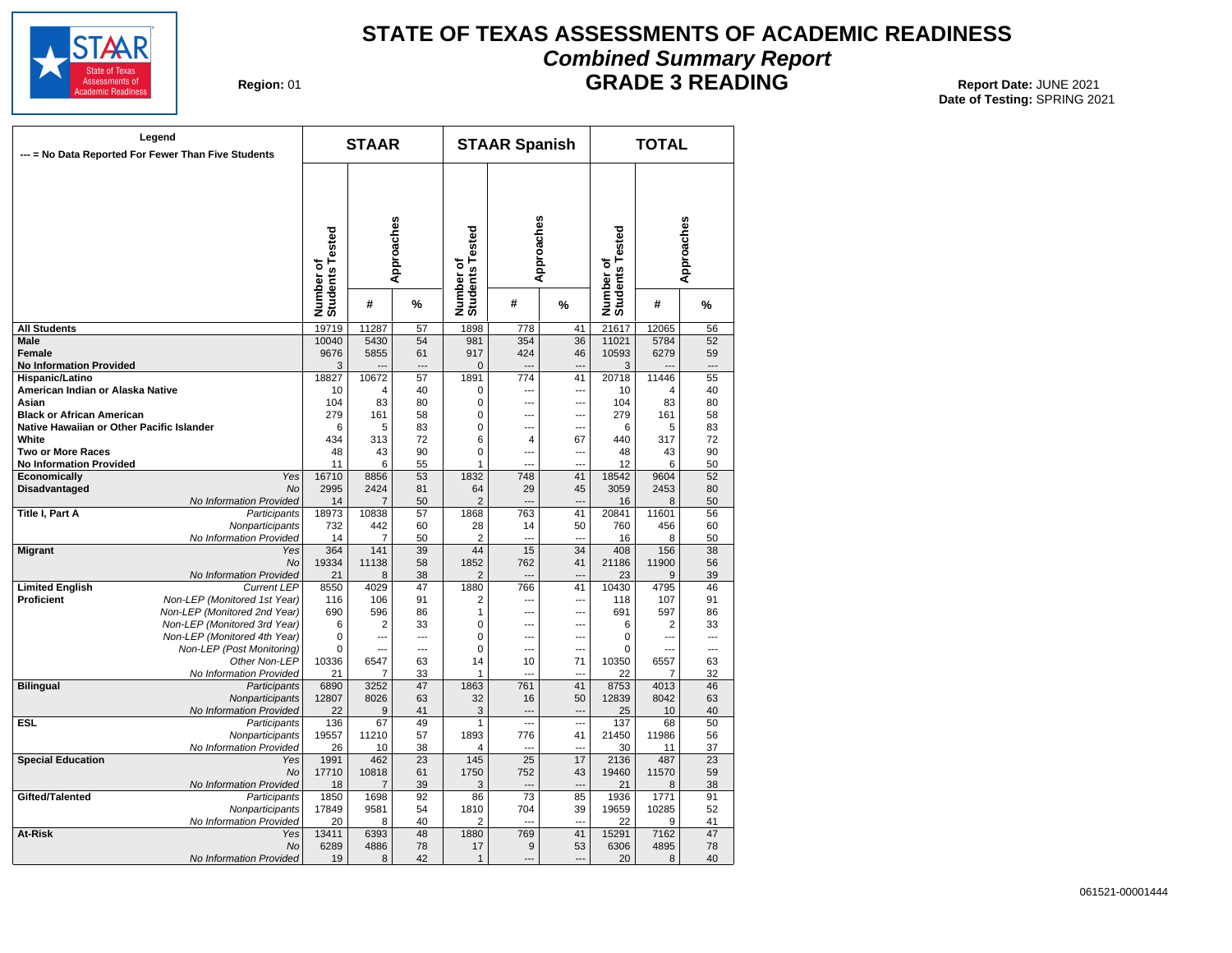

### **STATE OF TEXAS ASSESSMENTS OF ACADEMIC READINESS Combined Summary Report**

**Region: 01** 

**GRADE 3 READING** Report Date: JUNE 2021

| Legend<br>--- = No Data Reported For Fewer Than Five Students |                              | <b>STAAR</b>   |            |                              | <b>STAAR Spanish</b>  |                          |                              | <b>TOTAL</b>   |                 |
|---------------------------------------------------------------|------------------------------|----------------|------------|------------------------------|-----------------------|--------------------------|------------------------------|----------------|-----------------|
|                                                               | Number of<br>Students Tested |                | Approaches | Number of<br>Students Tested | Approaches            |                          | Number of<br>Students Tested |                | Approaches      |
|                                                               |                              | #              | %          |                              | #                     | %                        |                              | #              | %               |
| <b>All Students</b>                                           | 19719                        | 11287          | 57         | 1898                         | 778                   | 41                       | 21617                        | 12065          | 56              |
| <b>Male</b>                                                   | 10040                        | 5430           | 54         | 981                          | 354                   | $\overline{36}$          | 11021                        | 5784           | 52              |
| Female                                                        | 9676                         | 5855           | 61         | 917                          | 424                   | 46                       | 10593                        | 6279           | 59              |
| <b>No Information Provided</b>                                | 3                            |                |            | $\mathbf 0$                  |                       |                          | 3                            |                |                 |
| Hispanic/Latino                                               | 18827                        | 10672          | 57         | 1891                         | 774                   | 41                       | 20718                        | 11446          | 55              |
| American Indian or Alaska Native                              | 10                           | 4              | 40         | 0                            | ---                   | ---                      | 10                           | 4              | 40              |
| Asian                                                         | 104                          | 83             | 80         | 0                            | $\overline{a}$        | $\overline{a}$           | 104                          | 83             | 80              |
| <b>Black or African American</b>                              | 279                          | 161            | 58         | $\mathbf 0$                  | ---                   | $\overline{a}$           | 279                          | 161            | 58              |
| Native Hawaiian or Other Pacific Islander                     | 6                            | 5              | 83         | 0                            | $\sim$                | $\overline{a}$           | 6                            | 5              | 83              |
| White                                                         | 434                          | 313            | 72         | 6                            | 4                     | 67                       | 440                          | 317            | 72              |
| <b>Two or More Races</b>                                      | 48                           | 43             | 90         | $\Omega$                     | $\overline{a}$        | $\overline{a}$           | 48                           | 43             | 90              |
| <b>No Information Provided</b>                                | 11                           | 6              | 55         | 1                            |                       |                          | 12                           | 6              | 50              |
| Economically<br>Yes                                           | 16710                        | 8856           | 53         | 1832                         | 748                   | 41                       | 18542                        | 9604           | 52              |
| <b>Disadvantaged</b><br><b>No</b>                             | 2995                         | 2424           | 81         | 64                           | 29                    | 45                       | 3059                         | 2453           | 80              |
| No Information Provided<br>Title I, Part A                    | 14<br>18973                  | 7<br>10838     | 50<br>57   | 2<br>1868                    | $\overline{a}$<br>763 | $\overline{a}$<br>41     | 16<br>20841                  | 8<br>11601     | 50<br>56        |
| Participants<br>Nonparticipants                               | 732                          | 442            | 60         | 28                           | 14                    | 50                       | 760                          | 456            | 60              |
|                                                               | 14                           | 7              | 50         | 2                            | $\overline{a}$        | $\overline{a}$           | 16                           | 8              | 50              |
| No Information Provided<br><b>Migrant</b><br>Yes              | 364                          | 141            | 39         | 44                           | $\overline{15}$       | $\overline{34}$          | 408                          | 156            | $\overline{38}$ |
| No                                                            | 19334                        | 11138          | 58         | 1852                         | 762                   | 41                       | 21186                        | 11900          | 56              |
| No Information Provided                                       | 21                           | 8              | 38         | 2                            |                       |                          | 23                           | 9              | 39              |
| <b>Limited English</b><br><b>Current LEP</b>                  | 8550                         | 4029           | 47         | 1880                         | 766                   | 41                       | 10430                        | 4795           | 46              |
| Proficient<br>Non-LEP (Monitored 1st Year)                    | 116                          | 106            | 91         | 2                            | ---                   | $\overline{a}$           | 118                          | 107            | 91              |
| Non-LEP (Monitored 2nd Year)                                  | 690                          | 596            | 86         | 1                            | $\overline{a}$        | $\overline{a}$           | 691                          | 597            | 86              |
| Non-LEP (Monitored 3rd Year)                                  | 6                            | 2              | 33         | $\mathbf 0$                  | $\overline{a}$        | $\sim$                   | 6                            | 2              | 33              |
| Non-LEP (Monitored 4th Year)                                  | 0                            | ---            | ---        | $\mathbf 0$                  | $\overline{a}$        | $\overline{a}$           | 0                            | …              | $\overline{a}$  |
| Non-LEP (Post Monitoring)                                     | 0                            | ---            | ---        | 0                            | $\overline{a}$        | $\overline{a}$           | 0                            | ---            | ---             |
| Other Non-LEP                                                 | 10336                        | 6547           | 63         | 14                           | 10                    | 71                       | 10350                        | 6557           | 63              |
| No Information Provided                                       | 21                           | $\overline{7}$ | 33         | 1                            |                       |                          | 22                           | $\overline{7}$ | 32              |
| <b>Bilingual</b><br>Participants                              | 6890                         | 3252           | 47         | 1863                         | 761                   | 41                       | 8753                         | 4013           | 46              |
| Nonparticipants                                               | 12807                        | 8026           | 63         | 32                           | 16                    | 50                       | 12839                        | 8042           | 63              |
| No Information Provided                                       | 22                           | 9              | 41         | 3                            | $\overline{a}$        | $\overline{\phantom{a}}$ | 25                           | 10             | 40              |
| ESL<br>Participants                                           | 136                          | 67             | 49         | 1                            | $\sim$                | $\overline{a}$           | 137                          | 68             | 50              |
| Nonparticipants                                               | 19557                        | 11210          | 57         | 1893                         | 776                   | 41                       | 21450                        | 11986          | 56              |
| No Information Provided                                       | 26                           | 10             | 38         | 4                            | $\overline{a}$        |                          | 30                           | 11             | 37              |
| <b>Special Education</b><br>Yes                               | 1991                         | 462            | 23         | 145                          | 25                    | 17                       | 2136                         | 487            | $\overline{23}$ |
| No                                                            | 17710                        | 10818          | 61         | 1750                         | 752                   | 43                       | 19460                        | 11570          | 59              |
| No Information Provided                                       | 18                           | $\overline{7}$ | 39         | 3                            | $\overline{a}$        | $\overline{a}$           | 21                           | 8              | 38              |
| Gifted/Talented<br>Participants                               | 1850                         | 1698           | 92         | 86                           | 73                    | 85                       | 1936                         | 1771           | 91              |
| Nonparticipants                                               | 17849                        | 9581           | 54         | 1810                         | 704                   | 39                       | 19659                        | 10285          | 52              |
| No Information Provided                                       | 20                           | 8              | 40         | 2                            | $\sim$                | $\overline{a}$           | 22                           | 9              | 41              |
| At-Risk<br>Yes                                                | 13411                        | 6393           | 48         | 1880                         | 769                   | 41                       | 15291                        | 7162           | 47              |
| No                                                            | 6289                         | 4886           | 78         | 17                           | 9                     | 53                       | 6306                         | 4895           | 78              |
| No Information Provided                                       | 19                           | 8              | 42         | $\mathbf{1}$                 | $\sim$                |                          | 20                           | 8              | 40              |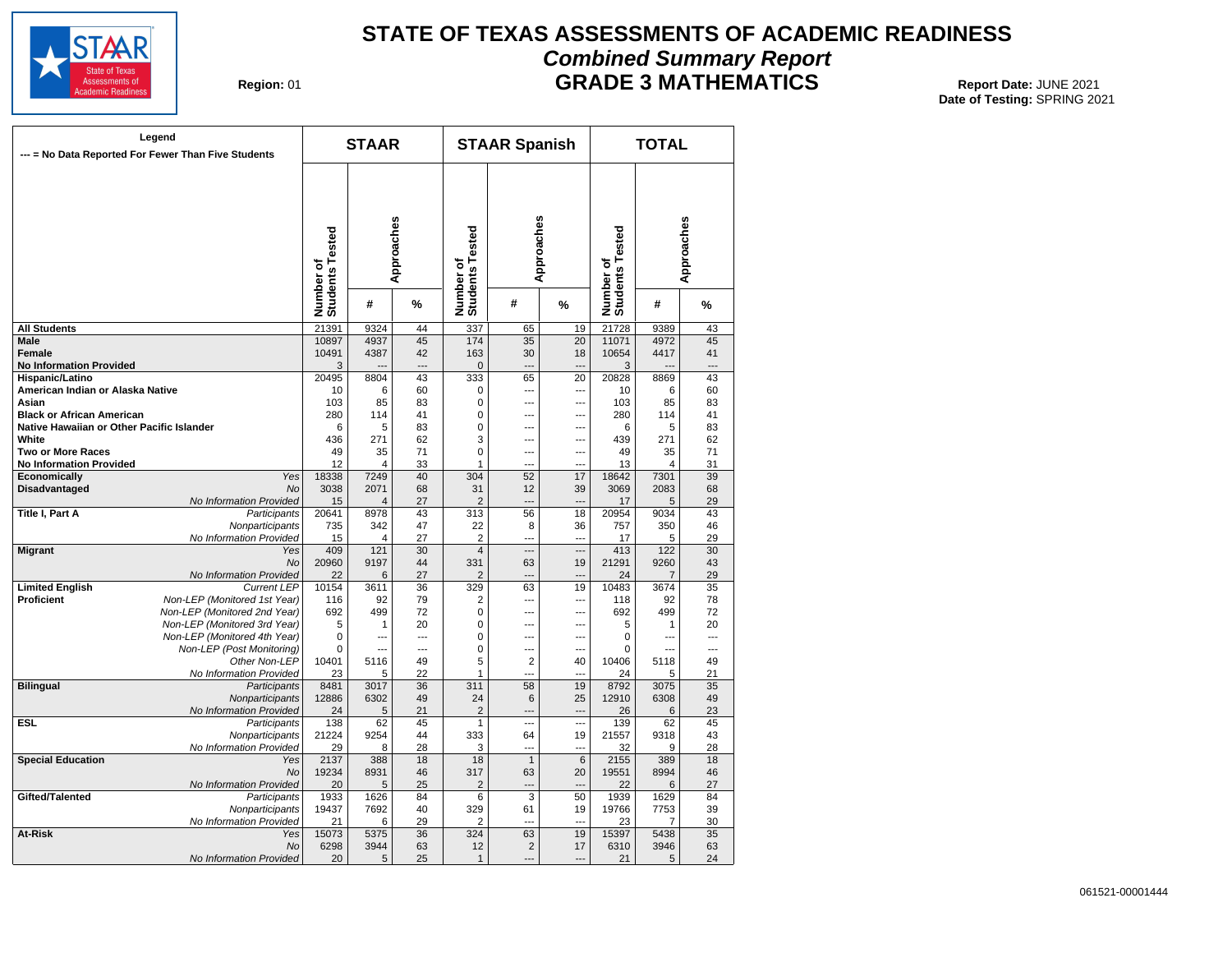

#### **STATE OF TEXAS ASSESSMENTS OF ACADEMIC READINESS Combined Summary Report GRADE 3 MATHEMATICS** Report Date: JUNE 2021

**Region: 01** 

|                                           | Legend<br>--- = No Data Reported For Fewer Than Five Students |                              | <b>STAAR</b>           |                |                              | <b>STAAR Spanish</b> |                          |                              | <b>TOTAL</b> |                |
|-------------------------------------------|---------------------------------------------------------------|------------------------------|------------------------|----------------|------------------------------|----------------------|--------------------------|------------------------------|--------------|----------------|
|                                           |                                                               | Number of<br>Students Tested |                        | Approaches     | Number of<br>Students Tested | Approaches           |                          | Number of<br>Students Tested |              | Approaches     |
|                                           |                                                               |                              | #                      | %              |                              | #                    | %                        |                              | #            | %              |
| <b>All Students</b>                       |                                                               | 21391                        | 9324                   | 44             | 337                          | 65                   | 19                       | 21728                        | 9389         | 43             |
| Male                                      |                                                               | 10897                        | 4937                   | 45             | 174                          | 35                   | $\overline{20}$          | 11071                        | 4972         | 45             |
| <b>Female</b>                             |                                                               | 10491                        | 4387                   | 42             | 163                          | 30                   | 18                       | 10654                        | 4417         | 41             |
| <b>No Information Provided</b>            |                                                               | 3                            |                        | $---$          | $\mathbf{0}$                 | $\overline{a}$       |                          | 3                            |              | ---            |
| Hispanic/Latino                           |                                                               | 20495                        | 8804                   | 43             | 333                          | 65                   | 20                       | 20828                        | 8869         | 43             |
| American Indian or Alaska Native          |                                                               | 10                           | 6                      | 60             | 0                            | $\overline{a}$       | ---                      | 10                           | 6            | 60             |
| Asian                                     |                                                               | 103                          | 85                     | 83             | 0                            | ---                  | ---                      | 103                          | 85           | 83             |
| <b>Black or African American</b>          |                                                               | 280                          | 114                    | 41             | $\mathbf 0$                  | $\sim$               | $\sim$                   | 280                          | 114          | 41             |
| Native Hawaiian or Other Pacific Islander |                                                               | 6                            | 5                      | 83             | $\mathbf 0$                  | $\overline{a}$       | ---                      | 6                            | 5            | 83             |
| White                                     |                                                               | 436                          | 271                    | 62             | 3                            | $\overline{a}$       | ---                      | 439                          | 271          | 62             |
| <b>Two or More Races</b>                  |                                                               | 49                           | 35                     | 71             | $\mathbf 0$                  | $\overline{a}$       | ---                      | 49                           | 35           | 71             |
| <b>No Information Provided</b>            |                                                               | 12                           | 4                      | 33             | 1                            | $\sim$               | $\sim$                   | 13                           | 4            | 31             |
| Economically                              | Yes                                                           | 18338                        | 7249                   | 40             | 304                          | 52                   | 17                       | 18642                        | 7301         | 39             |
| <b>Disadvantaged</b>                      | No                                                            | 3038<br>15                   | 2071<br>$\overline{4}$ | 68<br>27       | 31<br>$\overline{2}$         | 12<br>$\overline{a}$ | 39                       | 3069<br>17                   | 2083<br>5    | 68<br>29       |
| Title I, Part A                           | No Information Provided<br>Participants                       | 20641                        | 8978                   | 43             | 313                          | 56                   | 18                       | 20954                        | 9034         | 43             |
|                                           | Nonparticipants                                               | 735                          | 342                    | 47             | 22                           | 8                    | 36                       | 757                          | 350          | 46             |
|                                           | No Information Provided                                       | 15                           | 4                      | 27             | $\overline{2}$               | ---                  | $\overline{\phantom{a}}$ | 17                           | 5            | 29             |
| <b>Migrant</b>                            | Yes                                                           | 409                          | 121                    | 30             | $\overline{4}$               | $\overline{a}$       | $\overline{\phantom{a}}$ | 413                          | 122          | 30             |
|                                           | <b>No</b>                                                     | 20960                        | 9197                   | 44             | 331                          | 63                   | 19                       | 21291                        | 9260         | 43             |
|                                           | No Information Provided                                       | 22                           | 6                      | 27             | $\overline{2}$               | $\sim$               |                          | 24                           | 7            | 29             |
| <b>Limited English</b>                    | <b>Current LEP</b>                                            | 10154                        | 3611                   | 36             | 329                          | 63                   | 19                       | 10483                        | 3674         | 35             |
| <b>Proficient</b>                         | Non-LEP (Monitored 1st Year)                                  | 116                          | 92                     | 79             | $\overline{2}$               | $\overline{a}$       | $\overline{a}$           | 118                          | 92           | 78             |
|                                           | Non-LEP (Monitored 2nd Year)                                  | 692                          | 499                    | 72             | 0                            | $\overline{a}$       | $\overline{a}$           | 692                          | 499          | 72             |
|                                           | Non-LEP (Monitored 3rd Year)                                  | 5                            | 1                      | 20             | 0                            | $\overline{a}$       | ---                      | 5                            | 1            | 20             |
|                                           | Non-LEP (Monitored 4th Year)                                  | 0                            | ---                    | ---            | $\mathbf 0$                  | ---                  | $\overline{a}$           | 0                            | ---          | ---            |
|                                           | Non-LEP (Post Monitoring)                                     | 0                            | ---                    | $\overline{a}$ | 0                            | ---                  | ---                      | 0                            | ---          | $\overline{a}$ |
|                                           | Other Non-LEP                                                 | 10401                        | 5116                   | 49             | 5                            | $\overline{2}$       | 40                       | 10406                        | 5118         | 49             |
|                                           | No Information Provided                                       | 23                           | 5                      | 22             | 1                            | ---                  |                          | 24                           | 5            | 21             |
| <b>Bilingual</b>                          | Participants                                                  | 8481                         | 3017                   | 36             | 311                          | 58                   | 19                       | 8792                         | 3075         | 35             |
|                                           | Nonparticipants                                               | 12886                        | 6302                   | 49             | 24                           | 6                    | 25                       | 12910                        | 6308         | 49             |
|                                           | No Information Provided                                       | 24                           | 5                      | 21             | $\overline{2}$               | $\overline{a}$       | $\overline{a}$           | 26                           | 6            | 23             |
| <b>ESL</b>                                | Participants                                                  | 138                          | 62                     | 45             | $\mathbf{1}$                 | $\overline{a}$       | $\overline{a}$           | 139                          | 62           | 45             |
|                                           | Nonparticipants                                               | 21224                        | 9254                   | 44             | 333                          | 64                   | 19                       | 21557                        | 9318         | 43             |
|                                           | No Information Provided                                       | 29                           | 8                      | 28             | 3                            | $\overline{a}$       | ---                      | 32                           | 9            | 28             |
| <b>Special Education</b>                  | Yes                                                           | 2137                         | 388                    | 18             | 18                           | $\overline{1}$       | 6                        | 2155                         | 389          | 18             |
|                                           | No                                                            | 19234                        | 8931                   | 46             | 317                          | 63                   | 20                       | 19551                        | 8994         | 46             |
| Gifted/Talented                           | No Information Provided                                       | 20                           | 5<br>1626              | 25             | $\overline{\mathbf{c}}$      | ---<br>3             |                          | 22                           | 6<br>1629    | 27             |
|                                           | Participants<br>Nonparticipants                               | 1933<br>19437                | 7692                   | 84<br>40       | 6<br>329                     | 61                   | 50<br>19                 | 1939<br>19766                | 7753         | 84<br>39       |
|                                           | No Information Provided                                       | 21                           | 6                      | 29             | 2                            | $\overline{a}$       | ---                      | 23                           | 7            | 30             |
| At-Risk                                   | Yes                                                           | 15073                        | 5375                   | 36             | 324                          | 63                   | 19                       | 15397                        | 5438         | 35             |
|                                           | No                                                            | 6298                         | 3944                   | 63             | 12                           | $\overline{2}$       | 17                       | 6310                         | 3946         | 63             |
|                                           | No Information Provided                                       | 20                           | 5                      | 25             | $\mathbf{1}$                 | ---                  | $\overline{a}$           | 21                           | 5            | 24             |
|                                           |                                                               |                              |                        |                |                              |                      |                          |                              |              |                |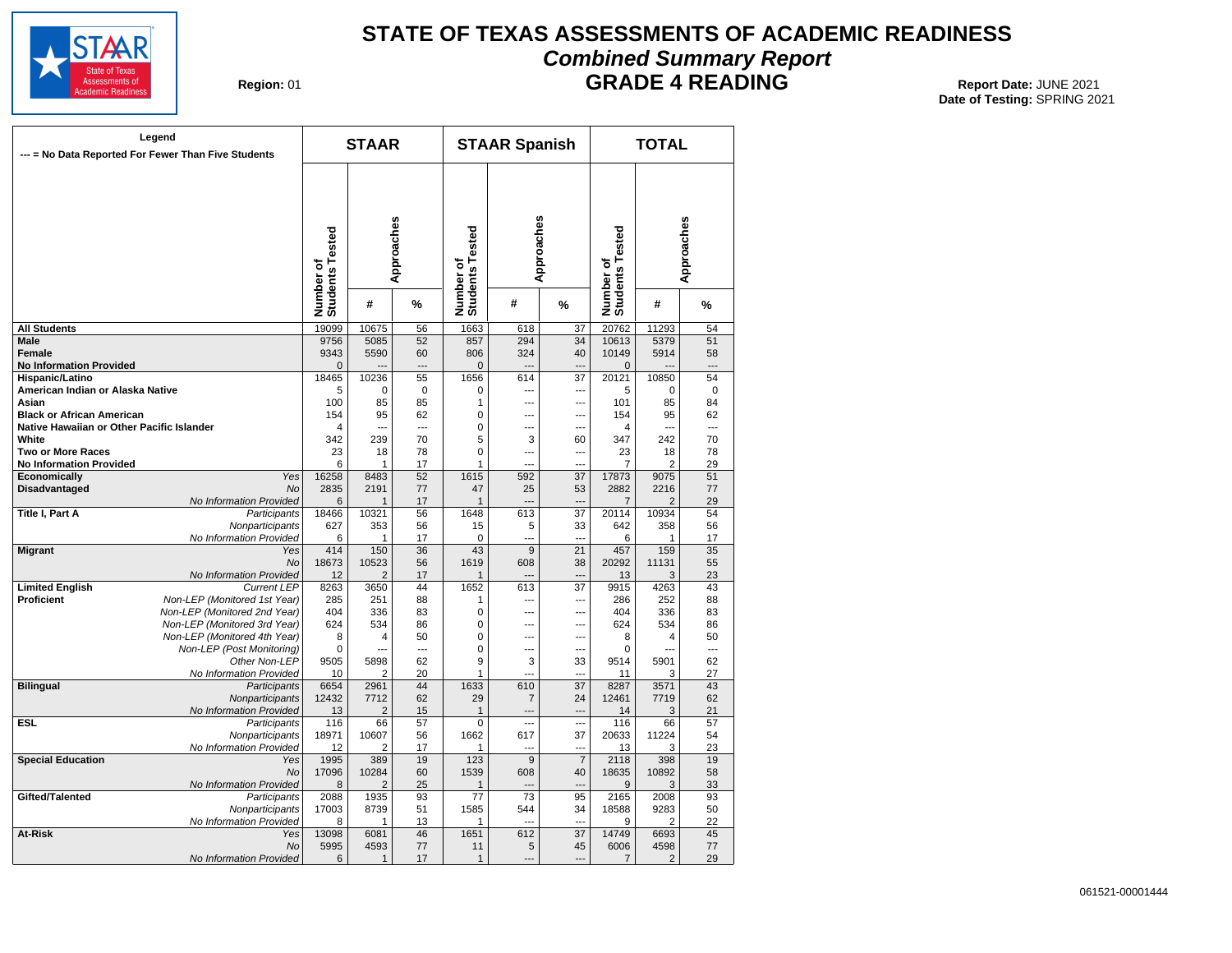

#### **STATE OF TEXAS ASSESSMENTS OF ACADEMIC READINESS Combined Summary Report**

**Region: 01** 

**GRADE 4 READING** Report Date: JUNE 2021

|                                             | Legend<br>--- = No Data Reported For Fewer Than Five Students |                              | <b>STAAR</b>           |                 |                              | <b>STAAR Spanish</b>  |                                  |                              | <b>TOTAL</b>   |             |
|---------------------------------------------|---------------------------------------------------------------|------------------------------|------------------------|-----------------|------------------------------|-----------------------|----------------------------------|------------------------------|----------------|-------------|
|                                             |                                                               | Number of<br>Students Tested |                        | Approaches      | Number of<br>Students Tested |                       | Approaches                       | Number of<br>Students Tested |                | Approaches  |
|                                             |                                                               |                              | #                      | %               |                              | #                     | %                                |                              | #              | %           |
| <b>All Students</b>                         |                                                               | 19099                        | 10675                  | 56              | 1663                         | 618                   | 37                               | 20762                        | 11293          | 54          |
| Male                                        |                                                               | 9756                         | 5085                   | 52              | 857                          | 294                   | 34                               | 10613                        | 5379           | 51          |
| <b>Female</b>                               |                                                               | 9343                         | 5590                   | 60              | 806                          | 324                   | 40                               | 10149                        | 5914           | 58          |
| <b>No Information Provided</b>              |                                                               | $\overline{0}$               |                        | $---$           | $\overline{0}$               | $\overline{a}$        | $\overline{a}$                   | $\mathbf 0$                  |                | ---         |
| Hispanic/Latino                             |                                                               | 18465                        | 10236                  | 55              | 1656                         | 614                   | 37                               | 20121                        | 10850          | 54          |
| American Indian or Alaska Native            |                                                               | 5                            | 0                      | $\mathbf 0$     | 0                            | $\sim$                | ---                              | 5                            | 0              | $\mathbf 0$ |
| Asian<br><b>Black or African American</b>   |                                                               | 100<br>154                   | 85<br>95               | 85<br>62        | 1<br>$\mathbf 0$             | $\overline{a}$<br>--- | $\overline{a}$<br>$\overline{a}$ | 101<br>154                   | 85<br>95       | 84<br>62    |
| Native Hawaiian or Other Pacific Islander   |                                                               | 4                            | $\overline{a}$         | $\overline{a}$  | 0                            | ---                   | $\overline{a}$                   | $\overline{4}$               | $\overline{a}$ | ---         |
| White                                       |                                                               | 342                          | 239                    | 70              | 5                            | 3                     | 60                               | 347                          | 242            | 70          |
| <b>Two or More Races</b>                    |                                                               | 23                           | 18                     | 78              | $\mathbf 0$                  | ---                   | $\overline{a}$                   | 23                           | 18             | 78          |
| <b>No Information Provided</b>              |                                                               | 6                            | 1                      | 17              | 1                            |                       | ---                              | 7                            | 2              | 29          |
| Economically                                | Yes                                                           | 16258                        | 8483                   | 52              | 1615                         | 592                   | 37                               | 17873                        | 9075           | 51          |
| <b>Disadvantaged</b>                        | No                                                            | 2835                         | 2191                   | 77              | 47                           | 25                    | 53                               | 2882                         | 2216           | 77          |
|                                             | No Information Provided                                       | 6                            | $\overline{1}$         | 17              | $\mathbf{1}$                 | $\overline{a}$        | $\overline{a}$                   | $\overline{7}$               | $\overline{2}$ | 29          |
| Title I, Part A                             | Participants                                                  | 18466                        | 10321                  | 56              | 1648                         | 613                   | 37                               | 20114                        | 10934          | 54          |
|                                             | Nonparticipants                                               | 627                          | 353                    | 56              | 15                           | 5                     | 33                               | 642                          | 358            | 56          |
|                                             | No Information Provided                                       | 6                            | 1                      | 17              | 0                            | ---                   | $\overline{a}$                   | 6                            | 1              | 17          |
| <b>Migrant</b>                              | Yes                                                           | 414                          | 150                    | $\overline{36}$ | 43                           | $\overline{9}$        | $\overline{21}$                  | 457                          | 159            | 35          |
|                                             | <b>No</b>                                                     | 18673                        | 10523                  | 56              | 1619                         | 608                   | 38                               | 20292                        | 11131          | 55          |
|                                             | No Information Provided                                       | 12<br>8263                   | $\overline{2}$<br>3650 | 17<br>44        | $\mathbf{1}$<br>1652         | $\overline{a}$<br>613 | ---<br>$\overline{37}$           | 13<br>9915                   | 3<br>4263      | 23<br>43    |
| <b>Limited English</b><br><b>Proficient</b> | <b>Current LEP</b><br>Non-LEP (Monitored 1st Year)            | 285                          | 251                    | 88              | 1                            | $\overline{a}$        | ---                              | 286                          | 252            | 88          |
|                                             | Non-LEP (Monitored 2nd Year)                                  | 404                          | 336                    | 83              | 0                            | $\overline{a}$        | $\overline{a}$                   | 404                          | 336            | 83          |
|                                             | Non-LEP (Monitored 3rd Year)                                  | 624                          | 534                    | 86              | $\mathbf 0$                  | $\overline{a}$        | ---                              | 624                          | 534            | 86          |
|                                             | Non-LEP (Monitored 4th Year)                                  | 8                            | 4                      | 50              | $\overline{0}$               | ---                   | ---                              | 8                            | 4              | 50          |
|                                             | Non-LEP (Post Monitoring)                                     | 0                            | $\sim$                 | $\sim$          | 0                            | $\sim$                | $\overline{a}$                   | $\mathbf 0$                  | $\overline{a}$ | ---         |
|                                             | Other Non-LEP                                                 | 9505                         | 5898                   | 62              | 9                            | 3                     | 33                               | 9514                         | 5901           | 62          |
|                                             | No Information Provided                                       | 10                           | 2                      | 20              | 1                            | $\overline{a}$        | ---                              | 11                           | 3              | 27          |
| <b>Bilingual</b>                            | Participants                                                  | 6654                         | 2961                   | 44              | 1633                         | 610                   | 37                               | 8287                         | 3571           | 43          |
|                                             | Nonparticipants                                               | 12432                        | 7712                   | 62              | 29                           | 7                     | 24                               | 12461                        | 7719           | 62          |
|                                             | No Information Provided                                       | 13                           | $\overline{2}$         | 15              | $\mathbf{1}$                 | $\overline{a}$        | $\sim$                           | 14                           | 3              | 21          |
| <b>ESL</b>                                  | Participants                                                  | 116                          | 66                     | 57              | 0                            | $\overline{a}$        | $\overline{a}$                   | 116                          | 66             | 57          |
|                                             | Nonparticipants                                               | 18971                        | 10607                  | 56<br>17        | 1662<br>1                    | 617<br>$\overline{a}$ | 37<br>---                        | 20633<br>13                  | 11224<br>3     | 54          |
| <b>Special Education</b>                    | No Information Provided<br>Yes                                | 12<br>1995                   | 2<br>389               | 19              | 123                          | $\overline{9}$        | $\overline{7}$                   | 2118                         | 398            | 23<br>19    |
|                                             | No                                                            | 17096                        | 10284                  | 60              | 1539                         | 608                   | 40                               | 18635                        | 10892          | 58          |
|                                             | No Information Provided                                       | 8                            | $\overline{2}$         | 25              | $\mathbf{1}$                 |                       | $\overline{a}$                   | 9                            | 3              | 33          |
| Gifted/Talented                             | Participants                                                  | 2088                         | 1935                   | 93              | 77                           | 73                    | 95                               | 2165                         | 2008           | 93          |
|                                             | Nonparticipants                                               | 17003                        | 8739                   | 51              | 1585                         | 544                   | 34                               | 18588                        | 9283           | 50          |
|                                             | No Information Provided                                       | 8                            | 1                      | 13              | 1                            | $\sim$                | ---                              | 9                            | 2              | 22          |
| <b>At-Risk</b>                              | Yes                                                           | 13098                        | 6081                   | 46              | 1651                         | 612                   | $\overline{37}$                  | 14749                        | 6693           | 45          |
|                                             | <b>No</b>                                                     | 5995                         | 4593                   | 77              | 11                           | 5                     | 45                               | 6006                         | 4598           | 77          |
|                                             | No Information Provided                                       | 6                            | $\mathbf{1}$           | 17              | $\mathbf{1}$                 | $\sim$                | $\sim$                           | $\overline{7}$               | 2              | 29          |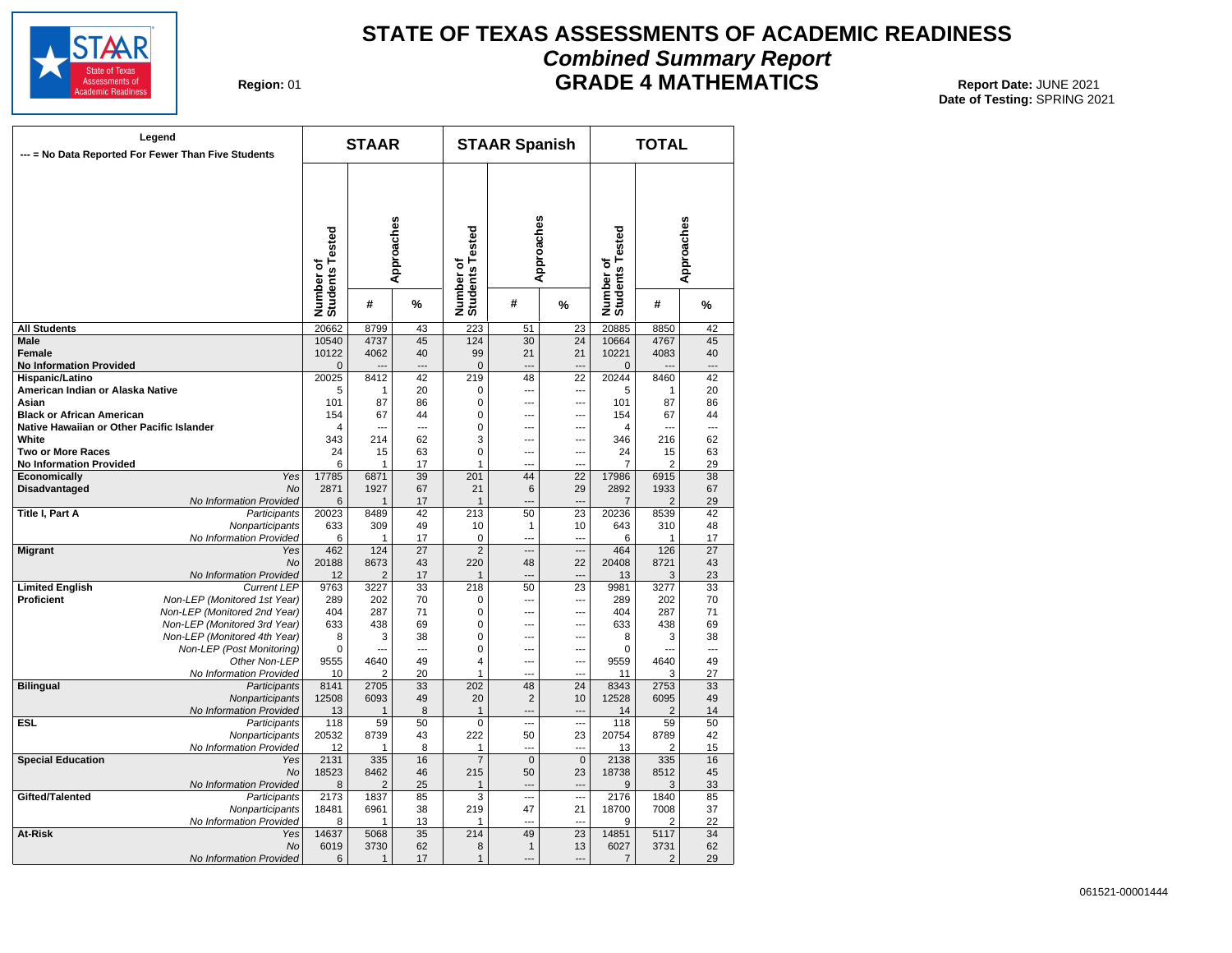

#### **STATE OF TEXAS ASSESSMENTS OF ACADEMIC READINESS Combined Summary Report GRADE 4 MATHEMATICS** Report Date: JUNE 2021

**Region: 01** 

| Legend<br>--- = No Data Reported For Fewer Than Five Students |                                            | <b>STAAR</b>                 |                |                          | <b>STAAR Spanish</b>         |                          |                          | <b>TOTAL</b>                 |                      |          |
|---------------------------------------------------------------|--------------------------------------------|------------------------------|----------------|--------------------------|------------------------------|--------------------------|--------------------------|------------------------------|----------------------|----------|
|                                                               |                                            | Number of<br>Students Tested | Approaches     |                          | Number of<br>Students Tested | Approaches               |                          | Number of<br>Students Tested | Approaches           |          |
|                                                               |                                            |                              | #              | %                        |                              | #                        | %                        |                              | #                    | %        |
| <b>All Students</b>                                           |                                            | 20662                        | 8799           | 43                       | 223                          | 51                       | 23                       | 20885                        | 8850                 | 42       |
| Male                                                          |                                            | 10540                        | 4737           | 45                       | 124                          | 30                       | 24                       | 10664                        | 4767                 | 45       |
| <b>Female</b>                                                 |                                            | 10122                        | 4062           | 40                       | 99                           | 21                       | 21                       | 10221                        | 4083                 | 40       |
| <b>No Information Provided</b>                                |                                            | $\overline{0}$               |                | $\overline{\phantom{a}}$ | $\mathbf 0$                  | $\overline{a}$           | ---                      | $\overline{0}$               |                      | ---      |
| Hispanic/Latino                                               |                                            | 20025                        | 8412           | 42                       | 219                          | 48                       | $\overline{22}$          | 20244                        | 8460                 | 42       |
| American Indian or Alaska Native                              |                                            | 5                            | 1              | 20                       | 0                            | $\overline{a}$           | $\overline{a}$           | 5                            | 1                    | 20       |
| Asian                                                         |                                            | 101                          | 87             | 86                       | 0                            | $\overline{a}$           | ---                      | 101                          | 87                   | 86       |
| <b>Black or African American</b>                              |                                            | 154                          | 67             | 44                       | $\mathbf 0$                  | $\overline{a}$           | ---                      | 154                          | 67                   | 44       |
| Native Hawaiian or Other Pacific Islander                     |                                            | 4                            | ---            | ---                      | 0                            | $\overline{a}$<br>$\sim$ | ---                      | 4                            | ---                  | ---      |
| White                                                         |                                            | 343                          | 214            | 62                       | 3                            | $\overline{a}$           | ---<br>---               | 346                          | 216                  | 62       |
| <b>Two or More Races</b>                                      |                                            | 24<br>6                      | 15<br>1        | 63<br>17                 | 0<br>1                       | $\overline{a}$           | ---                      | 24<br>7                      | 15<br>$\overline{2}$ | 63<br>29 |
| <b>No Information Provided</b><br>Economically                | Yes                                        | 17785                        | 6871           | 39                       | 201                          | 44                       | 22                       | 17986                        | 6915                 | 38       |
| Disadvantaged                                                 | No                                         | 2871                         | 1927           | 67                       | 21                           | 6                        | 29                       | 2892                         | 1933                 | 67       |
|                                                               | No Information Provided                    | 6                            | $\mathbf{1}$   | 17                       | $\mathbf{1}$                 | $-$                      |                          | $\overline{7}$               | $\overline{2}$       | 29       |
| <b>Title I, Part A</b>                                        | Participants                               | 20023                        | 8489           | 42                       | 213                          | 50                       | 23                       | 20236                        | 8539                 | 42       |
|                                                               | Nonparticipants                            | 633                          | 309            | 49                       | 10                           | $\mathbf{1}$             | 10                       | 643                          | 310                  | 48       |
|                                                               | No Information Provided                    | 6                            | 1              | 17                       | 0                            | $\overline{a}$           | $\overline{a}$           | 6                            | 1                    | 17       |
| <b>Migrant</b>                                                | Yes                                        | 462                          | 124            | 27                       | $\overline{2}$               | ---                      | ---                      | 464                          | 126                  | 27       |
|                                                               | <b>No</b>                                  | 20188                        | 8673           | 43                       | 220                          | 48                       | 22                       | 20408                        | 8721                 | 43       |
|                                                               | No Information Provided                    | 12                           | $\overline{2}$ | 17                       | 1                            |                          |                          | 13                           | 3                    | 23       |
| <b>Limited English</b>                                        | <b>Current LEP</b>                         | 9763                         | 3227           | 33                       | 218                          | 50                       | 23                       | 9981                         | 3277                 | 33       |
| Proficient                                                    | Non-LEP (Monitored 1st Year)               | 289                          | 202            | 70                       | 0                            | ---                      | $\overline{a}$           | 289                          | 202                  | 70       |
|                                                               | Non-LEP (Monitored 2nd Year)               | 404                          | 287            | 71                       | $\mathbf 0$                  | ---                      | ---                      | 404                          | 287                  | 71       |
|                                                               | Non-LEP (Monitored 3rd Year)               | 633                          | 438            | 69                       | $\mathbf 0$                  | ---                      | ---                      | 633                          | 438                  | 69       |
|                                                               | Non-LEP (Monitored 4th Year)               | 8                            | 3              | 38                       | $\Omega$                     | ---                      | ---                      | 8                            | 3                    | 38       |
|                                                               | Non-LEP (Post Monitoring)                  | 0                            | …              | ---                      | 0                            | ---                      | ---                      | 0                            | ---                  | ---      |
|                                                               | Other Non-LEP                              | 9555                         | 4640           | 49                       | $\overline{4}$               | ---                      | ---                      | 9559                         | 4640                 | 49       |
|                                                               | No Information Provided                    | 10                           | 2              | 20                       | 1                            | $\overline{a}$           |                          | 11                           | 3                    | 27       |
| <b>Bilingual</b>                                              | Participants                               | 8141                         | 2705           | 33                       | 202                          | 48                       | 24                       | 8343                         | 2753                 | 33       |
|                                                               | Nonparticipants<br>No Information Provided | 12508                        | 6093<br>1      | 49<br>8                  | 20<br>$\mathbf{1}$           | $\overline{2}$<br>---    | 10                       | 12528<br>14                  | 6095<br>2            | 49<br>14 |
| <b>ESL</b>                                                    | Participants                               | 13<br>118                    | 59             | 50                       | $\overline{0}$               | $\overline{a}$           | ---                      | 118                          | 59                   | 50       |
|                                                               | Nonparticipants                            | 20532                        | 8739           | 43                       | 222                          | 50                       | 23                       | 20754                        | 8789                 | 42       |
|                                                               | No Information Provided                    | 12                           | 1              | 8                        | 1                            | $\overline{a}$           | $\overline{\phantom{a}}$ | 13                           | 2                    | 15       |
| <b>Special Education</b>                                      | Yes                                        | 2131                         | 335            | 16                       | $\overline{7}$               | $\overline{0}$           | $\overline{0}$           | 2138                         | 335                  | 16       |
|                                                               | No                                         | 18523                        | 8462           | 46                       | 215                          | 50                       | 23                       | 18738                        | 8512                 | 45       |
|                                                               | No Information Provided                    | 8                            | 2              | 25                       | 1                            | ---                      | ---                      | 9                            | 3                    | 33       |
| Gifted/Talented                                               | Participants                               | 2173                         | 1837           | 85                       | 3                            |                          |                          | 2176                         | 1840                 | 85       |
|                                                               | Nonparticipants                            | 18481                        | 6961           | 38                       | 219                          | 47                       | 21                       | 18700                        | 7008                 | 37       |
|                                                               | No Information Provided                    | 8                            | 1              | 13                       | 1                            | $\overline{a}$           | $\overline{\phantom{a}}$ | 9                            | 2                    | 22       |
| <b>At-Risk</b>                                                | Yes                                        | 14637                        | 5068           | 35                       | 214                          | 49                       | $\overline{23}$          | 14851                        | 5117                 | 34       |
|                                                               | No                                         | 6019                         | 3730           | 62                       | 8                            | $\mathbf{1}$             | 13                       | 6027                         | 3731                 | 62       |
|                                                               | No Information Provided                    | 6                            | 1              | 17                       | $\mathbf{1}$                 | $-$                      | $\overline{a}$           | $\overline{7}$               | $\overline{2}$       | 29       |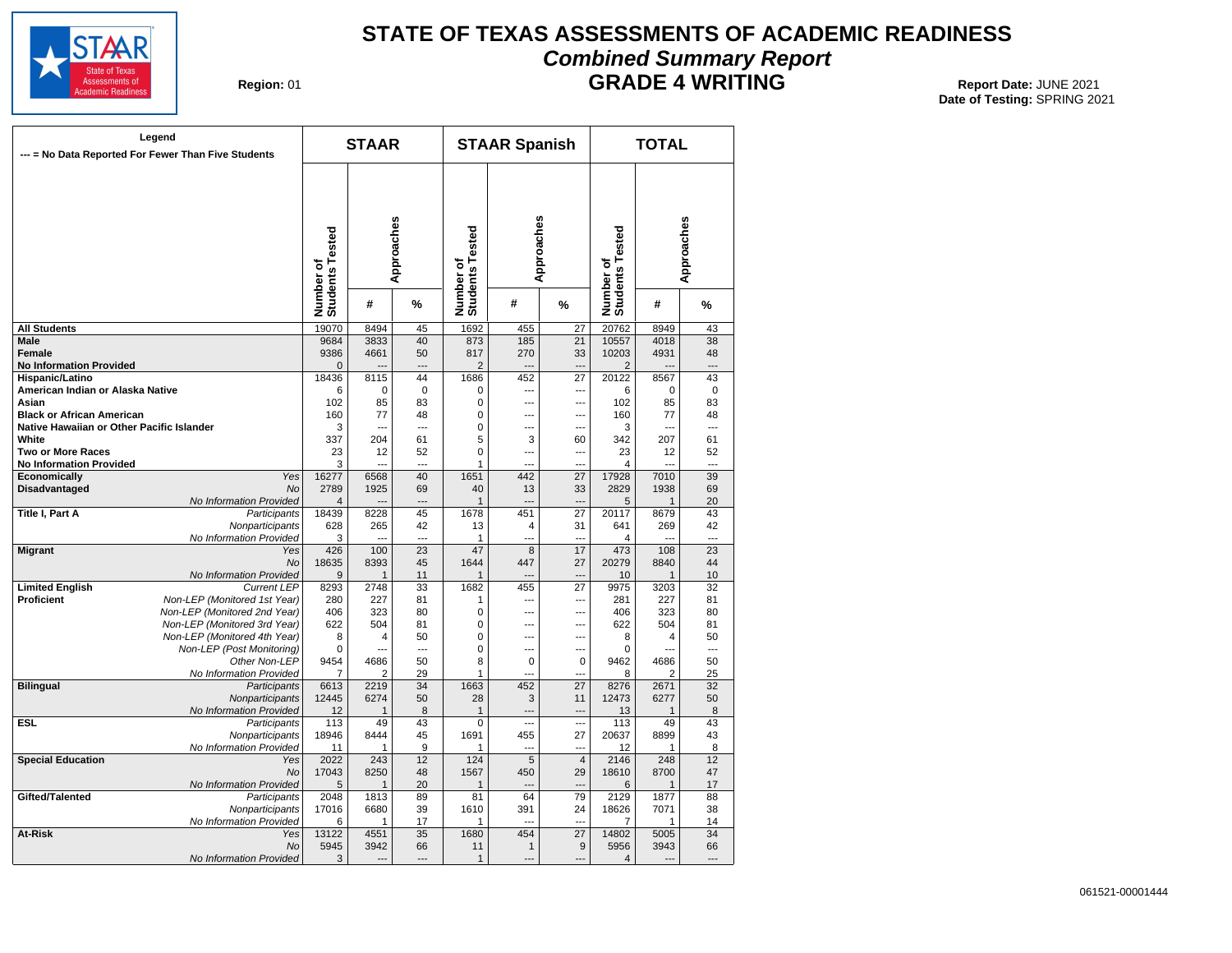

#### **STATE OF TEXAS ASSESSMENTS OF ACADEMIC READINESS Combined Summary Report GRADE 4 WRITING** Report Date: JUNE 2021

**Region: 01** 

| Legend<br>--- = No Data Reported For Fewer Than Five Students |                                               | <b>STAAR</b>                 |           |                 | <b>STAAR Spanish</b>                      |                       |                | <b>TOTAL</b>                 |            |                 |
|---------------------------------------------------------------|-----------------------------------------------|------------------------------|-----------|-----------------|-------------------------------------------|-----------------------|----------------|------------------------------|------------|-----------------|
|                                                               |                                               | Number of<br>Students Tested |           | w<br>Approache  | <b>Tested</b><br>Number of<br>Students Te | Approaches            |                | Number of<br>Students Tested | Approaches |                 |
|                                                               |                                               |                              | #         | %               |                                           | #                     | %              |                              | #          | %               |
| <b>All Students</b>                                           |                                               | 19070                        | 8494      | 45              | 1692                                      | 455                   | 27             | 20762                        | 8949       | 43              |
| <b>Male</b>                                                   |                                               | 9684                         | 3833      | 40              | 873                                       | 185                   | 21             | 10557                        | 4018       | 38              |
| <b>Female</b>                                                 |                                               | 9386                         | 4661      | 50              | 817                                       | 270                   | 33             | 10203                        | 4931       | 48              |
| <b>No Information Provided</b>                                |                                               | $\mathbf 0$                  |           | $\overline{a}$  | $\overline{2}$                            | $\overline{a}$        | $\overline{a}$ | 2                            |            | ---             |
| Hispanic/Latino                                               |                                               | 18436                        | 8115      | 44              | 1686                                      | 452                   | 27             | 20122                        | 8567       | 43              |
| American Indian or Alaska Native                              |                                               | 6                            | $\Omega$  | $\mathbf 0$     | $\Omega$                                  | ---                   | ---            | 6                            | 0          | $\mathbf 0$     |
| Asian<br><b>Black or African American</b>                     |                                               | 102<br>160                   | 85<br>77  | 83<br>48        | $\mathbf 0$<br>$\Omega$                   | $\sim$                | ---            | 102<br>160                   | 85<br>77   | 83<br>48        |
|                                                               |                                               | 3                            | ---       | ---             | $\Omega$                                  | ---<br>---            | ---<br>---     | 3                            |            | ---             |
| Native Hawaiian or Other Pacific Islander<br>White            |                                               | 337                          | 204       | 61              | 5                                         | 3                     | 60             | 342                          | 207        | 61              |
| <b>Two or More Races</b>                                      |                                               | 23                           | 12        | 52              | $\mathbf 0$                               | ---                   | ---            | 23                           | 12         | 52              |
| <b>No Information Provided</b>                                |                                               | 3                            |           |                 | 1                                         |                       |                | $\overline{\mathcal{A}}$     |            |                 |
| Economically                                                  | Yes                                           | 16277                        | 6568      | 40              | 1651                                      | 442                   | 27             | 17928                        | 7010       | 39              |
| <b>Disadvantaged</b>                                          | <b>No</b>                                     | 2789                         | 1925      | 69              | 40                                        | 13                    | 33             | 2829                         | 1938       | 69              |
|                                                               | No Information Provided                       | $\overline{4}$               |           | ---             | $\mathbf{1}$                              | $---$                 | ---            | 5                            | 1          | 20              |
| <b>Title I, Part A</b>                                        | Participants                                  | 18439                        | 8228      | 45              | 1678                                      | 451                   | 27             | 20117                        | 8679       | 43              |
|                                                               | Nonparticipants                               | 628                          | 265       | 42              | 13                                        | $\overline{4}$        | 31             | 641                          | 269        | 42              |
|                                                               | No Information Provided                       | 3                            |           | $\sim$          | $\mathbf{1}$                              | ---                   | $\sim$         | 4                            |            |                 |
| <b>Migrant</b>                                                | Yes                                           | 426                          | 100       | $\overline{23}$ | 47                                        | $\overline{8}$        | 17             | 473                          | 108        | $\overline{23}$ |
|                                                               | No                                            | 18635                        | 8393      | 45              | 1644                                      | 447                   | 27             | 20279                        | 8840       | 44              |
| <b>Limited English</b>                                        | No Information Provided<br><b>Current LEP</b> | 9<br>8293                    | 1<br>2748 | 11<br>33        | 1<br>1682                                 | $\overline{a}$<br>455 | ---<br>27      | 10<br>9975                   | 1<br>3203  | 10<br>32        |
| <b>Proficient</b>                                             | Non-LEP (Monitored 1st Year)                  | 280                          | 227       | 81              | 1                                         | $\overline{a}$        | ---            | 281                          | 227        | 81              |
|                                                               | Non-LEP (Monitored 2nd Year)                  | 406                          | 323       | 80              | $\mathbf 0$                               | ---                   | ---            | 406                          | 323        | 80              |
|                                                               | Non-LEP (Monitored 3rd Year)                  | 622                          | 504       | 81              | $\Omega$                                  | ---                   | ---            | 622                          | 504        | 81              |
|                                                               | Non-LEP (Monitored 4th Year)                  | 8                            | 4         | 50              | 0                                         | ---                   | ---            | 8                            | 4          | 50              |
|                                                               | Non-LEP (Post Monitoring)                     | 0                            | ---       | ---             | $\mathbf 0$                               | ---                   | ---            | 0                            | ---        | ---             |
|                                                               | Other Non-LEP                                 | 9454                         | 4686      | 50              | 8                                         | $\mathbf 0$           | $\mathbf 0$    | 9462                         | 4686       | 50              |
|                                                               | No Information Provided                       | $\overline{7}$               | 2         | 29              | $\mathbf{1}$                              | ---                   | ---            | 8                            | 2          | 25              |
| <b>Bilingual</b>                                              | Participants                                  | 6613                         | 2219      | 34              | 1663                                      | 452                   | 27             | 8276                         | 2671       | 32              |
|                                                               | Nonparticipants                               | 12445                        | 6274      | 50              | 28                                        | 3                     | 11             | 12473                        | 6277       | 50              |
|                                                               | No Information Provided                       | 12                           | 1         | 8               | $\mathbf{1}$                              | $---$                 | $\overline{a}$ | 13                           | 1          | 8               |
| ESL.                                                          | Participants                                  | 113                          | 49        | 43              | $\overline{0}$                            | $\overline{a}$        |                | 113                          | 49         | 43              |
|                                                               | Nonparticipants<br>No Information Provided    | 18946<br>11                  | 8444<br>1 | 45<br>9         | 1691<br>1                                 | 455<br>---            | 27<br>---      | 20637<br>12                  | 8899<br>1  | 43<br>8         |
| <b>Special Education</b>                                      | Yes                                           | 2022                         | 243       | 12              | 124                                       | $\overline{5}$        | $\overline{4}$ | 2146                         | 248        | $\overline{12}$ |
|                                                               | No                                            | 17043                        | 8250      | 48              | 1567                                      | 450                   | 29             | 18610                        | 8700       | 47              |
|                                                               | No Information Provided                       | 5                            | 1         | 20              | $\mathbf{1}$                              | ---                   | ---            | 6                            | 1          | 17              |
| Gifted/Talented                                               | Participants                                  | 2048                         | 1813      | 89              | 81                                        | 64                    | 79             | 2129                         | 1877       | 88              |
|                                                               | Nonparticipants                               | 17016                        | 6680      | 39              | 1610                                      | 391                   | 24             | 18626                        | 7071       | 38              |
|                                                               | No Information Provided                       | 6                            | 1         | 17              | $\mathbf{1}$                              |                       |                | 7                            | 1          | 14              |
| At-Risk                                                       | Yes                                           | 13122                        | 4551      | $\overline{35}$ | 1680                                      | 454                   | 27             | 14802                        | 5005       | 34              |
|                                                               | <b>No</b>                                     | 5945                         | 3942      | 66              | 11                                        | $\mathbf{1}$          | 9              | 5956                         | 3943       | 66              |
|                                                               | No Information Provided                       | 3                            |           | ---             | $\mathbf{1}$                              |                       | ---            | 4                            |            |                 |